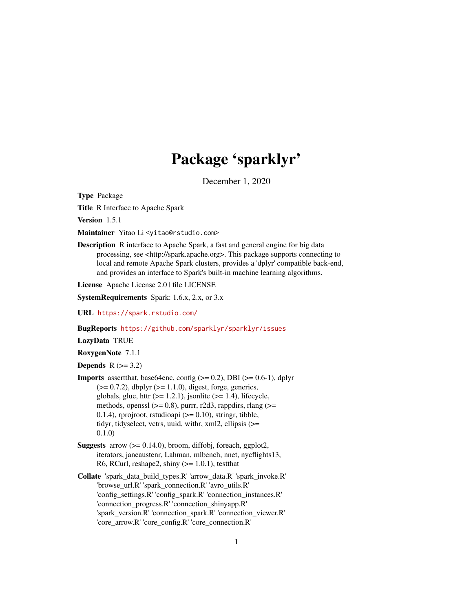# Package 'sparklyr'

December 1, 2020

<span id="page-0-0"></span>Type Package

Title R Interface to Apache Spark

Version 1.5.1

Maintainer Yitao Li <yitao@rstudio.com>

Description R interface to Apache Spark, a fast and general engine for big data processing, see <http://spark.apache.org>. This package supports connecting to local and remote Apache Spark clusters, provides a 'dplyr' compatible back-end, and provides an interface to Spark's built-in machine learning algorithms.

License Apache License 2.0 | file LICENSE

SystemRequirements Spark: 1.6.x, 2.x, or 3.x

URL <https://spark.rstudio.com/>

BugReports <https://github.com/sparklyr/sparklyr/issues>

LazyData TRUE

RoxygenNote 7.1.1

Depends  $R$  ( $>= 3.2$ )

- **Imports** assert that, base 64enc, config  $(>= 0.2)$ , DBI  $(>= 0.6-1)$ , dplyr  $(>= 0.7.2)$ , dbplyr  $(>= 1.1.0)$ , digest, forge, generics, globals, glue, httr  $(>= 1.2.1)$ , jsonlite  $(>= 1.4)$ , lifecycle, methods, openssl  $(>= 0.8)$ , purrr, r2d3, rappdirs, rlang  $(>=$ 0.1.4), rprojroot, rstudioapi (>= 0.10), stringr, tibble, tidyr, tidyselect, vctrs, uuid, withr, xml2, ellipsis (>= 0.1.0)
- **Suggests** arrow  $(>= 0.14.0)$ , broom, diffobj, foreach, ggplot2, iterators, janeaustenr, Lahman, mlbench, nnet, nycflights13, R6, RCurl, reshape2, shiny  $(>= 1.0.1)$ , testthat
- Collate 'spark\_data\_build\_types.R' 'arrow\_data.R' 'spark\_invoke.R' 'browse\_url.R' 'spark\_connection.R' 'avro\_utils.R' 'config\_settings.R' 'config\_spark.R' 'connection\_instances.R' 'connection\_progress.R' 'connection\_shinyapp.R' 'spark\_version.R' 'connection\_spark.R' 'connection\_viewer.R' 'core\_arrow.R' 'core\_config.R' 'core\_connection.R'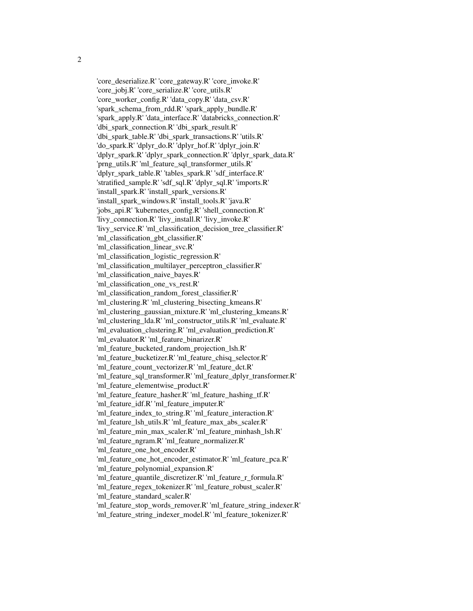'core\_deserialize.R' 'core\_gateway.R' 'core\_invoke.R' 'core\_jobj.R' 'core\_serialize.R' 'core\_utils.R' 'core\_worker\_config.R' 'data\_copy.R' 'data\_csv.R' 'spark\_schema\_from\_rdd.R' 'spark\_apply\_bundle.R' 'spark\_apply.R' 'data\_interface.R' 'databricks\_connection.R' 'dbi\_spark\_connection.R' 'dbi\_spark\_result.R' 'dbi\_spark\_table.R' 'dbi\_spark\_transactions.R' 'utils.R' 'do\_spark.R' 'dplyr\_do.R' 'dplyr\_hof.R' 'dplyr\_join.R' 'dplyr\_spark.R' 'dplyr\_spark\_connection.R' 'dplyr\_spark\_data.R' 'prng\_utils.R' 'ml\_feature\_sql\_transformer\_utils.R' 'dplyr\_spark\_table.R' 'tables\_spark.R' 'sdf\_interface.R' 'stratified\_sample.R' 'sdf\_sql.R' 'dplyr\_sql.R' 'imports.R' 'install\_spark.R' 'install\_spark\_versions.R' 'install\_spark\_windows.R' 'install\_tools.R' 'java.R' 'jobs\_api.R' 'kubernetes\_config.R' 'shell\_connection.R' 'livy\_connection.R' 'livy\_install.R' 'livy\_invoke.R' 'livy\_service.R' 'ml\_classification\_decision\_tree\_classifier.R' 'ml\_classification\_gbt\_classifier.R' 'ml\_classification\_linear\_svc.R' 'ml\_classification\_logistic\_regression.R' 'ml\_classification\_multilayer\_perceptron\_classifier.R' 'ml\_classification\_naive\_bayes.R' 'ml\_classification\_one\_vs\_rest.R' 'ml\_classification\_random\_forest\_classifier.R' 'ml\_clustering.R' 'ml\_clustering\_bisecting\_kmeans.R' 'ml\_clustering\_gaussian\_mixture.R' 'ml\_clustering\_kmeans.R' 'ml\_clustering\_lda.R' 'ml\_constructor\_utils.R' 'ml\_evaluate.R' 'ml\_evaluation\_clustering.R' 'ml\_evaluation\_prediction.R' 'ml\_evaluator.R' 'ml\_feature\_binarizer.R' 'ml\_feature\_bucketed\_random\_projection\_lsh.R' 'ml\_feature\_bucketizer.R' 'ml\_feature\_chisq\_selector.R' 'ml\_feature\_count\_vectorizer.R' 'ml\_feature\_dct.R' 'ml\_feature\_sql\_transformer.R' 'ml\_feature\_dplyr\_transformer.R' 'ml\_feature\_elementwise\_product.R' 'ml\_feature\_feature\_hasher.R' 'ml\_feature\_hashing\_tf.R' 'ml\_feature\_idf.R' 'ml\_feature\_imputer.R' 'ml\_feature\_index\_to\_string.R' 'ml\_feature\_interaction.R' 'ml\_feature\_lsh\_utils.R' 'ml\_feature\_max\_abs\_scaler.R' 'ml\_feature\_min\_max\_scaler.R' 'ml\_feature\_minhash\_lsh.R' 'ml\_feature\_ngram.R' 'ml\_feature\_normalizer.R' 'ml\_feature\_one\_hot\_encoder.R' 'ml\_feature\_one\_hot\_encoder\_estimator.R' 'ml\_feature\_pca.R' 'ml\_feature\_polynomial\_expansion.R' 'ml\_feature\_quantile\_discretizer.R' 'ml\_feature\_r\_formula.R' 'ml\_feature\_regex\_tokenizer.R' 'ml\_feature\_robust\_scaler.R' 'ml\_feature\_standard\_scaler.R'

'ml\_feature\_stop\_words\_remover.R' 'ml\_feature\_string\_indexer.R'

'ml\_feature\_string\_indexer\_model.R' 'ml\_feature\_tokenizer.R'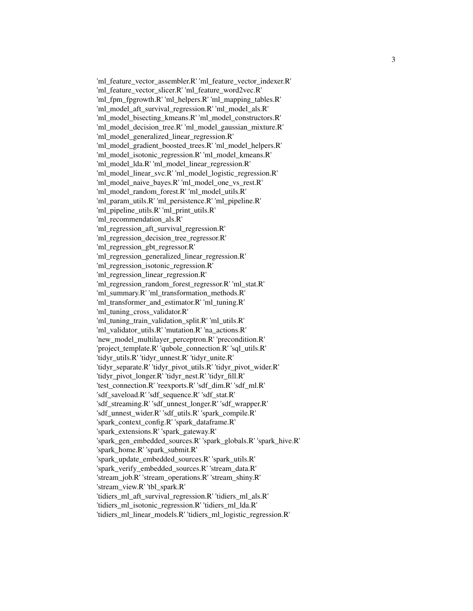'ml\_feature\_vector\_assembler.R' 'ml\_feature\_vector\_indexer.R' 'ml\_feature\_vector\_slicer.R' 'ml\_feature\_word2vec.R' 'ml\_fpm\_fpgrowth.R' 'ml\_helpers.R' 'ml\_mapping\_tables.R' 'ml\_model\_aft\_survival\_regression.R' 'ml\_model\_als.R' 'ml\_model\_bisecting\_kmeans.R' 'ml\_model\_constructors.R' 'ml\_model\_decision\_tree.R' 'ml\_model\_gaussian\_mixture.R' 'ml\_model\_generalized\_linear\_regression.R' 'ml\_model\_gradient\_boosted\_trees.R' 'ml\_model\_helpers.R' 'ml\_model\_isotonic\_regression.R' 'ml\_model\_kmeans.R' 'ml\_model\_lda.R' 'ml\_model\_linear\_regression.R' 'ml\_model\_linear\_svc.R' 'ml\_model\_logistic\_regression.R' 'ml\_model\_naive\_bayes.R' 'ml\_model\_one\_vs\_rest.R' 'ml\_model\_random\_forest.R' 'ml\_model\_utils.R' 'ml\_param\_utils.R' 'ml\_persistence.R' 'ml\_pipeline.R' 'ml\_pipeline\_utils.R' 'ml\_print\_utils.R' 'ml\_recommendation\_als.R' 'ml\_regression\_aft\_survival\_regression.R' 'ml\_regression\_decision\_tree\_regressor.R' 'ml\_regression\_gbt\_regressor.R' 'ml\_regression\_generalized\_linear\_regression.R' 'ml\_regression\_isotonic\_regression.R' 'ml\_regression\_linear\_regression.R' 'ml\_regression\_random\_forest\_regressor.R' 'ml\_stat.R' 'ml\_summary.R' 'ml\_transformation\_methods.R' 'ml\_transformer\_and\_estimator.R' 'ml\_tuning.R' 'ml\_tuning\_cross\_validator.R' 'ml\_tuning\_train\_validation\_split.R' 'ml\_utils.R' 'ml\_validator\_utils.R' 'mutation.R' 'na\_actions.R' 'new model multilayer perceptron.R' 'precondition.R' 'project\_template.R' 'qubole\_connection.R' 'sql\_utils.R' 'tidyr\_utils.R' 'tidyr\_unnest.R' 'tidyr\_unite.R' 'tidyr\_separate.R' 'tidyr\_pivot\_utils.R' 'tidyr\_pivot\_wider.R' 'tidyr\_pivot\_longer.R' 'tidyr\_nest.R' 'tidyr\_fill.R' 'test\_connection.R' 'reexports.R' 'sdf\_dim.R' 'sdf\_ml.R' 'sdf\_saveload.R' 'sdf\_sequence.R' 'sdf\_stat.R' 'sdf\_streaming.R' 'sdf\_unnest\_longer.R' 'sdf\_wrapper.R' 'sdf\_unnest\_wider.R' 'sdf\_utils.R' 'spark\_compile.R' 'spark\_context\_config.R' 'spark\_dataframe.R' 'spark\_extensions.R' 'spark\_gateway.R' 'spark\_gen\_embedded\_sources.R' 'spark\_globals.R' 'spark\_hive.R' 'spark\_home.R' 'spark\_submit.R' 'spark\_update\_embedded\_sources.R' 'spark\_utils.R' 'spark\_verify\_embedded\_sources.R' 'stream\_data.R' 'stream\_job.R' 'stream\_operations.R' 'stream\_shiny.R' 'stream\_view.R' 'tbl\_spark.R' 'tidiers\_ml\_aft\_survival\_regression.R' 'tidiers\_ml\_als.R' 'tidiers\_ml\_isotonic\_regression.R' 'tidiers\_ml\_lda.R' 'tidiers\_ml\_linear\_models.R' 'tidiers\_ml\_logistic\_regression.R'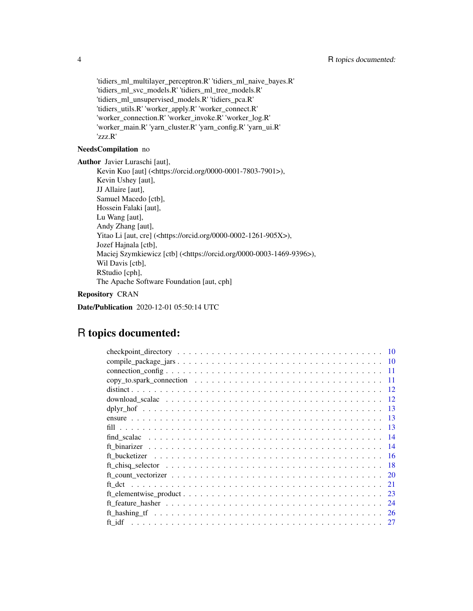'tidiers\_ml\_multilayer\_perceptron.R' 'tidiers\_ml\_naive\_bayes.R' 'tidiers\_ml\_svc\_models.R' 'tidiers\_ml\_tree\_models.R' 'tidiers\_ml\_unsupervised\_models.R' 'tidiers\_pca.R' 'tidiers\_utils.R' 'worker\_apply.R' 'worker\_connect.R' 'worker\_connection.R' 'worker\_invoke.R' 'worker\_log.R' 'worker\_main.R' 'yarn\_cluster.R' 'yarn\_config.R' 'yarn\_ui.R' 'zzz.R'

### NeedsCompilation no

Author Javier Luraschi [aut],

Kevin Kuo [aut] (<https://orcid.org/0000-0001-7803-7901>), Kevin Ushey [aut], JJ Allaire [aut], Samuel Macedo [ctb], Hossein Falaki [aut], Lu Wang [aut], Andy Zhang [aut], Yitao Li [aut, cre] (<https://orcid.org/0000-0002-1261-905X>), Jozef Hajnala [ctb], Maciej Szymkiewicz [ctb] (<https://orcid.org/0000-0003-1469-9396>), Wil Davis [ctb], RStudio [cph], The Apache Software Foundation [aut, cph]

### Repository CRAN

Date/Publication 2020-12-01 05:50:14 UTC

## R topics documented:

| - 11 |
|------|
|      |
| -12  |
| -12  |
| -13  |
| -13  |
| -13  |
|      |
|      |
| - 16 |
| - 18 |
|      |
| 21   |
| 23   |
| 24   |
| 26   |
| 27   |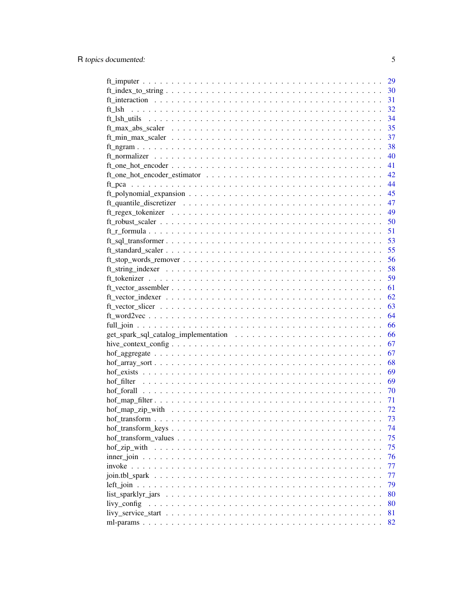|                                                                                                                     | 29 |
|---------------------------------------------------------------------------------------------------------------------|----|
|                                                                                                                     | 30 |
|                                                                                                                     | 31 |
| ft 1sh                                                                                                              | 32 |
|                                                                                                                     | 34 |
|                                                                                                                     | 35 |
|                                                                                                                     | 37 |
|                                                                                                                     | 38 |
|                                                                                                                     | 40 |
|                                                                                                                     | 41 |
|                                                                                                                     | 42 |
|                                                                                                                     | 44 |
|                                                                                                                     | 45 |
|                                                                                                                     | 47 |
|                                                                                                                     | 49 |
|                                                                                                                     | 50 |
|                                                                                                                     | 51 |
|                                                                                                                     | 53 |
|                                                                                                                     | 55 |
|                                                                                                                     | 56 |
|                                                                                                                     | 58 |
|                                                                                                                     | 59 |
|                                                                                                                     | 61 |
|                                                                                                                     | 62 |
|                                                                                                                     | 63 |
|                                                                                                                     | 64 |
|                                                                                                                     | 66 |
|                                                                                                                     | 66 |
|                                                                                                                     | 67 |
|                                                                                                                     | 67 |
|                                                                                                                     | 68 |
|                                                                                                                     | 69 |
|                                                                                                                     | 69 |
|                                                                                                                     | 70 |
|                                                                                                                     | 71 |
|                                                                                                                     | 72 |
|                                                                                                                     | 73 |
|                                                                                                                     |    |
|                                                                                                                     | 74 |
| $hof_{transform\_values} \dots \dots \dots \dots \dots \dots \dots \dots \dots \dots \dots \dots \dots \dots \dots$ | 75 |
|                                                                                                                     | 75 |
|                                                                                                                     | 76 |
|                                                                                                                     | 77 |
|                                                                                                                     | 77 |
|                                                                                                                     | 79 |
|                                                                                                                     | 80 |
| livy config                                                                                                         | 80 |
|                                                                                                                     | 81 |
|                                                                                                                     | 82 |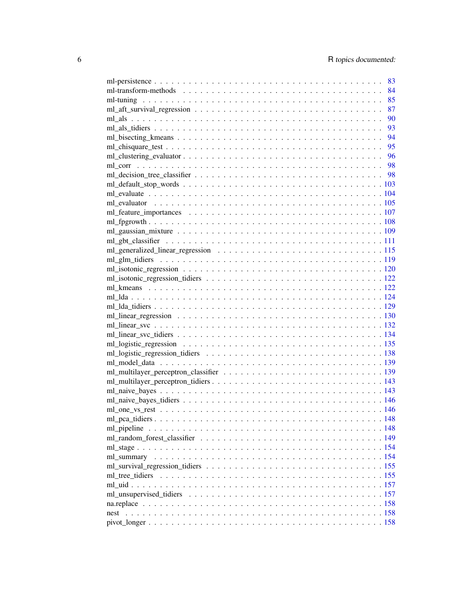|      | 83   |
|------|------|
|      | 84   |
|      | 85   |
|      |      |
|      | - 90 |
|      |      |
|      |      |
|      |      |
|      |      |
|      |      |
|      |      |
|      |      |
|      |      |
|      |      |
|      |      |
|      |      |
|      |      |
|      |      |
|      |      |
|      |      |
|      |      |
|      |      |
|      |      |
|      |      |
|      |      |
|      |      |
|      |      |
|      |      |
|      |      |
|      |      |
|      |      |
|      |      |
|      |      |
|      |      |
|      |      |
|      |      |
|      |      |
|      |      |
|      |      |
|      |      |
|      |      |
|      |      |
|      |      |
|      |      |
|      |      |
|      |      |
| nest |      |
|      |      |
|      |      |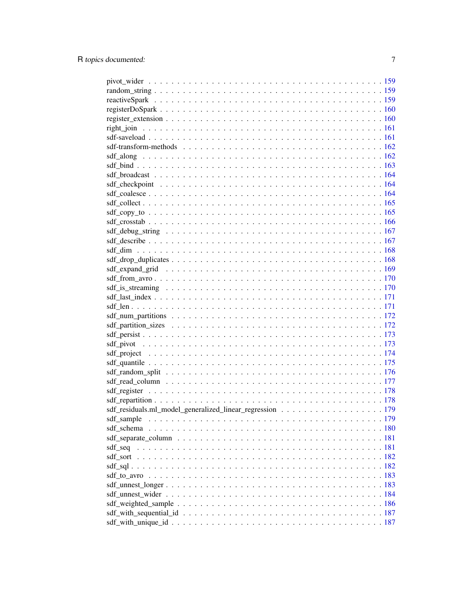| sdf_residuals.ml_model_generalized_linear_regression 179                                                                |  |
|-------------------------------------------------------------------------------------------------------------------------|--|
|                                                                                                                         |  |
|                                                                                                                         |  |
|                                                                                                                         |  |
| sdf_seq                                                                                                                 |  |
|                                                                                                                         |  |
|                                                                                                                         |  |
|                                                                                                                         |  |
|                                                                                                                         |  |
|                                                                                                                         |  |
| $sdf_{\text{w}eejptted\_sample \ldots \ldots \ldots \ldots \ldots \ldots \ldots \ldots \ldots \ldots \ldots \ldots 186$ |  |
|                                                                                                                         |  |
| $sdf_with\_unique_id \ldots \ldots \ldots \ldots \ldots \ldots \ldots \ldots \ldots \ldots \ldots \ldots \ldots 187$    |  |

 $\boldsymbol{7}$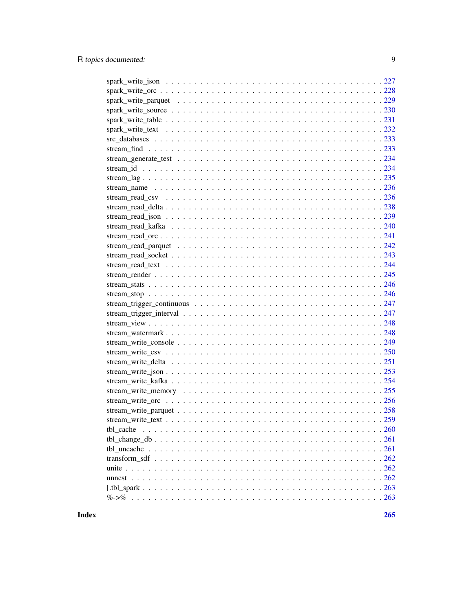**Index**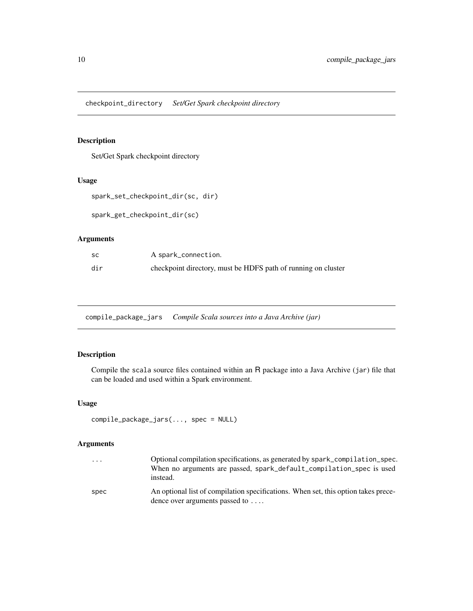<span id="page-9-0"></span>checkpoint\_directory *Set/Get Spark checkpoint directory*

### Description

Set/Get Spark checkpoint directory

#### Usage

```
spark_set_checkpoint_dir(sc, dir)
```
spark\_get\_checkpoint\_dir(sc)

### Arguments

| sc  | A spark_connection.                                           |
|-----|---------------------------------------------------------------|
| dir | checkpoint directory, must be HDFS path of running on cluster |

compile\_package\_jars *Compile Scala sources into a Java Archive (jar)*

### Description

Compile the scala source files contained within an R package into a Java Archive (jar) file that can be loaded and used within a Spark environment.

### Usage

```
compile_package_jars(..., spec = NULL)
```

| .    | Optional compilation specifications, as generated by spark_compilation_spec.<br>When no arguments are passed, spark_default_compilation_spec is used<br>instead. |
|------|------------------------------------------------------------------------------------------------------------------------------------------------------------------|
| spec | An optional list of compilation specifications. When set, this option takes prece-<br>dence over arguments passed to                                             |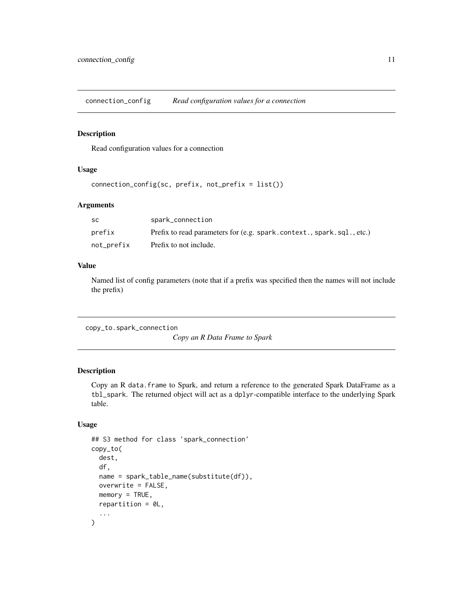<span id="page-10-0"></span>connection\_config *Read configuration values for a connection*

#### Description

Read configuration values for a connection

### Usage

```
connection_config(sc, prefix, not_prefix = list())
```
#### Arguments

| SC.        | spark_connection                                                      |
|------------|-----------------------------------------------------------------------|
| prefix     | Prefix to read parameters for (e.g. spark.context., spark.sql., etc.) |
| not_prefix | Prefix to not include.                                                |

### Value

Named list of config parameters (note that if a prefix was specified then the names will not include the prefix)

copy\_to.spark\_connection

*Copy an R Data Frame to Spark*

### Description

Copy an R data.frame to Spark, and return a reference to the generated Spark DataFrame as a tbl\_spark. The returned object will act as a dplyr-compatible interface to the underlying Spark table.

### Usage

```
## S3 method for class 'spark_connection'
copy_to(
  dest,
  df,
  name = spark_table_name(substitute(df)),
  overwrite = FALSE,
  memory = TRUE,repartition = 0L,
  ...
\mathcal{E}
```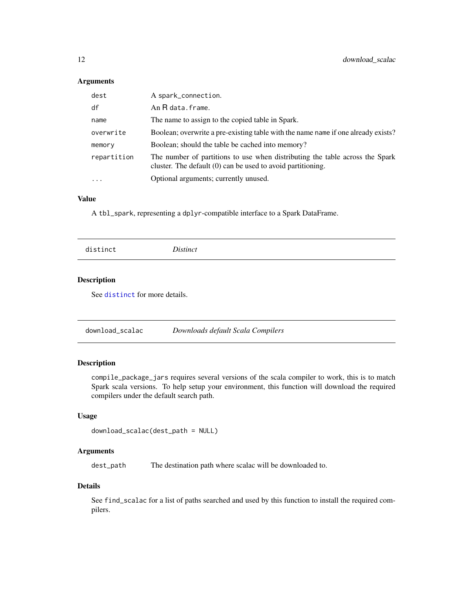### <span id="page-11-0"></span>Arguments

| dest        | A spark_connection.                                                                                                                           |
|-------------|-----------------------------------------------------------------------------------------------------------------------------------------------|
| df          | An R data.frame.                                                                                                                              |
| name        | The name to assign to the copied table in Spark.                                                                                              |
| overwrite   | Boolean; overwrite a pre-existing table with the name name if one already exists?                                                             |
| memory      | Boolean; should the table be cached into memory?                                                                                              |
| repartition | The number of partitions to use when distributing the table across the Spark<br>cluster. The default $(0)$ can be used to avoid partitioning. |
| $\ddots$    | Optional arguments; currently unused.                                                                                                         |

#### Value

A tbl\_spark, representing a dplyr-compatible interface to a Spark DataFrame.

<span id="page-11-1"></span>

| distinct | $\gamma_{\text{t}}$ |  |  |  |
|----------|---------------------|--|--|--|
|----------|---------------------|--|--|--|

### Description

See [distinct](#page-11-1) for more details.

| download_scalac | Downloads default Scala Compilers |
|-----------------|-----------------------------------|
|                 |                                   |

### Description

compile\_package\_jars requires several versions of the scala compiler to work, this is to match Spark scala versions. To help setup your environment, this function will download the required compilers under the default search path.

### Usage

```
download_scalac(dest_path = NULL)
```
### Arguments

dest\_path The destination path where scalac will be downloaded to.

### Details

See find\_scalac for a list of paths searched and used by this function to install the required compilers.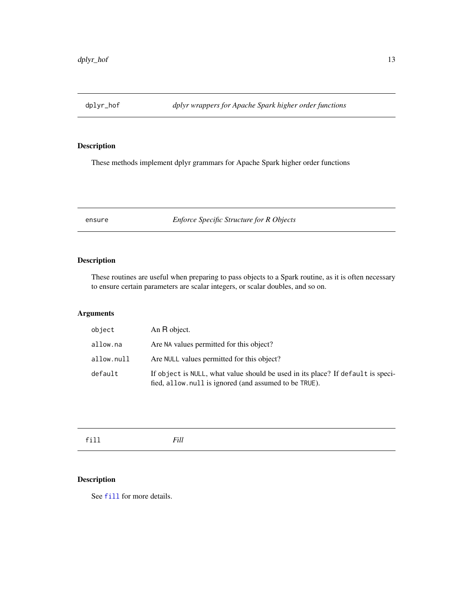<span id="page-12-0"></span>

### Description

These methods implement dplyr grammars for Apache Spark higher order functions

ensure *Enforce Specific Structure for R Objects*

### Description

These routines are useful when preparing to pass objects to a Spark routine, as it is often necessary to ensure certain parameters are scalar integers, or scalar doubles, and so on.

### Arguments

| object     | An R object.                                                                                                                             |
|------------|------------------------------------------------------------------------------------------------------------------------------------------|
| allow.na   | Are NA values permitted for this object?                                                                                                 |
| allow.null | Are NULL values permitted for this object?                                                                                               |
| default    | If object is NULL, what value should be used in its place? If default is speci-<br>fied, allow null is ignored (and assumed to be TRUE). |

<span id="page-12-1"></span>

### Description

See [fill](#page-12-1) for more details.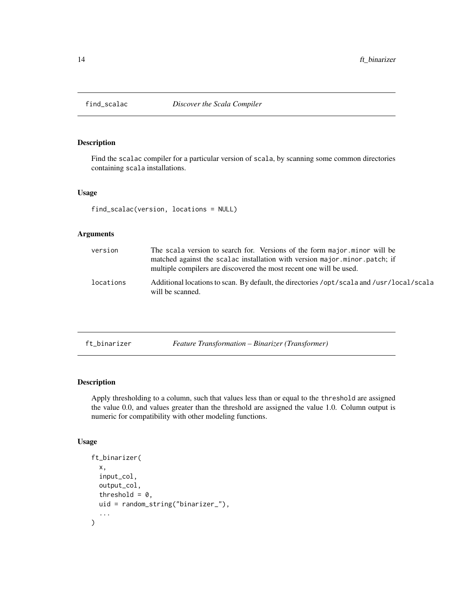<span id="page-13-0"></span>

### Description

Find the scalac compiler for a particular version of scala, by scanning some common directories containing scala installations.

#### Usage

```
find_scalac(version, locations = NULL)
```
### Arguments

| version   | The scala version to search for. Versions of the form major minor will be<br>matched against the scalac installation with version major minor patch; if<br>multiple compilers are discovered the most recent one will be used. |
|-----------|--------------------------------------------------------------------------------------------------------------------------------------------------------------------------------------------------------------------------------|
| locations | Additional locations to scan. By default, the directories /opt/scala and /usr/local/scala<br>will be scanned.                                                                                                                  |

<span id="page-13-1"></span>

| ft binarizer |  |  |  |
|--------------|--|--|--|
|              |  |  |  |
|              |  |  |  |

 $Feature$  *Transformation – Binarizer (Transformer)* 

### Description

Apply thresholding to a column, such that values less than or equal to the threshold are assigned the value 0.0, and values greater than the threshold are assigned the value 1.0. Column output is numeric for compatibility with other modeling functions.

### Usage

```
ft_binarizer(
  x,
  input_col,
  output_col,
  threshold = 0,
  uid = random_string("binarizer_"),
  ...
\mathcal{L}
```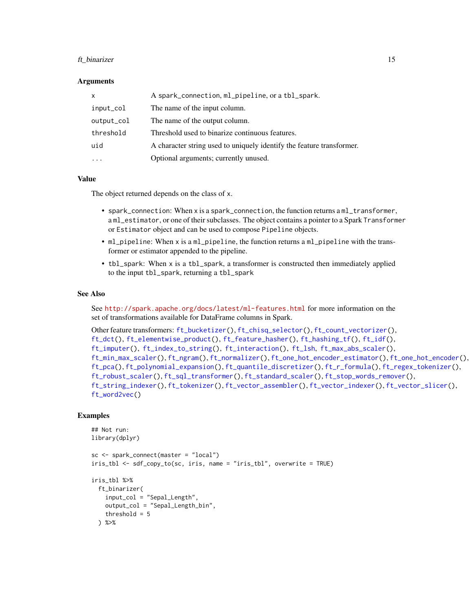#### ft\_binarizer 15

#### Arguments

| X                 | A spark_connection, ml_pipeline, or a tbl_spark.                      |
|-------------------|-----------------------------------------------------------------------|
| input_col         | The name of the input column.                                         |
| output_col        | The name of the output column.                                        |
| threshold         | Threshold used to binarize continuous features.                       |
| uid               | A character string used to uniquely identify the feature transformer. |
| $\cdot\cdot\cdot$ | Optional arguments; currently unused.                                 |

#### Value

The object returned depends on the class of x.

- spark\_connection: When x is a spark\_connection, the function returns a ml\_transformer, a ml\_estimator, or one of their subclasses. The object contains a pointer to a Spark Transformer or Estimator object and can be used to compose Pipeline objects.
- ml\_pipeline: When x is a ml\_pipeline, the function returns a ml\_pipeline with the transformer or estimator appended to the pipeline.
- tbl\_spark: When x is a tbl\_spark, a transformer is constructed then immediately applied to the input tbl\_spark, returning a tbl\_spark

#### See Also

See <http://spark.apache.org/docs/latest/ml-features.html> for more information on the set of transformations available for DataFrame columns in Spark.

```
Other feature transformers: ft_bucketizer(), ft_chisq_selector(), ft_count_vectorizer(),
ft_dct(), ft_elementwise_product(), ft_feature_hasher(), ft_hashing_tf(), ft_idf(),
ft_imputer(), ft_index_to_string(), ft_interaction(), ft_lsh, ft_max_abs_scaler(),
ft_min_max_scaler(), ft_ngram(), ft_normalizer(), ft_one_hot_encoder_estimator(), ft_one_hot_encoder(),
ft_pca(), ft_polynomial_expansion(), ft_quantile_discretizer(), ft_r_formula(), ft_regex_tokenizer(),
ft_robust_scaler(), ft_sql_transformer(), ft_standard_scaler(), ft_stop_words_remover(),
ft_string_indexer(), ft_tokenizer(), ft_vector_assembler(), ft_vector_indexer(), ft_vector_slicer(),
ft_word2vec()
```
#### Examples

```
## Not run:
library(dplyr)
sc <- spark_connect(master = "local")
iris_tbl <- sdf_copy_to(sc, iris, name = "iris_tbl", overwrite = TRUE)
iris_tbl %>%
 ft_binarizer(
   input_col = "Sepal_Length",
   output_col = "Sepal_Length_bin",
   threshold = 5) %>%
```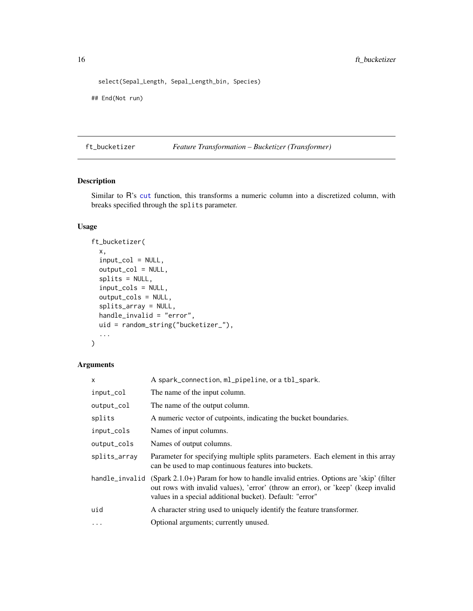```
select(Sepal_Length, Sepal_Length_bin, Species)
```
## End(Not run)

<span id="page-15-1"></span>ft\_bucketizer *Feature Transformation – Bucketizer (Transformer)*

#### Description

Similar to R's [cut](#page-0-0) function, this transforms a numeric column into a discretized column, with breaks specified through the splits parameter.

### Usage

```
ft_bucketizer(
 x,
  input_col = NULL,
 output_col = NULL,
  splits = NULL,input_cols = NULL,
  output_cols = NULL,
  splits_array = NULL,
  handle_invalid = "error",
 uid = random_string("bucketizer_"),
  ...
)
```

| X              | A spark_connection, ml_pipeline, or a tbl_spark.                                                                                                                                                                                     |  |  |
|----------------|--------------------------------------------------------------------------------------------------------------------------------------------------------------------------------------------------------------------------------------|--|--|
| input_col      | The name of the input column.                                                                                                                                                                                                        |  |  |
| output_col     | The name of the output column.                                                                                                                                                                                                       |  |  |
| splits         | A numeric vector of cutpoints, indicating the bucket boundaries.                                                                                                                                                                     |  |  |
| input_cols     | Names of input columns.                                                                                                                                                                                                              |  |  |
| output_cols    | Names of output columns.                                                                                                                                                                                                             |  |  |
| splits_array   | Parameter for specifying multiple splits parameters. Each element in this array<br>can be used to map continuous features into buckets.                                                                                              |  |  |
| handle_invalid | $(Spark 2.1.0+)$ Param for how to handle invalid entries. Options are 'skip' (filter<br>out rows with invalid values), 'error' (throw an error), or 'keep' (keep invalid<br>values in a special additional bucket). Default: "error" |  |  |
| uid            | A character string used to uniquely identify the feature transformer.                                                                                                                                                                |  |  |
| $\cdots$       | Optional arguments; currently unused.                                                                                                                                                                                                |  |  |

<span id="page-15-0"></span>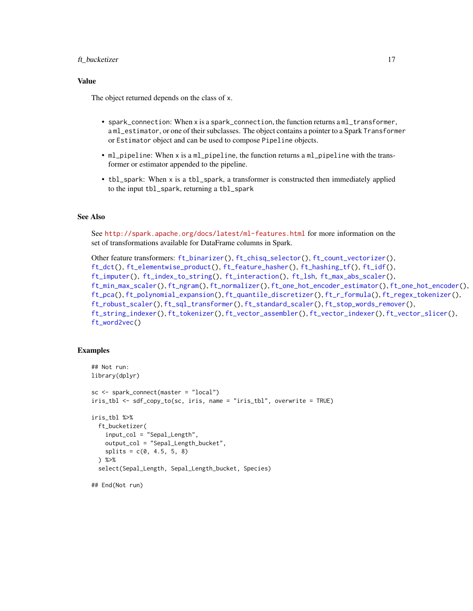#### ft\_bucketizer 17

### Value

The object returned depends on the class of x.

- spark\_connection: When x is a spark\_connection, the function returns a ml\_transformer, a ml\_estimator, or one of their subclasses. The object contains a pointer to a Spark Transformer or Estimator object and can be used to compose Pipeline objects.
- ml\_pipeline: When x is a ml\_pipeline, the function returns a ml\_pipeline with the transformer or estimator appended to the pipeline.
- tbl\_spark: When x is a tbl\_spark, a transformer is constructed then immediately applied to the input tbl\_spark, returning a tbl\_spark

### See Also

See <http://spark.apache.org/docs/latest/ml-features.html> for more information on the set of transformations available for DataFrame columns in Spark.

```
Other feature transformers: ft_binarizer(), ft_chisq_selector(), ft_count_vectorizer(),
ft_dct(), ft_elementwise_product(), ft_feature_hasher(), ft_hashing_tf(), ft_idf(),
ft_imputer(), ft_index_to_string(), ft_interaction(), ft_lsh, ft_max_abs_scaler(),
ft_min_max_scaler(), ft_ngram(), ft_normalizer(), ft_one_hot_encoder_estimator(), ft_one_hot_encoder(),
ft_pca(), ft_polynomial_expansion(), ft_quantile_discretizer(), ft_r_formula(), ft_regex_tokenizer(),
ft_robust_scaler(), ft_sql_transformer(), ft_standard_scaler(), ft_stop_words_remover(),
ft_string_indexer(), ft_tokenizer(), ft_vector_assembler(), ft_vector_indexer(), ft_vector_slicer(),
ft_word2vec()
```
#### Examples

```
## Not run:
library(dplyr)
sc <- spark_connect(master = "local")
iris_tbl <- sdf_copy_to(sc, iris, name = "iris_tbl", overwrite = TRUE)
iris_tbl %>%
 ft_bucketizer(
    input_col = "Sepal_Length",
   output_col = "Sepal_Length_bucket",
   splits = c(0, 4.5, 5, 8)) %>%
 select(Sepal_Length, Sepal_Length_bucket, Species)
```
## End(Not run)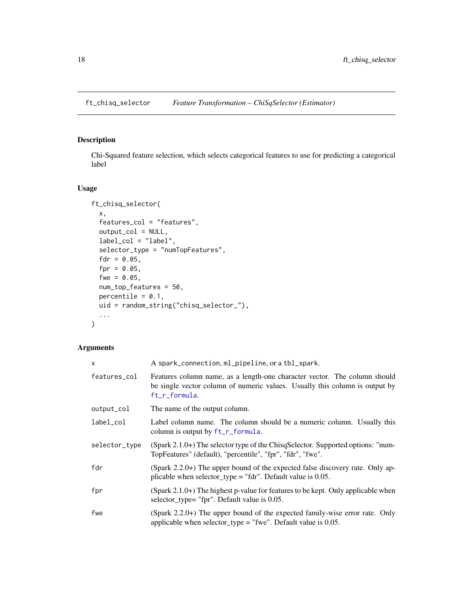### <span id="page-17-1"></span><span id="page-17-0"></span>Description

Chi-Squared feature selection, which selects categorical features to use for predicting a categorical label

#### Usage

```
ft_chisq_selector(
  x,
  features_col = "features",
  output_col = NULL,
  label_col = "label",
  selector_type = "numTopFeatures",
  fdr = 0.05,
  fpr = 0.05,
  fwe = 0.05,
  num_top_features = 50,
 percentile = 0.1,
 uid = random_string("chisq_selector_"),
  ...
\mathcal{L}
```

| X             | A spark_connection, ml_pipeline, or a tbl_spark.                                                                                                                          |  |
|---------------|---------------------------------------------------------------------------------------------------------------------------------------------------------------------------|--|
| features_col  | Features column name, as a length-one character vector. The column should<br>be single vector column of numeric values. Usually this column is output by<br>ft_r_formula. |  |
| output_col    | The name of the output column.                                                                                                                                            |  |
| label_col     | Label column name. The column should be a numeric column. Usually this<br>column is output by $ft_r_formula$ .                                                            |  |
| selector_type | $(Spark 2.1.0+)$ The selector type of the ChisqSelector. Supported options: "num-<br>TopFeatures" (default), "percentile", "fpr", "fdr", "fwe".                           |  |
| fdr           | (Spark 2.2.0+) The upper bound of the expected false discovery rate. Only ap-<br>plicable when selector_type = "fdr". Default value is $0.05$ .                           |  |
| fpr           | $(Spark 2.1.0+)$ The highest p-value for features to be kept. Only applicable when<br>selector_type= "fpr". Default value is 0.05.                                        |  |
| fwe           | (Spark $2.2.0+$ ) The upper bound of the expected family-wise error rate. Only<br>applicable when selector_type = "fwe". Default value is $0.05$ .                        |  |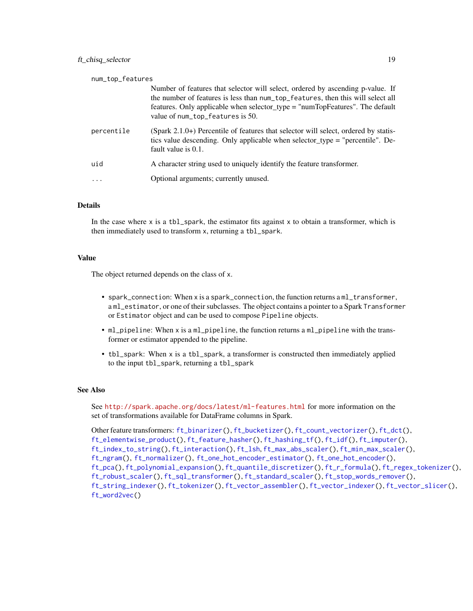| num_top_features |                                                                                                                                                                                                                                                                                       |
|------------------|---------------------------------------------------------------------------------------------------------------------------------------------------------------------------------------------------------------------------------------------------------------------------------------|
|                  | Number of features that selector will select, ordered by ascending p-value. If<br>the number of features is less than num_top_features, then this will select all<br>features. Only applicable when selector_type = "numTopFeatures". The default<br>value of num_top_features is 50. |
| percentile       | (Spark $2.1.0+$ ) Percentile of features that selector will select, ordered by statis-<br>tics value descending. Only applicable when selector_type = "percentile". De-<br>fault value is 0.1.                                                                                        |
| uid              | A character string used to uniquely identify the feature transformer.                                                                                                                                                                                                                 |
| .                | Optional arguments; currently unused.                                                                                                                                                                                                                                                 |

#### Details

In the case where  $x$  is a tbl\_spark, the estimator fits against  $x$  to obtain a transformer, which is then immediately used to transform x, returning a tbl\_spark.

#### Value

The object returned depends on the class of x.

- spark\_connection: When x is a spark\_connection, the function returns a ml\_transformer, a ml\_estimator, or one of their subclasses. The object contains a pointer to a Spark Transformer or Estimator object and can be used to compose Pipeline objects.
- ml\_pipeline: When x is a ml\_pipeline, the function returns a ml\_pipeline with the transformer or estimator appended to the pipeline.
- tbl\_spark: When x is a tbl\_spark, a transformer is constructed then immediately applied to the input tbl\_spark, returning a tbl\_spark

### See Also

See <http://spark.apache.org/docs/latest/ml-features.html> for more information on the set of transformations available for DataFrame columns in Spark.

```
Other feature transformers: ft_binarizer(), ft_bucketizer(), ft_count_vectorizer(), ft_dct(),
ft_elementwise_product(), ft_feature_hasher(), ft_hashing_tf(), ft_idf(), ft_imputer(),
ft_index_to_string(), ft_interaction(), ft_lsh, ft_max_abs_scaler(), ft_min_max_scaler(),
ft_ngram(), ft_normalizer(), ft_one_hot_encoder_estimator(), ft_one_hot_encoder(),
ft_pca(), ft_polynomial_expansion(), ft_quantile_discretizer(), ft_r_formula(), ft_regex_tokenizer(),
ft_robust_scaler(), ft_sql_transformer(), ft_standard_scaler(), ft_stop_words_remover(),
ft_string_indexer(), ft_tokenizer(), ft_vector_assembler(), ft_vector_indexer(), ft_vector_slicer(),
ft_word2vec()
```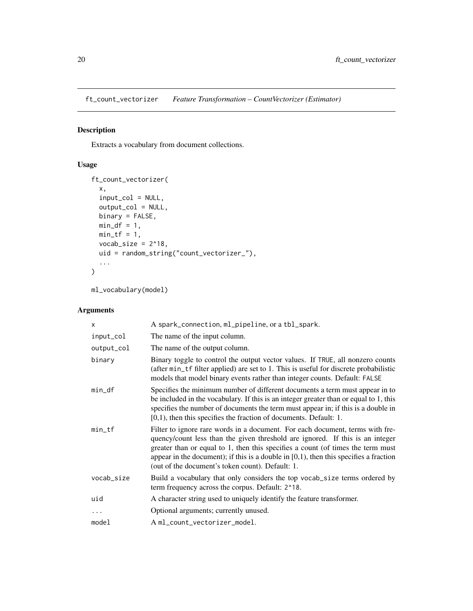<span id="page-19-1"></span><span id="page-19-0"></span>ft\_count\_vectorizer *Feature Transformation – CountVectorizer (Estimator)*

### Description

Extracts a vocabulary from document collections.

### Usage

```
ft_count_vectorizer(
  x,
  input_col = NULL,
 output_col = NULL,
 binary = FALSE,
 min_d f = 1,
 min_t f = 1,
 vocab\_size = 2^18,
 uid = random_string("count_vectorizer_"),
  ...
\mathcal{L}
```
ml\_vocabulary(model)

| X          | A spark_connection, ml_pipeline, or a tbl_spark.                                                                                                                                                                                                                                                                                                                                                  |  |
|------------|---------------------------------------------------------------------------------------------------------------------------------------------------------------------------------------------------------------------------------------------------------------------------------------------------------------------------------------------------------------------------------------------------|--|
| input_col  | The name of the input column.                                                                                                                                                                                                                                                                                                                                                                     |  |
| output_col | The name of the output column.                                                                                                                                                                                                                                                                                                                                                                    |  |
| binary     | Binary toggle to control the output vector values. If TRUE, all nonzero counts<br>(after min_tf filter applied) are set to 1. This is useful for discrete probabilistic<br>models that model binary events rather than integer counts. Default: FALSE                                                                                                                                             |  |
| min_df     | Specifies the minimum number of different documents a term must appear in to<br>be included in the vocabulary. If this is an integer greater than or equal to 1, this<br>specifies the number of documents the term must appear in; if this is a double in<br>$[0,1)$ , then this specifies the fraction of documents. Default: 1.                                                                |  |
| $min_t$    | Filter to ignore rare words in a document. For each document, terms with fre-<br>quency/count less than the given threshold are ignored. If this is an integer<br>greater than or equal to 1, then this specifies a count (of times the term must<br>appear in the document); if this is a double in $[0,1)$ , then this specifies a fraction<br>(out of the document's token count). Default: 1. |  |
| vocab_size | Build a vocabulary that only considers the top vocab_size terms ordered by<br>term frequency across the corpus. Default: 2^18.                                                                                                                                                                                                                                                                    |  |
| uid        | A character string used to uniquely identify the feature transformer.                                                                                                                                                                                                                                                                                                                             |  |
| $\cdots$   | Optional arguments; currently unused.                                                                                                                                                                                                                                                                                                                                                             |  |
| model      | A ml_count_vectorizer_model.                                                                                                                                                                                                                                                                                                                                                                      |  |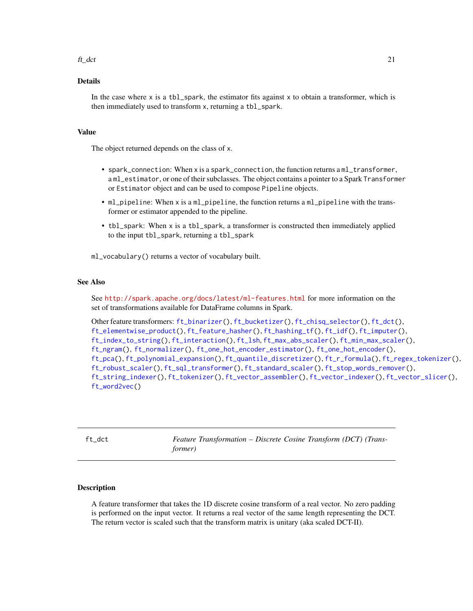#### <span id="page-20-0"></span> $f_{\text{L}}$  det 21

### Details

In the case where  $x$  is a tbl\_spark, the estimator fits against  $x$  to obtain a transformer, which is then immediately used to transform x, returning a tbl\_spark.

#### Value

The object returned depends on the class of x.

- spark\_connection: When x is a spark\_connection, the function returns a ml\_transformer, a ml\_estimator, or one of their subclasses. The object contains a pointer to a Spark Transformer or Estimator object and can be used to compose Pipeline objects.
- ml\_pipeline: When x is a ml\_pipeline, the function returns a ml\_pipeline with the transformer or estimator appended to the pipeline.
- tbl\_spark: When x is a tbl\_spark, a transformer is constructed then immediately applied to the input tbl\_spark, returning a tbl\_spark

ml\_vocabulary() returns a vector of vocabulary built.

### See Also

See <http://spark.apache.org/docs/latest/ml-features.html> for more information on the set of transformations available for DataFrame columns in Spark.

```
Other feature transformers: ft_binarizer(), ft_bucketizer(), ft_chisq_selector(), ft_dct(),
ft_elementwise_product(), ft_feature_hasher(), ft_hashing_tf(), ft_idf(), ft_imputer(),
ft_index_to_string(), ft_interaction(), ft_lsh, ft_max_abs_scaler(), ft_min_max_scaler(),
ft_ngram(), ft_normalizer(), ft_one_hot_encoder_estimator(), ft_one_hot_encoder(),
ft_pca(), ft_polynomial_expansion(), ft_quantile_discretizer(), ft_r_formula(), ft_regex_tokenizer(),
ft_robust_scaler(), ft_sql_transformer(), ft_standard_scaler(), ft_stop_words_remover(),
ft_string_indexer(), ft_tokenizer(), ft_vector_assembler(), ft_vector_indexer(), ft_vector_slicer(),
ft_word2vec()
```
<span id="page-20-1"></span>

ft\_dct *Feature Transformation – Discrete Cosine Transform (DCT) (Transformer)*

#### Description

A feature transformer that takes the 1D discrete cosine transform of a real vector. No zero padding is performed on the input vector. It returns a real vector of the same length representing the DCT. The return vector is scaled such that the transform matrix is unitary (aka scaled DCT-II).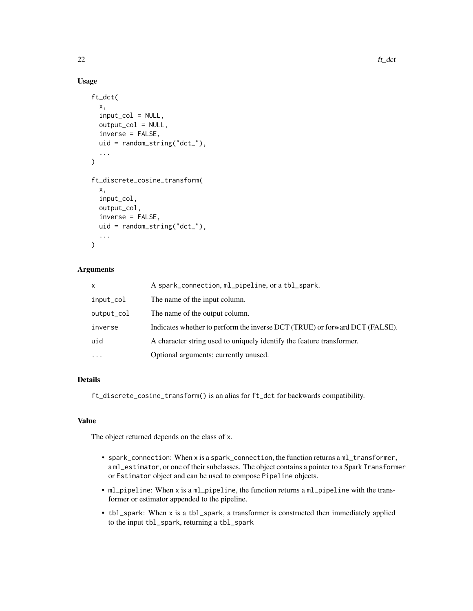### Usage

```
ft_dct(
 x,
  input_col = NULL,
 output_col = NULL,
  inverse = FALSE,
 uid = random_string("dct_"),
  ...
)
ft_discrete_cosine_transform(
  x,
  input_col,
 output_col,
  inverse = FALSE,
 uid = random_string("dct_"),
  ...
)
```
### Arguments

| x          | A spark_connection, ml_pipeline, or a tbl_spark.                            |
|------------|-----------------------------------------------------------------------------|
| input_col  | The name of the input column.                                               |
| output_col | The name of the output column.                                              |
| inverse    | Indicates whether to perform the inverse DCT (TRUE) or forward DCT (FALSE). |
| uid        | A character string used to uniquely identify the feature transformer.       |
| $\ddotsc$  | Optional arguments; currently unused.                                       |

### Details

ft\_discrete\_cosine\_transform() is an alias for ft\_dct for backwards compatibility.

### Value

The object returned depends on the class of x.

- spark\_connection: When x is a spark\_connection, the function returns a ml\_transformer, a ml\_estimator, or one of their subclasses. The object contains a pointer to a Spark Transformer or Estimator object and can be used to compose Pipeline objects.
- ml\_pipeline: When x is a ml\_pipeline, the function returns a ml\_pipeline with the transformer or estimator appended to the pipeline.
- tbl\_spark: When x is a tbl\_spark, a transformer is constructed then immediately applied to the input tbl\_spark, returning a tbl\_spark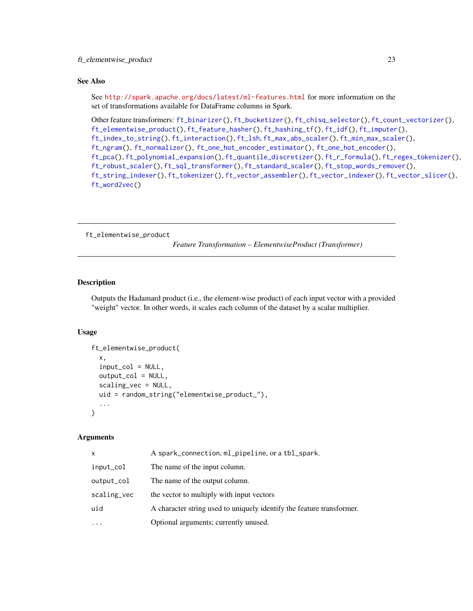### <span id="page-22-0"></span>ft\_elementwise\_product 23

#### See Also

See <http://spark.apache.org/docs/latest/ml-features.html> for more information on the set of transformations available for DataFrame columns in Spark.

Other feature transformers: [ft\\_binarizer\(](#page-13-1)), [ft\\_bucketizer\(](#page-15-1)), [ft\\_chisq\\_selector\(](#page-17-1)), [ft\\_count\\_vectorizer\(](#page-19-1)), [ft\\_elementwise\\_product\(](#page-22-1)), [ft\\_feature\\_hasher\(](#page-23-1)), [ft\\_hashing\\_tf\(](#page-25-1)), [ft\\_idf\(](#page-26-1)), [ft\\_imputer\(](#page-28-1)), [ft\\_index\\_to\\_string\(](#page-29-1)), [ft\\_interaction\(](#page-30-1)), [ft\\_lsh](#page-31-1), [ft\\_max\\_abs\\_scaler\(](#page-34-1)), [ft\\_min\\_max\\_scaler\(](#page-36-1)), [ft\\_ngram\(](#page-37-1)), [ft\\_normalizer\(](#page-39-1)), [ft\\_one\\_hot\\_encoder\\_estimator\(](#page-41-1)), [ft\\_one\\_hot\\_encoder\(](#page-40-1)), [ft\\_pca\(](#page-43-1)), [ft\\_polynomial\\_expansion\(](#page-44-1)), [ft\\_quantile\\_discretizer\(](#page-46-1)), [ft\\_r\\_formula\(](#page-50-1)), [ft\\_regex\\_tokenizer\(](#page-48-1)), [ft\\_robust\\_scaler\(](#page-49-1)), [ft\\_sql\\_transformer\(](#page-52-1)), [ft\\_standard\\_scaler\(](#page-54-1)), [ft\\_stop\\_words\\_remover\(](#page-55-1)), [ft\\_string\\_indexer\(](#page-57-1)), [ft\\_tokenizer\(](#page-58-1)), [ft\\_vector\\_assembler\(](#page-60-1)), [ft\\_vector\\_indexer\(](#page-61-1)), [ft\\_vector\\_slicer\(](#page-62-1)), [ft\\_word2vec\(](#page-63-1))

<span id="page-22-1"></span>ft\_elementwise\_product

*Feature Transformation – ElementwiseProduct (Transformer)*

#### Description

Outputs the Hadamard product (i.e., the element-wise product) of each input vector with a provided "weight" vector. In other words, it scales each column of the dataset by a scalar multiplier.

#### Usage

```
ft_elementwise_product(
  x,
  input\_col = NULL,output\_col = NULL,scaling_vec = NULL,
  uid = random_string("elementwise_product_"),
  ...
)
```

| x           | A spark_connection, ml_pipeline, or a tbl_spark.                      |
|-------------|-----------------------------------------------------------------------|
| input_col   | The name of the input column.                                         |
| output_col  | The name of the output column.                                        |
| scaling_vec | the vector to multiply with input vectors                             |
| uid         | A character string used to uniquely identify the feature transformer. |
| .           | Optional arguments; currently unused.                                 |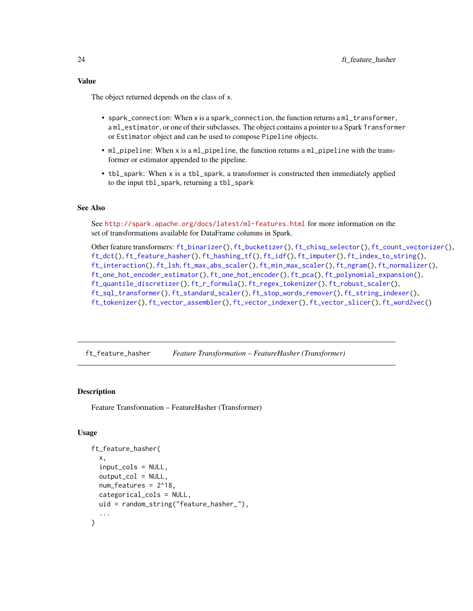<span id="page-23-0"></span>The object returned depends on the class of x.

- spark\_connection: When x is a spark\_connection, the function returns a ml\_transformer, a ml\_estimator, or one of their subclasses. The object contains a pointer to a Spark Transformer or Estimator object and can be used to compose Pipeline objects.
- ml\_pipeline: When x is a ml\_pipeline, the function returns a ml\_pipeline with the transformer or estimator appended to the pipeline.
- tbl\_spark: When x is a tbl\_spark, a transformer is constructed then immediately applied to the input tbl\_spark, returning a tbl\_spark

#### See Also

See <http://spark.apache.org/docs/latest/ml-features.html> for more information on the set of transformations available for DataFrame columns in Spark.

```
Other feature transformers: ft_binarizer(), ft_bucketizer(), ft_chisq_selector(), ft_count_vectorizer(),
ft_dct(), ft_feature_hasher(), ft_hashing_tf(), ft_idf(), ft_imputer(), ft_index_to_string(),
ft_interaction(), ft_lsh, ft_max_abs_scaler(), ft_min_max_scaler(), ft_ngram(), ft_normalizer(),
ft_one_hot_encoder_estimator(), ft_one_hot_encoder(), ft_pca(), ft_polynomial_expansion(),
ft_quantile_discretizer(), ft_r_formula(), ft_regex_tokenizer(), ft_robust_scaler(),
ft_sql_transformer(), ft_standard_scaler(), ft_stop_words_remover(), ft_string_indexer(),
ft_tokenizer(), ft_vector_assembler(), ft_vector_indexer(), ft_vector_slicer(), ft_word2vec()
```
<span id="page-23-1"></span>ft\_feature\_hasher *Feature Transformation – FeatureHasher (Transformer)*

#### **Description**

Feature Transformation – FeatureHasher (Transformer)

#### Usage

```
ft_feature_hasher(
  x,
  input_cols = NULL,
  output\_col = NULL,
  num_features = 2^18,
  categorical_cols = NULL,
  uid = random_string("feature_hasher_"),
  ...
)
```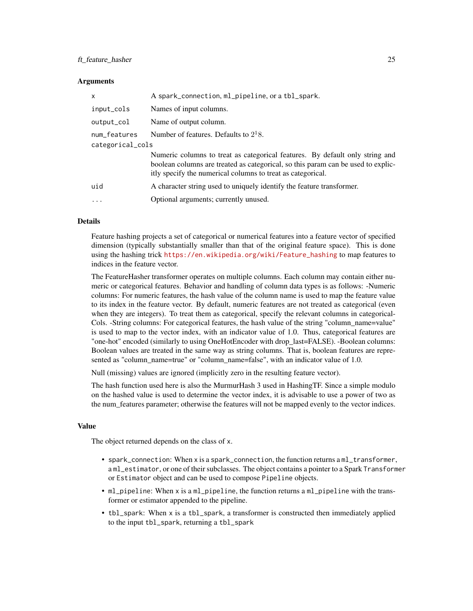#### ft\_feature\_hasher 25

#### **Arguments**

| $\mathsf{x}$ | A spark_connection, ml_pipeline, or a tbl_spark.                                                                                                                                                                                |  |  |
|--------------|---------------------------------------------------------------------------------------------------------------------------------------------------------------------------------------------------------------------------------|--|--|
| input_cols   | Names of input columns.                                                                                                                                                                                                         |  |  |
| output_col   | Name of output column.                                                                                                                                                                                                          |  |  |
| num_features | Number of features. Defaults to $2^18$ .<br>categorical_cols                                                                                                                                                                    |  |  |
|              | Numeric columns to treat as categorical features. By default only string and<br>boolean columns are treated as categorical, so this param can be used to explic-<br>itly specify the numerical columns to treat as categorical. |  |  |
| uid          | A character string used to uniquely identify the feature transformer.                                                                                                                                                           |  |  |
|              | Optional arguments; currently unused.                                                                                                                                                                                           |  |  |

#### Details

Feature hashing projects a set of categorical or numerical features into a feature vector of specified dimension (typically substantially smaller than that of the original feature space). This is done using the hashing trick [https://en.wikipedia.org/wiki/Feature\\_hashing](https://en.wikipedia.org/wiki/Feature_hashing) to map features to indices in the feature vector.

The FeatureHasher transformer operates on multiple columns. Each column may contain either numeric or categorical features. Behavior and handling of column data types is as follows: -Numeric columns: For numeric features, the hash value of the column name is used to map the feature value to its index in the feature vector. By default, numeric features are not treated as categorical (even when they are integers). To treat them as categorical, specify the relevant columns in categorical-Cols. -String columns: For categorical features, the hash value of the string "column\_name=value" is used to map to the vector index, with an indicator value of 1.0. Thus, categorical features are "one-hot" encoded (similarly to using OneHotEncoder with drop\_last=FALSE). -Boolean columns: Boolean values are treated in the same way as string columns. That is, boolean features are represented as "column\_name=true" or "column\_name=false", with an indicator value of 1.0.

Null (missing) values are ignored (implicitly zero in the resulting feature vector).

The hash function used here is also the MurmurHash 3 used in HashingTF. Since a simple modulo on the hashed value is used to determine the vector index, it is advisable to use a power of two as the num\_features parameter; otherwise the features will not be mapped evenly to the vector indices.

#### Value

The object returned depends on the class of x.

- spark\_connection: When x is a spark\_connection, the function returns a ml\_transformer, a ml\_estimator, or one of their subclasses. The object contains a pointer to a Spark Transformer or Estimator object and can be used to compose Pipeline objects.
- ml\_pipeline: When x is a ml\_pipeline, the function returns a ml\_pipeline with the transformer or estimator appended to the pipeline.
- tbl\_spark: When x is a tbl\_spark, a transformer is constructed then immediately applied to the input tbl\_spark, returning a tbl\_spark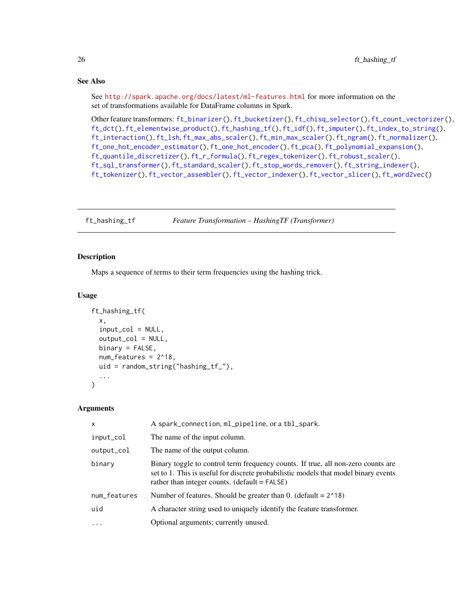### <span id="page-25-0"></span>See Also

See <http://spark.apache.org/docs/latest/ml-features.html> for more information on the set of transformations available for DataFrame columns in Spark.

```
Other feature transformers: ft_binarizer(), ft_bucketizer(), ft_chisq_selector(), ft_count_vectorizer(),
ft_dct(), ft_elementwise_product(), ft_hashing_tf(), ft_idf(), ft_imputer(), ft_index_to_string(),
ft_interaction(), ft_lsh, ft_max_abs_scaler(), ft_min_max_scaler(), ft_ngram(), ft_normalizer(),
ft_one_hot_encoder_estimator(), ft_one_hot_encoder(), ft_pca(), ft_polynomial_expansion(),
ft_quantile_discretizer(), ft_r_formula(), ft_regex_tokenizer(), ft_robust_scaler(),
ft_sql_transformer(), ft_standard_scaler(), ft_stop_words_remover(), ft_string_indexer(),
ft_tokenizer(), ft_vector_assembler(), ft_vector_indexer(), ft_vector_slicer(), ft_word2vec()
```
<span id="page-25-1"></span>ft\_hashing\_tf *Feature Transformation – HashingTF (Transformer)*

#### Description

Maps a sequence of terms to their term frequencies using the hashing trick.

#### Usage

```
ft_hashing_tf(
  x,
  input\_col = NULL,output_col = NULL,
 binary = FALSE,
 num_features = 2^18,
 uid = random_string("hashing_tf_"),
  ...
)
```

| $\mathsf{x}$ | A spark_connection, ml_pipeline, or a tbl_spark.                                                                                                                                                                           |
|--------------|----------------------------------------------------------------------------------------------------------------------------------------------------------------------------------------------------------------------------|
| input_col    | The name of the input column.                                                                                                                                                                                              |
| output_col   | The name of the output column.                                                                                                                                                                                             |
| binary       | Binary toggle to control term frequency counts. If true, all non-zero counts are<br>set to 1. This is useful for discrete probabilistic models that model binary events<br>rather than integer counts. $(detault = FALSE)$ |
| num_features | Number of features. Should be greater than 0. (default = $2^{\wedge}18$ )                                                                                                                                                  |
| uid          | A character string used to uniquely identify the feature transformer.                                                                                                                                                      |
| $\ddotsc$    | Optional arguments; currently unused.                                                                                                                                                                                      |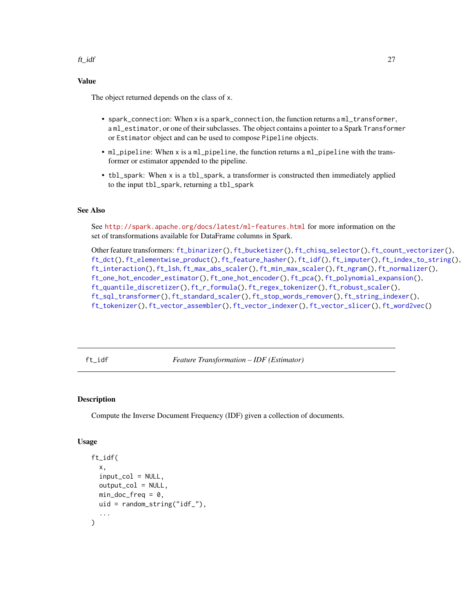### <span id="page-26-0"></span>Value

The object returned depends on the class of x.

- spark\_connection: When x is a spark\_connection, the function returns a ml\_transformer, a ml\_estimator, or one of their subclasses. The object contains a pointer to a Spark Transformer or Estimator object and can be used to compose Pipeline objects.
- ml\_pipeline: When x is a ml\_pipeline, the function returns a ml\_pipeline with the transformer or estimator appended to the pipeline.
- tbl\_spark: When x is a tbl\_spark, a transformer is constructed then immediately applied to the input tbl\_spark, returning a tbl\_spark

#### See Also

See <http://spark.apache.org/docs/latest/ml-features.html> for more information on the set of transformations available for DataFrame columns in Spark.

```
Other feature transformers: ft_binarizer(), ft_bucketizer(), ft_chisq_selector(), ft_count_vectorizer(),
ft_dct(), ft_elementwise_product(), ft_feature_hasher(), ft_idf(), ft_imputer(), ft_index_to_string(),
ft_interaction(), ft_lsh, ft_max_abs_scaler(), ft_min_max_scaler(), ft_ngram(), ft_normalizer(),
ft_one_hot_encoder_estimator(), ft_one_hot_encoder(), ft_pca(), ft_polynomial_expansion(),
ft_quantile_discretizer(), ft_r_formula(), ft_regex_tokenizer(), ft_robust_scaler(),
ft_sql_transformer(), ft_standard_scaler(), ft_stop_words_remover(), ft_string_indexer(),
ft_tokenizer(), ft_vector_assembler(), ft_vector_indexer(), ft_vector_slicer(), ft_word2vec()
```
<span id="page-26-1"></span>ft\_idf *Feature Transformation – IDF (Estimator)*

#### Description

Compute the Inverse Document Frequency (IDF) given a collection of documents.

#### Usage

```
ft_idf(
  x,
  input\_col = NULL,
  output_col = NULL,
 min\_doc\_freq = 0,
 uid = random_string("idf_"),
  ...
)
```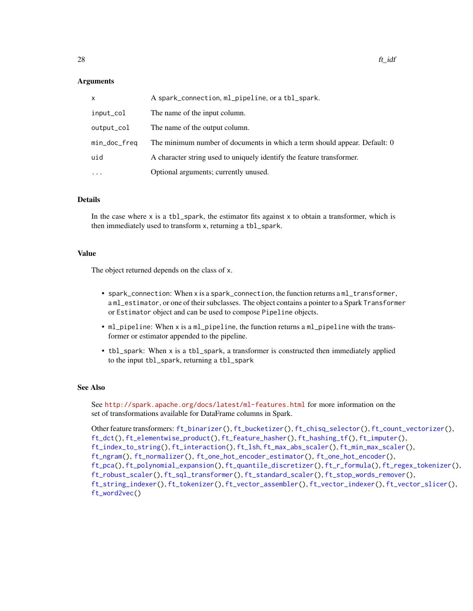#### **Arguments**

| input_col<br>The name of the input column.<br>output_col<br>The name of the output column.<br>min_doc_freq<br>uid<br>A character string used to uniquely identify the feature transformer.<br>Optional arguments; currently unused.<br>. | x | A spark_connection, ml_pipeline, or a tbl_spark.                          |
|------------------------------------------------------------------------------------------------------------------------------------------------------------------------------------------------------------------------------------------|---|---------------------------------------------------------------------------|
|                                                                                                                                                                                                                                          |   |                                                                           |
|                                                                                                                                                                                                                                          |   |                                                                           |
|                                                                                                                                                                                                                                          |   | The minimum number of documents in which a term should appear. Default: 0 |
|                                                                                                                                                                                                                                          |   |                                                                           |
|                                                                                                                                                                                                                                          |   |                                                                           |

### Details

In the case where  $x$  is a tbl\_spark, the estimator fits against  $x$  to obtain a transformer, which is then immediately used to transform x, returning a tbl\_spark.

#### Value

The object returned depends on the class of x.

- spark\_connection: When x is a spark\_connection, the function returns a ml\_transformer, a ml\_estimator, or one of their subclasses. The object contains a pointer to a Spark Transformer or Estimator object and can be used to compose Pipeline objects.
- ml\_pipeline: When x is a ml\_pipeline, the function returns a ml\_pipeline with the transformer or estimator appended to the pipeline.
- tbl\_spark: When x is a tbl\_spark, a transformer is constructed then immediately applied to the input tbl\_spark, returning a tbl\_spark

#### See Also

See <http://spark.apache.org/docs/latest/ml-features.html> for more information on the set of transformations available for DataFrame columns in Spark.

Other feature transformers: [ft\\_binarizer\(](#page-13-1)), [ft\\_bucketizer\(](#page-15-1)), [ft\\_chisq\\_selector\(](#page-17-1)), [ft\\_count\\_vectorizer\(](#page-19-1)), [ft\\_dct\(](#page-20-1)), [ft\\_elementwise\\_product\(](#page-22-1)), [ft\\_feature\\_hasher\(](#page-23-1)), [ft\\_hashing\\_tf\(](#page-25-1)), [ft\\_imputer\(](#page-28-1)), [ft\\_index\\_to\\_string\(](#page-29-1)), [ft\\_interaction\(](#page-30-1)), [ft\\_lsh](#page-31-1), [ft\\_max\\_abs\\_scaler\(](#page-34-1)), [ft\\_min\\_max\\_scaler\(](#page-36-1)), [ft\\_ngram\(](#page-37-1)), [ft\\_normalizer\(](#page-39-1)), [ft\\_one\\_hot\\_encoder\\_estimator\(](#page-41-1)), [ft\\_one\\_hot\\_encoder\(](#page-40-1)), [ft\\_pca\(](#page-43-1)), [ft\\_polynomial\\_expansion\(](#page-44-1)), [ft\\_quantile\\_discretizer\(](#page-46-1)), [ft\\_r\\_formula\(](#page-50-1)), [ft\\_regex\\_tokenizer\(](#page-48-1)), [ft\\_robust\\_scaler\(](#page-49-1)), [ft\\_sql\\_transformer\(](#page-52-1)), [ft\\_standard\\_scaler\(](#page-54-1)), [ft\\_stop\\_words\\_remover\(](#page-55-1)), [ft\\_string\\_indexer\(](#page-57-1)), [ft\\_tokenizer\(](#page-58-1)), [ft\\_vector\\_assembler\(](#page-60-1)), [ft\\_vector\\_indexer\(](#page-61-1)), [ft\\_vector\\_slicer\(](#page-62-1)), [ft\\_word2vec\(](#page-63-1))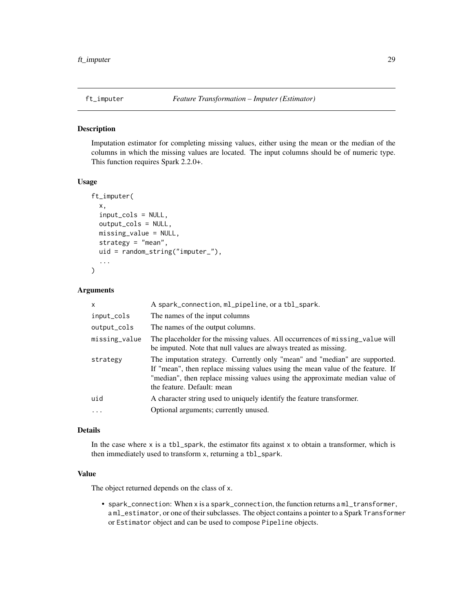<span id="page-28-1"></span><span id="page-28-0"></span>

#### Description

Imputation estimator for completing missing values, either using the mean or the median of the columns in which the missing values are located. The input columns should be of numeric type. This function requires Spark 2.2.0+.

### Usage

```
ft_imputer(
  x,
  input_cols = NULL,
  output_cols = NULL,
  missing_value = NULL,
  strategy = "mean",
  uid = random_string("imputer_"),
  ...
)
```
#### Arguments

| $\mathsf{x}$  | A spark_connection, ml_pipeline, or a tbl_spark.                                                                                                                                                                                                                          |
|---------------|---------------------------------------------------------------------------------------------------------------------------------------------------------------------------------------------------------------------------------------------------------------------------|
| input_cols    | The names of the input columns                                                                                                                                                                                                                                            |
| output_cols   | The names of the output columns.                                                                                                                                                                                                                                          |
| missing_value | The placeholder for the missing values. All occurrences of missing value will<br>be imputed. Note that null values are always treated as missing.                                                                                                                         |
| strategy      | The imputation strategy. Currently only "mean" and "median" are supported.<br>If "mean", then replace missing values using the mean value of the feature. If<br>"median", then replace missing values using the approximate median value of<br>the feature. Default: mean |
| uid           | A character string used to uniquely identify the feature transformer.                                                                                                                                                                                                     |
| .             | Optional arguments; currently unused.                                                                                                                                                                                                                                     |
|               |                                                                                                                                                                                                                                                                           |

#### Details

In the case where  $x$  is a tbl\_spark, the estimator fits against  $x$  to obtain a transformer, which is then immediately used to transform x, returning a tbl\_spark.

### Value

The object returned depends on the class of x.

• spark\_connection: When x is a spark\_connection, the function returns a ml\_transformer, a ml\_estimator, or one of their subclasses. The object contains a pointer to a Spark Transformer or Estimator object and can be used to compose Pipeline objects.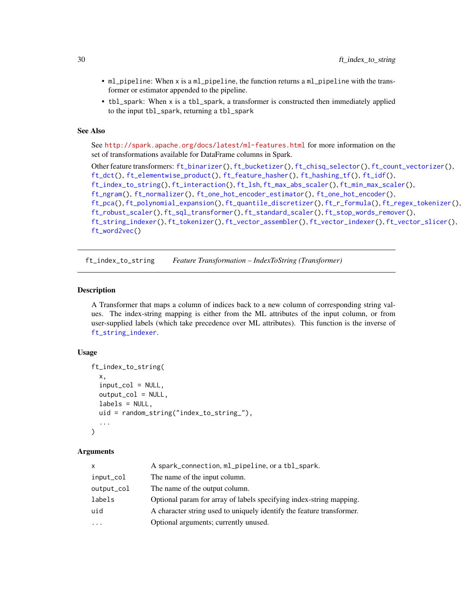- <span id="page-29-0"></span>• ml\_pipeline: When x is a ml\_pipeline, the function returns a ml\_pipeline with the transformer or estimator appended to the pipeline.
- tbl\_spark: When x is a tbl\_spark, a transformer is constructed then immediately applied to the input tbl\_spark, returning a tbl\_spark

### See Also

See <http://spark.apache.org/docs/latest/ml-features.html> for more information on the set of transformations available for DataFrame columns in Spark.

Other feature transformers: [ft\\_binarizer\(](#page-13-1)), [ft\\_bucketizer\(](#page-15-1)), [ft\\_chisq\\_selector\(](#page-17-1)), [ft\\_count\\_vectorizer\(](#page-19-1)), [ft\\_dct\(](#page-20-1)), [ft\\_elementwise\\_product\(](#page-22-1)), [ft\\_feature\\_hasher\(](#page-23-1)), [ft\\_hashing\\_tf\(](#page-25-1)), [ft\\_idf\(](#page-26-1)), [ft\\_index\\_to\\_string\(](#page-29-1)), [ft\\_interaction\(](#page-30-1)), [ft\\_lsh](#page-31-1), [ft\\_max\\_abs\\_scaler\(](#page-34-1)), [ft\\_min\\_max\\_scaler\(](#page-36-1)), [ft\\_ngram\(](#page-37-1)), [ft\\_normalizer\(](#page-39-1)), [ft\\_one\\_hot\\_encoder\\_estimator\(](#page-41-1)), [ft\\_one\\_hot\\_encoder\(](#page-40-1)), [ft\\_pca\(](#page-43-1)), [ft\\_polynomial\\_expansion\(](#page-44-1)), [ft\\_quantile\\_discretizer\(](#page-46-1)), [ft\\_r\\_formula\(](#page-50-1)), [ft\\_regex\\_tokenizer\(](#page-48-1)), [ft\\_robust\\_scaler\(](#page-49-1)), [ft\\_sql\\_transformer\(](#page-52-1)), [ft\\_standard\\_scaler\(](#page-54-1)), [ft\\_stop\\_words\\_remover\(](#page-55-1)), [ft\\_string\\_indexer\(](#page-57-1)), [ft\\_tokenizer\(](#page-58-1)), [ft\\_vector\\_assembler\(](#page-60-1)), [ft\\_vector\\_indexer\(](#page-61-1)), [ft\\_vector\\_slicer\(](#page-62-1)), [ft\\_word2vec\(](#page-63-1))

<span id="page-29-1"></span>ft\_index\_to\_string *Feature Transformation – IndexToString (Transformer)*

#### Description

A Transformer that maps a column of indices back to a new column of corresponding string values. The index-string mapping is either from the ML attributes of the input column, or from user-supplied labels (which take precedence over ML attributes). This function is the inverse of [ft\\_string\\_indexer](#page-57-1).

#### Usage

```
ft_index_to_string(
  x,
  input_col = NULL,
  output_col = NULL,
  labels = NULL,uid = random_string("index_to_string_"),
  ...
)
```

| x          | A spark_connection, ml_pipeline, or a tbl_spark.                      |
|------------|-----------------------------------------------------------------------|
| input_col  | The name of the input column.                                         |
| output_col | The name of the output column.                                        |
| labels     | Optional param for array of labels specifying index-string mapping.   |
| uid        | A character string used to uniquely identify the feature transformer. |
| .          | Optional arguments; currently unused.                                 |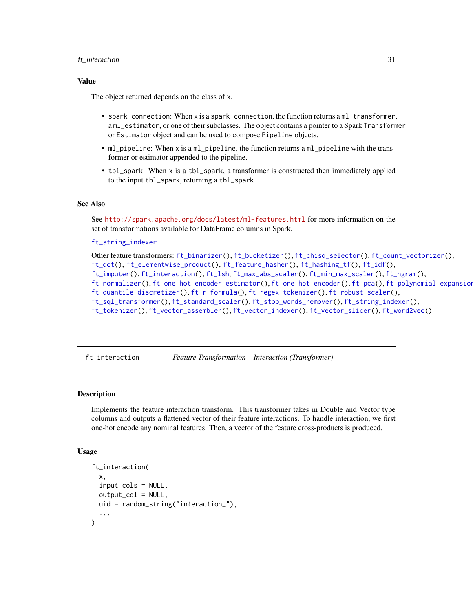#### <span id="page-30-0"></span>ft\_interaction 31

#### Value

The object returned depends on the class of x.

- spark\_connection: When x is a spark\_connection, the function returns a ml\_transformer, a ml\_estimator, or one of their subclasses. The object contains a pointer to a Spark Transformer or Estimator object and can be used to compose Pipeline objects.
- ml\_pipeline: When x is a ml\_pipeline, the function returns a ml\_pipeline with the transformer or estimator appended to the pipeline.
- tbl\_spark: When x is a tbl\_spark, a transformer is constructed then immediately applied to the input tbl\_spark, returning a tbl\_spark

#### See Also

See <http://spark.apache.org/docs/latest/ml-features.html> for more information on the set of transformations available for DataFrame columns in Spark.

#### [ft\\_string\\_indexer](#page-57-1)

Other feature transformers: [ft\\_binarizer\(](#page-13-1)), [ft\\_bucketizer\(](#page-15-1)), [ft\\_chisq\\_selector\(](#page-17-1)), [ft\\_count\\_vectorizer\(](#page-19-1)), [ft\\_dct\(](#page-20-1)), [ft\\_elementwise\\_product\(](#page-22-1)), [ft\\_feature\\_hasher\(](#page-23-1)), [ft\\_hashing\\_tf\(](#page-25-1)), [ft\\_idf\(](#page-26-1)), [ft\\_imputer\(](#page-28-1)), [ft\\_interaction\(](#page-30-1)), [ft\\_lsh](#page-31-1), [ft\\_max\\_abs\\_scaler\(](#page-34-1)), [ft\\_min\\_max\\_scaler\(](#page-36-1)), [ft\\_ngram\(](#page-37-1)), [ft\\_normalizer\(](#page-39-1)), [ft\\_one\\_hot\\_encoder\\_estimator\(](#page-41-1)), [ft\\_one\\_hot\\_encoder\(](#page-40-1)), [ft\\_pca\(](#page-43-1)), [ft\\_polynomial\\_expansion\(](#page-44-1)), [ft\\_quantile\\_discretizer\(](#page-46-1)), [ft\\_r\\_formula\(](#page-50-1)), [ft\\_regex\\_tokenizer\(](#page-48-1)), [ft\\_robust\\_scaler\(](#page-49-1)), [ft\\_sql\\_transformer\(](#page-52-1)), [ft\\_standard\\_scaler\(](#page-54-1)), [ft\\_stop\\_words\\_remover\(](#page-55-1)), [ft\\_string\\_indexer\(](#page-57-1)), [ft\\_tokenizer\(](#page-58-1)), [ft\\_vector\\_assembler\(](#page-60-1)), [ft\\_vector\\_indexer\(](#page-61-1)), [ft\\_vector\\_slicer\(](#page-62-1)), [ft\\_word2vec\(](#page-63-1))

<span id="page-30-1"></span>

ft\_interaction *Feature Transformation – Interaction (Transformer)*

### **Description**

Implements the feature interaction transform. This transformer takes in Double and Vector type columns and outputs a flattened vector of their feature interactions. To handle interaction, we first one-hot encode any nominal features. Then, a vector of the feature cross-products is produced.

#### Usage

```
ft_interaction(
  x,
  input_cols = NULL,
  output\_col = NULL,uid = random_string("interaction_"),
  ...
)
```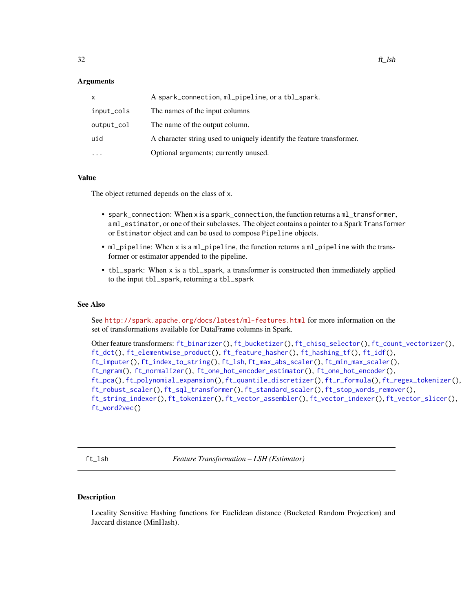#### <span id="page-31-0"></span>**Arguments**

| x          | A spark_connection, ml_pipeline, or a tbl_spark.                      |
|------------|-----------------------------------------------------------------------|
| input_cols | The names of the input columns                                        |
| output_col | The name of the output column.                                        |
| uid        | A character string used to uniquely identify the feature transformer. |
| $\ddotsc$  | Optional arguments; currently unused.                                 |
|            |                                                                       |

### Value

The object returned depends on the class of x.

- spark\_connection: When x is a spark\_connection, the function returns a ml\_transformer, a ml\_estimator, or one of their subclasses. The object contains a pointer to a Spark Transformer or Estimator object and can be used to compose Pipeline objects.
- ml\_pipeline: When x is a ml\_pipeline, the function returns a ml\_pipeline with the transformer or estimator appended to the pipeline.
- tbl\_spark: When x is a tbl\_spark, a transformer is constructed then immediately applied to the input tbl\_spark, returning a tbl\_spark

#### See Also

See <http://spark.apache.org/docs/latest/ml-features.html> for more information on the set of transformations available for DataFrame columns in Spark.

Other feature transformers: [ft\\_binarizer\(](#page-13-1)), [ft\\_bucketizer\(](#page-15-1)), [ft\\_chisq\\_selector\(](#page-17-1)), [ft\\_count\\_vectorizer\(](#page-19-1)), [ft\\_dct\(](#page-20-1)), [ft\\_elementwise\\_product\(](#page-22-1)), [ft\\_feature\\_hasher\(](#page-23-1)), [ft\\_hashing\\_tf\(](#page-25-1)), [ft\\_idf\(](#page-26-1)), [ft\\_imputer\(](#page-28-1)), [ft\\_index\\_to\\_string\(](#page-29-1)), [ft\\_lsh](#page-31-1), [ft\\_max\\_abs\\_scaler\(](#page-34-1)), [ft\\_min\\_max\\_scaler\(](#page-36-1)), [ft\\_ngram\(](#page-37-1)), [ft\\_normalizer\(](#page-39-1)), [ft\\_one\\_hot\\_encoder\\_estimator\(](#page-41-1)), [ft\\_one\\_hot\\_encoder\(](#page-40-1)), [ft\\_pca\(](#page-43-1)), [ft\\_polynomial\\_expansion\(](#page-44-1)), [ft\\_quantile\\_discretizer\(](#page-46-1)), [ft\\_r\\_formula\(](#page-50-1)), [ft\\_regex\\_tokenizer\(](#page-48-1)), [ft\\_robust\\_scaler\(](#page-49-1)), [ft\\_sql\\_transformer\(](#page-52-1)), [ft\\_standard\\_scaler\(](#page-54-1)), [ft\\_stop\\_words\\_remover\(](#page-55-1)), [ft\\_string\\_indexer\(](#page-57-1)), [ft\\_tokenizer\(](#page-58-1)), [ft\\_vector\\_assembler\(](#page-60-1)), [ft\\_vector\\_indexer\(](#page-61-1)), [ft\\_vector\\_slicer\(](#page-62-1)), [ft\\_word2vec\(](#page-63-1))

<span id="page-31-1"></span>ft\_lsh *Feature Transformation – LSH (Estimator)*

### Description

Locality Sensitive Hashing functions for Euclidean distance (Bucketed Random Projection) and Jaccard distance (MinHash).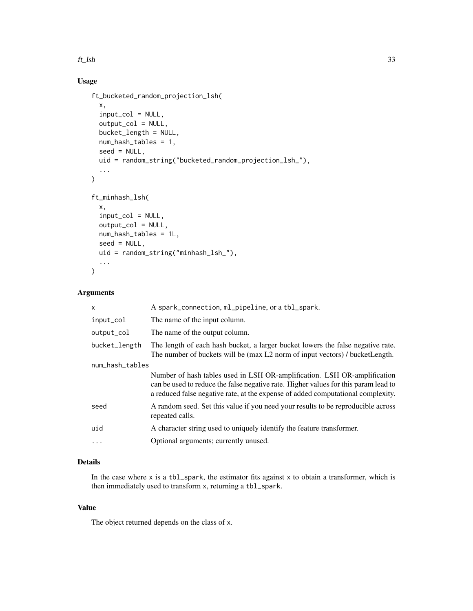#### $ft\_lsh$  33

### Usage

```
ft_bucketed_random_projection_lsh(
  x,
  input_col = NULL,
  output_col = NULL,
 bucket_length = NULL,
  num_hash_tables = 1,
  seed = NULL,
 uid = random_string("bucketed_random_projection_lsh_"),
  ...
\mathcal{L}ft_minhash_lsh(
  x,
  input_col = NULL,
  output_col = NULL,
 num_hash_tables = 1L,
  seed = NULL,
 uid = random_string("minhash_lsh_"),
  ...
\mathcal{L}
```
### Arguments

| x               | A spark_connection, ml_pipeline, or a tbl_spark.                                                                                                                                                                                                    |
|-----------------|-----------------------------------------------------------------------------------------------------------------------------------------------------------------------------------------------------------------------------------------------------|
| input_col       | The name of the input column.                                                                                                                                                                                                                       |
| output_col      | The name of the output column.                                                                                                                                                                                                                      |
| bucket_length   | The length of each hash bucket, a larger bucket lowers the false negative rate.<br>The number of buckets will be (max L2 norm of input vectors) / bucketLength.                                                                                     |
| num_hash_tables |                                                                                                                                                                                                                                                     |
|                 | Number of hash tables used in LSH OR-amplification. LSH OR-amplification<br>can be used to reduce the false negative rate. Higher values for this param lead to<br>a reduced false negative rate, at the expense of added computational complexity. |
| seed            | A random seed. Set this value if you need your results to be reproducible across<br>repeated calls.                                                                                                                                                 |
| uid             | A character string used to uniquely identify the feature transformer.                                                                                                                                                                               |
| $\cdot$         | Optional arguments; currently unused.                                                                                                                                                                                                               |
|                 |                                                                                                                                                                                                                                                     |

### Details

In the case where  $x$  is a tbl\_spark, the estimator fits against  $x$  to obtain a transformer, which is then immediately used to transform x, returning a tbl\_spark.

### Value

The object returned depends on the class of x.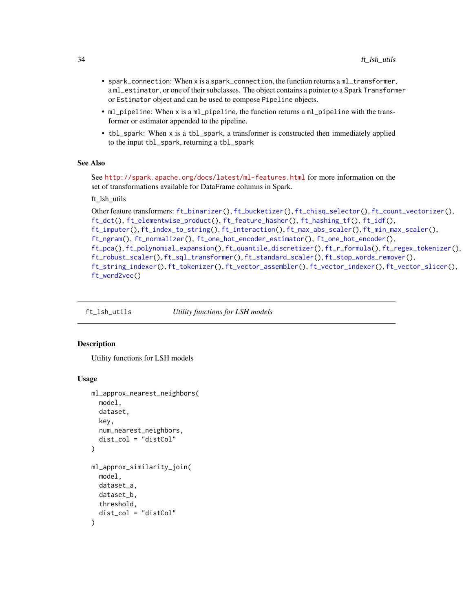- <span id="page-33-0"></span>• spark\_connection: When x is a spark\_connection, the function returns a ml\_transformer, a ml\_estimator, or one of their subclasses. The object contains a pointer to a Spark Transformer or Estimator object and can be used to compose Pipeline objects.
- ml\_pipeline: When x is a ml\_pipeline, the function returns a ml\_pipeline with the transformer or estimator appended to the pipeline.
- tbl\_spark: When x is a tbl\_spark, a transformer is constructed then immediately applied to the input tbl\_spark, returning a tbl\_spark

#### See Also

See <http://spark.apache.org/docs/latest/ml-features.html> for more information on the set of transformations available for DataFrame columns in Spark.

#### ft\_lsh\_utils

```
Other feature transformers: ft_binarizer(), ft_bucketizer(), ft_chisq_selector(), ft_count_vectorizer(),
ft_dct(), ft_elementwise_product(), ft_feature_hasher(), ft_hashing_tf(), ft_idf(),
ft_imputer(), ft_index_to_string(), ft_interaction(), ft_max_abs_scaler(), ft_min_max_scaler(),
ft_ngram(), ft_normalizer(), ft_one_hot_encoder_estimator(), ft_one_hot_encoder(),
ft_pca(), ft_polynomial_expansion(), ft_quantile_discretizer(), ft_r_formula(), ft_regex_tokenizer(),
ft_robust_scaler(), ft_sql_transformer(), ft_standard_scaler(), ft_stop_words_remover(),
ft_string_indexer(), ft_tokenizer(), ft_vector_assembler(), ft_vector_indexer(), ft_vector_slicer(),
ft_word2vec()
```
ft\_lsh\_utils *Utility functions for LSH models*

#### Description

Utility functions for LSH models

#### Usage

```
ml_approx_nearest_neighbors(
 model,
  dataset,
  key,
  num_nearest_neighbors,
  dist_col = "distCol"
)
ml_approx_similarity_join(
 model,
  dataset_a,
  dataset_b,
  threshold,
  dist_col = "distCol"
)
```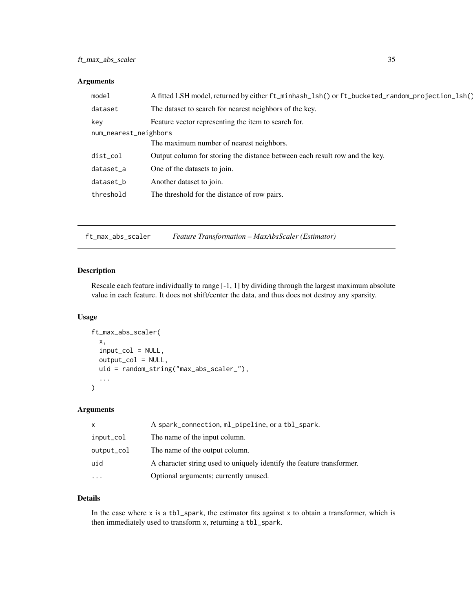### <span id="page-34-0"></span>ft\_max\_abs\_scaler 35

#### Arguments

| model                 | A fitted LSH model, returned by either ft_minhash_lsh() or ft_bucketed_random_projection_lsh() |
|-----------------------|------------------------------------------------------------------------------------------------|
| dataset               | The dataset to search for nearest neighbors of the key.                                        |
| key                   | Feature vector representing the item to search for.                                            |
| num_nearest_neighbors |                                                                                                |
|                       | The maximum number of nearest neighbors.                                                       |
| dist_col              | Output column for storing the distance between each result row and the key.                    |
| dataset_a             | One of the datasets to join.                                                                   |
| dataset_b             | Another dataset to join.                                                                       |
| threshold             | The threshold for the distance of row pairs.                                                   |

<span id="page-34-1"></span>ft\_max\_abs\_scaler *Feature Transformation – MaxAbsScaler (Estimator)*

### Description

Rescale each feature individually to range [-1, 1] by dividing through the largest maximum absolute value in each feature. It does not shift/center the data, and thus does not destroy any sparsity.

### Usage

```
ft_max_abs_scaler(
  x,
  input_col = NULL,
  output_col = NULL,
  uid = random_string("max_abs_scaler_"),
  ...
\mathcal{L}
```
### Arguments

| X          | A spark_connection, ml_pipeline, or a tbl_spark.                      |
|------------|-----------------------------------------------------------------------|
| input_col  | The name of the input column.                                         |
| output_col | The name of the output column.                                        |
| uid        | A character string used to uniquely identify the feature transformer. |
|            | Optional arguments; currently unused.                                 |

#### Details

In the case where  $x$  is a tbl\_spark, the estimator fits against  $x$  to obtain a transformer, which is then immediately used to transform x, returning a tbl\_spark.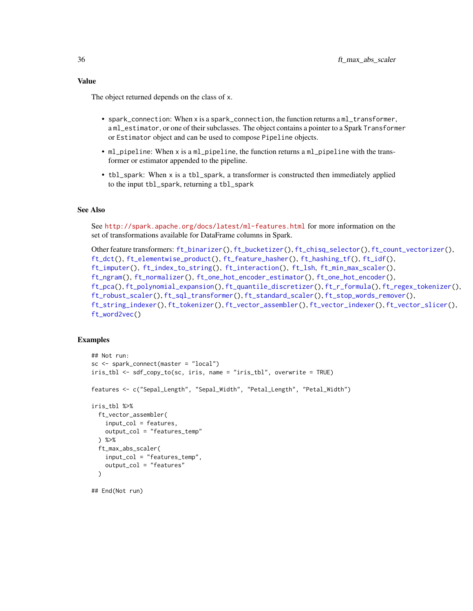The object returned depends on the class of x.

- spark\_connection: When x is a spark\_connection, the function returns a ml\_transformer, a ml\_estimator, or one of their subclasses. The object contains a pointer to a Spark Transformer or Estimator object and can be used to compose Pipeline objects.
- ml\_pipeline: When x is a ml\_pipeline, the function returns a ml\_pipeline with the transformer or estimator appended to the pipeline.
- tbl\_spark: When x is a tbl\_spark, a transformer is constructed then immediately applied to the input tbl\_spark, returning a tbl\_spark

#### See Also

See <http://spark.apache.org/docs/latest/ml-features.html> for more information on the set of transformations available for DataFrame columns in Spark.

```
Other feature transformers: ft_binarizer(), ft_bucketizer(), ft_chisq_selector(), ft_count_vectorizer(),
ft_dct(), ft_elementwise_product(), ft_feature_hasher(), ft_hashing_tf(), ft_idf(),
ft_imputer(), ft_index_to_string(), ft_interaction(), ft_lsh, ft_min_max_scaler(),
ft_ngram(), ft_normalizer(), ft_one_hot_encoder_estimator(), ft_one_hot_encoder(),
ft_pca(), ft_polynomial_expansion(), ft_quantile_discretizer(), ft_r_formula(), ft_regex_tokenizer(),
ft_robust_scaler(), ft_sql_transformer(), ft_standard_scaler(), ft_stop_words_remover(),
ft_string_indexer(), ft_tokenizer(), ft_vector_assembler(), ft_vector_indexer(), ft_vector_slicer(),
ft_word2vec()
```
#### Examples

```
## Not run:
sc <- spark_connect(master = "local")
iris_tbl <- sdf_copy_to(sc, iris, name = "iris_tbl", overwrite = TRUE)
features <- c("Sepal_Length", "Sepal_Width", "Petal_Length", "Petal_Width")
iris_tbl %>%
 ft_vector_assembler(
    input_col = features,
    output_col = "features_temp"
 ) %>%
 ft_max_abs_scaler(
    input_col = "features_temp",
   output_col = "features"
 )
## End(Not run)
```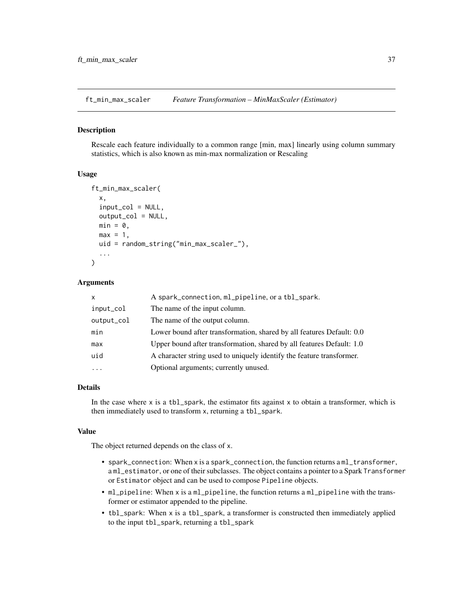<span id="page-36-0"></span>ft\_min\_max\_scaler *Feature Transformation – MinMaxScaler (Estimator)*

#### Description

Rescale each feature individually to a common range [min, max] linearly using column summary statistics, which is also known as min-max normalization or Rescaling

## Usage

```
ft_min_max_scaler(
  x,
  input_col = NULL,
  output_col = NULL,
 min = 0,
 max = 1,
 uid = random_string("min_max_scaler_"),
  ...
)
```
## Arguments

| $\mathsf{x}$ | A spark_connection, ml_pipeline, or a tbl_spark.                      |
|--------------|-----------------------------------------------------------------------|
| input_col    | The name of the input column.                                         |
| output_col   | The name of the output column.                                        |
| min          | Lower bound after transformation, shared by all features Default: 0.0 |
| max          | Upper bound after transformation, shared by all features Default: 1.0 |
| uid          | A character string used to uniquely identify the feature transformer. |
|              | Optional arguments; currently unused.                                 |

# Details

In the case where  $x$  is a tbl\_spark, the estimator fits against  $x$  to obtain a transformer, which is then immediately used to transform x, returning a tbl\_spark.

#### Value

The object returned depends on the class of x.

- spark\_connection: When x is a spark\_connection, the function returns a ml\_transformer, a ml\_estimator, or one of their subclasses. The object contains a pointer to a Spark Transformer or Estimator object and can be used to compose Pipeline objects.
- ml\_pipeline: When x is a ml\_pipeline, the function returns a ml\_pipeline with the transformer or estimator appended to the pipeline.
- tbl\_spark: When x is a tbl\_spark, a transformer is constructed then immediately applied to the input tbl\_spark, returning a tbl\_spark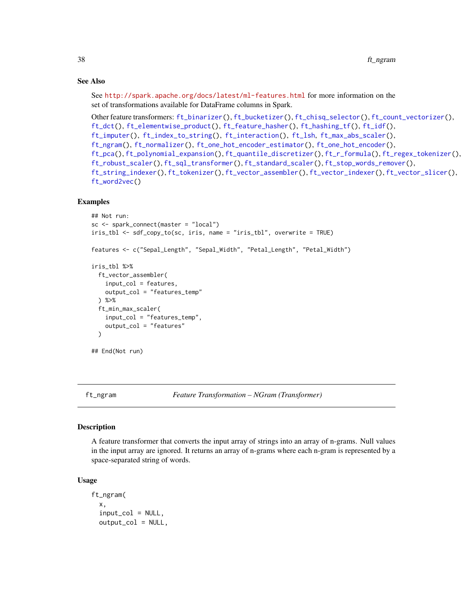# See Also

See <http://spark.apache.org/docs/latest/ml-features.html> for more information on the set of transformations available for DataFrame columns in Spark.

```
Other feature transformers: ft_binarizer(), ft_bucketizer(), ft_chisq_selector(), ft_count_vectorizer(),
ft_dct(), ft_elementwise_product(), ft_feature_hasher(), ft_hashing_tf(), ft_idf(),
ft_imputer(), ft_index_to_string(), ft_interaction(), ft_lsh, ft_max_abs_scaler(),
ft_ngram(), ft_normalizer(), ft_one_hot_encoder_estimator(), ft_one_hot_encoder(),
ft_pca(), ft_polynomial_expansion(), ft_quantile_discretizer(), ft_r_formula(), ft_regex_tokenizer(),
ft_robust_scaler(), ft_sql_transformer(), ft_standard_scaler(), ft_stop_words_remover(),
ft_string_indexer(), ft_tokenizer(), ft_vector_assembler(), ft_vector_indexer(), ft_vector_slicer(),
ft_word2vec()
```
## Examples

```
## Not run:
sc <- spark_connect(master = "local")
iris_tbl <- sdf_copy_to(sc, iris, name = "iris_tbl", overwrite = TRUE)
features <- c("Sepal_Length", "Sepal_Width", "Petal_Length", "Petal_Width")
iris_tbl %>%
 ft_vector_assembler(
   input_col = features,
   output_col = "features_temp"
 ) %>%
 ft_min_max_scaler(
    input_col = "features_temp",
    output_col = "features"
 \lambda## End(Not run)
```
<span id="page-37-0"></span>

ft\_ngram *Feature Transformation – NGram (Transformer)*

## Description

A feature transformer that converts the input array of strings into an array of n-grams. Null values in the input array are ignored. It returns an array of n-grams where each n-gram is represented by a space-separated string of words.

#### Usage

```
ft_ngram(
  x,
  input_col = NULL,
  output_col = NULL,
```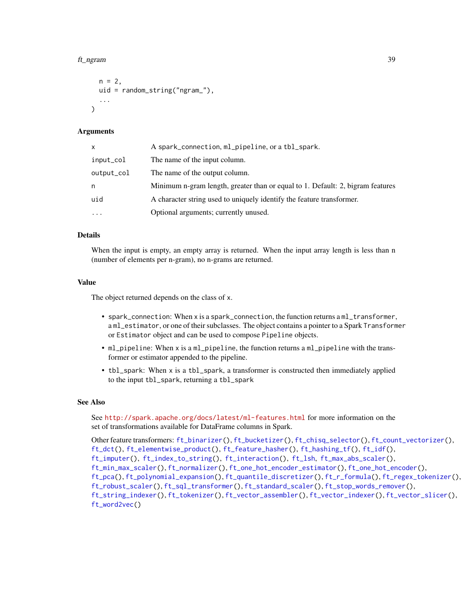### ft\_ngram 39

```
n = 2,
  uid = random_string("ngram_"),
  ...
\lambda
```
# Arguments

| x          | A spark_connection, ml_pipeline, or a tbl_spark.                               |
|------------|--------------------------------------------------------------------------------|
| input_col  | The name of the input column.                                                  |
| output_col | The name of the output column.                                                 |
| n          | Minimum n-gram length, greater than or equal to 1. Default: 2, bigram features |
| uid        | A character string used to uniquely identify the feature transformer.          |
| $\ddotsc$  | Optional arguments; currently unused.                                          |
|            |                                                                                |

# Details

When the input is empty, an empty array is returned. When the input array length is less than n (number of elements per n-gram), no n-grams are returned.

# Value

The object returned depends on the class of x.

- spark\_connection: When x is a spark\_connection, the function returns a ml\_transformer, a ml\_estimator, or one of their subclasses. The object contains a pointer to a Spark Transformer or Estimator object and can be used to compose Pipeline objects.
- ml\_pipeline: When x is a ml\_pipeline, the function returns a ml\_pipeline with the transformer or estimator appended to the pipeline.
- tbl\_spark: When x is a tbl\_spark, a transformer is constructed then immediately applied to the input tbl\_spark, returning a tbl\_spark

# See Also

See <http://spark.apache.org/docs/latest/ml-features.html> for more information on the set of transformations available for DataFrame columns in Spark.

```
Other feature transformers: ft_binarizer(), ft_bucketizer(), ft_chisq_selector(), ft_count_vectorizer(),
ft_dct(), ft_elementwise_product(), ft_feature_hasher(), ft_hashing_tf(), ft_idf(),
ft_imputer(), ft_index_to_string(), ft_interaction(), ft_lsh, ft_max_abs_scaler(),
ft_min_max_scaler(), ft_normalizer(), ft_one_hot_encoder_estimator(), ft_one_hot_encoder(),
ft_pca(), ft_polynomial_expansion(), ft_quantile_discretizer(), ft_r_formula(), ft_regex_tokenizer(),
ft_robust_scaler(), ft_sql_transformer(), ft_standard_scaler(), ft_stop_words_remover(),
ft_string_indexer(), ft_tokenizer(), ft_vector_assembler(), ft_vector_indexer(), ft_vector_slicer(),
ft_word2vec()
```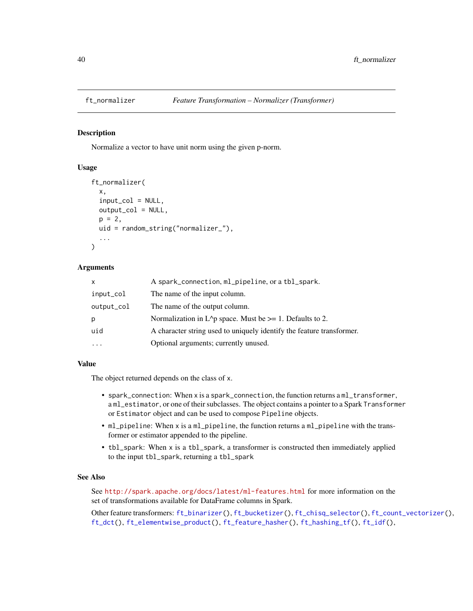<span id="page-39-0"></span>

## Description

Normalize a vector to have unit norm using the given p-norm.

## Usage

```
ft_normalizer(
  x,
  input\_col = NULL,output_col = NULL,
 p = 2,
 uid = random_string("normalizer_"),
  ...
)
```
# Arguments

| $\mathsf{x}$ | A spark_connection, ml_pipeline, or a tbl_spark.                      |
|--------------|-----------------------------------------------------------------------|
| input_col    | The name of the input column.                                         |
| output_col   | The name of the output column.                                        |
| p            | Normalization in $L^p$ space. Must be $\geq 1$ . Defaults to 2.       |
| uid          | A character string used to uniquely identify the feature transformer. |
|              | Optional arguments; currently unused.                                 |

## Value

The object returned depends on the class of x.

- spark\_connection: When x is a spark\_connection, the function returns a ml\_transformer, a ml\_estimator, or one of their subclasses. The object contains a pointer to a Spark Transformer or Estimator object and can be used to compose Pipeline objects.
- ml\_pipeline: When x is a ml\_pipeline, the function returns a ml\_pipeline with the transformer or estimator appended to the pipeline.
- tbl\_spark: When x is a tbl\_spark, a transformer is constructed then immediately applied to the input tbl\_spark, returning a tbl\_spark

# See Also

See <http://spark.apache.org/docs/latest/ml-features.html> for more information on the set of transformations available for DataFrame columns in Spark.

Other feature transformers: [ft\\_binarizer\(](#page-13-0)), [ft\\_bucketizer\(](#page-15-0)), [ft\\_chisq\\_selector\(](#page-17-0)), [ft\\_count\\_vectorizer\(](#page-19-0)), [ft\\_dct\(](#page-20-0)), [ft\\_elementwise\\_product\(](#page-22-0)), [ft\\_feature\\_hasher\(](#page-23-0)), [ft\\_hashing\\_tf\(](#page-25-0)), [ft\\_idf\(](#page-26-0)),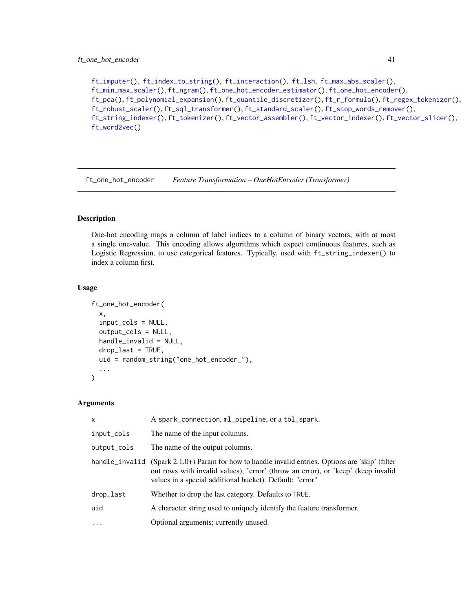# ft\_one\_hot\_encoder 41

```
ft_imputer(), ft_index_to_string(), ft_interaction(), ft_lsh, ft_max_abs_scaler(),
ft_min_max_scaler(), ft_ngram(), ft_one_hot_encoder_estimator(), ft_one_hot_encoder(),
ft_pca(), ft_polynomial_expansion(), ft_quantile_discretizer(), ft_r_formula(), ft_regex_tokenizer(),
ft_robust_scaler(), ft_sql_transformer(), ft_standard_scaler(), ft_stop_words_remover(),
ft_string_indexer(), ft_tokenizer(), ft_vector_assembler(), ft_vector_indexer(), ft_vector_slicer(),
ft_word2vec()
```
<span id="page-40-0"></span>ft\_one\_hot\_encoder *Feature Transformation – OneHotEncoder (Transformer)*

# Description

One-hot encoding maps a column of label indices to a column of binary vectors, with at most a single one-value. This encoding allows algorithms which expect continuous features, such as Logistic Regression, to use categorical features. Typically, used with ft\_string\_indexer() to index a column first.

# Usage

```
ft_one_hot_encoder(
  x,
  input_cols = NULL,
  output_cols = NULL,
  handle_invalid = NULL,
  drop\_last = TRUE,
  uid = random_string("one_hot_encoder_"),
  ...
\mathcal{E}
```
## Arguments

| X              | A spark_connection, ml_pipeline, or a tbl_spark.                                                                                                                                                                                      |
|----------------|---------------------------------------------------------------------------------------------------------------------------------------------------------------------------------------------------------------------------------------|
| input_cols     | The name of the input columns.                                                                                                                                                                                                        |
| output_cols    | The name of the output columns.                                                                                                                                                                                                       |
| handle_invalid | (Spark $2.1.0+$ ) Param for how to handle invalid entries. Options are 'skip' (filter<br>out rows with invalid values), 'error' (throw an error), or 'keep' (keep invalid<br>values in a special additional bucket). Default: "error" |
| drop_last      | Whether to drop the last category. Defaults to TRUE.                                                                                                                                                                                  |
| uid            | A character string used to uniquely identify the feature transformer.                                                                                                                                                                 |
| $\cdot$        | Optional arguments; currently unused.                                                                                                                                                                                                 |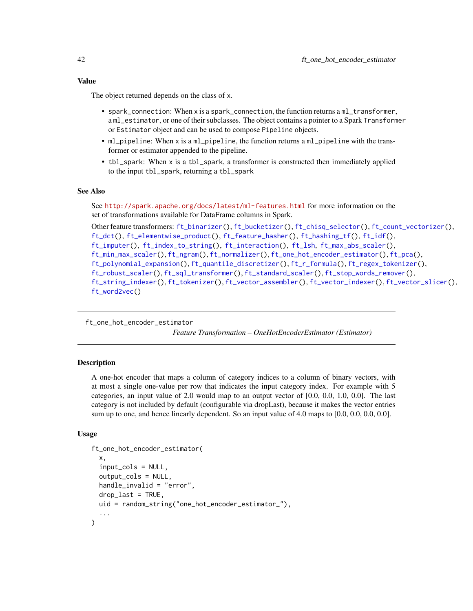The object returned depends on the class of x.

- spark\_connection: When x is a spark\_connection, the function returns a ml\_transformer, a ml\_estimator, or one of their subclasses. The object contains a pointer to a Spark Transformer or Estimator object and can be used to compose Pipeline objects.
- ml\_pipeline: When x is a ml\_pipeline, the function returns a ml\_pipeline with the transformer or estimator appended to the pipeline.
- tbl\_spark: When x is a tbl\_spark, a transformer is constructed then immediately applied to the input tbl\_spark, returning a tbl\_spark

#### See Also

See <http://spark.apache.org/docs/latest/ml-features.html> for more information on the set of transformations available for DataFrame columns in Spark.

```
Other feature transformers: ft_binarizer(), ft_bucketizer(), ft_chisq_selector(), ft_count_vectorizer(),
ft_dct(), ft_elementwise_product(), ft_feature_hasher(), ft_hashing_tf(), ft_idf(),
ft_imputer(), ft_index_to_string(), ft_interaction(), ft_lsh, ft_max_abs_scaler(),
ft_min_max_scaler(), ft_ngram(), ft_normalizer(), ft_one_hot_encoder_estimator(), ft_pca(),
ft_polynomial_expansion(), ft_quantile_discretizer(), ft_r_formula(), ft_regex_tokenizer(),
ft_robust_scaler(), ft_sql_transformer(), ft_standard_scaler(), ft_stop_words_remover(),
ft_string_indexer(), ft_tokenizer(), ft_vector_assembler(), ft_vector_indexer(), ft_vector_slicer(),
ft_word2vec()
```
<span id="page-41-0"></span>ft\_one\_hot\_encoder\_estimator

*Feature Transformation – OneHotEncoderEstimator (Estimator)*

## **Description**

A one-hot encoder that maps a column of category indices to a column of binary vectors, with at most a single one-value per row that indicates the input category index. For example with 5 categories, an input value of 2.0 would map to an output vector of [0.0, 0.0, 1.0, 0.0]. The last category is not included by default (configurable via dropLast), because it makes the vector entries sum up to one, and hence linearly dependent. So an input value of 4.0 maps to [0.0, 0.0, 0.0, 0.0].

# Usage

```
ft_one_hot_encoder_estimator(
  x,
  input_cols = NULL,
  output_cols = NULL,
  handle_invalid = "error",
  drop\_last = TRUE,
  uid = random_string("one_hot_encoder_estimator_"),
  ...
)
```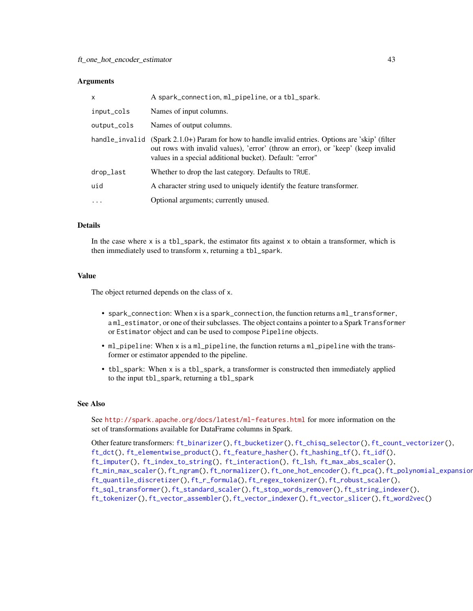#### Arguments

| X                 | A spark_connection, ml_pipeline, or a tbl_spark.                                                                                                                                                                                      |
|-------------------|---------------------------------------------------------------------------------------------------------------------------------------------------------------------------------------------------------------------------------------|
| input_cols        | Names of input columns.                                                                                                                                                                                                               |
| output_cols       | Names of output columns.                                                                                                                                                                                                              |
| handle_invalid    | (Spark $2.1.0+$ ) Param for how to handle invalid entries. Options are 'skip' (filter<br>out rows with invalid values), 'error' (throw an error), or 'keep' (keep invalid<br>values in a special additional bucket). Default: "error" |
| drop_last         | Whether to drop the last category. Defaults to TRUE.                                                                                                                                                                                  |
| uid               | A character string used to uniquely identify the feature transformer.                                                                                                                                                                 |
| $\cdot\cdot\cdot$ | Optional arguments; currently unused.                                                                                                                                                                                                 |

## Details

In the case where  $x$  is a tbl\_spark, the estimator fits against  $x$  to obtain a transformer, which is then immediately used to transform x, returning a tbl\_spark.

# Value

The object returned depends on the class of x.

- spark\_connection: When x is a spark\_connection, the function returns a ml\_transformer, a ml\_estimator, or one of their subclasses. The object contains a pointer to a Spark Transformer or Estimator object and can be used to compose Pipeline objects.
- ml\_pipeline: When x is a ml\_pipeline, the function returns a ml\_pipeline with the transformer or estimator appended to the pipeline.
- tbl\_spark: When x is a tbl\_spark, a transformer is constructed then immediately applied to the input tbl\_spark, returning a tbl\_spark

# See Also

See <http://spark.apache.org/docs/latest/ml-features.html> for more information on the set of transformations available for DataFrame columns in Spark.

```
Other feature transformers: ft_binarizer(), ft_bucketizer(), ft_chisq_selector(), ft_count_vectorizer(),
ft_dct(), ft_elementwise_product(), ft_feature_hasher(), ft_hashing_tf(), ft_idf(),
ft_imputer(), ft_index_to_string(), ft_interaction(), ft_lsh, ft_max_abs_scaler(),
ft_min_max_scaler(), ft_ngram(), ft_normalizer(), ft_one_hot_encoder(), ft_pca(), ft_polynomial_expansion(),
ft_quantile_discretizer(), ft_r_formula(), ft_regex_tokenizer(), ft_robust_scaler(),
ft_sql_transformer(), ft_standard_scaler(), ft_stop_words_remover(), ft_string_indexer(),
ft_tokenizer(), ft_vector_assembler(), ft_vector_indexer(), ft_vector_slicer(), ft_word2vec()
```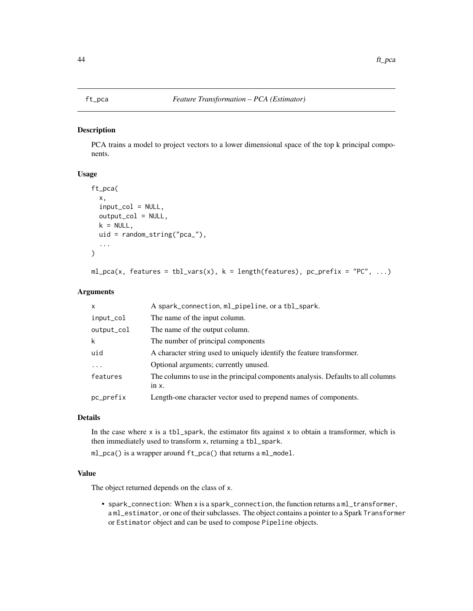## <span id="page-43-0"></span>Description

PCA trains a model to project vectors to a lower dimensional space of the top k principal components.

# Usage

```
ft_pca(
  x,
  input_col = NULL,
  output_col = NULL,
  k = NULL,uid = random_string("pca_"),
  ...
)
```

```
ml_pca(x, features = tol_vars(x), k = length(features), pc_prefix = "PC", ...)
```
## Arguments

| X           | A spark_connection, ml_pipeline, or a tbl_spark.                                             |
|-------------|----------------------------------------------------------------------------------------------|
| input_col   | The name of the input column.                                                                |
| output_col  | The name of the output column.                                                               |
| $\mathsf k$ | The number of principal components                                                           |
| uid         | A character string used to uniquely identify the feature transformer.                        |
| $\ddotsc$   | Optional arguments; currently unused.                                                        |
| features    | The columns to use in the principal components analysis. Defaults to all columns<br>$in x$ . |
| pc_prefix   | Length-one character vector used to prepend names of components.                             |

## Details

In the case where  $x$  is a tbl\_spark, the estimator fits against  $x$  to obtain a transformer, which is then immediately used to transform x, returning a tbl\_spark.

ml\_pca() is a wrapper around ft\_pca() that returns a ml\_model.

# Value

The object returned depends on the class of x.

• spark\_connection: When x is a spark\_connection, the function returns a ml\_transformer, a ml\_estimator, or one of their subclasses. The object contains a pointer to a Spark Transformer or Estimator object and can be used to compose Pipeline objects.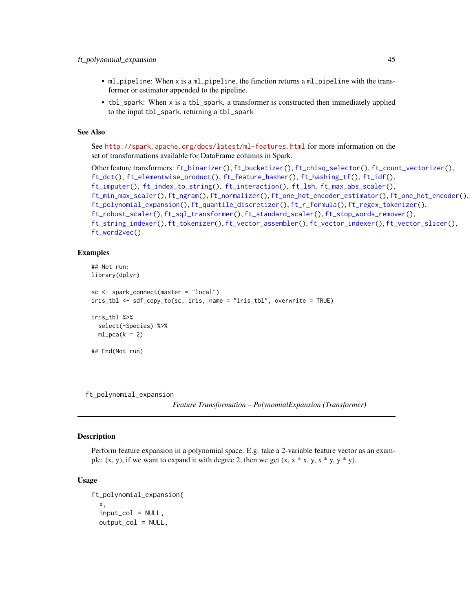- ml\_pipeline: When x is a ml\_pipeline, the function returns a ml\_pipeline with the transformer or estimator appended to the pipeline.
- tbl\_spark: When x is a tbl\_spark, a transformer is constructed then immediately applied to the input tbl\_spark, returning a tbl\_spark

## See Also

See <http://spark.apache.org/docs/latest/ml-features.html> for more information on the set of transformations available for DataFrame columns in Spark.

Other feature transformers: [ft\\_binarizer\(](#page-13-0)), [ft\\_bucketizer\(](#page-15-0)), [ft\\_chisq\\_selector\(](#page-17-0)), [ft\\_count\\_vectorizer\(](#page-19-0)), [ft\\_dct\(](#page-20-0)), [ft\\_elementwise\\_product\(](#page-22-0)), [ft\\_feature\\_hasher\(](#page-23-0)), [ft\\_hashing\\_tf\(](#page-25-0)), [ft\\_idf\(](#page-26-0)), [ft\\_imputer\(](#page-28-0)), [ft\\_index\\_to\\_string\(](#page-29-0)), [ft\\_interaction\(](#page-30-0)), [ft\\_lsh](#page-31-0), [ft\\_max\\_abs\\_scaler\(](#page-34-0)), [ft\\_min\\_max\\_scaler\(](#page-36-0)), [ft\\_ngram\(](#page-37-0)), [ft\\_normalizer\(](#page-39-0)), [ft\\_one\\_hot\\_encoder\\_estimator\(](#page-41-0)), [ft\\_one\\_hot\\_encoder\(](#page-40-0)), [ft\\_polynomial\\_expansion\(](#page-44-0)), [ft\\_quantile\\_discretizer\(](#page-46-0)), [ft\\_r\\_formula\(](#page-50-0)), [ft\\_regex\\_tokenizer\(](#page-48-0)), [ft\\_robust\\_scaler\(](#page-49-0)), [ft\\_sql\\_transformer\(](#page-52-0)), [ft\\_standard\\_scaler\(](#page-54-0)), [ft\\_stop\\_words\\_remover\(](#page-55-0)), [ft\\_string\\_indexer\(](#page-57-0)), [ft\\_tokenizer\(](#page-58-0)), [ft\\_vector\\_assembler\(](#page-60-0)), [ft\\_vector\\_indexer\(](#page-61-0)), [ft\\_vector\\_slicer\(](#page-62-0)), [ft\\_word2vec\(](#page-63-0))

# Examples

```
## Not run:
library(dplyr)
sc <- spark_connect(master = "local")
iris_tbl <- sdf_copy_to(sc, iris, name = "iris_tbl", overwrite = TRUE)
iris_tbl %>%
 select(-Species) %>%
 ml_pca(k = 2)## End(Not run)
```
<span id="page-44-0"></span>ft\_polynomial\_expansion

*Feature Transformation – PolynomialExpansion (Transformer)*

## Description

Perform feature expansion in a polynomial space. E.g. take a 2-variable feature vector as an example:  $(x, y)$ , if we want to expand it with degree 2, then we get  $(x, x * x, y, x * y, y * y)$ .

#### Usage

ft\_polynomial\_expansion( x, input\_col = NULL, output\_col = NULL,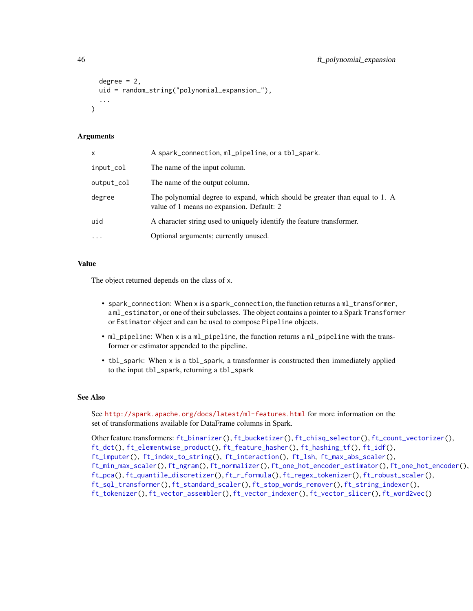```
degree = 2,
  uid = random_string("polynomial_expansion_"),
  ...
\lambda
```
# Arguments

| x          | A spark_connection, ml_pipeline, or a tbl_spark.                                                                         |
|------------|--------------------------------------------------------------------------------------------------------------------------|
| input_col  | The name of the input column.                                                                                            |
| output_col | The name of the output column.                                                                                           |
| degree     | The polynomial degree to expand, which should be greater than equal to 1. A<br>value of 1 means no expansion. Default: 2 |
| uid        | A character string used to uniquely identify the feature transformer.                                                    |
| $\cdots$   | Optional arguments; currently unused.                                                                                    |

# Value

The object returned depends on the class of x.

- spark\_connection: When x is a spark\_connection, the function returns a ml\_transformer, a ml\_estimator, or one of their subclasses. The object contains a pointer to a Spark Transformer or Estimator object and can be used to compose Pipeline objects.
- ml\_pipeline: When x is a ml\_pipeline, the function returns a ml\_pipeline with the transformer or estimator appended to the pipeline.
- tbl\_spark: When x is a tbl\_spark, a transformer is constructed then immediately applied to the input tbl\_spark, returning a tbl\_spark

# See Also

See <http://spark.apache.org/docs/latest/ml-features.html> for more information on the set of transformations available for DataFrame columns in Spark.

Other feature transformers: [ft\\_binarizer\(](#page-13-0)), [ft\\_bucketizer\(](#page-15-0)), [ft\\_chisq\\_selector\(](#page-17-0)), [ft\\_count\\_vectorizer\(](#page-19-0)), [ft\\_dct\(](#page-20-0)), [ft\\_elementwise\\_product\(](#page-22-0)), [ft\\_feature\\_hasher\(](#page-23-0)), [ft\\_hashing\\_tf\(](#page-25-0)), [ft\\_idf\(](#page-26-0)), [ft\\_imputer\(](#page-28-0)), [ft\\_index\\_to\\_string\(](#page-29-0)), [ft\\_interaction\(](#page-30-0)), [ft\\_lsh](#page-31-0), [ft\\_max\\_abs\\_scaler\(](#page-34-0)), [ft\\_min\\_max\\_scaler\(](#page-36-0)), [ft\\_ngram\(](#page-37-0)), [ft\\_normalizer\(](#page-39-0)), [ft\\_one\\_hot\\_encoder\\_estimator\(](#page-41-0)), [ft\\_one\\_hot\\_encoder\(](#page-40-0)), [ft\\_pca\(](#page-43-0)), [ft\\_quantile\\_discretizer\(](#page-46-0)), [ft\\_r\\_formula\(](#page-50-0)), [ft\\_regex\\_tokenizer\(](#page-48-0)), [ft\\_robust\\_scaler\(](#page-49-0)), [ft\\_sql\\_transformer\(](#page-52-0)), [ft\\_standard\\_scaler\(](#page-54-0)), [ft\\_stop\\_words\\_remover\(](#page-55-0)), [ft\\_string\\_indexer\(](#page-57-0)), [ft\\_tokenizer\(](#page-58-0)), [ft\\_vector\\_assembler\(](#page-60-0)), [ft\\_vector\\_indexer\(](#page-61-0)), [ft\\_vector\\_slicer\(](#page-62-0)), [ft\\_word2vec\(](#page-63-0))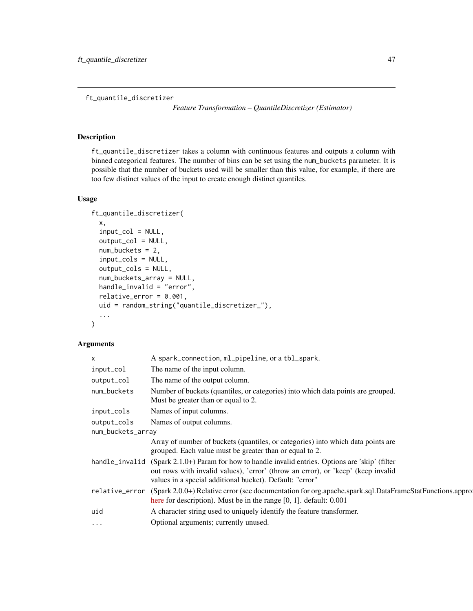<span id="page-46-0"></span>ft\_quantile\_discretizer

*Feature Transformation – QuantileDiscretizer (Estimator)*

# Description

ft\_quantile\_discretizer takes a column with continuous features and outputs a column with binned categorical features. The number of bins can be set using the num\_buckets parameter. It is possible that the number of buckets used will be smaller than this value, for example, if there are too few distinct values of the input to create enough distinct quantiles.

# Usage

```
ft_quantile_discretizer(
  x,
  input\_col = NULL,output_col = NULL,
  num_buckets = 2,
  input_cols = NULL,
  output_cols = NULL,
 num_buckets_array = NULL,
 handle_invalid = "error",
  relative_error = 0.001,
  uid = random_string("quantile_discretizer_"),
  ...
)
```
# Arguments

| X                 | A spark_connection, ml_pipeline, or a tbl_spark.                                                                                                                                                                                                     |  |
|-------------------|------------------------------------------------------------------------------------------------------------------------------------------------------------------------------------------------------------------------------------------------------|--|
| input_col         | The name of the input column.                                                                                                                                                                                                                        |  |
| output_col        | The name of the output column.                                                                                                                                                                                                                       |  |
| num_buckets       | Number of buckets (quantiles, or categories) into which data points are grouped.<br>Must be greater than or equal to 2.                                                                                                                              |  |
| input_cols        | Names of input columns.                                                                                                                                                                                                                              |  |
| output_cols       | Names of output columns.                                                                                                                                                                                                                             |  |
| num_buckets_array |                                                                                                                                                                                                                                                      |  |
|                   | Array of number of buckets (quantiles, or categories) into which data points are<br>grouped. Each value must be greater than or equal to 2.                                                                                                          |  |
|                   | handle_invalid (Spark $2.1.0+$ ) Param for how to handle invalid entries. Options are 'skip' (filter<br>out rows with invalid values), 'error' (throw an error), or 'keep' (keep invalid<br>values in a special additional bucket). Default: "error" |  |
|                   | relative_error (Spark 2.0.0+) Relative error (see documentation for org.apache.spark.sql.DataFrameStatFunctions.appro<br>here for description). Must be in the range $[0, 1]$ . default: 0.001                                                       |  |
| uid               | A character string used to uniquely identify the feature transformer.                                                                                                                                                                                |  |
| $\cdots$          | Optional arguments; currently unused.                                                                                                                                                                                                                |  |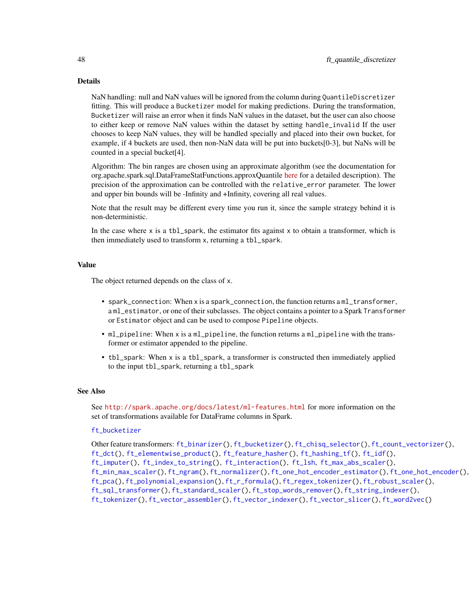# Details

NaN handling: null and NaN values will be ignored from the column during QuantileDiscretizer fitting. This will produce a Bucketizer model for making predictions. During the transformation, Bucketizer will raise an error when it finds NaN values in the dataset, but the user can also choose to either keep or remove NaN values within the dataset by setting handle\_invalid If the user chooses to keep NaN values, they will be handled specially and placed into their own bucket, for example, if 4 buckets are used, then non-NaN data will be put into buckets[0-3], but NaNs will be counted in a special bucket[4].

Algorithm: The bin ranges are chosen using an approximate algorithm (see the documentation for org.apache.spark.sql.DataFrameStatFunctions.approxQuantile [here](https://spark.apache.org/docs/latest/api/scala/index.html#org.apache.spark.sql.DataFrameStatFunctions) for a detailed description). The precision of the approximation can be controlled with the relative\_error parameter. The lower and upper bin bounds will be -Infinity and +Infinity, covering all real values.

Note that the result may be different every time you run it, since the sample strategy behind it is non-deterministic.

In the case where  $x$  is a tbl\_spark, the estimator fits against  $x$  to obtain a transformer, which is then immediately used to transform x, returning a tbl\_spark.

#### Value

The object returned depends on the class of x.

- spark\_connection: When x is a spark\_connection, the function returns a ml\_transformer, a ml\_estimator, or one of their subclasses. The object contains a pointer to a Spark Transformer or Estimator object and can be used to compose Pipeline objects.
- ml\_pipeline: When x is a ml\_pipeline, the function returns a ml\_pipeline with the transformer or estimator appended to the pipeline.
- tbl\_spark: When x is a tbl\_spark, a transformer is constructed then immediately applied to the input tbl\_spark, returning a tbl\_spark

## See Also

See <http://spark.apache.org/docs/latest/ml-features.html> for more information on the set of transformations available for DataFrame columns in Spark.

## ft bucketizer

Other feature transformers: [ft\\_binarizer\(](#page-13-0)), [ft\\_bucketizer\(](#page-15-0)), [ft\\_chisq\\_selector\(](#page-17-0)), [ft\\_count\\_vectorizer\(](#page-19-0)), [ft\\_dct\(](#page-20-0)), [ft\\_elementwise\\_product\(](#page-22-0)), [ft\\_feature\\_hasher\(](#page-23-0)), [ft\\_hashing\\_tf\(](#page-25-0)), [ft\\_idf\(](#page-26-0)), [ft\\_imputer\(](#page-28-0)), [ft\\_index\\_to\\_string\(](#page-29-0)), [ft\\_interaction\(](#page-30-0)), [ft\\_lsh](#page-31-0), [ft\\_max\\_abs\\_scaler\(](#page-34-0)), [ft\\_min\\_max\\_scaler\(](#page-36-0)), [ft\\_ngram\(](#page-37-0)), [ft\\_normalizer\(](#page-39-0)), [ft\\_one\\_hot\\_encoder\\_estimator\(](#page-41-0)), [ft\\_one\\_hot\\_encoder\(](#page-40-0)), [ft\\_pca\(](#page-43-0)), [ft\\_polynomial\\_expansion\(](#page-44-0)), [ft\\_r\\_formula\(](#page-50-0)), [ft\\_regex\\_tokenizer\(](#page-48-0)), [ft\\_robust\\_scaler\(](#page-49-0)), [ft\\_sql\\_transformer\(](#page-52-0)), [ft\\_standard\\_scaler\(](#page-54-0)), [ft\\_stop\\_words\\_remover\(](#page-55-0)), [ft\\_string\\_indexer\(](#page-57-0)), [ft\\_tokenizer\(](#page-58-0)), [ft\\_vector\\_assembler\(](#page-60-0)), [ft\\_vector\\_indexer\(](#page-61-0)), [ft\\_vector\\_slicer\(](#page-62-0)), [ft\\_word2vec\(](#page-63-0))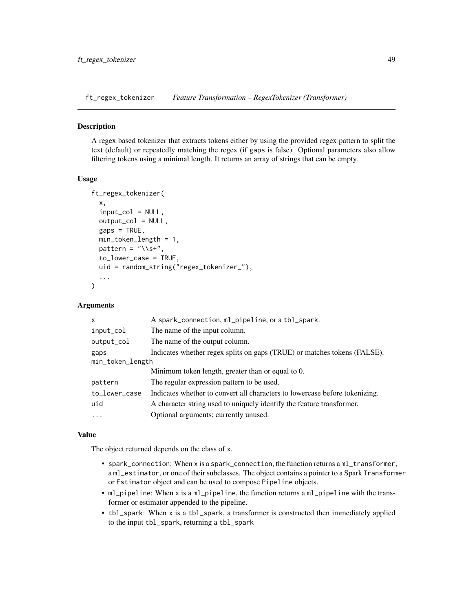<span id="page-48-0"></span>ft\_regex\_tokenizer *Feature Transformation – RegexTokenizer (Transformer)*

# Description

A regex based tokenizer that extracts tokens either by using the provided regex pattern to split the text (default) or repeatedly matching the regex (if gaps is false). Optional parameters also allow filtering tokens using a minimal length. It returns an array of strings that can be empty.

## Usage

```
ft_regex_tokenizer(
 x,
  input\_col = NULL,output_col = NULL,
  gaps = TRUE,min_token_length = 1,
 pattern = ''\&5'',
  to_lower_case = TRUE,
  uid = random_string("regex_tokenizer_"),
  ...
)
```
## Arguments

| X                | A spark_connection, ml_pipeline, or a tbl_spark.                            |  |
|------------------|-----------------------------------------------------------------------------|--|
| input_col        | The name of the input column.                                               |  |
| output_col       | The name of the output column.                                              |  |
| gaps             | Indicates whether regex splits on gaps (TRUE) or matches tokens (FALSE).    |  |
| min_token_length |                                                                             |  |
|                  | Minimum token length, greater than or equal to 0.                           |  |
| pattern          | The regular expression pattern to be used.                                  |  |
| to_lower_case    | Indicates whether to convert all characters to lowercase before tokenizing. |  |
| uid              | A character string used to uniquely identify the feature transformer.       |  |
| .                | Optional arguments; currently unused.                                       |  |
|                  |                                                                             |  |

# Value

The object returned depends on the class of x.

- spark\_connection: When x is a spark\_connection, the function returns a ml\_transformer, a ml\_estimator, or one of their subclasses. The object contains a pointer to a Spark Transformer or Estimator object and can be used to compose Pipeline objects.
- ml\_pipeline: When x is a ml\_pipeline, the function returns a ml\_pipeline with the transformer or estimator appended to the pipeline.
- tbl\_spark: When x is a tbl\_spark, a transformer is constructed then immediately applied to the input tbl\_spark, returning a tbl\_spark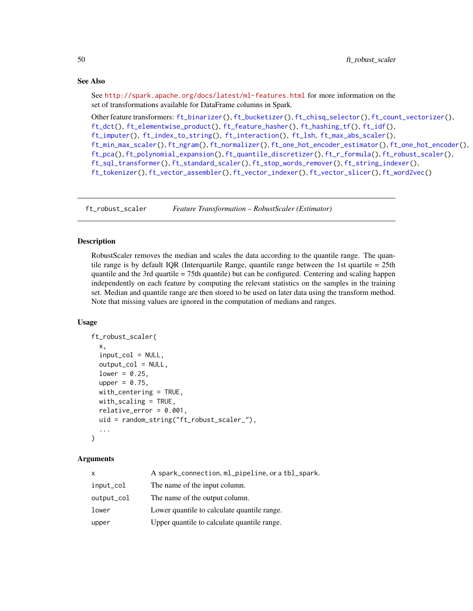# See Also

See <http://spark.apache.org/docs/latest/ml-features.html> for more information on the set of transformations available for DataFrame columns in Spark.

```
Other feature transformers: ft_binarizer(), ft_bucketizer(), ft_chisq_selector(), ft_count_vectorizer(),
ft_dct(), ft_elementwise_product(), ft_feature_hasher(), ft_hashing_tf(), ft_idf(),
ft_imputer(), ft_index_to_string(), ft_interaction(), ft_lsh, ft_max_abs_scaler(),
ft_min_max_scaler(), ft_ngram(), ft_normalizer(), ft_one_hot_encoder_estimator(), ft_one_hot_encoder(),
ft_pca(), ft_polynomial_expansion(), ft_quantile_discretizer(), ft_r_formula(), ft_robust_scaler(),
ft_sql_transformer(), ft_standard_scaler(), ft_stop_words_remover(), ft_string_indexer(),
ft_tokenizer(), ft_vector_assembler(), ft_vector_indexer(), ft_vector_slicer(), ft_word2vec()
```
<span id="page-49-0"></span>ft\_robust\_scaler *Feature Transformation – RobustScaler (Estimator)*

# Description

RobustScaler removes the median and scales the data according to the quantile range. The quantile range is by default IQR (Interquartile Range, quantile range between the 1st quartile = 25th quantile and the 3rd quartile = 75th quantile) but can be configured. Centering and scaling happen independently on each feature by computing the relevant statistics on the samples in the training set. Median and quantile range are then stored to be used on later data using the transform method. Note that missing values are ignored in the computation of medians and ranges.

## Usage

```
ft_robust_scaler(
  x,
  input_col = NULL,
  output_col = NULL,
  lower = 0.25,upper = 0.75,
 with_centering = TRUE,
 with_scaling = TRUE,
  relative_error = 0.001,
  uid = random_string("ft_robust_scaler_"),
  ...
)
```
## Arguments

| X.         | A spark_connection, ml_pipeline, or a tbl_spark. |
|------------|--------------------------------------------------|
| input_col  | The name of the input column.                    |
| output_col | The name of the output column.                   |
| lower      | Lower quantile to calculate quantile range.      |
| upper      | Upper quantile to calculate quantile range.      |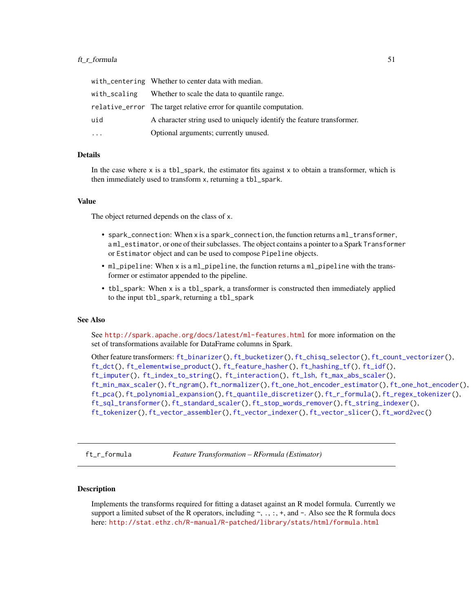### ft\_r\_formula 51

|              | with_centering Whether to center data with median.                    |
|--------------|-----------------------------------------------------------------------|
| with_scaling | Whether to scale the data to quantile range.                          |
|              | relative_error The target relative error for quantile computation.    |
| uid          | A character string used to uniquely identify the feature transformer. |
| $\cdots$     | Optional arguments; currently unused.                                 |

## Details

In the case where  $x$  is a tbl\_spark, the estimator fits against  $x$  to obtain a transformer, which is then immediately used to transform x, returning a tbl\_spark.

#### Value

The object returned depends on the class of x.

- spark\_connection: When x is a spark\_connection, the function returns a ml\_transformer, a ml\_estimator, or one of their subclasses. The object contains a pointer to a Spark Transformer or Estimator object and can be used to compose Pipeline objects.
- ml\_pipeline: When x is a ml\_pipeline, the function returns a ml\_pipeline with the transformer or estimator appended to the pipeline.
- tbl\_spark: When x is a tbl\_spark, a transformer is constructed then immediately applied to the input tbl\_spark, returning a tbl\_spark

#### See Also

See <http://spark.apache.org/docs/latest/ml-features.html> for more information on the set of transformations available for DataFrame columns in Spark.

Other feature transformers: [ft\\_binarizer\(](#page-13-0)), [ft\\_bucketizer\(](#page-15-0)), [ft\\_chisq\\_selector\(](#page-17-0)), [ft\\_count\\_vectorizer\(](#page-19-0)), [ft\\_dct\(](#page-20-0)), [ft\\_elementwise\\_product\(](#page-22-0)), [ft\\_feature\\_hasher\(](#page-23-0)), [ft\\_hashing\\_tf\(](#page-25-0)), [ft\\_idf\(](#page-26-0)), [ft\\_imputer\(](#page-28-0)), [ft\\_index\\_to\\_string\(](#page-29-0)), [ft\\_interaction\(](#page-30-0)), [ft\\_lsh](#page-31-0), [ft\\_max\\_abs\\_scaler\(](#page-34-0)), [ft\\_min\\_max\\_scaler\(](#page-36-0)), [ft\\_ngram\(](#page-37-0)), [ft\\_normalizer\(](#page-39-0)), [ft\\_one\\_hot\\_encoder\\_estimator\(](#page-41-0)), [ft\\_one\\_hot\\_encoder\(](#page-40-0)), [ft\\_pca\(](#page-43-0)), [ft\\_polynomial\\_expansion\(](#page-44-0)), [ft\\_quantile\\_discretizer\(](#page-46-0)), [ft\\_r\\_formula\(](#page-50-0)), [ft\\_regex\\_tokenizer\(](#page-48-0)), [ft\\_sql\\_transformer\(](#page-52-0)), [ft\\_standard\\_scaler\(](#page-54-0)), [ft\\_stop\\_words\\_remover\(](#page-55-0)), [ft\\_string\\_indexer\(](#page-57-0)), [ft\\_tokenizer\(](#page-58-0)), [ft\\_vector\\_assembler\(](#page-60-0)), [ft\\_vector\\_indexer\(](#page-61-0)), [ft\\_vector\\_slicer\(](#page-62-0)), [ft\\_word2vec\(](#page-63-0))

<span id="page-50-0"></span>ft\_r\_formula *Feature Transformation – RFormula (Estimator)*

## Description

Implements the transforms required for fitting a dataset against an R model formula. Currently we support a limited subset of the R operators, including  $\gamma$ , ., ., +, and -. Also see the R formula docs here: <http://stat.ethz.ch/R-manual/R-patched/library/stats/html/formula.html>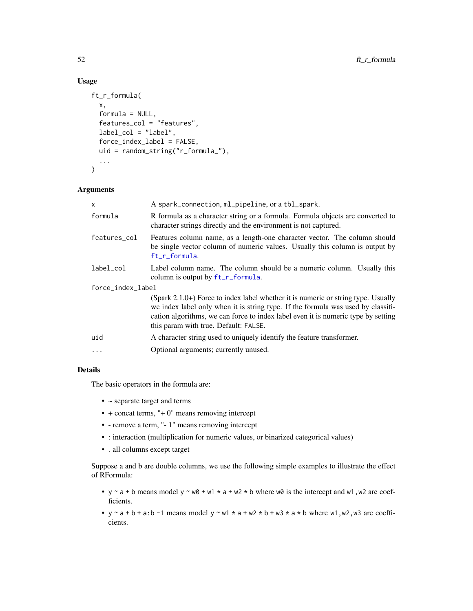# Usage

```
ft_r_formula(
 x,
  formula = NULL,
  features_col = "features",
 label_col = "label",
  force_index_label = FALSE,
 uid = random_string("r_formula_"),
  ...
\mathcal{L}
```
# Arguments

| x                 | A spark_connection, ml_pipeline, or a tbl_spark.                                                                                                                                                                                                                                                    |  |
|-------------------|-----------------------------------------------------------------------------------------------------------------------------------------------------------------------------------------------------------------------------------------------------------------------------------------------------|--|
| formula           | R formula as a character string or a formula. Formula objects are converted to<br>character strings directly and the environment is not captured.                                                                                                                                                   |  |
| features_col      | Features column name, as a length-one character vector. The column should<br>be single vector column of numeric values. Usually this column is output by<br>ft_r_formula.                                                                                                                           |  |
| label_col         | Label column name. The column should be a numeric column. Usually this<br>column is output by $ft_r_formula$ .                                                                                                                                                                                      |  |
| force_index_label |                                                                                                                                                                                                                                                                                                     |  |
|                   | (Spark 2.1.0+) Force to index label whether it is numeric or string type. Usually<br>we index label only when it is string type. If the formula was used by classifi-<br>cation algorithms, we can force to index label even it is numeric type by setting<br>this param with true. Default: FALSE. |  |
| uid               | A character string used to uniquely identify the feature transformer.                                                                                                                                                                                                                               |  |
| $\cdots$          | Optional arguments; currently unused.                                                                                                                                                                                                                                                               |  |

# Details

The basic operators in the formula are:

- ~ separate target and terms
- $\bullet$  + concat terms, "+ 0" means removing intercept
- - remove a term, "- 1" means removing intercept
- : interaction (multiplication for numeric values, or binarized categorical values)
- . all columns except target

Suppose a and b are double columns, we use the following simple examples to illustrate the effect of RFormula:

- $y \sim a + b$  means model  $y \sim w\theta + w1 \times a + w2 \times b$  where w $\theta$  is the intercept and w1, w2 are coefficients.
- $y \sim a + b + a:b 1$  means model  $y \sim w1 \times a + w2 \times b + w3 \times a \times b$  where w1, w2, w3 are coefficients.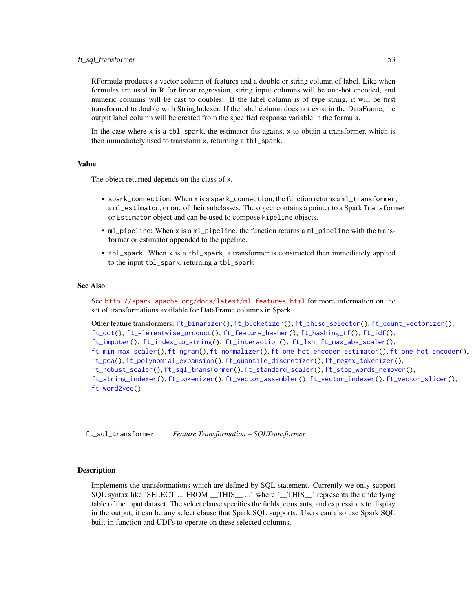## ft\_sql\_transformer 53

RFormula produces a vector column of features and a double or string column of label. Like when formulas are used in R for linear regression, string input columns will be one-hot encoded, and numeric columns will be cast to doubles. If the label column is of type string, it will be first transformed to double with StringIndexer. If the label column does not exist in the DataFrame, the output label column will be created from the specified response variable in the formula.

In the case where  $x$  is a tbl\_spark, the estimator fits against  $x$  to obtain a transformer, which is then immediately used to transform x, returning a tbl\_spark.

#### Value

The object returned depends on the class of x.

- spark\_connection: When x is a spark\_connection, the function returns a ml\_transformer, a ml\_estimator, or one of their subclasses. The object contains a pointer to a Spark Transformer or Estimator object and can be used to compose Pipeline objects.
- ml\_pipeline: When x is a ml\_pipeline, the function returns a ml\_pipeline with the transformer or estimator appended to the pipeline.
- tbl\_spark: When x is a tbl\_spark, a transformer is constructed then immediately applied to the input tbl\_spark, returning a tbl\_spark

#### See Also

See <http://spark.apache.org/docs/latest/ml-features.html> for more information on the set of transformations available for DataFrame columns in Spark.

```
Other feature transformers: ft_binarizer(), ft_bucketizer(), ft_chisq_selector(), ft_count_vectorizer(),
ft_dct(), ft_elementwise_product(), ft_feature_hasher(), ft_hashing_tf(), ft_idf(),
ft_imputer(), ft_index_to_string(), ft_interaction(), ft_lsh, ft_max_abs_scaler(),
ft_min_max_scaler(), ft_ngram(), ft_normalizer(), ft_one_hot_encoder_estimator(), ft_one_hot_encoder(),
ft_pca(), ft_polynomial_expansion(), ft_quantile_discretizer(), ft_regex_tokenizer(),
ft_robust_scaler(), ft_sql_transformer(), ft_standard_scaler(), ft_stop_words_remover(),
ft_string_indexer(), ft_tokenizer(), ft_vector_assembler(), ft_vector_indexer(), ft_vector_slicer(),
ft_word2vec()
```
<span id="page-52-0"></span>ft\_sql\_transformer *Feature Transformation – SQLTransformer*

## Description

Implements the transformations which are defined by SQL statement. Currently we only support SQL syntax like 'SELECT ... FROM \_\_THIS\_\_ ...' where '\_\_THIS\_\_' represents the underlying table of the input dataset. The select clause specifies the fields, constants, and expressions to display in the output, it can be any select clause that Spark SQL supports. Users can also use Spark SQL built-in function and UDFs to operate on these selected columns.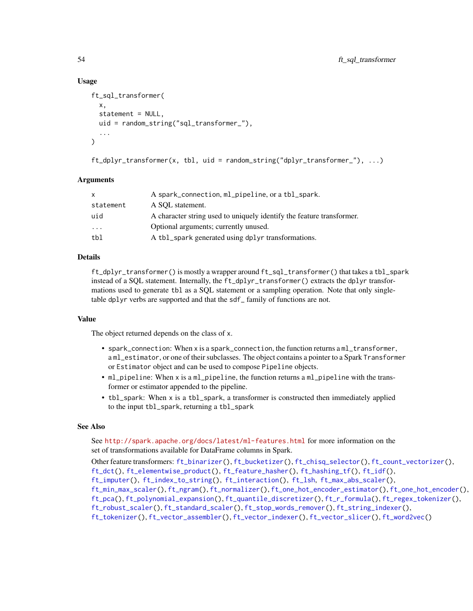# Usage

```
ft_sql_transformer(
  x,
  statement = NULL,
  uid = random_string("sql_transformer_"),
  ...
\lambda
```
ft\_dplyr\_transformer(x, tbl, uid = random\_string("dplyr\_transformer\_"), ...)

## Arguments

| X         | A spark_connection, ml_pipeline, or a tbl_spark.                      |
|-----------|-----------------------------------------------------------------------|
| statement | A SOL statement.                                                      |
| uid       | A character string used to uniquely identify the feature transformer. |
| $\cdot$   | Optional arguments; currently unused.                                 |
| tbl       | A tbl_spark generated using dplyr transformations.                    |
|           |                                                                       |

# Details

ft\_dplyr\_transformer() is mostly a wrapper around ft\_sql\_transformer() that takes a tbl\_spark instead of a SQL statement. Internally, the ft\_dplyr\_transformer() extracts the dplyr transformations used to generate tbl as a SQL statement or a sampling operation. Note that only singletable dplyr verbs are supported and that the sdf\_ family of functions are not.

#### Value

The object returned depends on the class of x.

- spark\_connection: When x is a spark\_connection, the function returns a ml\_transformer, a ml\_estimator, or one of their subclasses. The object contains a pointer to a Spark Transformer or Estimator object and can be used to compose Pipeline objects.
- ml\_pipeline: When x is a ml\_pipeline, the function returns a ml\_pipeline with the transformer or estimator appended to the pipeline.
- tbl\_spark: When x is a tbl\_spark, a transformer is constructed then immediately applied to the input tbl\_spark, returning a tbl\_spark

## See Also

See <http://spark.apache.org/docs/latest/ml-features.html> for more information on the set of transformations available for DataFrame columns in Spark.

Other feature transformers: [ft\\_binarizer\(](#page-13-0)), [ft\\_bucketizer\(](#page-15-0)), [ft\\_chisq\\_selector\(](#page-17-0)), [ft\\_count\\_vectorizer\(](#page-19-0)), [ft\\_dct\(](#page-20-0)), [ft\\_elementwise\\_product\(](#page-22-0)), [ft\\_feature\\_hasher\(](#page-23-0)), [ft\\_hashing\\_tf\(](#page-25-0)), [ft\\_idf\(](#page-26-0)), [ft\\_imputer\(](#page-28-0)), [ft\\_index\\_to\\_string\(](#page-29-0)), [ft\\_interaction\(](#page-30-0)), [ft\\_lsh](#page-31-0), [ft\\_max\\_abs\\_scaler\(](#page-34-0)), [ft\\_min\\_max\\_scaler\(](#page-36-0)), [ft\\_ngram\(](#page-37-0)), [ft\\_normalizer\(](#page-39-0)), [ft\\_one\\_hot\\_encoder\\_estimator\(](#page-41-0)), [ft\\_one\\_hot\\_encoder\(](#page-40-0)), [ft\\_pca\(](#page-43-0)), [ft\\_polynomial\\_expansion\(](#page-44-0)), [ft\\_quantile\\_discretizer\(](#page-46-0)), [ft\\_r\\_formula\(](#page-50-0)), [ft\\_regex\\_tokenizer\(](#page-48-0)), [ft\\_robust\\_scaler\(](#page-49-0)), [ft\\_standard\\_scaler\(](#page-54-0)), [ft\\_stop\\_words\\_remover\(](#page-55-0)), [ft\\_string\\_indexer\(](#page-57-0)), [ft\\_tokenizer\(](#page-58-0)), [ft\\_vector\\_assembler\(](#page-60-0)), [ft\\_vector\\_indexer\(](#page-61-0)), [ft\\_vector\\_slicer\(](#page-62-0)), [ft\\_word2vec\(](#page-63-0))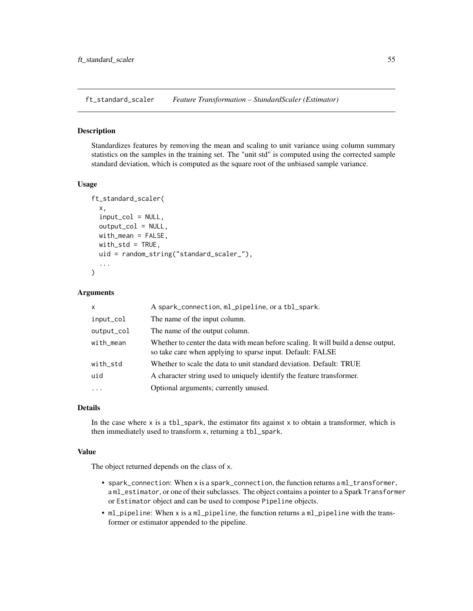<span id="page-54-0"></span>ft\_standard\_scaler *Feature Transformation – StandardScaler (Estimator)*

# Description

Standardizes features by removing the mean and scaling to unit variance using column summary statistics on the samples in the training set. The "unit std" is computed using the corrected sample standard deviation, which is computed as the square root of the unbiased sample variance.

## Usage

```
ft_standard_scaler(
  x,
  input_col = NULL,
 output\_col = NULL,
 with_mean = FALSE,
 with\_std = TRUE,uid = random_string("standard_scaler_"),
  ...
)
```
# Arguments

| $\mathsf{x}$ | A spark_connection, ml_pipeline, or a tbl_spark.                                                                                                 |
|--------------|--------------------------------------------------------------------------------------------------------------------------------------------------|
| input_col    | The name of the input column.                                                                                                                    |
| output_col   | The name of the output column.                                                                                                                   |
| with_mean    | Whether to center the data with mean before scaling. It will build a dense output,<br>so take care when applying to sparse input. Default: FALSE |
| with_std     | Whether to scale the data to unit standard deviation. Default: TRUE                                                                              |
| uid          | A character string used to uniquely identify the feature transformer.                                                                            |
| $\ddotsc$    | Optional arguments; currently unused.                                                                                                            |

# Details

In the case where  $x$  is a tbl\_spark, the estimator fits against  $x$  to obtain a transformer, which is then immediately used to transform x, returning a tbl\_spark.

#### Value

The object returned depends on the class of x.

- spark\_connection: When x is a spark\_connection, the function returns a ml\_transformer, a ml\_estimator, or one of their subclasses. The object contains a pointer to a Spark Transformer or Estimator object and can be used to compose Pipeline objects.
- ml\_pipeline: When x is a ml\_pipeline, the function returns a ml\_pipeline with the transformer or estimator appended to the pipeline.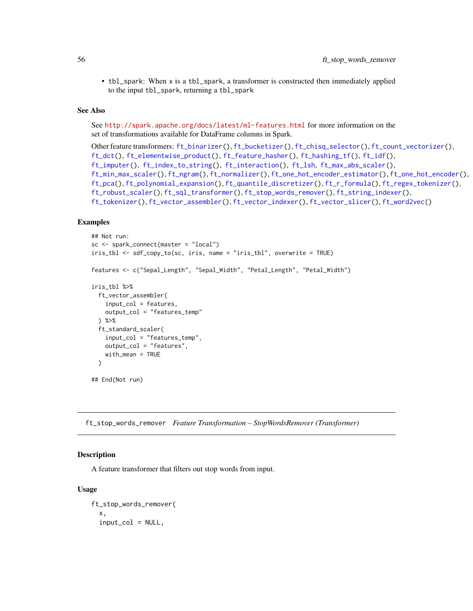• tbl\_spark: When x is a tbl\_spark, a transformer is constructed then immediately applied to the input tbl\_spark, returning a tbl\_spark

## See Also

See <http://spark.apache.org/docs/latest/ml-features.html> for more information on the set of transformations available for DataFrame columns in Spark.

```
Other feature transformers: ft_binarizer(), ft_bucketizer(), ft_chisq_selector(), ft_count_vectorizer(),
ft_dct(), ft_elementwise_product(), ft_feature_hasher(), ft_hashing_tf(), ft_idf(),
ft_imputer(), ft_index_to_string(), ft_interaction(), ft_lsh, ft_max_abs_scaler(),
ft_min_max_scaler(), ft_ngram(), ft_normalizer(), ft_one_hot_encoder_estimator(), ft_one_hot_encoder(),
ft_pca(), ft_polynomial_expansion(), ft_quantile_discretizer(), ft_r_formula(), ft_regex_tokenizer(),
ft_robust_scaler(), ft_sql_transformer(), ft_stop_words_remover(), ft_string_indexer(),
ft_tokenizer(), ft_vector_assembler(), ft_vector_indexer(), ft_vector_slicer(), ft_word2vec()
```
## Examples

```
## Not run:
sc <- spark_connect(master = "local")
iris_tbl <- sdf_copy_to(sc, iris, name = "iris_tbl", overwrite = TRUE)
features <- c("Sepal_Length", "Sepal_Width", "Petal_Length", "Petal_Width")
iris_tbl %>%
 ft_vector_assembler(
   input_col = features,
   output_col = "features_temp"
 ) %>%
 ft_standard_scaler(
    input_col = "features_temp",
    output_col = "features",
   with_mean = TRUE
 )
## End(Not run)
```
<span id="page-55-0"></span>ft\_stop\_words\_remover *Feature Transformation – StopWordsRemover (Transformer)*

## Description

A feature transformer that filters out stop words from input.

#### Usage

```
ft_stop_words_remover(
  x,
  input\_col = NULL,
```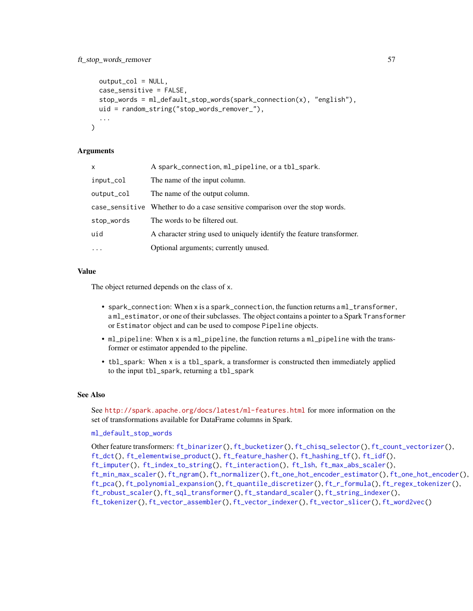```
output_col = NULL,
  case_sensitive = FALSE,
  stop_words = ml_default_stop_words(spark_connection(x), "english"),
  uid = random_string("stop_words_remover_"),
  ...
\mathcal{L}
```
#### Arguments

| $\mathsf{x}$ | A spark_connection, ml_pipeline, or a tbl_spark.                              |
|--------------|-------------------------------------------------------------------------------|
| input_col    | The name of the input column.                                                 |
| output_col   | The name of the output column.                                                |
|              | case_sensitive Whether to do a case sensitive comparison over the stop words. |
| stop_words   | The words to be filtered out.                                                 |
| uid          | A character string used to uniquely identify the feature transformer.         |
|              | Optional arguments; currently unused.                                         |

# Value

The object returned depends on the class of x.

- spark\_connection: When x is a spark\_connection, the function returns a ml\_transformer, a ml\_estimator, or one of their subclasses. The object contains a pointer to a Spark Transformer or Estimator object and can be used to compose Pipeline objects.
- ml\_pipeline: When x is a ml\_pipeline, the function returns a ml\_pipeline with the transformer or estimator appended to the pipeline.
- tbl\_spark: When x is a tbl\_spark, a transformer is constructed then immediately applied to the input tbl\_spark, returning a tbl\_spark

## See Also

See <http://spark.apache.org/docs/latest/ml-features.html> for more information on the set of transformations available for DataFrame columns in Spark.

#### [ml\\_default\\_stop\\_words](#page-102-0)

Other feature transformers: [ft\\_binarizer\(](#page-13-0)), [ft\\_bucketizer\(](#page-15-0)), [ft\\_chisq\\_selector\(](#page-17-0)), [ft\\_count\\_vectorizer\(](#page-19-0)), [ft\\_dct\(](#page-20-0)), [ft\\_elementwise\\_product\(](#page-22-0)), [ft\\_feature\\_hasher\(](#page-23-0)), [ft\\_hashing\\_tf\(](#page-25-0)), [ft\\_idf\(](#page-26-0)), [ft\\_imputer\(](#page-28-0)), [ft\\_index\\_to\\_string\(](#page-29-0)), [ft\\_interaction\(](#page-30-0)), [ft\\_lsh](#page-31-0), [ft\\_max\\_abs\\_scaler\(](#page-34-0)), [ft\\_min\\_max\\_scaler\(](#page-36-0)), [ft\\_ngram\(](#page-37-0)), [ft\\_normalizer\(](#page-39-0)), [ft\\_one\\_hot\\_encoder\\_estimator\(](#page-41-0)), [ft\\_one\\_hot\\_encoder\(](#page-40-0)), [ft\\_pca\(](#page-43-0)), [ft\\_polynomial\\_expansion\(](#page-44-0)), [ft\\_quantile\\_discretizer\(](#page-46-0)), [ft\\_r\\_formula\(](#page-50-0)), [ft\\_regex\\_tokenizer\(](#page-48-0)), [ft\\_robust\\_scaler\(](#page-49-0)), [ft\\_sql\\_transformer\(](#page-52-0)), [ft\\_standard\\_scaler\(](#page-54-0)), [ft\\_string\\_indexer\(](#page-57-0)), [ft\\_tokenizer\(](#page-58-0)), [ft\\_vector\\_assembler\(](#page-60-0)), [ft\\_vector\\_indexer\(](#page-61-0)), [ft\\_vector\\_slicer\(](#page-62-0)), [ft\\_word2vec\(](#page-63-0))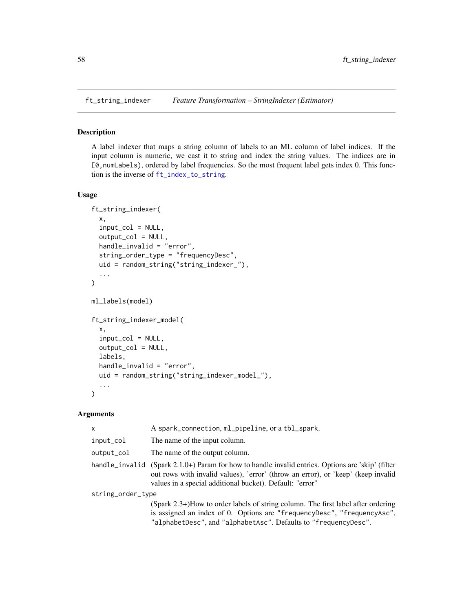# Description

A label indexer that maps a string column of labels to an ML column of label indices. If the input column is numeric, we cast it to string and index the string values. The indices are in [0,numLabels), ordered by label frequencies. So the most frequent label gets index 0. This function is the inverse of [ft\\_index\\_to\\_string](#page-29-0).

# Usage

```
ft_string_indexer(
  x,
  input\_col = NULL,output_col = NULL,
 handle_invalid = "error",
 string_order_type = "frequencyDesc",
 uid = random_string("string_indexer_"),
  ...
)
ml_labels(model)
ft_string_indexer_model(
  x,
  input_col = NULL,
 output_col = NULL,
 labels,
 handle_invalid = "error",
 uid = random_string("string_indexer_model_"),
  ...
)
```
# Arguments

| x                 | A spark_connection, ml_pipeline, or a tbl_spark.                                                                                                                                                                                                  |  |
|-------------------|---------------------------------------------------------------------------------------------------------------------------------------------------------------------------------------------------------------------------------------------------|--|
| input_col         | The name of the input column.                                                                                                                                                                                                                     |  |
| output_col        | The name of the output column.                                                                                                                                                                                                                    |  |
|                   | handle_invalid (Spark 2.1.0+) Param for how to handle invalid entries. Options are 'skip' (filter<br>out rows with invalid values), 'error' (throw an error), or 'keep' (keep invalid<br>values in a special additional bucket). Default: "error" |  |
| string_order_type |                                                                                                                                                                                                                                                   |  |
|                   | $(Spark 2.3+)$ How to order labels of string column. The first label after ordering                                                                                                                                                               |  |
|                   | is assigned an index of 0. Options are "frequency Desc", "frequency Asc",                                                                                                                                                                         |  |
|                   | "alphabetDesc", and "alphabetAsc". Defaults to "frequencyDesc".                                                                                                                                                                                   |  |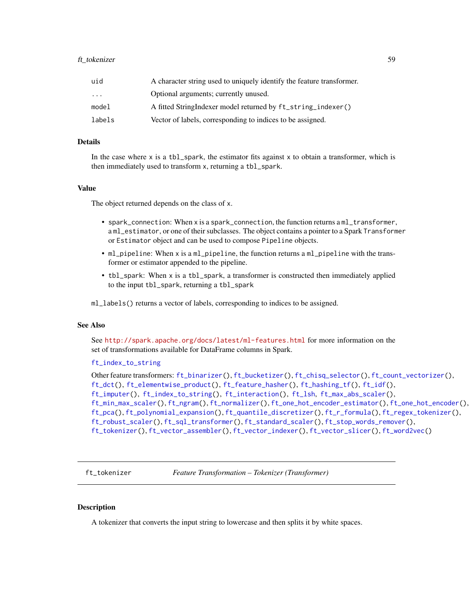#### ft\_tokenizer 59

| uid       | A character string used to uniquely identify the feature transformer. |
|-----------|-----------------------------------------------------------------------|
| $\ddotsc$ | Optional arguments; currently unused.                                 |
| model     | A fitted StringIndexer model returned by ft_string_indexer()          |
| labels    | Vector of labels, corresponding to indices to be assigned.            |

#### Details

In the case where  $x$  is a tbl\_spark, the estimator fits against  $x$  to obtain a transformer, which is then immediately used to transform x, returning a tbl\_spark.

## Value

The object returned depends on the class of x.

- spark\_connection: When x is a spark\_connection, the function returns a ml\_transformer, a ml\_estimator, or one of their subclasses. The object contains a pointer to a Spark Transformer or Estimator object and can be used to compose Pipeline objects.
- ml\_pipeline: When x is a ml\_pipeline, the function returns a ml\_pipeline with the transformer or estimator appended to the pipeline.
- tbl\_spark: When x is a tbl\_spark, a transformer is constructed then immediately applied to the input tbl\_spark, returning a tbl\_spark
- ml\_labels() returns a vector of labels, corresponding to indices to be assigned.

## See Also

See <http://spark.apache.org/docs/latest/ml-features.html> for more information on the set of transformations available for DataFrame columns in Spark.

#### [ft\\_index\\_to\\_string](#page-29-0)

```
Other feature transformers: ft_binarizer(), ft_bucketizer(), ft_chisq_selector(), ft_count_vectorizer(),
ft_dct(), ft_elementwise_product(), ft_feature_hasher(), ft_hashing_tf(), ft_idf(),
ft_imputer(), ft_index_to_string(), ft_interaction(), ft_lsh, ft_max_abs_scaler(),
ft_min_max_scaler(), ft_ngram(), ft_normalizer(), ft_one_hot_encoder_estimator(), ft_one_hot_encoder(),
ft_pca(), ft_polynomial_expansion(), ft_quantile_discretizer(), ft_r_formula(), ft_regex_tokenizer(),
ft_robust_scaler(), ft_sql_transformer(), ft_standard_scaler(), ft_stop_words_remover(),
ft_tokenizer(), ft_vector_assembler(), ft_vector_indexer(), ft_vector_slicer(), ft_word2vec()
```
<span id="page-58-0"></span>ft\_tokenizer *Feature Transformation – Tokenizer (Transformer)*

# Description

A tokenizer that converts the input string to lowercase and then splits it by white spaces.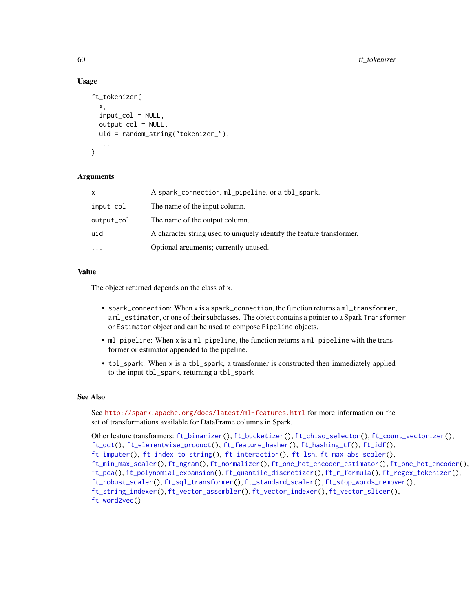# Usage

```
ft_tokenizer(
  x,
  input\_col = NULL,output\_col = NULL,uid = random_string("tokenizer_"),
  ...
)
```
# Arguments

| X          | A spark_connection, ml_pipeline, or a tbl_spark.                      |
|------------|-----------------------------------------------------------------------|
| input_col  | The name of the input column.                                         |
| output_col | The name of the output column.                                        |
| uid        | A character string used to uniquely identify the feature transformer. |
| $\cdots$   | Optional arguments; currently unused.                                 |

# Value

The object returned depends on the class of x.

- spark\_connection: When x is a spark\_connection, the function returns a ml\_transformer, a ml\_estimator, or one of their subclasses. The object contains a pointer to a Spark Transformer or Estimator object and can be used to compose Pipeline objects.
- ml\_pipeline: When x is a ml\_pipeline, the function returns a ml\_pipeline with the transformer or estimator appended to the pipeline.
- tbl\_spark: When x is a tbl\_spark, a transformer is constructed then immediately applied to the input tbl\_spark, returning a tbl\_spark

## See Also

See <http://spark.apache.org/docs/latest/ml-features.html> for more information on the set of transformations available for DataFrame columns in Spark.

```
Other feature transformers: ft_binarizer(), ft_bucketizer(), ft_chisq_selector(), ft_count_vectorizer(),
ft_dct(), ft_elementwise_product(), ft_feature_hasher(), ft_hashing_tf(), ft_idf(),
ft_imputer(), ft_index_to_string(), ft_interaction(), ft_lsh, ft_max_abs_scaler(),
ft_min_max_scaler(), ft_ngram(), ft_normalizer(), ft_one_hot_encoder_estimator(), ft_one_hot_encoder(),
ft_pca(), ft_polynomial_expansion(), ft_quantile_discretizer(), ft_r_formula(), ft_regex_tokenizer(),
ft_robust_scaler(), ft_sql_transformer(), ft_standard_scaler(), ft_stop_words_remover(),
ft_string_indexer(), ft_vector_assembler(), ft_vector_indexer(), ft_vector_slicer(),
ft_word2vec()
```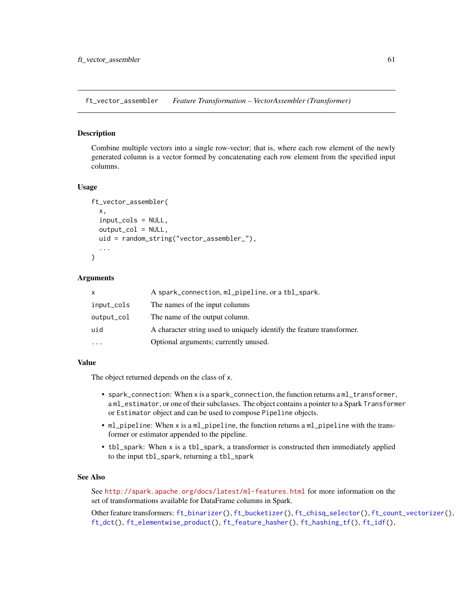<span id="page-60-0"></span>ft\_vector\_assembler *Feature Transformation – VectorAssembler (Transformer)*

## **Description**

Combine multiple vectors into a single row-vector; that is, where each row element of the newly generated column is a vector formed by concatenating each row element from the specified input columns.

## Usage

```
ft_vector_assembler(
  x,
  input_cols = NULL,
  output_col = NULL,
  uid = random_string("vector_assembler_"),
  ...
\lambda
```
## **Arguments**

| x          | A spark_connection, ml_pipeline, or a tbl_spark.                      |
|------------|-----------------------------------------------------------------------|
| input_cols | The names of the input columns                                        |
| output_col | The name of the output column.                                        |
| uid        | A character string used to uniquely identify the feature transformer. |
| $\ddotsc$  | Optional arguments; currently unused.                                 |

## Value

The object returned depends on the class of x.

- spark\_connection: When x is a spark\_connection, the function returns a ml\_transformer, a ml\_estimator, or one of their subclasses. The object contains a pointer to a Spark Transformer or Estimator object and can be used to compose Pipeline objects.
- ml\_pipeline: When x is a ml\_pipeline, the function returns a ml\_pipeline with the transformer or estimator appended to the pipeline.
- tbl\_spark: When x is a tbl\_spark, a transformer is constructed then immediately applied to the input tbl\_spark, returning a tbl\_spark

# See Also

See <http://spark.apache.org/docs/latest/ml-features.html> for more information on the set of transformations available for DataFrame columns in Spark.

Other feature transformers: [ft\\_binarizer\(](#page-13-0)), [ft\\_bucketizer\(](#page-15-0)), [ft\\_chisq\\_selector\(](#page-17-0)), [ft\\_count\\_vectorizer\(](#page-19-0)), [ft\\_dct\(](#page-20-0)), [ft\\_elementwise\\_product\(](#page-22-0)), [ft\\_feature\\_hasher\(](#page-23-0)), [ft\\_hashing\\_tf\(](#page-25-0)), [ft\\_idf\(](#page-26-0)),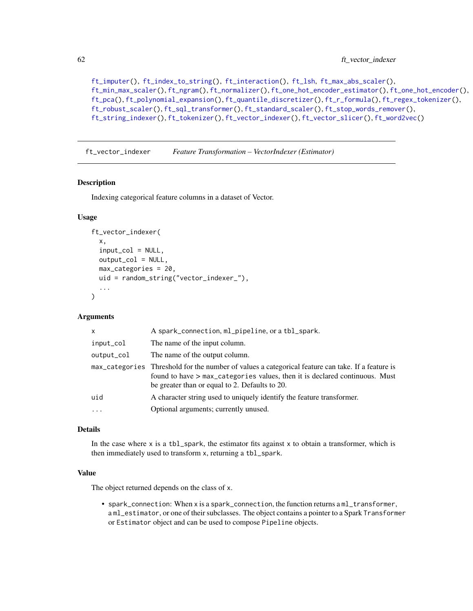```
ft_imputer(), ft_index_to_string(), ft_interaction(), ft_lsh, ft_max_abs_scaler(),
ft_min_max_scaler(), ft_ngram(), ft_normalizer(), ft_one_hot_encoder_estimator(), ft_one_hot_encoder(),
ft_pca(), ft_polynomial_expansion(), ft_quantile_discretizer(), ft_r_formula(), ft_regex_tokenizer(),
ft_robust_scaler(), ft_sql_transformer(), ft_standard_scaler(), ft_stop_words_remover(),
ft_string_indexer(), ft_tokenizer(), ft_vector_indexer(), ft_vector_slicer(), ft_word2vec()
```
<span id="page-61-0"></span>ft\_vector\_indexer *Feature Transformation – VectorIndexer (Estimator)*

## Description

Indexing categorical feature columns in a dataset of Vector.

# Usage

```
ft_vector_indexer(
  x,
  input_col = NULL,
 output_col = NULL,
 max_categories = 20,
 uid = random_string("vector_indexer_"),
  ...
)
```
# Arguments

| $\mathsf{x}$ | A spark_connection, ml_pipeline, or a tbl_spark.                                                                                                                                                                                   |
|--------------|------------------------------------------------------------------------------------------------------------------------------------------------------------------------------------------------------------------------------------|
| input_col    | The name of the input column.                                                                                                                                                                                                      |
| output_col   | The name of the output column.                                                                                                                                                                                                     |
|              | max categories Threshold for the number of values a categorical feature can take. If a feature is<br>found to have > max_categories values, then it is declared continuous. Must<br>be greater than or equal to 2. Defaults to 20. |
| uid          | A character string used to uniquely identify the feature transformer.                                                                                                                                                              |
| $\ddotsc$    | Optional arguments; currently unused.                                                                                                                                                                                              |

# Details

In the case where  $x$  is a tbl\_spark, the estimator fits against  $x$  to obtain a transformer, which is then immediately used to transform x, returning a tbl\_spark.

# Value

The object returned depends on the class of x.

• spark\_connection: When x is a spark\_connection, the function returns a ml\_transformer, a ml\_estimator, or one of their subclasses. The object contains a pointer to a Spark Transformer or Estimator object and can be used to compose Pipeline objects.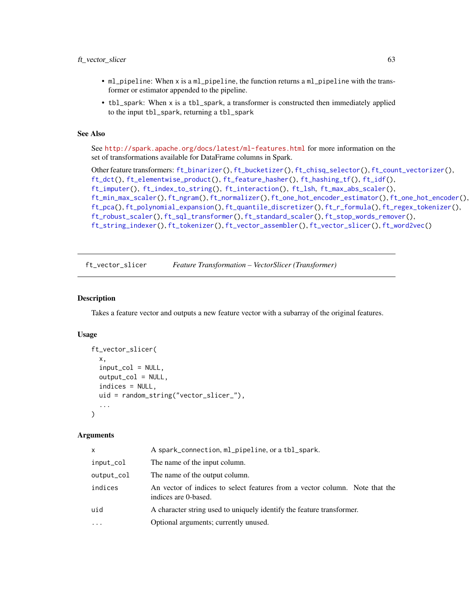## ft\_vector\_slicer 63

- ml\_pipeline: When x is a ml\_pipeline, the function returns a ml\_pipeline with the transformer or estimator appended to the pipeline.
- tbl\_spark: When x is a tbl\_spark, a transformer is constructed then immediately applied to the input tbl\_spark, returning a tbl\_spark

## See Also

See <http://spark.apache.org/docs/latest/ml-features.html> for more information on the set of transformations available for DataFrame columns in Spark.

```
Other feature transformers: ft_binarizer(), ft_bucketizer(), ft_chisq_selector(), ft_count_vectorizer(),
ft_dct(), ft_elementwise_product(), ft_feature_hasher(), ft_hashing_tf(), ft_idf(),
ft_imputer(), ft_index_to_string(), ft_interaction(), ft_lsh, ft_max_abs_scaler(),
ft_min_max_scaler(), ft_ngram(), ft_normalizer(), ft_one_hot_encoder_estimator(), ft_one_hot_encoder(),
ft_pca(), ft_polynomial_expansion(), ft_quantile_discretizer(), ft_r_formula(), ft_regex_tokenizer(),
ft_robust_scaler(), ft_sql_transformer(), ft_standard_scaler(), ft_stop_words_remover(),
ft_string_indexer(), ft_tokenizer(), ft_vector_assembler(), ft_vector_slicer(), ft_word2vec()
```
<span id="page-62-0"></span>ft\_vector\_slicer *Feature Transformation – VectorSlicer (Transformer)*

## Description

Takes a feature vector and outputs a new feature vector with a subarray of the original features.

## Usage

```
ft_vector_slicer(
  x,
  input_col = NULL,
 output_col = NULL,
  indices = NULL,
 uid = random_string("vector_slicer_"),
  ...
\lambda
```
#### Arguments

| x          | A spark_connection, ml_pipeline, or a tbl_spark.                                                    |  |
|------------|-----------------------------------------------------------------------------------------------------|--|
| input_col  | The name of the input column.                                                                       |  |
| output_col | The name of the output column.                                                                      |  |
| indices    | An vector of indices to select features from a vector column. Note that the<br>indices are 0-based. |  |
| uid        | A character string used to uniquely identify the feature transformer.                               |  |
| .          | Optional arguments; currently unused.                                                               |  |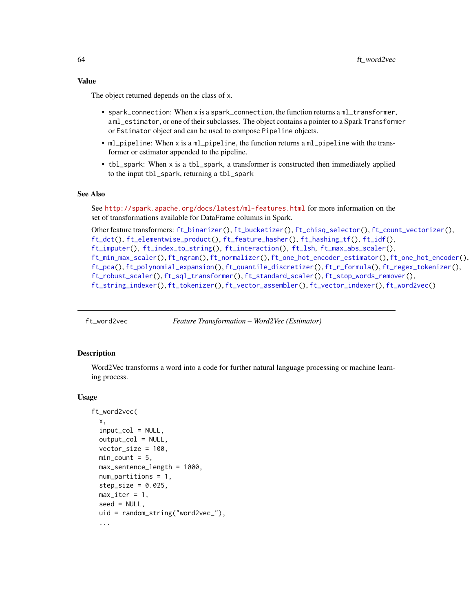The object returned depends on the class of x.

- spark\_connection: When x is a spark\_connection, the function returns a ml\_transformer, a ml\_estimator, or one of their subclasses. The object contains a pointer to a Spark Transformer or Estimator object and can be used to compose Pipeline objects.
- ml\_pipeline: When x is a ml\_pipeline, the function returns a ml\_pipeline with the transformer or estimator appended to the pipeline.
- tbl\_spark: When x is a tbl\_spark, a transformer is constructed then immediately applied to the input tbl\_spark, returning a tbl\_spark

## See Also

See <http://spark.apache.org/docs/latest/ml-features.html> for more information on the set of transformations available for DataFrame columns in Spark.

```
Other feature transformers: ft_binarizer(), ft_bucketizer(), ft_chisq_selector(), ft_count_vectorizer(),
ft_dct(), ft_elementwise_product(), ft_feature_hasher(), ft_hashing_tf(), ft_idf(),
ft_imputer(), ft_index_to_string(), ft_interaction(), ft_lsh, ft_max_abs_scaler(),
ft_min_max_scaler(), ft_ngram(), ft_normalizer(), ft_one_hot_encoder_estimator(), ft_one_hot_encoder(),
ft_pca(), ft_polynomial_expansion(), ft_quantile_discretizer(), ft_r_formula(), ft_regex_tokenizer(),
ft_robust_scaler(), ft_sql_transformer(), ft_standard_scaler(), ft_stop_words_remover(),
ft_string_indexer(), ft_tokenizer(), ft_vector_assembler(), ft_vector_indexer(), ft_word2vec()
```
<span id="page-63-0"></span>ft\_word2vec *Feature Transformation – Word2Vec (Estimator)*

## Description

Word2Vec transforms a word into a code for further natural language processing or machine learning process.

### Usage

```
ft_word2vec(
  x,
  input\_col = NULL,output\_col = NULL,vector_size = 100,
  min\_count = 5,
 max_sentence_length = 1000,
  num_partitions = 1,
  step_size = 0.025,
  max\_iter = 1,
  seed = NULL,
  uid = random_string("word2vec_"),
  ...
```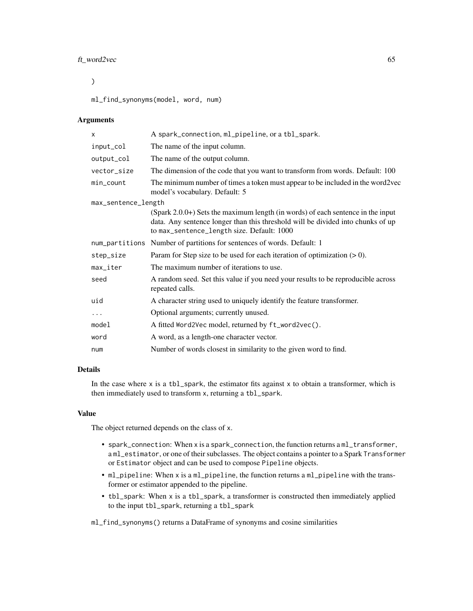# ft\_word2vec 65

# $\mathcal{L}$

ml\_find\_synonyms(model, word, num)

#### Arguments

| X                   | A spark_connection, ml_pipeline, or a tbl_spark.                                                                                                                                                                   |
|---------------------|--------------------------------------------------------------------------------------------------------------------------------------------------------------------------------------------------------------------|
| input_col           | The name of the input column.                                                                                                                                                                                      |
| output_col          | The name of the output column.                                                                                                                                                                                     |
| vector_size         | The dimension of the code that you want to transform from words. Default: 100                                                                                                                                      |
| min count           | The minimum number of times a token must appear to be included in the word2vec<br>model's vocabulary. Default: 5                                                                                                   |
| max_sentence_length |                                                                                                                                                                                                                    |
|                     | $(Spark 2.0.0+)$ Sets the maximum length (in words) of each sentence in the input<br>data. Any sentence longer than this threshold will be divided into chunks of up<br>to max_sentence_length size. Default: 1000 |
|                     | num_partitions Number of partitions for sentences of words. Default: 1                                                                                                                                             |
| step_size           | Param for Step size to be used for each iteration of optimization $(0.0)$ .                                                                                                                                        |
| max_iter            | The maximum number of iterations to use.                                                                                                                                                                           |
| seed                | A random seed. Set this value if you need your results to be reproducible across<br>repeated calls.                                                                                                                |
| uid                 | A character string used to uniquely identify the feature transformer.                                                                                                                                              |
| $\cdots$            | Optional arguments; currently unused.                                                                                                                                                                              |
| model               | A fitted Word2Vec model, returned by ft_word2vec().                                                                                                                                                                |
| word                | A word, as a length-one character vector.                                                                                                                                                                          |
| num                 | Number of words closest in similarity to the given word to find.                                                                                                                                                   |
|                     |                                                                                                                                                                                                                    |

# Details

In the case where  $x$  is a tbl\_spark, the estimator fits against  $x$  to obtain a transformer, which is then immediately used to transform x, returning a tbl\_spark.

# Value

The object returned depends on the class of x.

- spark\_connection: When x is a spark\_connection, the function returns a ml\_transformer, a ml\_estimator, or one of their subclasses. The object contains a pointer to a Spark Transformer or Estimator object and can be used to compose Pipeline objects.
- ml\_pipeline: When x is a ml\_pipeline, the function returns a ml\_pipeline with the transformer or estimator appended to the pipeline.
- tbl\_spark: When x is a tbl\_spark, a transformer is constructed then immediately applied to the input tbl\_spark, returning a tbl\_spark

ml\_find\_synonyms() returns a DataFrame of synonyms and cosine similarities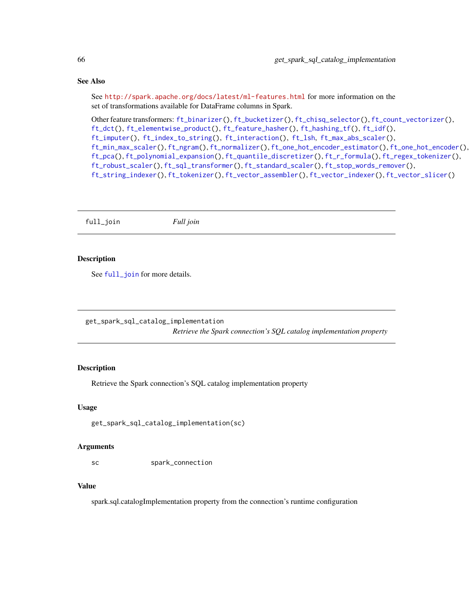# See Also

See <http://spark.apache.org/docs/latest/ml-features.html> for more information on the set of transformations available for DataFrame columns in Spark.

Other feature transformers: [ft\\_binarizer\(](#page-13-0)), [ft\\_bucketizer\(](#page-15-0)), [ft\\_chisq\\_selector\(](#page-17-0)), [ft\\_count\\_vectorizer\(](#page-19-0)), [ft\\_dct\(](#page-20-0)), [ft\\_elementwise\\_product\(](#page-22-0)), [ft\\_feature\\_hasher\(](#page-23-0)), [ft\\_hashing\\_tf\(](#page-25-0)), [ft\\_idf\(](#page-26-0)), [ft\\_imputer\(](#page-28-0)), [ft\\_index\\_to\\_string\(](#page-29-0)), [ft\\_interaction\(](#page-30-0)), [ft\\_lsh](#page-31-0), [ft\\_max\\_abs\\_scaler\(](#page-34-0)), [ft\\_min\\_max\\_scaler\(](#page-36-0)), [ft\\_ngram\(](#page-37-0)), [ft\\_normalizer\(](#page-39-0)), [ft\\_one\\_hot\\_encoder\\_estimator\(](#page-41-0)), [ft\\_one\\_hot\\_encoder\(](#page-40-0)), [ft\\_pca\(](#page-43-0)), [ft\\_polynomial\\_expansion\(](#page-44-0)), [ft\\_quantile\\_discretizer\(](#page-46-0)), [ft\\_r\\_formula\(](#page-50-0)), [ft\\_regex\\_tokenizer\(](#page-48-0)), [ft\\_robust\\_scaler\(](#page-49-0)), [ft\\_sql\\_transformer\(](#page-52-0)), [ft\\_standard\\_scaler\(](#page-54-0)), [ft\\_stop\\_words\\_remover\(](#page-55-0)), [ft\\_string\\_indexer\(](#page-57-0)), [ft\\_tokenizer\(](#page-58-0)), [ft\\_vector\\_assembler\(](#page-60-0)), [ft\\_vector\\_indexer\(](#page-61-0)), [ft\\_vector\\_slicer\(](#page-62-0))

<span id="page-65-0"></span>full\_join *Full join*

## Description

See [full\\_join](#page-65-0) for more details.

get\_spark\_sql\_catalog\_implementation

*Retrieve the Spark connection's SQL catalog implementation property*

# Description

Retrieve the Spark connection's SQL catalog implementation property

## Usage

```
get_spark_sql_catalog_implementation(sc)
```
## **Arguments**

sc spark\_connection

## Value

spark.sql.catalogImplementation property from the connection's runtime configuration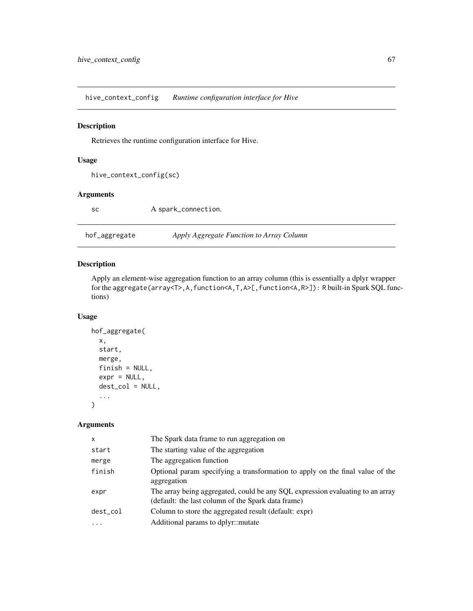hive\_context\_config *Runtime configuration interface for Hive*

# Description

Retrieves the runtime configuration interface for Hive.

## Usage

```
hive_context_config(sc)
```
# Arguments

sc A spark\_connection.

| hof_aggregate<br>Apply Aggregate Function to Array Column |  |
|-----------------------------------------------------------|--|
|-----------------------------------------------------------|--|

# Description

Apply an element-wise aggregation function to an array column (this is essentially a dplyr wrapper for the aggregate(array<T>,A,function<A,T,A>[,function<A,R>]): R built-in Spark SQL functions)

# Usage

```
hof_aggregate(
  x,
  start,
  merge,
  finish = NULL,
  expr = NULL,dest_col = NULL,
  ...
\mathcal{L}
```
## Arguments

| $\mathsf{x}$ | The Spark data frame to run aggregation on                                                                                           |
|--------------|--------------------------------------------------------------------------------------------------------------------------------------|
| start        | The starting value of the aggregation                                                                                                |
| merge        | The aggregation function                                                                                                             |
| finish       | Optional param specifying a transformation to apply on the final value of the<br>aggregation                                         |
| expr         | The array being aggregated, could be any SQL expression evaluating to an array<br>(default: the last column of the Spark data frame) |
| dest_col     | Column to store the aggregated result (default: expr)                                                                                |
|              | Additional params to dplyr:: mutate                                                                                                  |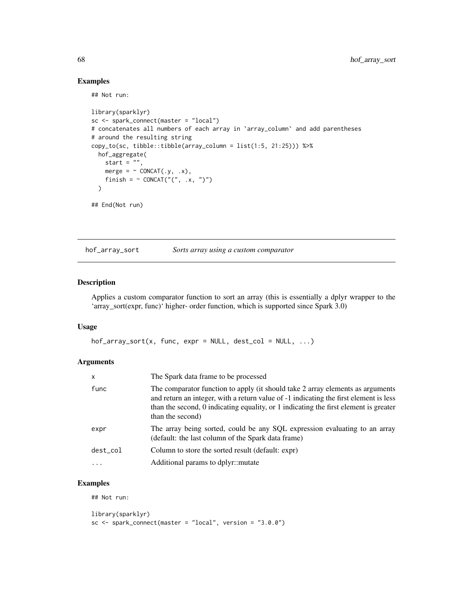# Examples

## Not run:

```
library(sparklyr)
sc <- spark_connect(master = "local")
# concatenates all numbers of each array in `array_column` and add parentheses
# around the resulting string
copy_to(sc, tibble::tibble(array_column = list(1:5, 21:25))) %>%
 hof_aggregate(
   start = ",
   merge = \sim CONCAT(.y, .x),
   finish = \sim CONCAT("(", .x, ")")
  )
## End(Not run)
```
hof\_array\_sort *Sorts array using a custom comparator*

# Description

Applies a custom comparator function to sort an array (this is essentially a dplyr wrapper to the 'array\_sort(expr, func)' higher- order function, which is supported since Spark 3.0)

# Usage

```
hof_array_sort(x, func, expr = NULL, dest_col = NULL, ...)
```
#### Arguments

| $\boldsymbol{\mathsf{x}}$ | The Spark data frame to be processed                                                                                                                                                                                                                                                |
|---------------------------|-------------------------------------------------------------------------------------------------------------------------------------------------------------------------------------------------------------------------------------------------------------------------------------|
| func                      | The comparator function to apply (it should take 2 array elements as arguments<br>and return an integer, with a return value of -1 indicating the first element is less<br>than the second, 0 indicating equality, or 1 indicating the first element is greater<br>than the second) |
| expr                      | The array being sorted, could be any SQL expression evaluating to an array<br>(default: the last column of the Spark data frame)                                                                                                                                                    |
| dest col                  | Column to store the sorted result (default: expr)                                                                                                                                                                                                                                   |
|                           | Additional params to dplyr::mutate                                                                                                                                                                                                                                                  |

# Examples

## Not run:

```
library(sparklyr)
sc \le spark_connect(master = "local", version = "3.0.0")
```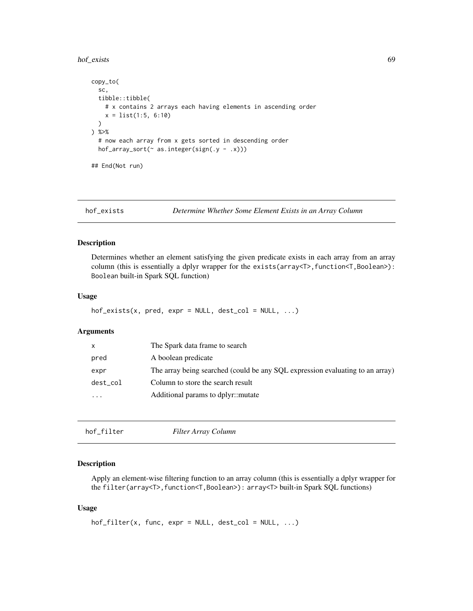hof\_exists 69

```
copy_to(
  sc,
  tibble::tibble(
   # x contains 2 arrays each having elements in ascending order
   x = list(1:5, 6:10))
) %>%
  # now each array from x gets sorted in descending order
  hof_array_sort(~ as.integer(sign(.y - .x)))
## End(Not run)
```
hof\_exists *Determine Whether Some Element Exists in an Array Column*

## Description

Determines whether an element satisfying the given predicate exists in each array from an array column (this is essentially a dplyr wrapper for the exists(array<T>,function<T,Boolean>): Boolean built-in Spark SQL function)

# Usage

```
hof\_exists(x, pred, expr = NULL, dest\_col = NULL, ...)
```
## Arguments

| $\mathsf{x}$ | The Spark data frame to search                                                |
|--------------|-------------------------------------------------------------------------------|
| pred         | A boolean predicate                                                           |
| expr         | The array being searched (could be any SQL expression evaluating to an array) |
| dest_col     | Column to store the search result                                             |
| $\cdots$     | Additional params to dplyr::mutate                                            |

|--|

## Description

Apply an element-wise filtering function to an array column (this is essentially a dplyr wrapper for the filter(array<T>,function<T,Boolean>): array<T> built-in Spark SQL functions)

## Usage

```
hof_fitter(x, func, expr = NULL, dest_col = NULL, ...)
```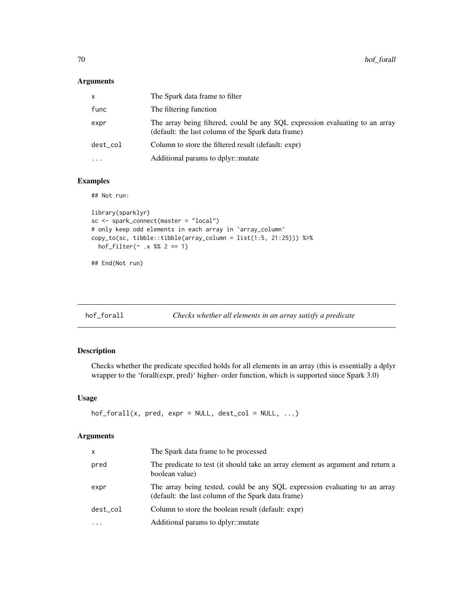70 hof\_forall

# Arguments

| x        | The Spark data frame to filter                                                                                                     |
|----------|------------------------------------------------------------------------------------------------------------------------------------|
| func     | The filtering function                                                                                                             |
| expr     | The array being filtered, could be any SQL expression evaluating to an array<br>(default: the last column of the Spark data frame) |
| dest_col | Column to store the filtered result (default: expr)                                                                                |
| .        | Additional params to dplyr::mutate                                                                                                 |

# Examples

## Not run:

```
library(sparklyr)
sc <- spark_connect(master = "local")
# only keep odd elements in each array in `array_column`
copy_to(sc, tibble::tibble(array_column = list(1:5, 21:25))) %>%
 hof_fitter(\sim .x % 2 == 1)
```
## End(Not run)

hof\_forall *Checks whether all elements in an array satisfy a predicate*

# Description

Checks whether the predicate specified holds for all elements in an array (this is essentially a dplyr wrapper to the 'forall(expr, pred)' higher- order function, which is supported since Spark 3.0)

# Usage

```
hof_forall(x, pred, expr = NULL, dest_col = NULL, ...)
```
# Arguments

| $\mathsf{x}$      | The Spark data frame to be processed                                                                                             |
|-------------------|----------------------------------------------------------------------------------------------------------------------------------|
| pred              | The predicate to test (it should take an array element as argument and return a<br>boolean value)                                |
| expr              | The array being tested, could be any SQL expression evaluating to an array<br>(default: the last column of the Spark data frame) |
| dest col          | Column to store the boolean result (default: expr)                                                                               |
| $\cdot\cdot\cdot$ | Additional params to dplyr::mutate                                                                                               |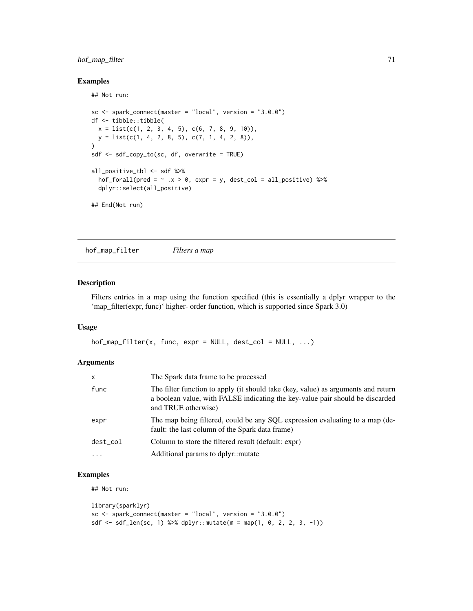# hof\_map\_filter 71

# Examples

## Not run:

```
sc \leq spark_connect(master = "local", version = "3.0.0")
df <- tibble::tibble(
  x = list(c(1, 2, 3, 4, 5), c(6, 7, 8, 9, 10)),y = list(c(1, 4, 2, 8, 5), c(7, 1, 4, 2, 8)),\mathcal{L}sdf <- sdf_copy_to(sc, df, overwrite = TRUE)
all_positive_tbl <- sdf %>%
 hof_forall(pred = \sim .x > 0, expr = y, dest_col = all_positive) %>%
  dplyr::select(all_positive)
## End(Not run)
```
hof\_map\_filter *Filters a map*

## Description

Filters entries in a map using the function specified (this is essentially a dplyr wrapper to the 'map\_filter(expr, func)' higher- order function, which is supported since Spark 3.0)

## Usage

```
hof_map_fitter(x, func, expr = NULL, dest_col = NULL, ...)
```
#### Arguments

| $\mathsf{x}$ | The Spark data frame to be processed                                                                                                                                                      |
|--------------|-------------------------------------------------------------------------------------------------------------------------------------------------------------------------------------------|
| func         | The filter function to apply (it should take (key, value) as arguments and return<br>a boolean value, with FALSE indicating the key-value pair should be discarded<br>and TRUE otherwise) |
| expr         | The map being filtered, could be any SQL expression evaluating to a map (de-<br>fault: the last column of the Spark data frame)                                                           |
| dest col     | Column to store the filtered result (default: expr)                                                                                                                                       |
| $\ddotsc$    | Additional params to dplyr:: mutate                                                                                                                                                       |

# Examples

## Not run:

```
library(sparklyr)
sc \leq spark_connect(master = "local", version = "3.0.0")
sdf \leq sdf_{\text{len}(sc, 1)} \gg \text{dplyr:}: mutate(m = \text{map}(1, 0, 2, 2, 3, -1))
```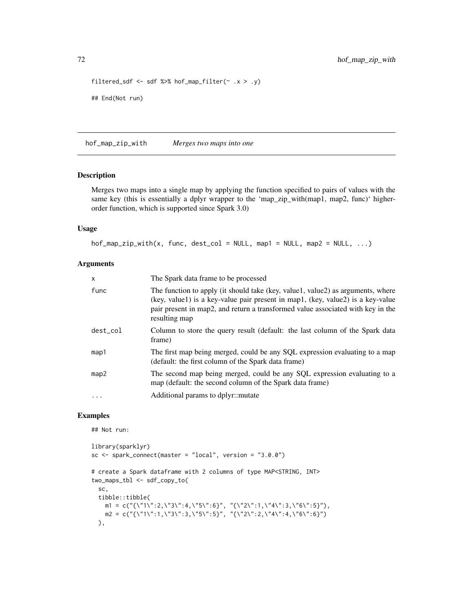```
filtered_sdf <- sdf %>% hof_map_filter(\sim .x > .y)
## End(Not run)
```
hof\_map\_zip\_with *Merges two maps into one*

# Description

Merges two maps into a single map by applying the function specified to pairs of values with the same key (this is essentially a dplyr wrapper to the 'map\_zip\_with(map1, map2, func)' higherorder function, which is supported since Spark 3.0)

# Usage

```
hof_map_zip_with(x, func, dest_col = NULL, map1 = NULL, map2 = NULL, ...)
```
# Arguments

| X        | The Spark data frame to be processed                                                                                                                                                                                                                                   |
|----------|------------------------------------------------------------------------------------------------------------------------------------------------------------------------------------------------------------------------------------------------------------------------|
| func     | The function to apply (it should take (key, value1, value2) as arguments, where<br>(key, value1) is a key-value pair present in map1, (key, value2) is a key-value<br>pair present in map2, and return a transformed value associated with key in the<br>resulting map |
| dest_col | Column to store the query result (default: the last column of the Spark data<br>frame)                                                                                                                                                                                 |
| map1     | The first map being merged, could be any SQL expression evaluating to a map<br>(default: the first column of the Spark data frame)                                                                                                                                     |
| map2     | The second map being merged, could be any SQL expression evaluating to a<br>map (default: the second column of the Spark data frame)                                                                                                                                   |
| .        | Additional params to dplyr::mutate                                                                                                                                                                                                                                     |

# Examples

```
## Not run:
```

```
library(sparklyr)
sc \le spark_connect(master = "local", version = "3.0.0")
# create a Spark dataframe with 2 columns of type MAP<STRING, INT>
two_maps_tbl <- sdf_copy_to(
  sc,
  tibble::tibble(
      m1 = c("{\n    '"\{ \n    ''\n    '1\n    ''\n    '2\n    '3\n    ''\n    '4\n    '5\n    ''\n    '6\n    ''\n    '7\n    '7\n    '1\n    '1\n    '4\n    ''\n    '3\n    '6\n    ''\n    '5\n    '9\n    ,m2 = c("{\"1\":1,\"3\":3,\"5\":5}", "{\"2\":2,\"4\":4,\"6\":6}")
  ),
```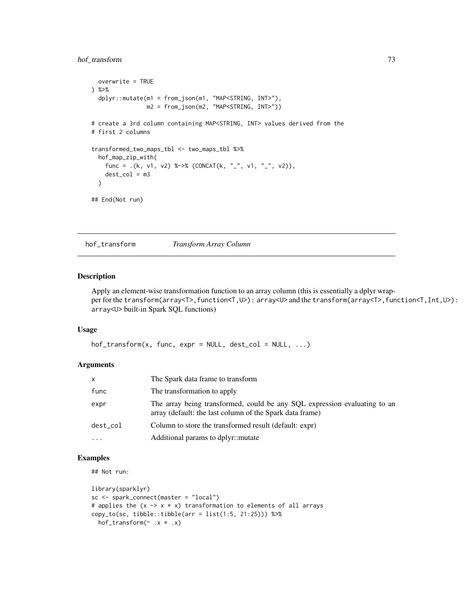## hof\_transform 73

```
overwrite = TRUE
) %>%
 dplyr::mutate(m1 = from_json(m1, "MAP<STRING, INT>"),
                m2 = from_json(m2, "MAP<STRING, INT>"))
# create a 3rd column containing MAP<STRING, INT> values derived from the
# first 2 columns
transformed_two_maps_tbl <- two_maps_tbl %>%
 hof_map_zip_with(
    func = .(k, v1, v2) %->% (CONCAT(k, "''_v, v1, "''_v, v2)),
   dest\_col = m3)
## End(Not run)
```
hof\_transform *Transform Array Column*

#### Description

Apply an element-wise transformation function to an array column (this is essentially a dplyr wrapper for the transform(array<T>,function<T,U>): array<U> and the transform(array<T>,function<T,Int,U>): array<U> built-in Spark SQL functions)

#### Usage

```
hof_Lransform(x, func, expr = NULL, dest\_col = NULL, ...)
```
## Arguments

| $\mathsf{x}$ | The Spark data frame to transform                                                                                                     |
|--------------|---------------------------------------------------------------------------------------------------------------------------------------|
| func         | The transformation to apply                                                                                                           |
| expr         | The array being transformed, could be any SQL expression evaluating to an<br>array (default: the last column of the Spark data frame) |
| dest_col     | Column to store the transformed result (default: expr)                                                                                |
|              | Additional params to dplyr::mutate                                                                                                    |

# Examples

## Not run:

```
library(sparklyr)
sc <- spark_connect(master = "local")
# applies the (x \rightarrow x * x) transformation to elements of all arrays
copy_to(se, tibble::tibble(ar = list(1:5, 21:25))) %>%
 hof_transform(~ .x * .x)
```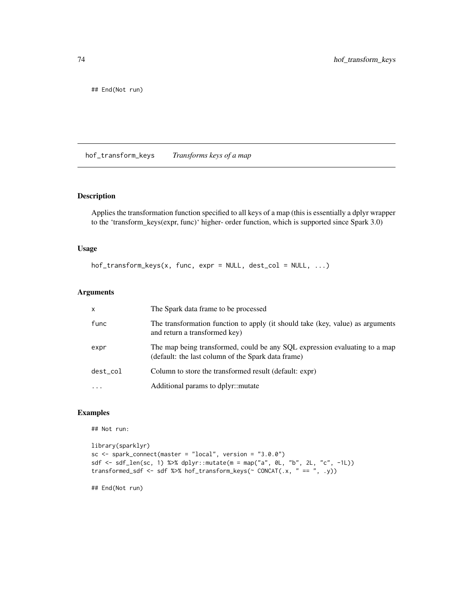## End(Not run)

hof\_transform\_keys *Transforms keys of a map*

### Description

Applies the transformation function specified to all keys of a map (this is essentially a dplyr wrapper to the 'transform\_keys(expr, func)' higher- order function, which is supported since Spark 3.0)

#### Usage

```
hof_transform_keys(x, func, expr = NULL, dest_col = NULL, ...)
```
## Arguments

| X        | The Spark data frame to be processed                                                                                             |
|----------|----------------------------------------------------------------------------------------------------------------------------------|
| func     | The transformation function to apply (it should take (key, value) as arguments<br>and return a transformed key)                  |
| expr     | The map being transformed, could be any SQL expression evaluating to a map<br>(default: the last column of the Spark data frame) |
| dest col | Column to store the transformed result (default: expr)                                                                           |
| $\cdots$ | Additional params to dplyr::mutate                                                                                               |

## Examples

## Not run:

```
library(sparklyr)
sc \leftarrow spark_connect(master = "local", version = "3.0.0")
sdf <- sdf_len(sc, 1) %>% dplyr::mutate(m = map("a", 0L, "b", 2L, "c", -1L))
transformed_sdf <- sdf %>% hof_transform_keys(~ CONCAT(.x, " == ", .y))
```
## End(Not run)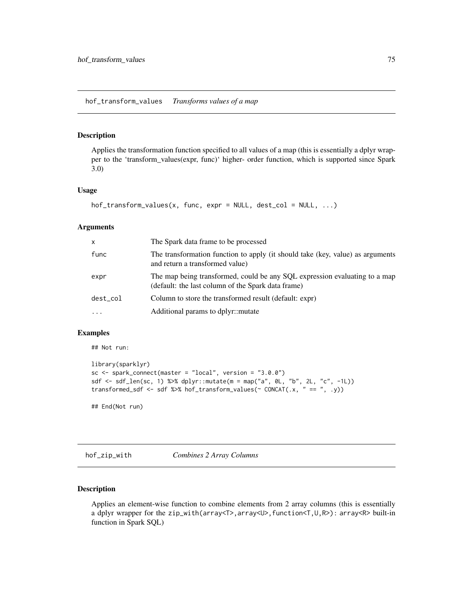## Description

Applies the transformation function specified to all values of a map (this is essentially a dplyr wrapper to the 'transform\_values(expr, func)' higher- order function, which is supported since Spark 3.0)

## Usage

```
hof_{transform\_values(x, func, expr = NULL, dest_{col} = NULL, ...)
```
#### Arguments

| x         | The Spark data frame to be processed                                                                                             |
|-----------|----------------------------------------------------------------------------------------------------------------------------------|
| func      | The transformation function to apply (it should take (key, value) as arguments<br>and return a transformed value)                |
| expr      | The map being transformed, could be any SQL expression evaluating to a map<br>(default: the last column of the Spark data frame) |
| dest col  | Column to store the transformed result (default: expr)                                                                           |
| $\ddotsc$ | Additional params to dplyr::mutate                                                                                               |

## Examples

## Not run:

```
library(sparklyr)
sc \leftarrow spark_connect(master = "local", version = "3.0.0")
sdf <- sdf_len(sc, 1) %>% dplyr::mutate(m = map("a", 0L, "b", 2L, "c", -1L))
transformed_sdf <- sdf %>% hof_transform_values(~ CONCAT(.x, " == ", .y))
```
## End(Not run)

hof\_zip\_with *Combines 2 Array Columns*

## Description

Applies an element-wise function to combine elements from 2 array columns (this is essentially a dplyr wrapper for the zip\_with(array<T>,array<U>,function<T,U,R>): array<R> built-in function in Spark SQL)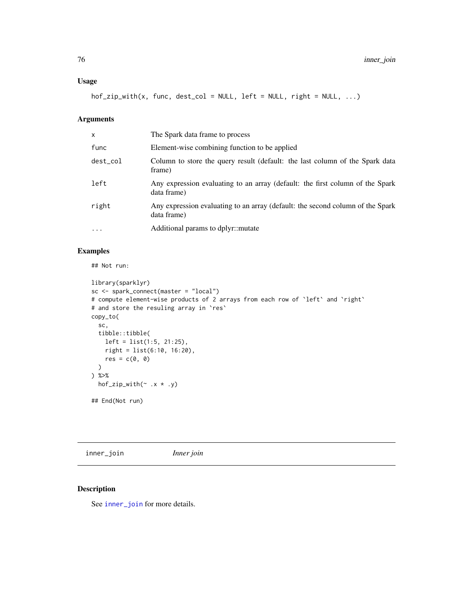### Usage

hof\_zip\_with(x, func, dest\_col = NULL, left = NULL, right = NULL, ...)

### Arguments

| X        | The Spark data frame to process                                                               |
|----------|-----------------------------------------------------------------------------------------------|
| func     | Element-wise combining function to be applied                                                 |
| dest_col | Column to store the query result (default: the last column of the Spark data<br>frame)        |
| left     | Any expression evaluating to an array (default: the first column of the Spark<br>data frame)  |
| right    | Any expression evaluating to an array (default: the second column of the Spark<br>data frame) |
| $\cdots$ | Additional params to dplyr::mutate                                                            |

## Examples

## Not run:

```
library(sparklyr)
sc <- spark_connect(master = "local")
# compute element-wise products of 2 arrays from each row of `left` and `right`
# and store the resuling array in `res`
copy_to(
  sc,
  tibble::tibble(
    left = list(1:5, 21:25),
    right = list(6:10, 16:20),
    res = c(0, 0))
) %>%
  hof_zip_with(~ .x * .y)
## End(Not run)
```
<span id="page-75-0"></span>inner\_join *Inner join*

## Description

See [inner\\_join](#page-75-0) for more details.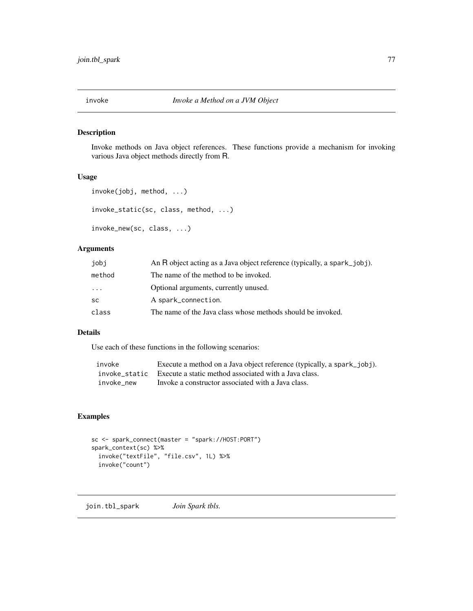## Description

Invoke methods on Java object references. These functions provide a mechanism for invoking various Java object methods directly from R.

### Usage

```
invoke(jobj, method, ...)
invoke_static(sc, class, method, ...)
invoke_new(sc, class, ...)
```
### Arguments

| jobj       | An R object acting as a Java object reference (typically, a spark_jobj). |
|------------|--------------------------------------------------------------------------|
| method     | The name of the method to be invoked.                                    |
| $\ddots$ . | Optional arguments, currently unused.                                    |
| <b>SC</b>  | A spark_connection.                                                      |
| class      | The name of the Java class whose methods should be invoked.              |

### Details

Use each of these functions in the following scenarios:

| invoke     | Execute a method on a Java object reference (typically, a spark_jobj). |
|------------|------------------------------------------------------------------------|
|            | invoke static Execute a static method associated with a Java class.    |
| invoke new | Invoke a constructor associated with a Java class.                     |

## Examples

sc <- spark\_connect(master = "spark://HOST:PORT") spark\_context(sc) %>% invoke("textFile", "file.csv", 1L) %>% invoke("count")

join.tbl\_spark *Join Spark tbls.*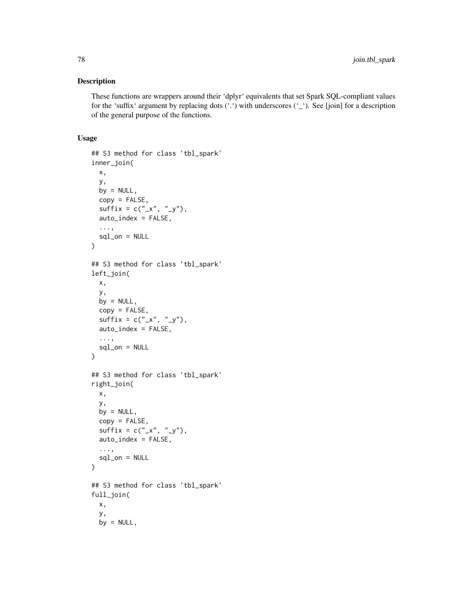### Description

These functions are wrappers around their 'dplyr' equivalents that set Spark SQL-compliant values for the 'suffix' argument by replacing dots ('.') with underscores ('\_'). See [join] for a description of the general purpose of the functions.

#### Usage

```
## S3 method for class 'tbl_spark'
inner_join(
 x,
 y,
 by = NULL,
  copy = FALSE,
  sufficient = c("_x", "_y"),auto_index = FALSE,
  ...,
  sql\_on = NULL)
## S3 method for class 'tbl_spark'
left_join(
 x,
 y,
 by = NULL,
  copy = FALSE,sufficient = c("_x", "_y"),auto_index = FALSE,
  ...,
  sql\_on = NULL)
## S3 method for class 'tbl_spark'
right_join(
 x,
 y,
 by = NULL,
  copy = FALSE,sufficient = c("_x", "_y"),auto_index = FALSE,
  ...,
  sql\_on = NULL\mathcal{L}## S3 method for class 'tbl_spark'
full_join(
 x,
 y,
 by = NULL,
```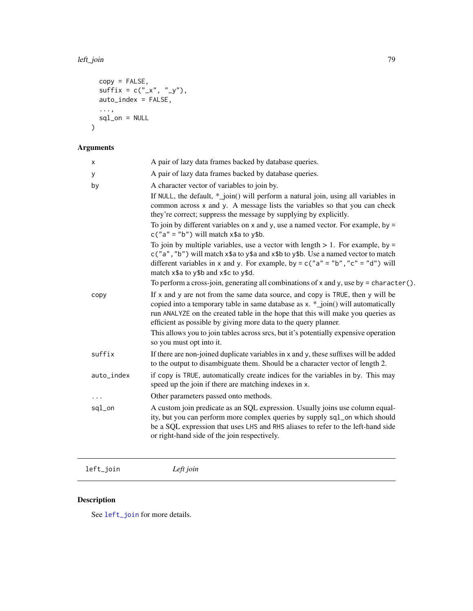### left\_join 79

```
copy = FALSE,
  suffix = c("x", "y"),
  auto_index = FALSE,
  ...,
  sql_on = NULL
\mathcal{L}
```
# Arguments

| X          | A pair of lazy data frames backed by database queries.                                                                                                                                                                                                                                                                         |
|------------|--------------------------------------------------------------------------------------------------------------------------------------------------------------------------------------------------------------------------------------------------------------------------------------------------------------------------------|
| у          | A pair of lazy data frames backed by database queries.                                                                                                                                                                                                                                                                         |
| by         | A character vector of variables to join by.                                                                                                                                                                                                                                                                                    |
|            | If NULL, the default, $*$ _join() will perform a natural join, using all variables in<br>common across x and y. A message lists the variables so that you can check<br>they're correct; suppress the message by supplying by explicitly.                                                                                       |
|            | To join by different variables on $x$ and $y$ , use a named vector. For example, by =<br>$c("a" = "b")$ will match $x$ \$a to $y$ \$b.                                                                                                                                                                                         |
|            | To join by multiple variables, use a vector with length $> 1$ . For example, by =<br>c("a", "b") will match x\$a to y\$a and x\$b to y\$b. Use a named vector to match<br>different variables in x and y. For example, by = $c("a" = "b", "c" = "d")$ will<br>match x\$a to y\$b and x\$c to y\$d.                             |
|            | To perform a cross-join, generating all combinations of x and y, use by = character().                                                                                                                                                                                                                                         |
| copy       | If $x$ and $y$ are not from the same data source, and copy is TRUE, then $y$ will be<br>copied into a temporary table in same database as x. *_join() will automatically<br>run ANALYZE on the created table in the hope that this will make you queries as<br>efficient as possible by giving more data to the query planner. |
|            | This allows you to join tables across srcs, but it's potentially expensive operation<br>so you must opt into it.                                                                                                                                                                                                               |
| suffix     | If there are non-joined duplicate variables in x and y, these suffixes will be added<br>to the output to disambiguate them. Should be a character vector of length 2.                                                                                                                                                          |
| auto_index | if copy is TRUE, automatically create indices for the variables in by. This may<br>speed up the join if there are matching indexes in x.                                                                                                                                                                                       |
| $\cdots$   | Other parameters passed onto methods.                                                                                                                                                                                                                                                                                          |
| sql_on     | A custom join predicate as an SQL expression. Usually joins use column equal-<br>ity, but you can perform more complex queries by supply sql_on which should<br>be a SQL expression that uses LHS and RHS aliases to refer to the left-hand side<br>or right-hand side of the join respectively.                               |
|            |                                                                                                                                                                                                                                                                                                                                |

<span id="page-78-0"></span>left\_join *Left join*

# Description

See [left\\_join](#page-78-0) for more details.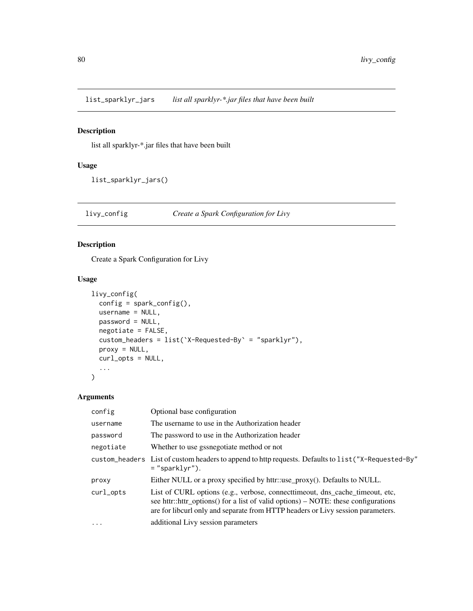list\_sparklyr\_jars *list all sparklyr-\*.jar files that have been built*

## Description

list all sparklyr-\*.jar files that have been built

## Usage

```
list_sparklyr_jars()
```
livy\_config *Create a Spark Configuration for Livy*

## Description

Create a Spark Configuration for Livy

## Usage

```
livy_config(
  config = spark\_config(),username = NULL,
  password = NULL,
  negotiate = FALSE,
  custom_headers = list(`X-Requested-By` = "sparklyr"),
  proxy = NULL,
  curl_opts = NULL,
  ...
)
```
## Arguments

| config    | Optional base configuration                                                                                                                                                                                                                           |
|-----------|-------------------------------------------------------------------------------------------------------------------------------------------------------------------------------------------------------------------------------------------------------|
| username  | The username to use in the Authorization header                                                                                                                                                                                                       |
| password  | The password to use in the Authorization header                                                                                                                                                                                                       |
| negotiate | Whether to use gssnegotiate method or not                                                                                                                                                                                                             |
|           | custom_headers List of custom headers to append to http requests. Defaults to list ("X-Requested-By"<br>$=$ "sparklyr").                                                                                                                              |
| proxy     | Either NULL or a proxy specified by httr::use_proxy(). Defaults to NULL.                                                                                                                                                                              |
| curl_opts | List of CURL options (e.g., verbose, connecttimeout, dns_cache_timeout, etc,<br>see httr::httr_options() for a list of valid options) – NOTE: these configurations<br>are for libcurl only and separate from HTTP headers or Livy session parameters. |
| $\ddotsc$ | additional Livy session parameters                                                                                                                                                                                                                    |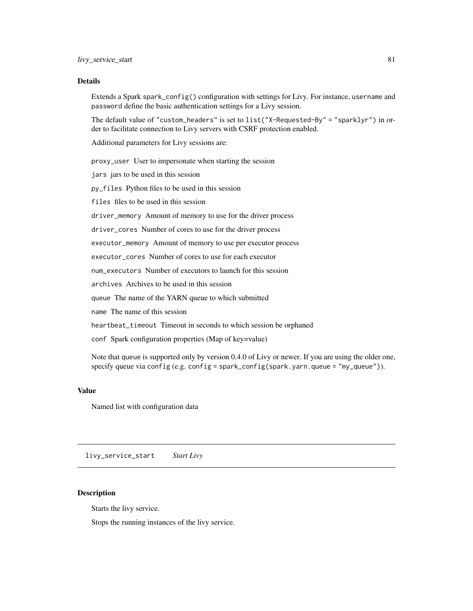### Details

Extends a Spark spark\_config() configuration with settings for Livy. For instance, username and password define the basic authentication settings for a Livy session.

The default value of "custom\_headers" is set to list("X-Requested-By" = "sparklyr") in order to facilitate connection to Livy servers with CSRF protection enabled.

Additional parameters for Livy sessions are:

proxy\_user User to impersonate when starting the session

jars jars to be used in this session

py\_files Python files to be used in this session

files files to be used in this session

driver\_memory Amount of memory to use for the driver process

driver\_cores Number of cores to use for the driver process

executor\_memory Amount of memory to use per executor process

executor cores Number of cores to use for each executor

num\_executors Number of executors to launch for this session

archives Archives to be used in this session

queue The name of the YARN queue to which submitted

name The name of this session

heartbeat\_timeout Timeout in seconds to which session be orphaned

conf Spark configuration properties (Map of key=value)

Note that queue is supported only by version 0.4.0 of Livy or newer. If you are using the older one, specify queue via config (e.g. config = spark\_config(spark.yarn.queue = "my\_queue")).

#### Value

Named list with configuration data

livy\_service\_start *Start Livy*

### Description

Starts the livy service.

Stops the running instances of the livy service.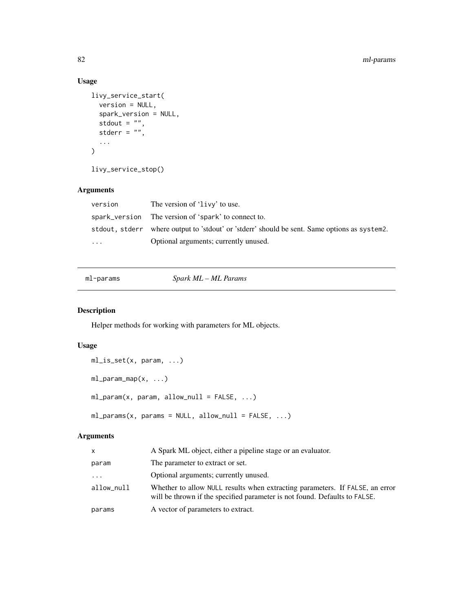# Usage

```
livy_service_start(
 version = NULL,
  spark_version = NULL,
  stdout = ",
  stderr = "",
  ...
)
```
livy\_service\_stop()

## Arguments

| version   | The version of 'livy' to use.                                                                |
|-----------|----------------------------------------------------------------------------------------------|
|           | spark_version The version of 'spark' to connect to.                                          |
|           | stdout, stderr where output to 'stdout' or 'stderr' should be sent. Same options as system2. |
| $\ddotsc$ | Optional arguments; currently unused.                                                        |

ml-params *Spark ML – ML Params*

# Description

Helper methods for working with parameters for ML objects.

## Usage

```
ml_is_set(x, param, ...)
ml_param_map(x, ...)
ml_param(x, param, allow_null = FALSE, ...)
ml_params(x, parents = NULL, allow\_null = FALSE, ...)
```
## Arguments

| x          | A Spark ML object, either a pipeline stage or an evaluator.                                                                                                |
|------------|------------------------------------------------------------------------------------------------------------------------------------------------------------|
| param      | The parameter to extract or set.                                                                                                                           |
| .          | Optional arguments; currently unused.                                                                                                                      |
| allow_null | Whether to allow NULL results when extracting parameters. If FALSE, an error<br>will be thrown if the specified parameter is not found. Defaults to FALSE. |
| params     | A vector of parameters to extract.                                                                                                                         |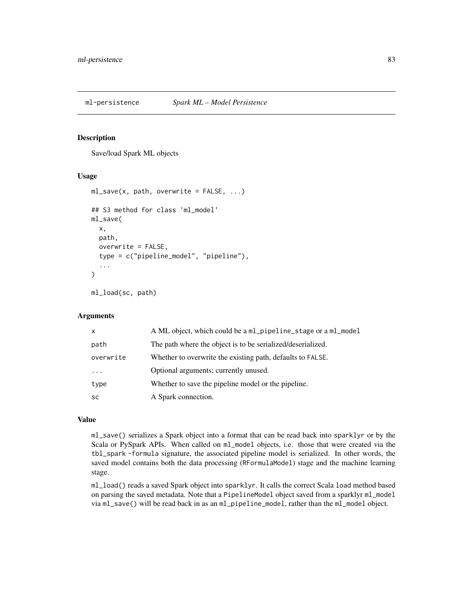#### <span id="page-82-0"></span>Description

Save/load Spark ML objects

### Usage

```
ml\_save(x, path, overwrite = FALSE, ...)## S3 method for class 'ml_model'
ml_save(
 x,
 path,
 overwrite = FALSE,
  type = c("pipeline_model", "pipeline"),
  ...
\mathcal{L}
```
ml\_load(sc, path)

### Arguments

| $\mathsf{x}$ | A ML object, which could be a ml_pipeline_stage or a ml_model |
|--------------|---------------------------------------------------------------|
| path         | The path where the object is to be serialized/deserialized.   |
| overwrite    | Whether to overwrite the existing path, defaults to FALSE.    |
| .            | Optional arguments; currently unused.                         |
| type         | Whether to save the pipeline model or the pipeline.           |
| <b>SC</b>    | A Spark connection.                                           |

## Value

ml\_save() serializes a Spark object into a format that can be read back into sparklyr or by the Scala or PySpark APIs. When called on ml\_model objects, i.e. those that were created via the tbl\_spark -formula signature, the associated pipeline model is serialized. In other words, the saved model contains both the data processing (RFormulaModel) stage and the machine learning stage.

ml\_load() reads a saved Spark object into sparklyr. It calls the correct Scala load method based on parsing the saved metadata. Note that a PipelineModel object saved from a sparklyr ml\_model via ml\_save() will be read back in as an ml\_pipeline\_model, rather than the ml\_model object.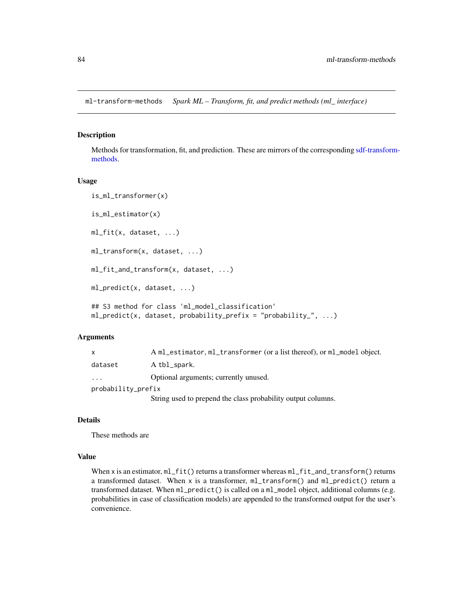ml-transform-methods *Spark ML – Transform, fit, and predict methods (ml\_ interface)*

### Description

Methods for transformation, fit, and prediction. These are mirrors of the corresponding [sdf-transform](#page-161-0)[methods.](#page-161-0)

### Usage

```
is_ml_transformer(x)
is_ml_estimator(x)
ml_fit(x, dataset, ...)
ml_transform(x, dataset, ...)
ml_fit_and_transform(x, dataset, ...)
ml_predict(x, dataset, ...)
## S3 method for class 'ml_model_classification'
ml_predict(x, dataset, probability_prefix = "probability_", ...)
```
### Arguments

| X                  | A ml_estimator, ml_transformer (or a list thereof), or ml_model object. |
|--------------------|-------------------------------------------------------------------------|
| dataset            | A tbl_spark.                                                            |
| $\cdot$            | Optional arguments; currently unused.                                   |
| probability_prefix |                                                                         |
|                    | String used to prepend the class probability output columns.            |

### Details

These methods are

## Value

When x is an estimator, ml\_fit() returns a transformer whereas ml\_fit\_and\_transform() returns a transformed dataset. When x is a transformer, ml\_transform() and ml\_predict() return a transformed dataset. When ml\_predict() is called on a ml\_model object, additional columns (e.g. probabilities in case of classification models) are appended to the transformed output for the user's convenience.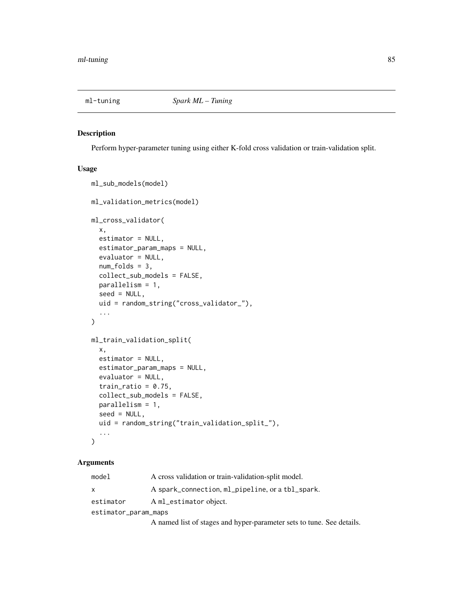### Description

Perform hyper-parameter tuning using either K-fold cross validation or train-validation split.

### Usage

```
ml_sub_models(model)
ml_validation_metrics(model)
ml_cross_validator(
  x,
 estimator = NULL,
  estimator_param_maps = NULL,
  evaluator = NULL,
 num_folds = 3,
  collect_sub_models = FALSE,
  parallelism = 1,
  seed = NULL,
 uid = random_string("cross_validator_"),
  ...
)
ml_train_validation_split(
  x,
 estimator = NULL,
 estimator_param_maps = NULL,
 evaluator = NULL,
  train_ratio = 0.75,
  collect_sub_models = FALSE,
 parallelism = 1,
  seed = NULL,
 uid = random_string("train_validation_split_"),
  ...
\mathcal{L}
```
## Arguments

| model                | A cross validation or train-validation-split model. |  |  |
|----------------------|-----------------------------------------------------|--|--|
| $\mathsf{x}$         | A spark_connection, ml_pipeline, or a tbl_spark.    |  |  |
| estimator            | A ml_estimator object.                              |  |  |
| estimator_param_maps |                                                     |  |  |
|                      |                                                     |  |  |

A named list of stages and hyper-parameter sets to tune. See details.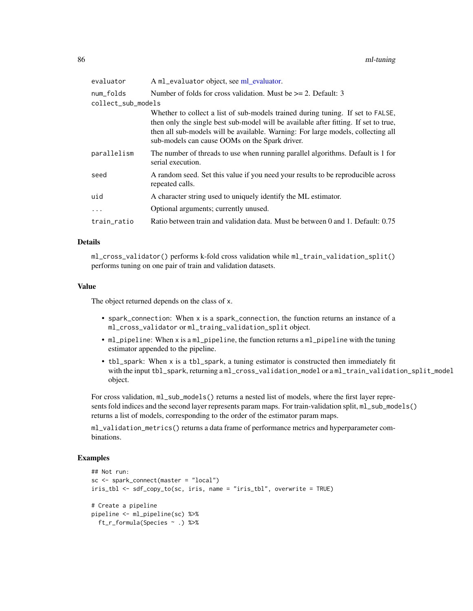| evaluator          | A ml_evaluator object, see ml_evaluator.                                                                                                                                                                                                                                                                      |
|--------------------|---------------------------------------------------------------------------------------------------------------------------------------------------------------------------------------------------------------------------------------------------------------------------------------------------------------|
| num_folds          | Number of folds for cross validation. Must be $\geq$ 2. Default: 3                                                                                                                                                                                                                                            |
| collect_sub_models |                                                                                                                                                                                                                                                                                                               |
|                    | Whether to collect a list of sub-models trained during tuning. If set to FALSE,<br>then only the single best sub-model will be available after fitting. If set to true,<br>then all sub-models will be available. Warning: For large models, collecting all<br>sub-models can cause OOMs on the Spark driver. |
| parallelism        | The number of threads to use when running parallel algorithms. Default is 1 for<br>serial execution.                                                                                                                                                                                                          |
| seed               | A random seed. Set this value if you need your results to be reproducible across<br>repeated calls.                                                                                                                                                                                                           |
| uid                | A character string used to uniquely identify the ML estimator.                                                                                                                                                                                                                                                |
| $\ddots$           | Optional arguments; currently unused.                                                                                                                                                                                                                                                                         |
| train_ratio        | Ratio between train and validation data. Must be between 0 and 1. Default: 0.75                                                                                                                                                                                                                               |

### Details

ml\_cross\_validator() performs k-fold cross validation while ml\_train\_validation\_split() performs tuning on one pair of train and validation datasets.

### Value

The object returned depends on the class of x.

- spark\_connection: When x is a spark\_connection, the function returns an instance of a ml\_cross\_validator or ml\_traing\_validation\_split object.
- ml\_pipeline: When x is a ml\_pipeline, the function returns a ml\_pipeline with the tuning estimator appended to the pipeline.
- tbl\_spark: When x is a tbl\_spark, a tuning estimator is constructed then immediately fit with the input tbl\_spark, returning a ml\_cross\_validation\_model or a ml\_train\_validation\_split\_model object.

For cross validation, ml\_sub\_models() returns a nested list of models, where the first layer represents fold indices and the second layer represents param maps. For train-validation split,  $ml$ <sub>sub</sub>\_models() returns a list of models, corresponding to the order of the estimator param maps.

ml\_validation\_metrics() returns a data frame of performance metrics and hyperparameter combinations.

### Examples

```
## Not run:
sc <- spark_connect(master = "local")
iris_tbl <- sdf_copy_to(sc, iris, name = "iris_tbl", overwrite = TRUE)
# Create a pipeline
pipeline <- ml_pipeline(sc) %>%
 ft_r_formula(Species ~ .) %>%
```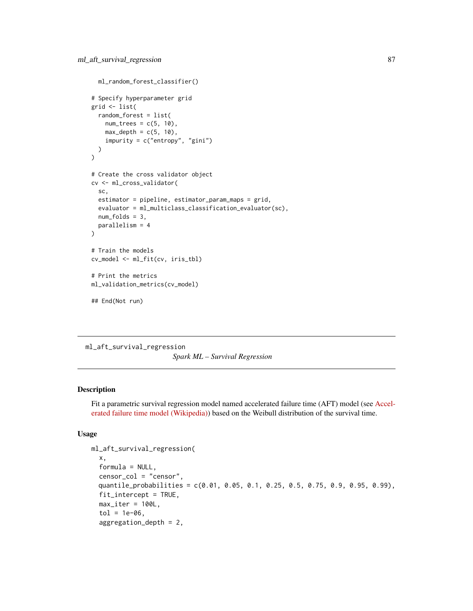```
ml_random_forest_classifier()
# Specify hyperparameter grid
grid <- list(
  random_forest = list(
    num\_trees = c(5, 10),max\_depth = c(5, 10),
    impurity = c("entropy", "gini")
  \lambda\lambda# Create the cross validator object
cv <- ml_cross_validator(
  sc,
  estimator = pipeline, estimator_param_maps = grid,
  evaluator = ml_multiclass_classification_evaluator(sc),
  num_folds = 3,
  parallelism = 4
)
# Train the models
cv_model <- ml_fit(cv, iris_tbl)
# Print the metrics
ml_validation_metrics(cv_model)
## End(Not run)
```
<span id="page-86-0"></span>ml\_aft\_survival\_regression *Spark ML – Survival Regression*

### Description

Fit a parametric survival regression model named accelerated failure time (AFT) model (see [Accel](https://en.wikipedia.org/wiki/Accelerated_failure_time_model)[erated failure time model \(Wikipedia\)\)](https://en.wikipedia.org/wiki/Accelerated_failure_time_model) based on the Weibull distribution of the survival time.

### Usage

```
ml_aft_survival_regression(
  x,
  formula = NULL,
  censor_col = "censor",
 quantile_probabilities = c(0.01, 0.05, 0.1, 0.25, 0.5, 0.75, 0.9, 0.95, 0.99),
  fit<sub>_</sub>intercept = TRUE,
  max\_iter = 100L,tol = 1e-06,aggregation_depth = 2,
```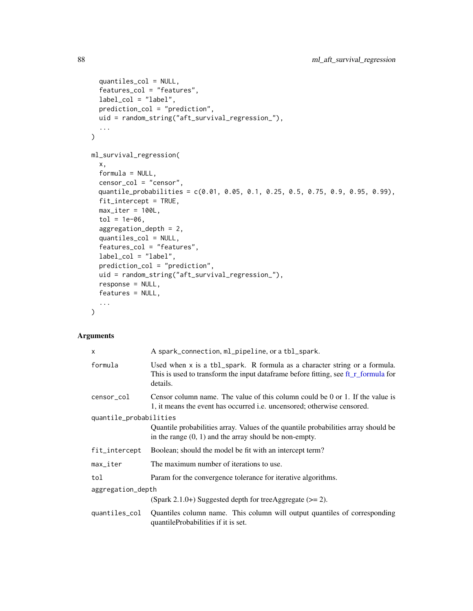```
quantiles_col = NULL,
  features_col = "features",
  label_col = "label",
 prediction_col = "prediction",
 uid = random_string("aft_survival_regression_"),
  ...
\mathcal{L}ml_survival_regression(
  x,
  formula = NULL,
  censor_col = "censor",
 quantile_probabilities = c(0.01, 0.05, 0.1, 0.25, 0.5, 0.75, 0.9, 0.95, 0.99),
 fit_intercept = TRUE,
 max\_iter = 100L,tol = 1e-06,aggregation_depth = 2,
  quantiles_col = NULL,
  features_col = "features",
  label_col = "label",
 prediction_col = "prediction",
 uid = random_string("aft_survival_regression_"),
  response = NULL,
 features = NULL,
  ...
\mathcal{L}
```
### Arguments

| $\mathsf{x}$           | A spark_connection, ml_pipeline, or a tbl_spark.                                                                                                                              |  |
|------------------------|-------------------------------------------------------------------------------------------------------------------------------------------------------------------------------|--|
| formula                | Used when $x$ is a tbl_spark. R formula as a character string or a formula.<br>This is used to transform the input dataframe before fitting, see ft_r_formula for<br>details. |  |
| censor_col             | Censor column name. The value of this column could be 0 or 1. If the value is<br>1, it means the event has occurred <i>i.e.</i> uncensored; otherwise censored.               |  |
| quantile_probabilities |                                                                                                                                                                               |  |
|                        | Quantile probabilities array. Values of the quantile probabilities array should be<br>in the range $(0, 1)$ and the array should be non-empty.                                |  |
| fit_intercept          | Boolean; should the model be fit with an intercept term?                                                                                                                      |  |
| $max$ <sub>Liter</sub> | The maximum number of iterations to use.                                                                                                                                      |  |
| tol                    | Param for the convergence tolerance for iterative algorithms.                                                                                                                 |  |
| aggregation_depth      |                                                                                                                                                                               |  |
|                        | (Spark 2.1.0+) Suggested depth for tree Aggregate $(>= 2)$ .                                                                                                                  |  |
| quantiles_col          | Quantiles column name. This column will output quantiles of corresponding<br>quantile Probabilities if it is set.                                                             |  |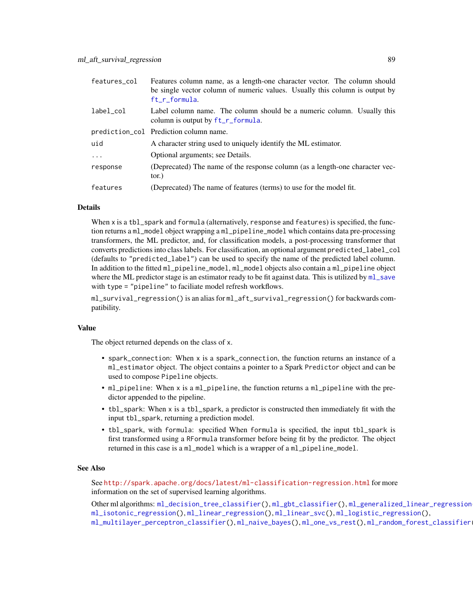| features_col | Features column name, as a length-one character vector. The column should<br>be single vector column of numeric values. Usually this column is output by<br>ft_r_formula. |
|--------------|---------------------------------------------------------------------------------------------------------------------------------------------------------------------------|
| label_col    | Label column name. The column should be a numeric column. Usually this<br>column is output by ft_r_formula.                                                               |
|              | prediction_col Prediction column name.                                                                                                                                    |
| uid          | A character string used to uniquely identify the ML estimator.                                                                                                            |
| .            | Optional arguments; see Details.                                                                                                                                          |
| response     | (Deprecated) The name of the response column (as a length-one character vec-<br>$tor.$ )                                                                                  |
| features     | (Deprecated) The name of features (terms) to use for the model fit.                                                                                                       |

### Details

When x is a tbl\_spark and formula (alternatively, response and features) is specified, the function returns a ml\_model object wrapping a ml\_pipeline\_model which contains data pre-processing transformers, the ML predictor, and, for classification models, a post-processing transformer that converts predictions into class labels. For classification, an optional argument predicted\_label\_col (defaults to "predicted\_label") can be used to specify the name of the predicted label column. In addition to the fitted ml\_pipeline\_model, ml\_model objects also contain a ml\_pipeline object where the ML predictor stage is an estimator ready to be fit against data. This is utilized by [ml\\_save](#page-82-0) with type = "pipeline" to faciliate model refresh workflows.

ml\_survival\_regression() is an alias for ml\_aft\_survival\_regression() for backwards compatibility.

#### Value

The object returned depends on the class of x.

- spark\_connection: When x is a spark\_connection, the function returns an instance of a ml\_estimator object. The object contains a pointer to a Spark Predictor object and can be used to compose Pipeline objects.
- ml\_pipeline: When x is a ml\_pipeline, the function returns a ml\_pipeline with the predictor appended to the pipeline.
- tbl\_spark: When x is a tbl\_spark, a predictor is constructed then immediately fit with the input tbl\_spark, returning a prediction model.
- tbl\_spark, with formula: specified When formula is specified, the input tbl\_spark is first transformed using a RFormula transformer before being fit by the predictor. The object returned in this case is a ml\_model which is a wrapper of a ml\_pipeline\_model.

#### See Also

See <http://spark.apache.org/docs/latest/ml-classification-regression.html> for more information on the set of supervised learning algorithms.

Other ml algorithms: [ml\\_decision\\_tree\\_classifier\(](#page-97-0)), [ml\\_gbt\\_classifier\(](#page-110-0)), ml\_generalized\_linear\_regression [ml\\_isotonic\\_regression\(](#page-119-0)), [ml\\_linear\\_regression\(](#page-129-0)), [ml\\_linear\\_svc\(](#page-131-0)), [ml\\_logistic\\_regression\(](#page-134-0)), [ml\\_multilayer\\_perceptron\\_classifier\(](#page-138-0)), [ml\\_naive\\_bayes\(](#page-142-0)), [ml\\_one\\_vs\\_rest\(](#page-145-0)), [ml\\_random\\_forest\\_classifier\(](#page-148-0))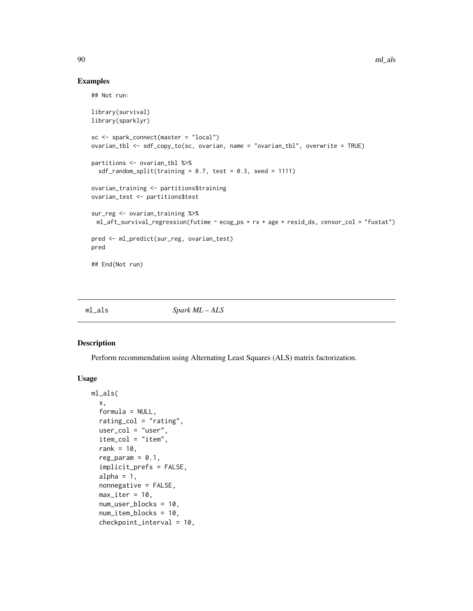### Examples

## Not run:

```
library(survival)
library(sparklyr)
sc <- spark_connect(master = "local")
ovarian_tbl <- sdf_copy_to(sc, ovarian, name = "ovarian_tbl", overwrite = TRUE)
partitions <- ovarian_tbl %>%
  sdf_random_split(training = 0.7, test = 0.3, seed = 1111)
ovarian_training <- partitions$training
ovarian_test <- partitions$test
sur_reg <- ovarian_training %>%
 ml_aft_survival_regression(futime ~ecog_ps + rx + age + resid_ds, censor_col = "fustat")pred <- ml_predict(sur_reg, ovarian_test)
pred
## End(Not run)
```
ml\_als *Spark ML – ALS*

## Description

Perform recommendation using Alternating Least Squares (ALS) matrix factorization.

#### Usage

```
ml_als(
  x,
  formula = NULL,
  rating_col = "rating",
  user\_col = "user",item_col = "item",
  rank = 10,
  reg_param = 0.1,
  implicit_prefs = FALSE,
  alpha = 1,
  nonnegative = FALSE,
  max\_iter = 10,
  num_user_blocks = 10,
  num_item_blocks = 10,
  checkpoint_interval = 10,
```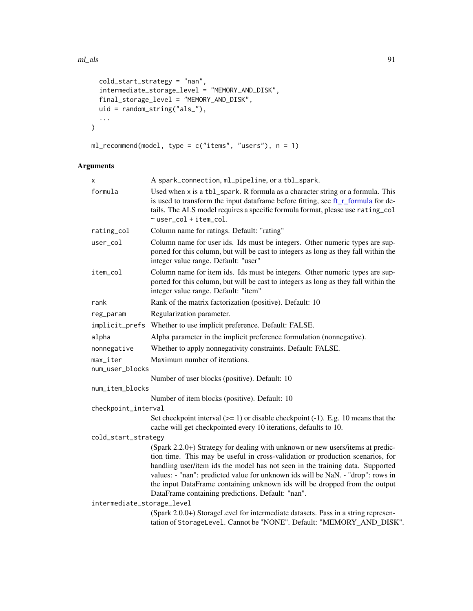```
cold_start_strategy = "nan",
 intermediate_storage_level = "MEMORY_AND_DISK",
 final_storage_level = "MEMORY_AND_DISK",
 uid = random_string("als_"),
  ...
\mathcal{L}
```

```
ml_recommend(model, type = c("items", "users"), n = 1)
```
# Arguments

| x                                                            | A spark_connection, ml_pipeline, or a tbl_spark.                                                                                                                                                                                                                                                                                                                                                                                                                        |  |
|--------------------------------------------------------------|-------------------------------------------------------------------------------------------------------------------------------------------------------------------------------------------------------------------------------------------------------------------------------------------------------------------------------------------------------------------------------------------------------------------------------------------------------------------------|--|
| formula                                                      | Used when x is a tbl_spark. R formula as a character string or a formula. This<br>is used to transform the input dataframe before fitting, see ft_r_formula for de-<br>tails. The ALS model requires a specific formula format, please use rating_col<br>~user_col + item_col.                                                                                                                                                                                          |  |
| rating_col                                                   | Column name for ratings. Default: "rating"                                                                                                                                                                                                                                                                                                                                                                                                                              |  |
| user_col                                                     | Column name for user ids. Ids must be integers. Other numeric types are sup-<br>ported for this column, but will be cast to integers as long as they fall within the<br>integer value range. Default: "user"                                                                                                                                                                                                                                                            |  |
| item_col                                                     | Column name for item ids. Ids must be integers. Other numeric types are sup-<br>ported for this column, but will be cast to integers as long as they fall within the<br>integer value range. Default: "item"                                                                                                                                                                                                                                                            |  |
| rank                                                         | Rank of the matrix factorization (positive). Default: 10                                                                                                                                                                                                                                                                                                                                                                                                                |  |
| reg_param                                                    | Regularization parameter.                                                                                                                                                                                                                                                                                                                                                                                                                                               |  |
|                                                              | implicit_prefs Whether to use implicit preference. Default: FALSE.                                                                                                                                                                                                                                                                                                                                                                                                      |  |
| alpha                                                        | Alpha parameter in the implicit preference formulation (nonnegative).                                                                                                                                                                                                                                                                                                                                                                                                   |  |
| nonnegative                                                  | Whether to apply nonnegativity constraints. Default: FALSE.                                                                                                                                                                                                                                                                                                                                                                                                             |  |
| Maximum number of iterations.<br>max_iter<br>num_user_blocks |                                                                                                                                                                                                                                                                                                                                                                                                                                                                         |  |
|                                                              | Number of user blocks (positive). Default: 10                                                                                                                                                                                                                                                                                                                                                                                                                           |  |
| num_item_blocks                                              |                                                                                                                                                                                                                                                                                                                                                                                                                                                                         |  |
|                                                              | Number of item blocks (positive). Default: 10                                                                                                                                                                                                                                                                                                                                                                                                                           |  |
| checkpoint_interval                                          |                                                                                                                                                                                                                                                                                                                                                                                                                                                                         |  |
|                                                              | Set checkpoint interval $(>= 1)$ or disable checkpoint $(-1)$ . E.g. 10 means that the<br>cache will get checkpointed every 10 iterations, defaults to 10.                                                                                                                                                                                                                                                                                                              |  |
| cold_start_strategy                                          |                                                                                                                                                                                                                                                                                                                                                                                                                                                                         |  |
|                                                              | (Spark 2.2.0+) Strategy for dealing with unknown or new users/items at predic-<br>tion time. This may be useful in cross-validation or production scenarios, for<br>handling user/item ids the model has not seen in the training data. Supported<br>values: - "nan": predicted value for unknown ids will be NaN. - "drop": rows in<br>the input DataFrame containing unknown ids will be dropped from the output<br>DataFrame containing predictions. Default: "nan". |  |
| intermediate_storage_level                                   |                                                                                                                                                                                                                                                                                                                                                                                                                                                                         |  |
|                                                              | (Spark 2.0.0+) StorageLevel for intermediate datasets. Pass in a string represen-<br>tation of StorageLevel. Cannot be "NONE". Default: "MEMORY_AND_DISK".                                                                                                                                                                                                                                                                                                              |  |
|                                                              |                                                                                                                                                                                                                                                                                                                                                                                                                                                                         |  |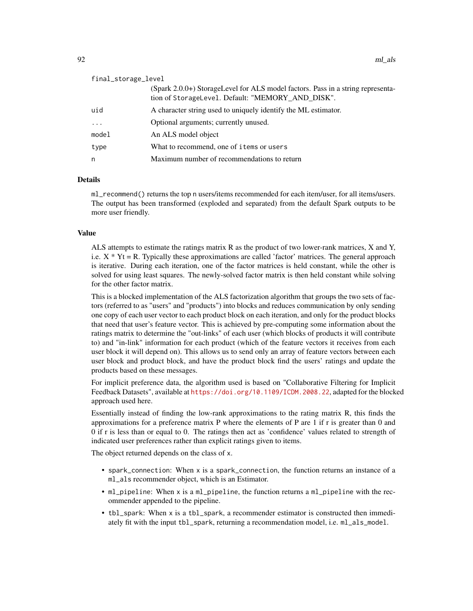| final_storage_level |                                                                                                                                      |
|---------------------|--------------------------------------------------------------------------------------------------------------------------------------|
|                     | (Spark 2.0.0+) StorageLevel for ALS model factors. Pass in a string representa-<br>tion of StorageLevel. Default: "MEMORY_AND_DISK". |
| uid                 | A character string used to uniquely identify the ML estimator.                                                                       |
| $\ddots$            | Optional arguments; currently unused.                                                                                                |
| model               | An ALS model object                                                                                                                  |
| type                | What to recommend, one of items or users                                                                                             |
| n                   | Maximum number of recommendations to return                                                                                          |

#### Details

ml\_recommend() returns the top n users/items recommended for each item/user, for all items/users. The output has been transformed (exploded and separated) from the default Spark outputs to be more user friendly.

### Value

ALS attempts to estimate the ratings matrix R as the product of two lower-rank matrices, X and Y, i.e.  $X^*$  Yt = R. Typically these approximations are called 'factor' matrices. The general approach is iterative. During each iteration, one of the factor matrices is held constant, while the other is solved for using least squares. The newly-solved factor matrix is then held constant while solving for the other factor matrix.

This is a blocked implementation of the ALS factorization algorithm that groups the two sets of factors (referred to as "users" and "products") into blocks and reduces communication by only sending one copy of each user vector to each product block on each iteration, and only for the product blocks that need that user's feature vector. This is achieved by pre-computing some information about the ratings matrix to determine the "out-links" of each user (which blocks of products it will contribute to) and "in-link" information for each product (which of the feature vectors it receives from each user block it will depend on). This allows us to send only an array of feature vectors between each user block and product block, and have the product block find the users' ratings and update the products based on these messages.

For implicit preference data, the algorithm used is based on "Collaborative Filtering for Implicit Feedback Datasets", available at <https://doi.org/10.1109/ICDM.2008.22>, adapted for the blocked approach used here.

Essentially instead of finding the low-rank approximations to the rating matrix R, this finds the approximations for a preference matrix P where the elements of P are 1 if r is greater than 0 and 0 if r is less than or equal to 0. The ratings then act as 'confidence' values related to strength of indicated user preferences rather than explicit ratings given to items.

The object returned depends on the class of x.

- spark\_connection: When x is a spark\_connection, the function returns an instance of a ml\_als recommender object, which is an Estimator.
- ml\_pipeline: When x is a ml\_pipeline, the function returns a ml\_pipeline with the recommender appended to the pipeline.
- tbl\_spark: When x is a tbl\_spark, a recommender estimator is constructed then immediately fit with the input tbl\_spark, returning a recommendation model, i.e. ml\_als\_model.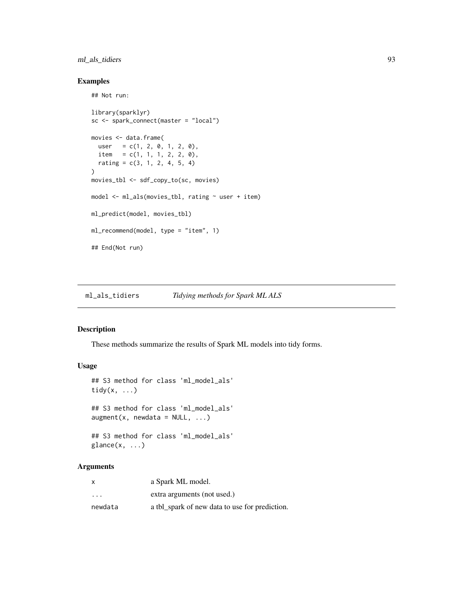## ml\_als\_tidiers 93

## Not run:

## Examples

```
library(sparklyr)
sc <- spark_connect(master = "local")
movies <- data.frame(
  user = c(1, 2, 0, 1, 2, 0),
  item = c(1, 1, 1, 2, 2, 0),
  rating = c(3, 1, 2, 4, 5, 4)\mathcal{L}movies_tbl <- sdf_copy_to(sc, movies)
model <- ml_als(movies_tbl, rating ~ user + item)
ml_predict(model, movies_tbl)
ml_recommend(model, type = "item", 1)
## End(Not run)
```
ml\_als\_tidiers *Tidying methods for Spark ML ALS*

#### Description

These methods summarize the results of Spark ML models into tidy forms.

## Usage

```
## S3 method for class 'ml_model_als'
tidy(x, ...)
## S3 method for class 'ml_model_als'
augment(x, newdata = NULL, ...)## S3 method for class 'ml_model_als'
\text{glance}(x, \ldots)
```
## Arguments

| x                       | a Spark ML model.                              |
|-------------------------|------------------------------------------------|
| $\cdot$ $\cdot$ $\cdot$ | extra arguments (not used.)                    |
| newdata                 | a tbl_spark of new data to use for prediction. |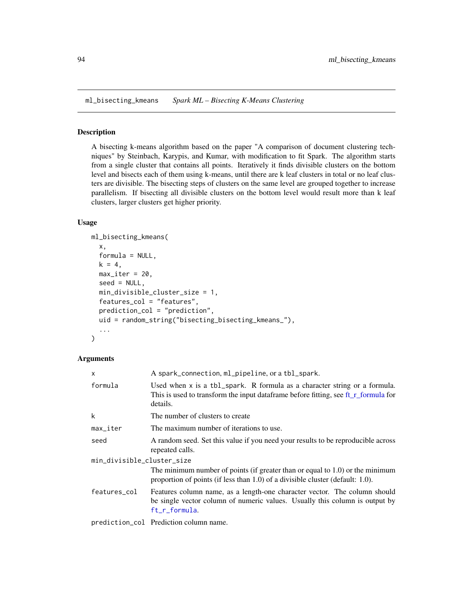ml\_bisecting\_kmeans *Spark ML – Bisecting K-Means Clustering*

### Description

A bisecting k-means algorithm based on the paper "A comparison of document clustering techniques" by Steinbach, Karypis, and Kumar, with modification to fit Spark. The algorithm starts from a single cluster that contains all points. Iteratively it finds divisible clusters on the bottom level and bisects each of them using k-means, until there are k leaf clusters in total or no leaf clusters are divisible. The bisecting steps of clusters on the same level are grouped together to increase parallelism. If bisecting all divisible clusters on the bottom level would result more than k leaf clusters, larger clusters get higher priority.

#### Usage

```
ml_bisecting_kmeans(
  x,
  formula = NULL,
  k = 4,
  max\_iter = 20,
  seed = NULL,
  min_divisible_cluster_size = 1,
  features_col = "features",
  prediction_col = "prediction",
  uid = random_string("bisecting_bisecting_kmeans_"),
  ...
)
```
### Arguments

| A spark_connection, ml_pipeline, or a tbl_spark.                                                                                                                              |  |  |
|-------------------------------------------------------------------------------------------------------------------------------------------------------------------------------|--|--|
| Used when $x$ is a tbl_spark. R formula as a character string or a formula.<br>This is used to transform the input dataframe before fitting, see ft_r_formula for<br>details. |  |  |
| The number of clusters to create                                                                                                                                              |  |  |
| The maximum number of iterations to use.                                                                                                                                      |  |  |
| A random seed. Set this value if you need your results to be reproducible across<br>repeated calls.                                                                           |  |  |
| min_divisible_cluster_size                                                                                                                                                    |  |  |
| The minimum number of points (if greater than or equal to $1.0$ ) or the minimum<br>proportion of points (if less than 1.0) of a divisible cluster (default: 1.0).            |  |  |
| Features column name, as a length-one character vector. The column should<br>be single vector column of numeric values. Usually this column is output by<br>ft_r_formula.     |  |  |
|                                                                                                                                                                               |  |  |

prediction\_col Prediction column name.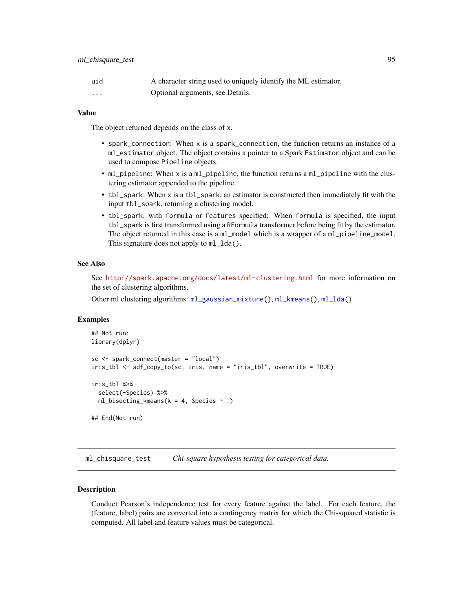## ml\_chisquare\_test 95

| uid | A character string used to uniquely identify the ML estimator. |
|-----|----------------------------------------------------------------|
| .   | Optional arguments, see Details.                               |

#### Value

The object returned depends on the class of x.

- spark\_connection: When x is a spark\_connection, the function returns an instance of a ml\_estimator object. The object contains a pointer to a Spark Estimator object and can be used to compose Pipeline objects.
- ml\_pipeline: When x is a ml\_pipeline, the function returns a ml\_pipeline with the clustering estimator appended to the pipeline.
- tbl\_spark: When x is a tbl\_spark, an estimator is constructed then immediately fit with the input tbl\_spark, returning a clustering model.
- tbl\_spark, with formula or features specified: When formula is specified, the input tbl\_spark is first transformed using a RFormula transformer before being fit by the estimator. The object returned in this case is a ml\_model which is a wrapper of a ml\_pipeline\_model. This signature does not apply to  $m1$ <sup>lda</sup>().

## See Also

See <http://spark.apache.org/docs/latest/ml-clustering.html> for more information on the set of clustering algorithms.

Other ml clustering algorithms: [ml\\_gaussian\\_mixture\(](#page-108-0)), [ml\\_kmeans\(](#page-121-0)), [ml\\_lda\(](#page-123-0))

### Examples

```
## Not run:
library(dplyr)
sc <- spark_connect(master = "local")
iris_tbl <- sdf_copy_to(sc, iris, name = "iris_tbl", overwrite = TRUE)
iris_tbl %>%
 select(-Species) %>%
 ml_bisecting_kmeans(k = 4, Species \sim .)
## End(Not run)
```
ml\_chisquare\_test *Chi-square hypothesis testing for categorical data.*

### Description

Conduct Pearson's independence test for every feature against the label. For each feature, the (feature, label) pairs are converted into a contingency matrix for which the Chi-squared statistic is computed. All label and feature values must be categorical.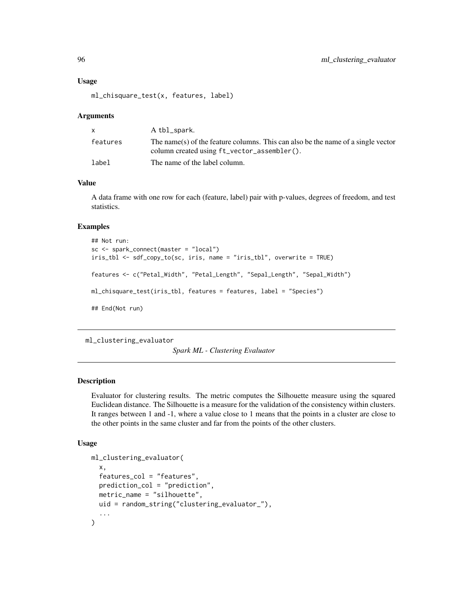#### Usage

ml\_chisquare\_test(x, features, label)

#### **Arguments**

|          | A tbl_spark.                                                                                                                    |
|----------|---------------------------------------------------------------------------------------------------------------------------------|
| features | The name(s) of the feature columns. This can also be the name of a single vector<br>column created using ft_vector_assembler(). |
| label    | The name of the label column.                                                                                                   |

### Value

A data frame with one row for each (feature, label) pair with p-values, degrees of freedom, and test statistics.

## Examples

```
## Not run:
sc <- spark_connect(master = "local")
iris_tbl <- sdf_copy_to(sc, iris, name = "iris_tbl", overwrite = TRUE)
features <- c("Petal_Width", "Petal_Length", "Sepal_Length", "Sepal_Width")
ml_chisquare_test(iris_tbl, features = features, label = "Species")
## End(Not run)
```
ml\_clustering\_evaluator

*Spark ML - Clustering Evaluator*

## Description

Evaluator for clustering results. The metric computes the Silhouette measure using the squared Euclidean distance. The Silhouette is a measure for the validation of the consistency within clusters. It ranges between 1 and -1, where a value close to 1 means that the points in a cluster are close to the other points in the same cluster and far from the points of the other clusters.

### Usage

```
ml_clustering_evaluator(
  x,
  features_col = "features",
 prediction_col = "prediction",
 metric_name = "silhouette",
 uid = random_string("clustering_evaluator_"),
  ...
)
```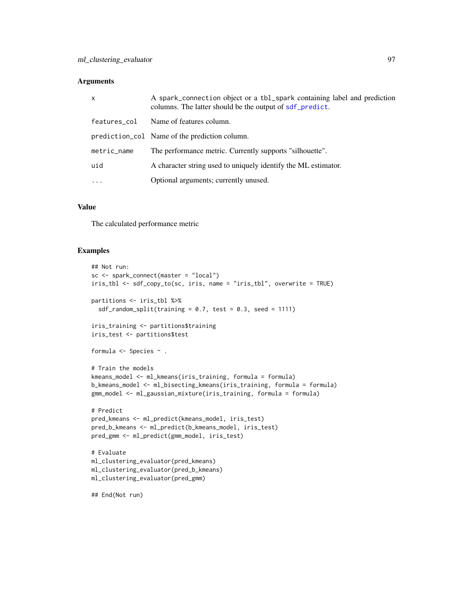### Arguments

| $\mathsf{x}$ | A spark_connection object or a tbl_spark containing label and prediction<br>columns. The latter should be the output of sdf_predict. |
|--------------|--------------------------------------------------------------------------------------------------------------------------------------|
| features_col | Name of features column.                                                                                                             |
|              | prediction_col Name of the prediction column.                                                                                        |
| metric_name  | The performance metric. Currently supports "silhouette".                                                                             |
| uid          | A character string used to uniquely identify the ML estimator.                                                                       |
| $\cdot$      | Optional arguments; currently unused.                                                                                                |

### Value

The calculated performance metric

### Examples

```
## Not run:
sc <- spark_connect(master = "local")
iris_tbl <- sdf_copy_to(sc, iris, name = "iris_tbl", overwrite = TRUE)
partitions <- iris_tbl %>%
  sdf_random_split(training = 0.7, test = 0.3, seed = 1111)
iris_training <- partitions$training
iris_test <- partitions$test
formula \leq Species \sim .
# Train the models
kmeans_model <- ml_kmeans(iris_training, formula = formula)
b_kmeans_model <- ml_bisecting_kmeans(iris_training, formula = formula)
gmm_model <- ml_gaussian_mixture(iris_training, formula = formula)
# Predict
pred_kmeans <- ml_predict(kmeans_model, iris_test)
pred_b_kmeans <- ml_predict(b_kmeans_model, iris_test)
pred_gmm <- ml_predict(gmm_model, iris_test)
# Evaluate
ml_clustering_evaluator(pred_kmeans)
ml_clustering_evaluator(pred_b_kmeans)
ml_clustering_evaluator(pred_gmm)
## End(Not run)
```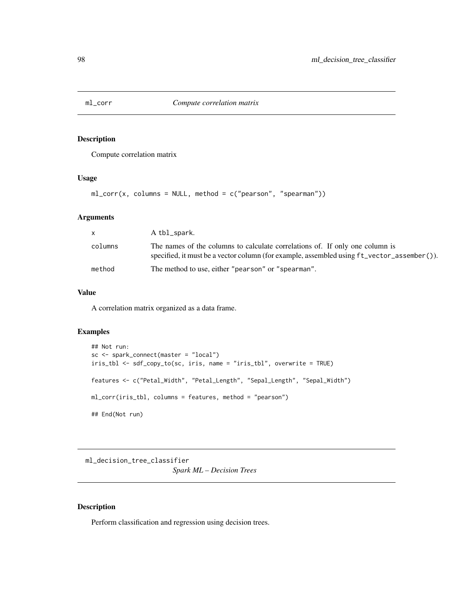## Description

Compute correlation matrix

## Usage

 $ml_corr(x, columns = NULL, method = c("pearson", "spearman"))$ 

### Arguments

| X.      | A tbl_spark.                                                                                                                                                                    |
|---------|---------------------------------------------------------------------------------------------------------------------------------------------------------------------------------|
| columns | The names of the columns to calculate correlations of. If only one column is<br>specified, it must be a vector column (for example, assembled using $ft\_vector\_assember()$ ). |
| method  | The method to use, either "pearson" or "spearman".                                                                                                                              |

# Value

A correlation matrix organized as a data frame.

## Examples

```
## Not run:
sc <- spark_connect(master = "local")
iris_tbl <- sdf_copy_to(sc, iris, name = "iris_tbl", overwrite = TRUE)
features <- c("Petal_Width", "Petal_Length", "Sepal_Length", "Sepal_Width")
ml_corr(iris_tbl, columns = features, method = "pearson")
## End(Not run)
```
<span id="page-97-0"></span>ml\_decision\_tree\_classifier *Spark ML – Decision Trees*

## Description

Perform classification and regression using decision trees.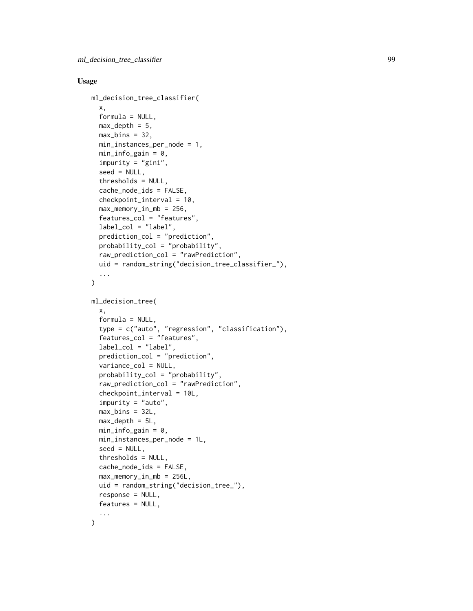### Usage

```
ml_decision_tree_classifier(
  x,
  formula = NULL,max\_depth = 5,
  max\_bins = 32,
  min_instances_per_node = 1,
  min\_info\_gain = 0,
  impurity = "gini",
  seed = NULL,
  thresholds = NULL,
  cache_node_ids = FALSE,
  checkpoint_interval = 10,
  max_memory_in_mb = 256,
  features_col = "features",
  label_col = "label",
  prediction_col = "prediction",
  probability_col = "probability",
  raw_prediction_col = "rawPrediction",
  uid = random_string("decision_tree_classifier_"),
  ...
\mathcal{L}ml_decision_tree(
  x,
  formula = NULL,type = c("auto", "regression", "classification"),
  features_col = "features",
  label_col = "label",
  prediction_col = "prediction",
  variance_col = NULL,
  probability_col = "probability",
  raw_prediction_col = "rawPrediction",
  checkpoint_interval = 10L,
  impurity = "auto",
  max\_bins = 32L,
  max\_depth = 5L,
  min\_info\_gain = 0,
  min_instances_per_node = 1L,
  seed = NULL,
  thresholds = NULL,
  cache_node_ids = FALSE,
  max\_memory\_in\_mb = 256L,
  uid = random_string("decision_tree_"),
  response = NULL,
  features = NULL,
  ...
)
```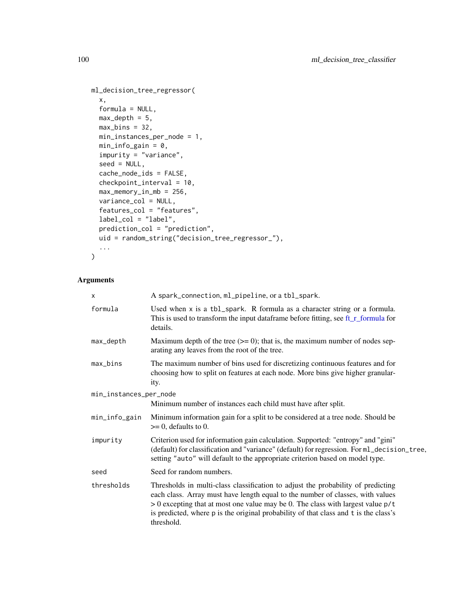```
ml_decision_tree_regressor(
  x,
 formula = NULL,
 max\_depth = 5,
 max\_bins = 32,
 min_instances_per_node = 1,
 min\_info\_gain = 0,
  impurity = "variance",
  seed = NULL,
  cache_node_ids = FALSE,
  checkpoint_interval = 10,
 max_memory_in_mb = 256,
 variance_col = NULL,
  features_col = "features",
  label\_col = "label",prediction_col = "prediction",
 uid = random_string("decision_tree_regressor_"),
  ...
\mathcal{L}
```
# Arguments

| X                      | A spark_connection, ml_pipeline, or a tbl_spark.                                                                                                                                                                                                                                                                                                                |
|------------------------|-----------------------------------------------------------------------------------------------------------------------------------------------------------------------------------------------------------------------------------------------------------------------------------------------------------------------------------------------------------------|
| formula                | Used when x is a tbl_spark. R formula as a character string or a formula.<br>This is used to transform the input dataframe before fitting, see ft_r_formula for<br>details.                                                                                                                                                                                     |
| max_depth              | Maximum depth of the tree $(>= 0)$ ; that is, the maximum number of nodes sep-<br>arating any leaves from the root of the tree.                                                                                                                                                                                                                                 |
| max_bins               | The maximum number of bins used for discretizing continuous features and for<br>choosing how to split on features at each node. More bins give higher granular-<br>ity.                                                                                                                                                                                         |
| min_instances_per_node |                                                                                                                                                                                                                                                                                                                                                                 |
|                        | Minimum number of instances each child must have after split.                                                                                                                                                                                                                                                                                                   |
| min_info_gain          | Minimum information gain for a split to be considered at a tree node. Should be<br>$\geq 0$ , defaults to 0.                                                                                                                                                                                                                                                    |
| impurity               | Criterion used for information gain calculation. Supported: "entropy" and "gini"<br>(default) for classification and "variance" (default) for regression. For ml_decision_tree,<br>setting "auto" will default to the appropriate criterion based on model type.                                                                                                |
| seed                   | Seed for random numbers.                                                                                                                                                                                                                                                                                                                                        |
| thresholds             | Thresholds in multi-class classification to adjust the probability of predicting<br>each class. Array must have length equal to the number of classes, with values<br>$> 0$ excepting that at most one value may be 0. The class with largest value $p/t$<br>is predicted, where p is the original probability of that class and t is the class's<br>threshold. |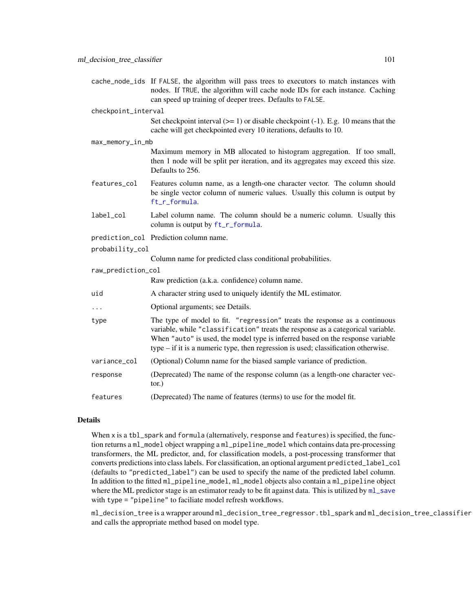cache\_node\_ids If FALSE, the algorithm will pass trees to executors to match instances with nodes. If TRUE, the algorithm will cache node IDs for each instance. Caching can speed up training of deeper trees. Defaults to FALSE.

#### checkpoint\_interval

Set checkpoint interval  $(>= 1)$  or disable checkpoint  $(-1)$ . E.g. 10 means that the cache will get checkpointed every 10 iterations, defaults to 10.

#### max\_memory\_in\_mb

Maximum memory in MB allocated to histogram aggregation. If too small, then 1 node will be split per iteration, and its aggregates may exceed this size. Defaults to 256.

- features\_col Features column name, as a length-one character vector. The column should be single vector column of numeric values. Usually this column is output by ft r formula.
- label\_col Label column name. The column should be a numeric column. Usually this column is output by [ft\\_r\\_formula](#page-50-0).
- prediction\_col Prediction column name.
- probability\_col

Column name for predicted class conditional probabilities.

### raw\_prediction\_col

Raw prediction (a.k.a. confidence) column name.

- uid A character string used to uniquely identify the ML estimator.
- ... Optional arguments; see Details.

type The type of model to fit. "regression" treats the response as a continuous variable, while "classification" treats the response as a categorical variable. When "auto" is used, the model type is inferred based on the response variable type – if it is a numeric type, then regression is used; classification otherwise.

- variance\_col (Optional) Column name for the biased sample variance of prediction.
- response (Deprecated) The name of the response column (as a length-one character vector.)
- features (Deprecated) The name of features (terms) to use for the model fit.

### Details

When x is a tbl\_spark and formula (alternatively, response and features) is specified, the function returns a ml\_model object wrapping a ml\_pipeline\_model which contains data pre-processing transformers, the ML predictor, and, for classification models, a post-processing transformer that converts predictions into class labels. For classification, an optional argument predicted\_label\_col (defaults to "predicted\_label") can be used to specify the name of the predicted label column. In addition to the fitted ml\_pipeline\_model, ml\_model objects also contain a ml\_pipeline object where the ML predictor stage is an estimator ready to be fit against data. This is utilized by  $m_{\text{1}}$  save with type = "pipeline" to faciliate model refresh workflows.

ml\_decision\_tree is a wrapper around ml\_decision\_tree\_regressor.tbl\_spark and ml\_decision\_tree\_classifier and calls the appropriate method based on model type.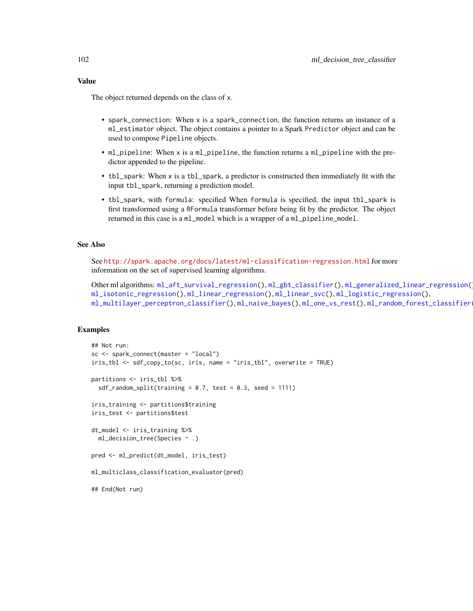The object returned depends on the class of x.

- spark\_connection: When x is a spark\_connection, the function returns an instance of a ml\_estimator object. The object contains a pointer to a Spark Predictor object and can be used to compose Pipeline objects.
- ml\_pipeline: When x is a ml\_pipeline, the function returns a ml\_pipeline with the predictor appended to the pipeline.
- tbl\_spark: When x is a tbl\_spark, a predictor is constructed then immediately fit with the input tbl\_spark, returning a prediction model.
- tbl\_spark, with formula: specified When formula is specified, the input tbl\_spark is first transformed using a RFormula transformer before being fit by the predictor. The object returned in this case is a ml\_model which is a wrapper of a ml\_pipeline\_model.

#### See Also

See <http://spark.apache.org/docs/latest/ml-classification-regression.html> for more information on the set of supervised learning algorithms.

Other ml algorithms: [ml\\_aft\\_survival\\_regression\(](#page-86-0)), [ml\\_gbt\\_classifier\(](#page-110-0)), [ml\\_generalized\\_linear\\_regression\(](#page-114-0)), [ml\\_isotonic\\_regression\(](#page-119-0)), [ml\\_linear\\_regression\(](#page-129-0)), [ml\\_linear\\_svc\(](#page-131-0)), [ml\\_logistic\\_regression\(](#page-134-0)), [ml\\_multilayer\\_perceptron\\_classifier\(](#page-138-0)), [ml\\_naive\\_bayes\(](#page-142-0)), [ml\\_one\\_vs\\_rest\(](#page-145-0)), [ml\\_random\\_forest\\_classifier\(](#page-148-0))

### Examples

```
## Not run:
sc <- spark_connect(master = "local")
iris_tbl <- sdf_copy_to(sc, iris, name = "iris_tbl", overwrite = TRUE)
partitions <- iris_tbl %>%
 sdf_random_split(training = 0.7, test = 0.3, seed = 1111)
iris_training <- partitions$training
iris_test <- partitions$test
dt_model <- iris_training %>%
 ml_decision_tree(Species ~ .)
pred <- ml_predict(dt_model, iris_test)
ml_multiclass_classification_evaluator(pred)
## End(Not run)
```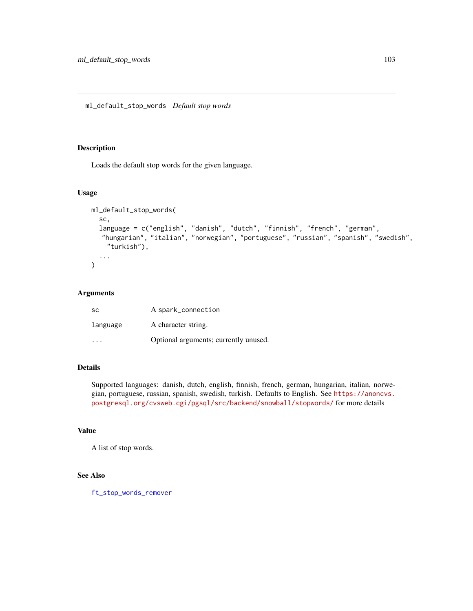ml\_default\_stop\_words *Default stop words*

## Description

Loads the default stop words for the given language.

#### Usage

```
ml_default_stop_words(
  sc,
  language = c("english", "danish", "dutch", "finnish", "french", "german",
  "hungarian", "italian", "norwegian", "portuguese", "russian", "spanish", "swedish",
    "turkish"),
  ...
)
```
## Arguments

| <b>SC</b> | A spark_connection                    |
|-----------|---------------------------------------|
| language  | A character string.                   |
| .         | Optional arguments; currently unused. |

## Details

Supported languages: danish, dutch, english, finnish, french, german, hungarian, italian, norwegian, portuguese, russian, spanish, swedish, turkish. Defaults to English. See [https://anoncvs.](https://anoncvs.postgresql.org/cvsweb.cgi/pgsql/src/backend/snowball/stopwords/) [postgresql.org/cvsweb.cgi/pgsql/src/backend/snowball/stopwords/](https://anoncvs.postgresql.org/cvsweb.cgi/pgsql/src/backend/snowball/stopwords/) for more details

### Value

A list of stop words.

# See Also

[ft\\_stop\\_words\\_remover](#page-55-0)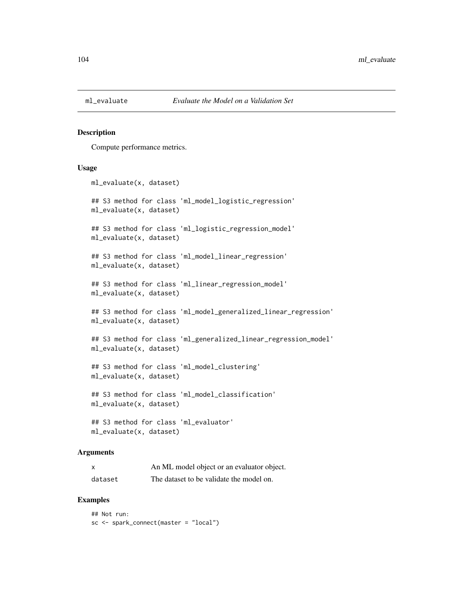#### Description

Compute performance metrics.

### Usage

```
ml_evaluate(x, dataset)
## S3 method for class 'ml_model_logistic_regression'
ml_evaluate(x, dataset)
## S3 method for class 'ml_logistic_regression_model'
ml_evaluate(x, dataset)
## S3 method for class 'ml_model_linear_regression'
ml_evaluate(x, dataset)
## S3 method for class 'ml_linear_regression_model'
ml_evaluate(x, dataset)
## S3 method for class 'ml_model_generalized_linear_regression'
ml_evaluate(x, dataset)
## S3 method for class 'ml_generalized_linear_regression_model'
ml_evaluate(x, dataset)
## S3 method for class 'ml_model_clustering'
ml_evaluate(x, dataset)
## S3 method for class 'ml_model_classification'
ml_evaluate(x, dataset)
## S3 method for class 'ml_evaluator'
```

```
ml_evaluate(x, dataset)
```
### Arguments

| X       | An ML model object or an evaluator object. |
|---------|--------------------------------------------|
| dataset | The dataset to be validate the model on.   |

## Examples

## Not run: sc <- spark\_connect(master = "local")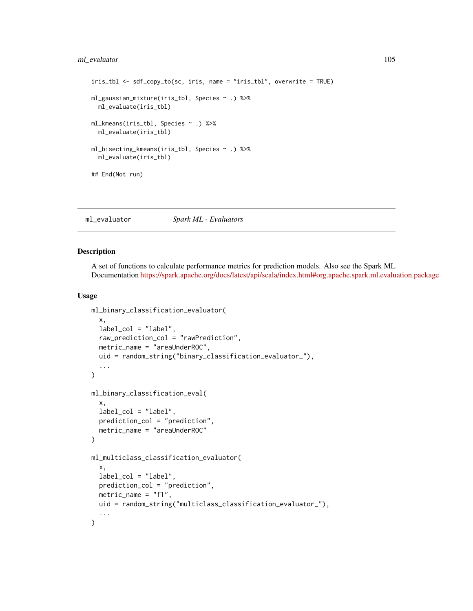### ml\_evaluator 105

```
iris_tbl <- sdf_copy_to(sc, iris, name = "iris_tbl", overwrite = TRUE)
ml_gaussian_mixture(iris_tbl, Species ~ .) %>%
  ml_evaluate(iris_tbl)
ml_kmeans(iris_tbl, Species ~ .) %>%
  ml_evaluate(iris_tbl)
ml_bisecting_kmeans(iris_tbl, Species ~ .) %>%
  ml_evaluate(iris_tbl)
## End(Not run)
```
<span id="page-104-0"></span>ml\_evaluator *Spark ML - Evaluators*

## Description

A set of functions to calculate performance metrics for prediction models. Also see the Spark ML Documentation <https://spark.apache.org/docs/latest/api/scala/index.html#org.apache.spark.ml.evaluation.package>

### Usage

```
ml_binary_classification_evaluator(
  x,
  label_col = "label",
  raw_prediction_col = "rawPrediction",
  metric_name = "areaUnderROC",
 uid = random_string("binary_classification_evaluator_"),
  ...
\lambdaml_binary_classification_eval(
  x,
 label_col = "label",
 prediction_col = "prediction",
 metric_name = "areaUnderROC"
)
ml_multiclass_classification_evaluator(
  x,
  label_col = "label",
 prediction_col = "prediction",
  metric_name = "f1",uid = random_string("multiclass_classification_evaluator_"),
  ...
)
```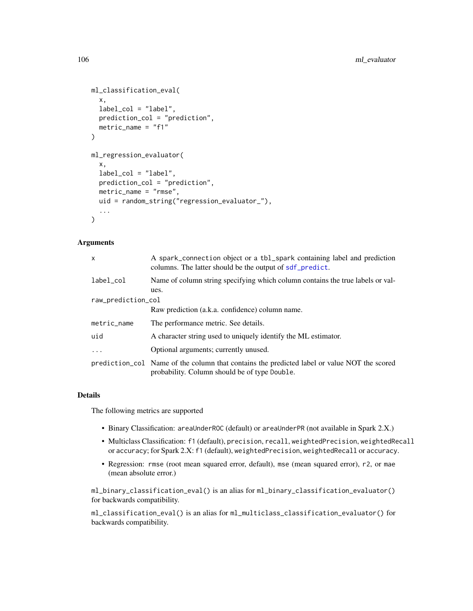```
ml_classification_eval(
  x,
  label_col = "label",
  prediction_col = "prediction",
 metric_name = "f1")
ml_regression_evaluator(
  x,
  label_col = "label",
  prediction_col = "prediction",
 metric_name = "rmse",
 uid = random_string("regression_evaluator_"),
  ...
)
```
# Arguments

| X                  | A spark_connection object or a tbl_spark containing label and prediction<br>columns. The latter should be the output of sdf_predict.         |
|--------------------|----------------------------------------------------------------------------------------------------------------------------------------------|
| label_col          | Name of column string specifying which column contains the true labels or val-<br>ues.                                                       |
| raw_prediction_col |                                                                                                                                              |
|                    | Raw prediction (a.k.a. confidence) column name.                                                                                              |
| metric_name        | The performance metric. See details.                                                                                                         |
| uid                | A character string used to uniquely identify the ML estimator.                                                                               |
| .                  | Optional arguments; currently unused.                                                                                                        |
|                    | prediction_col Name of the column that contains the predicted label or value NOT the scored<br>probability. Column should be of type Double. |

### Details

The following metrics are supported

- Binary Classification: areaUnderROC (default) or areaUnderPR (not available in Spark 2.X.)
- Multiclass Classification: f1 (default), precision, recall, weightedPrecision, weightedRecall or accuracy; for Spark 2.X: f1 (default), weightedPrecision, weightedRecall or accuracy.
- Regression: rmse (root mean squared error, default), mse (mean squared error), r2, or mae (mean absolute error.)

ml\_binary\_classification\_eval() is an alias for ml\_binary\_classification\_evaluator() for backwards compatibility.

ml\_classification\_eval() is an alias for ml\_multiclass\_classification\_evaluator() for backwards compatibility.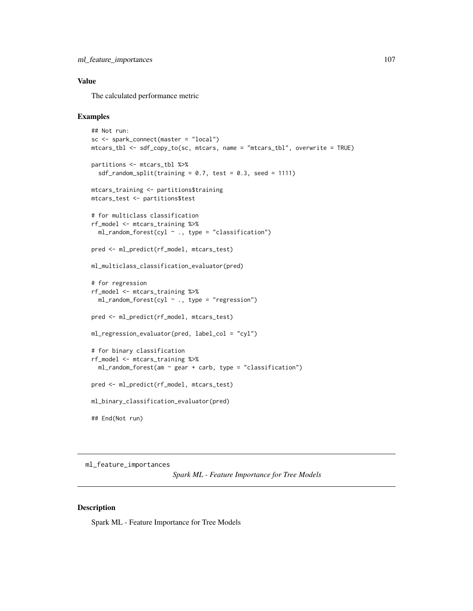### Value

The calculated performance metric

#### Examples

```
## Not run:
sc <- spark_connect(master = "local")
mtcars_tbl <- sdf_copy_to(sc, mtcars, name = "mtcars_tbl", overwrite = TRUE)
partitions <- mtcars_tbl %>%
  sdf_random_split(training = 0.7, test = 0.3, seed = 1111)
mtcars_training <- partitions$training
mtcars_test <- partitions$test
# for multiclass classification
rf_model <- mtcars_training %>%
  ml\_random\_forest(cyl ~ ., type = "classification")pred <- ml_predict(rf_model, mtcars_test)
ml_multiclass_classification_evaluator(pred)
# for regression
rf_model <- mtcars_training %>%
  ml\_random\_forest(cyl ~ , , type = "regression")pred <- ml_predict(rf_model, mtcars_test)
ml_regression_evaluator(pred, label_col = "cyl")
# for binary classification
rf_model <- mtcars_training %>%
 ml_random_forest(am ~ gear + carb, type = "classification")
pred <- ml_predict(rf_model, mtcars_test)
ml_binary_classification_evaluator(pred)
## End(Not run)
```
ml\_feature\_importances

*Spark ML - Feature Importance for Tree Models*

### Description

Spark ML - Feature Importance for Tree Models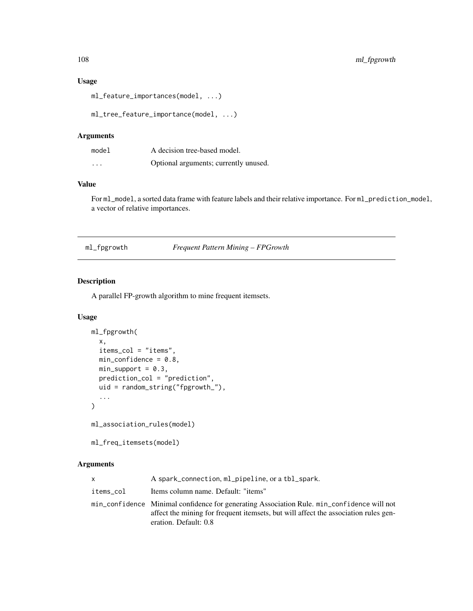## Usage

ml\_feature\_importances(model, ...)

ml\_tree\_feature\_importance(model, ...)

## Arguments

| model                   | A decision tree-based model.          |
|-------------------------|---------------------------------------|
| $\cdot$ $\cdot$ $\cdot$ | Optional arguments; currently unused. |

# Value

For ml\_model, a sorted data frame with feature labels and their relative importance. For ml\_prediction\_model, a vector of relative importances.

ml\_fpgrowth *Frequent Pattern Mining – FPGrowth*

## Description

A parallel FP-growth algorithm to mine frequent itemsets.

### Usage

```
ml_fpgrowth(
  x,
  items_col = "items",
 min\_confidence = 0.8,
 min\_support = 0.3,prediction_col = "prediction",
 uid = random_string("fpgrowth_"),
  ...
\mathcal{L}ml_association_rules(model)
```
ml\_freq\_itemsets(model)

## Arguments

| $\mathsf{x}$ | A spark_connection, ml_pipeline, or a tbl_spark.                                                                                                                                                           |
|--------------|------------------------------------------------------------------------------------------------------------------------------------------------------------------------------------------------------------|
| items col    | Items column name. Default: "items"                                                                                                                                                                        |
|              | min_confidence Minimal confidence for generating Association Rule, min_confidence will not<br>affect the mining for frequent itemsets, but will affect the association rules gen-<br>eration. Default: 0.8 |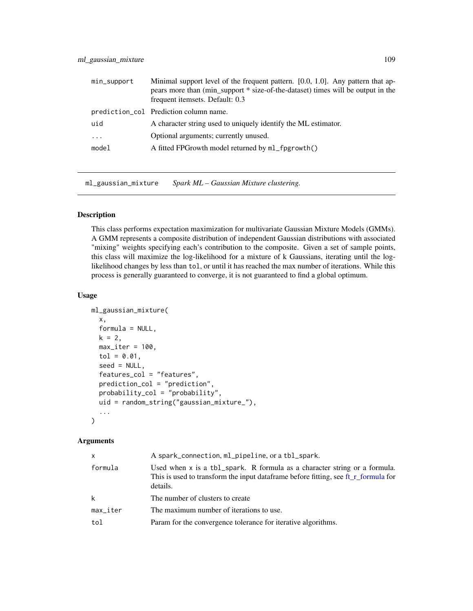| min_support | Minimal support level of the frequent pattern. [0.0, 1.0]. Any pattern that ap-<br>pears more than (min_support * size-of-the-dataset) times will be output in the<br>frequent itemsets. Default: 0.3 |
|-------------|-------------------------------------------------------------------------------------------------------------------------------------------------------------------------------------------------------|
|             | prediction_col Prediction column name.                                                                                                                                                                |
| uid         | A character string used to uniquely identify the ML estimator.                                                                                                                                        |
| $\cdot$     | Optional arguments; currently unused.                                                                                                                                                                 |
| model       | A fitted FPGrowth model returned by ml_fpgrowth()                                                                                                                                                     |

<span id="page-108-0"></span>ml\_gaussian\_mixture *Spark ML – Gaussian Mixture clustering.*

#### Description

This class performs expectation maximization for multivariate Gaussian Mixture Models (GMMs). A GMM represents a composite distribution of independent Gaussian distributions with associated "mixing" weights specifying each's contribution to the composite. Given a set of sample points, this class will maximize the log-likelihood for a mixture of k Gaussians, iterating until the loglikelihood changes by less than tol, or until it has reached the max number of iterations. While this process is generally guaranteed to converge, it is not guaranteed to find a global optimum.

## Usage

```
ml_gaussian_mixture(
  x,
  formula = NULL,
  k = 2,
  max\_iter = 100,
  tol = 0.01,seed = NULL,
  features_col = "features",
  prediction_col = "prediction",
  probability_col = "probability",
  uid = random_string("gaussian_mixture_"),
  ...
\mathcal{L}
```

| X        | A spark_connection, ml_pipeline, or a tbl_spark.                                                                                                                            |
|----------|-----------------------------------------------------------------------------------------------------------------------------------------------------------------------------|
| formula  | Used when x is a tbl_spark. R formula as a character string or a formula.<br>This is used to transform the input dataframe before fitting, see ft_r_formula for<br>details. |
| k        | The number of clusters to create                                                                                                                                            |
| max_iter | The maximum number of iterations to use.                                                                                                                                    |
| tol      | Param for the convergence tolerance for iterative algorithms.                                                                                                               |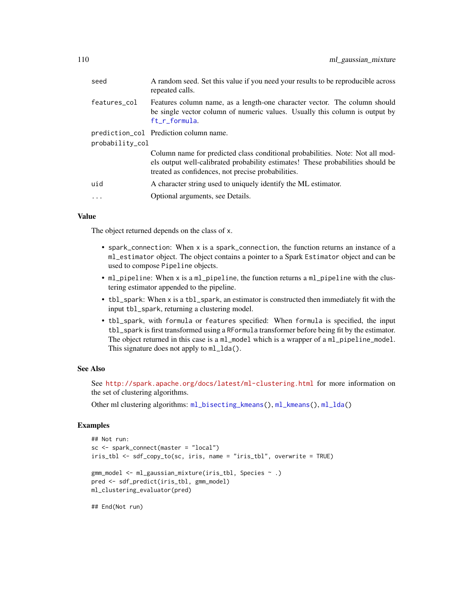| seed            | A random seed. Set this value if you need your results to be reproducible across<br>repeated calls.                                                                                                                    |
|-----------------|------------------------------------------------------------------------------------------------------------------------------------------------------------------------------------------------------------------------|
| features col    | Features column name, as a length-one character vector. The column should<br>be single vector column of numeric values. Usually this column is output by<br>ft_r_formula.                                              |
| probability_col | prediction_col Prediction column name.                                                                                                                                                                                 |
|                 | Column name for predicted class conditional probabilities. Note: Not all mod-<br>els output well-calibrated probability estimates! These probabilities should be<br>treated as confidences, not precise probabilities. |
| uid             | A character string used to uniquely identify the ML estimator.                                                                                                                                                         |
| .               | Optional arguments, see Details.                                                                                                                                                                                       |

## Value

The object returned depends on the class of x.

- spark\_connection: When x is a spark\_connection, the function returns an instance of a ml\_estimator object. The object contains a pointer to a Spark Estimator object and can be used to compose Pipeline objects.
- ml\_pipeline: When x is a ml\_pipeline, the function returns a ml\_pipeline with the clustering estimator appended to the pipeline.
- tbl\_spark: When x is a tbl\_spark, an estimator is constructed then immediately fit with the input tbl\_spark, returning a clustering model.
- tbl\_spark, with formula or features specified: When formula is specified, the input tbl\_spark is first transformed using a RFormula transformer before being fit by the estimator. The object returned in this case is a ml\_model which is a wrapper of a ml\_pipeline\_model. This signature does not apply to  $ml\_lda()$ .

## See Also

See <http://spark.apache.org/docs/latest/ml-clustering.html> for more information on the set of clustering algorithms.

Other ml clustering algorithms: [ml\\_bisecting\\_kmeans\(](#page-93-0)), [ml\\_kmeans\(](#page-121-0)), [ml\\_lda\(](#page-123-0))

## Examples

```
## Not run:
sc <- spark_connect(master = "local")
iris_tbl <- sdf_copy_to(sc, iris, name = "iris_tbl", overwrite = TRUE)
gmm_model <- ml_gaussian_mixture(iris_tbl, Species ~ .)
pred <- sdf_predict(iris_tbl, gmm_model)
ml_clustering_evaluator(pred)
```
## End(Not run)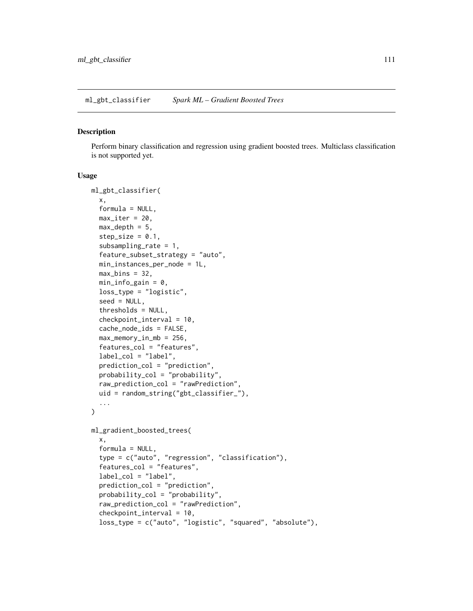#### <span id="page-110-0"></span>Description

Perform binary classification and regression using gradient boosted trees. Multiclass classification is not supported yet.

#### Usage

```
ml_gbt_classifier(
 x,
  formula = NULL,
 max\_iter = 20,
 max\_depth = 5,
  step_size = 0.1,
  subsampling_rate = 1,
  feature_subset_strategy = "auto",
 min_instances_per_node = 1L,
 max\_bins = 32,
 min\_info\_gain = 0,
  loss_type = "logistic",
  seed = NULL,thresholds = NULL,
  checkpoint_interval = 10,
  cache_node_ids = FALSE,
  max\_memory\_in\_mb = 256,
  features_col = "features",
  label_col = "label",
 prediction_col = "prediction",
 probability_col = "probability",
  raw_prediction_col = "rawPrediction",
 uid = random_string("gbt_classifier_"),
  ...
\mathcal{E}ml_gradient_boosted_trees(
  x,
  formula = NULL,
  type = c("auto", "regression", "classification"),
  features_col = "features",
  label_col = "label",
  prediction_col = "prediction",
  probability_col = "probability",
  raw_prediction_col = "rawPrediction",
  checkpoint_interval = 10,
  loss_type = c("auto", "logistic", "squared", "absolute"),
```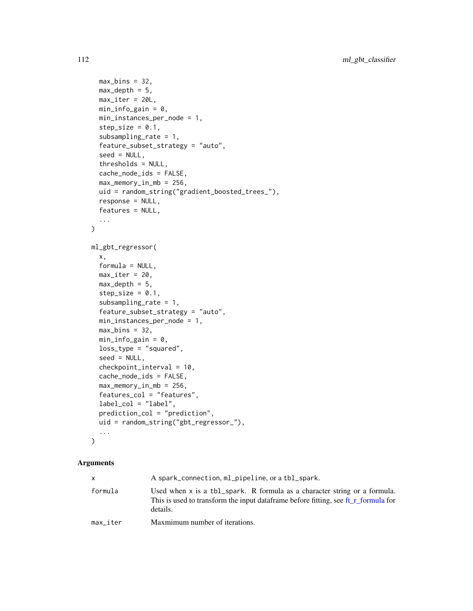```
max_bins = 32,
 max\_depth = 5,
 max\_iter = 20L,
 min\_info\_gain = 0,
 min_instances_per_node = 1,
  step_size = 0.1,
  subsampling_rate = 1,
  feature_subset_strategy = "auto",
  seed = NULL,
  thresholds = NULL,
  cache_node_ids = FALSE,
 max_memory_in_mb = 256,
 uid = random_string("gradient_boosted_trees_"),
  response = NULL,
 features = NULL,
  ...
\lambdaml_gbt_regressor(
 x,
 formula = NULL,
 max\_iter = 20,
 max\_depth = 5,
  step_size = 0.1,
  subsampling_rate = 1,
  feature_subset_strategy = "auto",
 min_instances_per_node = 1,
 max\_bins = 32,
 min\_info\_gain = 0,
 loss_type = "squared",
  seed = NULL,
  checkpoint_interval = 10,
  cache_node_ids = FALSE,
 max_memory_in_mb = 256,
  features_col = "features",
 label_col = "label",
 prediction_col = "prediction",
 uid = random_string("gbt_regressor_"),
  ...
\mathcal{L}
```

| x.       | A spark_connection, ml_pipeline, or a tbl_spark.                                                                                                                            |
|----------|-----------------------------------------------------------------------------------------------------------------------------------------------------------------------------|
| formula  | Used when x is a tbl_spark. R formula as a character string or a formula.<br>This is used to transform the input dataframe before fitting, see ft_r_formula for<br>details. |
| max_iter | Maxmimum number of iterations.                                                                                                                                              |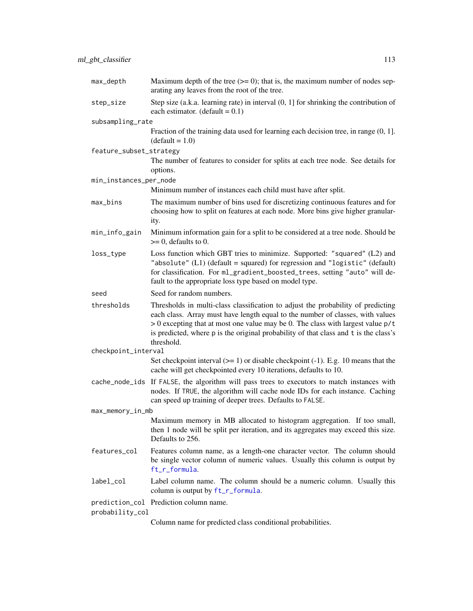| max_depth               | Maximum depth of the tree $(>= 0)$ ; that is, the maximum number of nodes sep-<br>arating any leaves from the root of the tree.                                                                                                                                                                    |
|-------------------------|----------------------------------------------------------------------------------------------------------------------------------------------------------------------------------------------------------------------------------------------------------------------------------------------------|
| step_size               | Step size (a.k.a. learning rate) in interval $(0, 1]$ for shrinking the contribution of<br>each estimator. $(default = 0.1)$                                                                                                                                                                       |
| subsampling_rate        |                                                                                                                                                                                                                                                                                                    |
|                         | Fraction of the training data used for learning each decision tree, in range $(0, 1]$ .<br>$(detault = 1.0)$                                                                                                                                                                                       |
| feature_subset_strategy |                                                                                                                                                                                                                                                                                                    |
|                         | The number of features to consider for splits at each tree node. See details for<br>options.                                                                                                                                                                                                       |
| min_instances_per_node  |                                                                                                                                                                                                                                                                                                    |
|                         | Minimum number of instances each child must have after split.                                                                                                                                                                                                                                      |
| max_bins                | The maximum number of bins used for discretizing continuous features and for<br>choosing how to split on features at each node. More bins give higher granular-<br>ity.                                                                                                                            |
| min_info_gain           | Minimum information gain for a split to be considered at a tree node. Should be<br>$\geq 0$ , defaults to 0.                                                                                                                                                                                       |
| loss_type               | Loss function which GBT tries to minimize. Supported: "squared" (L2) and<br>"absolute" $(L1)$ (default = squared) for regression and "logistic" (default)<br>for classification. For ml_gradient_boosted_trees, setting "auto" will de-<br>fault to the appropriate loss type based on model type. |
| seed                    | Seed for random numbers.                                                                                                                                                                                                                                                                           |
| thresholds              | Thresholds in multi-class classification to adjust the probability of predicting                                                                                                                                                                                                                   |
|                         | each class. Array must have length equal to the number of classes, with values<br>> 0 excepting that at most one value may be 0. The class with largest value p/t<br>is predicted, where p is the original probability of that class and t is the class's<br>threshold.                            |
| checkpoint_interval     |                                                                                                                                                                                                                                                                                                    |
|                         | Set checkpoint interval $(>= 1)$ or disable checkpoint $(-1)$ . E.g. 10 means that the<br>cache will get checkpointed every 10 iterations, defaults to 10.                                                                                                                                         |
|                         | cache_node_ids If FALSE, the algorithm will pass trees to executors to match instances with<br>nodes. If TRUE, the algorithm will cache node IDs for each instance. Caching<br>can speed up training of deeper trees. Defaults to FALSE.                                                           |
| max_memory_in_mb        |                                                                                                                                                                                                                                                                                                    |
|                         | Maximum memory in MB allocated to histogram aggregation. If too small,<br>then 1 node will be split per iteration, and its aggregates may exceed this size.<br>Defaults to 256.                                                                                                                    |
| features_col            | Features column name, as a length-one character vector. The column should<br>be single vector column of numeric values. Usually this column is output by<br>ft_r_formula.                                                                                                                          |
| label_col               | Label column name. The column should be a numeric column. Usually this<br>column is output by ft_r_formula.                                                                                                                                                                                        |
| probability_col         | prediction_col Prediction column name.<br>Column name for predicted class conditional probabilities.                                                                                                                                                                                               |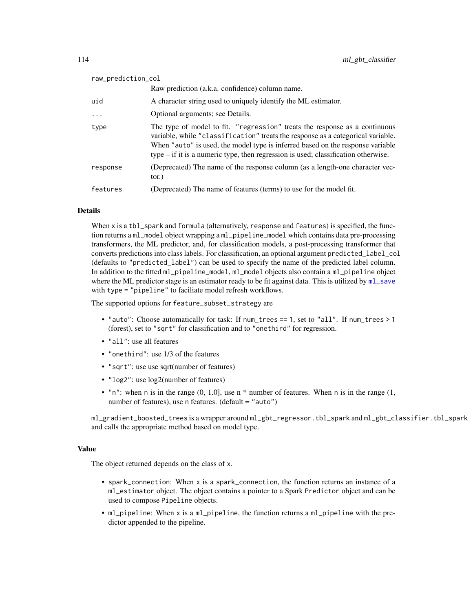| raw_prediction_col |                                                                                                                                                                                                                                                                                                                                         |  |
|--------------------|-----------------------------------------------------------------------------------------------------------------------------------------------------------------------------------------------------------------------------------------------------------------------------------------------------------------------------------------|--|
|                    | Raw prediction (a.k.a. confidence) column name.                                                                                                                                                                                                                                                                                         |  |
| uid                | A character string used to uniquely identify the ML estimator.                                                                                                                                                                                                                                                                          |  |
| $\cdots$           | Optional arguments; see Details.                                                                                                                                                                                                                                                                                                        |  |
| type               | The type of model to fit. "regression" treats the response as a continuous<br>variable, while "classification" treats the response as a categorical variable.<br>When "auto" is used, the model type is inferred based on the response variable<br>$type$ – if it is a numeric type, then regression is used; classification otherwise. |  |
| response           | (Deprecated) The name of the response column (as a length-one character vec-<br>$tor.$ )                                                                                                                                                                                                                                                |  |
| features           | (Deprecated) The name of features (terms) to use for the model fit.                                                                                                                                                                                                                                                                     |  |

When x is a tbl\_spark and formula (alternatively, response and features) is specified, the function returns a ml\_model object wrapping a ml\_pipeline\_model which contains data pre-processing transformers, the ML predictor, and, for classification models, a post-processing transformer that converts predictions into class labels. For classification, an optional argument predicted\_label\_col (defaults to "predicted\_label") can be used to specify the name of the predicted label column. In addition to the fitted ml\_pipeline\_model, ml\_model objects also contain a ml\_pipeline object where the ML predictor stage is an estimator ready to be fit against data. This is utilized by [ml\\_save](#page-82-0) with type = "pipeline" to faciliate model refresh workflows.

The supported options for feature\_subset\_strategy are

- "auto": Choose automatically for task: If num\_trees == 1, set to "all". If num\_trees > 1 (forest), set to "sqrt" for classification and to "onethird" for regression.
- "all": use all features
- "onethird": use 1/3 of the features
- "sqrt": use use sqrt(number of features)
- "log2": use log2(number of features)
- "n": when n is in the range  $(0, 1.0]$ , use n  $*$  number of features. When n is in the range  $(1, 1.0]$ number of features), use n features. (default = "auto")

ml\_gradient\_boosted\_trees is a wrapper around ml\_gbt\_regressor.tbl\_spark and ml\_gbt\_classifier.tbl\_spark and calls the appropriate method based on model type.

#### Value

The object returned depends on the class of x.

- spark\_connection: When x is a spark\_connection, the function returns an instance of a ml\_estimator object. The object contains a pointer to a Spark Predictor object and can be used to compose Pipeline objects.
- ml\_pipeline: When x is a ml\_pipeline, the function returns a ml\_pipeline with the predictor appended to the pipeline.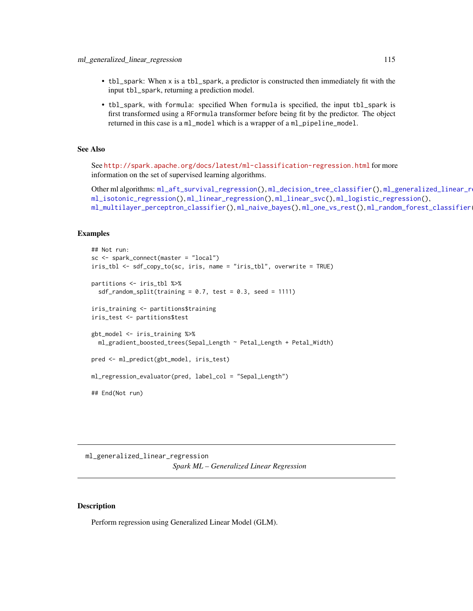- tbl\_spark: When x is a tbl\_spark, a predictor is constructed then immediately fit with the input tbl\_spark, returning a prediction model.
- tbl\_spark, with formula: specified When formula is specified, the input tbl\_spark is first transformed using a RFormula transformer before being fit by the predictor. The object returned in this case is a ml\_model which is a wrapper of a ml\_pipeline\_model.

## See Also

See <http://spark.apache.org/docs/latest/ml-classification-regression.html> for more information on the set of supervised learning algorithms.

Other ml algorithms: [ml\\_aft\\_survival\\_regression\(](#page-86-0)), [ml\\_decision\\_tree\\_classifier\(](#page-97-0)), ml\_generalized\_linear\_r [ml\\_isotonic\\_regression\(](#page-119-0)), [ml\\_linear\\_regression\(](#page-129-0)), [ml\\_linear\\_svc\(](#page-131-0)), [ml\\_logistic\\_regression\(](#page-134-0)), [ml\\_multilayer\\_perceptron\\_classifier\(](#page-138-0)), [ml\\_naive\\_bayes\(](#page-142-0)), [ml\\_one\\_vs\\_rest\(](#page-145-0)), [ml\\_random\\_forest\\_classifier\(](#page-148-0))

## Examples

```
## Not run:
sc <- spark_connect(master = "local")
iris_tbl <- sdf_copy_to(sc, iris, name = "iris_tbl", overwrite = TRUE)
partitions <- iris_tbl %>%
 sdf_r andom_split(training = 0.7, test = 0.3, seed = 1111)
iris_training <- partitions$training
iris_test <- partitions$test
gbt_model <- iris_training %>%
 ml_gradient_boosted_trees(Sepal_Length ~ Petal_Length + Petal_Width)
pred <- ml_predict(gbt_model, iris_test)
ml_regression_evaluator(pred, label_col = "Sepal_Length")
## End(Not run)
```
<span id="page-114-0"></span>ml\_generalized\_linear\_regression *Spark ML – Generalized Linear Regression*

## **Description**

Perform regression using Generalized Linear Model (GLM).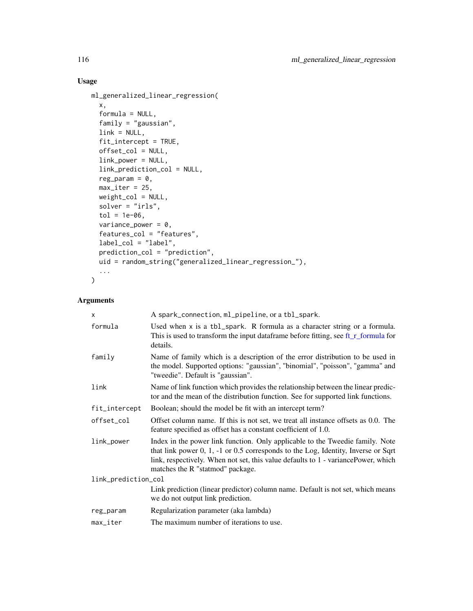## Usage

```
ml_generalized_linear_regression(
  x,
  formula = NULL,
 family = "gaussian",
  link = NULL,fit_intercept = TRUE,
 offset_col = NULL,
  link_power = NULL,
 link_prediction_col = NULL,
  reg_param = 0,
 max\_iter = 25,
 weight_col = NULL,
  solver = "irls",
  tol = 1e-06,variance_power = 0,
  features_col = "features",
 label_col = "label",
 prediction_col = "prediction",
 uid = random_string("generalized_linear_regression_"),
  ...
\mathcal{L}
```

| A spark_connection, ml_pipeline, or a tbl_spark.                                                                                                                                                                                                                                            |  |  |
|---------------------------------------------------------------------------------------------------------------------------------------------------------------------------------------------------------------------------------------------------------------------------------------------|--|--|
| Used when $x$ is a tbl_spark. R formula as a character string or a formula.<br>This is used to transform the input dataframe before fitting, see ft_r_formula for<br>details.                                                                                                               |  |  |
| Name of family which is a description of the error distribution to be used in<br>the model. Supported options: "gaussian", "binomial", "poisson", "gamma" and<br>"tweedie". Default is "gaussian".                                                                                          |  |  |
| Name of link function which provides the relationship between the linear predic-<br>tor and the mean of the distribution function. See for supported link functions.                                                                                                                        |  |  |
| Boolean; should the model be fit with an intercept term?                                                                                                                                                                                                                                    |  |  |
| Offset column name. If this is not set, we treat all instance offsets as 0.0. The<br>feature specified as offset has a constant coefficient of 1.0.                                                                                                                                         |  |  |
| Index in the power link function. Only applicable to the Tweedie family. Note<br>that link power 0, 1, -1 or 0.5 corresponds to the Log, Identity, Inverse or Sqrt<br>link, respectively. When not set, this value defaults to 1 - variancePower, which<br>matches the R "statmod" package. |  |  |
| link_prediction_col                                                                                                                                                                                                                                                                         |  |  |
| Link prediction (linear predictor) column name. Default is not set, which means<br>we do not output link prediction.                                                                                                                                                                        |  |  |
| Regularization parameter (aka lambda)                                                                                                                                                                                                                                                       |  |  |
| The maximum number of iterations to use.                                                                                                                                                                                                                                                    |  |  |
|                                                                                                                                                                                                                                                                                             |  |  |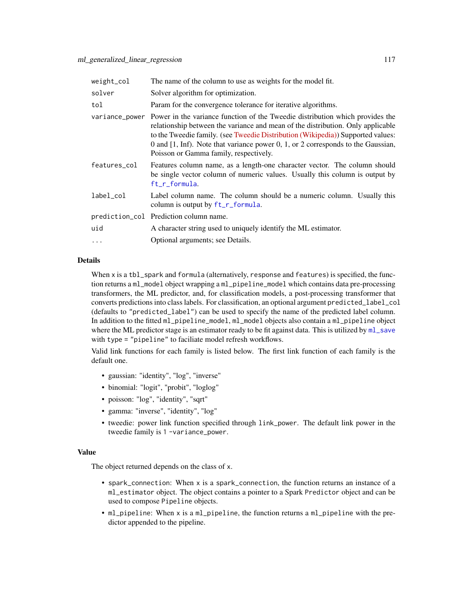| weight_col   | The name of the column to use as weights for the model fit.                                                                                                                                                                                                                                                                                                                                                |  |
|--------------|------------------------------------------------------------------------------------------------------------------------------------------------------------------------------------------------------------------------------------------------------------------------------------------------------------------------------------------------------------------------------------------------------------|--|
| solver       | Solver algorithm for optimization.                                                                                                                                                                                                                                                                                                                                                                         |  |
| tol          | Param for the convergence tolerance for iterative algorithms.                                                                                                                                                                                                                                                                                                                                              |  |
|              | variance_power Power in the variance function of the Tweedie distribution which provides the<br>relationship between the variance and mean of the distribution. Only applicable<br>to the Tweedie family. (see Tweedie Distribution (Wikipedia)) Supported values:<br>0 and $[1, \text{Inf})$ . Note that variance power 0, 1, or 2 corresponds to the Gaussian,<br>Poisson or Gamma family, respectively. |  |
| features_col | Features column name, as a length-one character vector. The column should<br>be single vector column of numeric values. Usually this column is output by<br>ft_r_formula.                                                                                                                                                                                                                                  |  |
| label_col    | Label column name. The column should be a numeric column. Usually this<br>column is output by $ft_r_formula$ .                                                                                                                                                                                                                                                                                             |  |
|              | prediction_col Prediction column name.                                                                                                                                                                                                                                                                                                                                                                     |  |
| uid          | A character string used to uniquely identify the ML estimator.                                                                                                                                                                                                                                                                                                                                             |  |
| $\cdots$     | Optional arguments; see Details.                                                                                                                                                                                                                                                                                                                                                                           |  |

When x is a tbl\_spark and formula (alternatively, response and features) is specified, the function returns a ml\_model object wrapping a ml\_pipeline\_model which contains data pre-processing transformers, the ML predictor, and, for classification models, a post-processing transformer that converts predictions into class labels. For classification, an optional argument predicted\_label\_col (defaults to "predicted\_label") can be used to specify the name of the predicted label column. In addition to the fitted ml\_pipeline\_model, ml\_model objects also contain a ml\_pipeline object where the ML predictor stage is an estimator ready to be fit against data. This is utilized by  $m_{\text{L}}$  save with type = "pipeline" to faciliate model refresh workflows.

Valid link functions for each family is listed below. The first link function of each family is the default one.

- gaussian: "identity", "log", "inverse"
- binomial: "logit", "probit", "loglog"
- poisson: "log", "identity", "sqrt"
- gamma: "inverse", "identity", "log"
- tweedie: power link function specified through link\_power. The default link power in the tweedie family is 1 -variance\_power.

#### Value

The object returned depends on the class of x.

- spark\_connection: When x is a spark\_connection, the function returns an instance of a ml\_estimator object. The object contains a pointer to a Spark Predictor object and can be used to compose Pipeline objects.
- ml\_pipeline: When x is a ml\_pipeline, the function returns a ml\_pipeline with the predictor appended to the pipeline.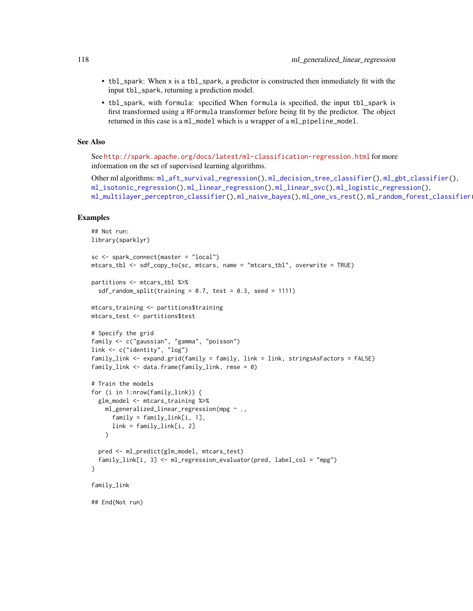- tbl\_spark: When x is a tbl\_spark, a predictor is constructed then immediately fit with the input tbl\_spark, returning a prediction model.
- tbl\_spark, with formula: specified When formula is specified, the input tbl\_spark is first transformed using a RFormula transformer before being fit by the predictor. The object returned in this case is a ml\_model which is a wrapper of a ml\_pipeline\_model.

#### See Also

See <http://spark.apache.org/docs/latest/ml-classification-regression.html> for more information on the set of supervised learning algorithms.

```
Other ml algorithms: ml_aft_survival_regression(), ml_decision_tree_classifier(), ml_gbt_classifier(),
ml_isotonic_regression(), ml_linear_regression(), ml_linear_svc(), ml_logistic_regression(),
ml_multilayer_perceptron_classifier(), ml_naive_bayes(), ml_one_vs_rest(), ml_random_forest_classifier()
```
#### Examples

```
## Not run:
library(sparklyr)
sc <- spark_connect(master = "local")
mtcars_tbl <- sdf_copy_to(sc, mtcars, name = "mtcars_tbl", overwrite = TRUE)
partitions <- mtcars_tbl %>%
  sdf_random_split(training = 0.7, test = 0.3, seed = 1111)
mtcars_training <- partitions$training
mtcars_test <- partitions$test
# Specify the grid
family <- c("gaussian", "gamma", "poisson")
link <- c("identity", "log")
family_link <- expand.grid(family = family, link = link, stringsAsFactors = FALSE)
family_link \leq data.frame(family_link, rmse = 0)
# Train the models
for (i in 1:nrow(family_link)) {
  glm_model <- mtcars_training %>%
    ml_generalized_linear_regression(mpg ~ .,
      family = family\_link[i, 1],link = family_link[i, 2]
   \lambdapred <- ml_predict(glm_model, mtcars_test)
  family_link[i, 3] <- ml_regression_evaluator(pred, label_col = "mpg")
}
family_link
## End(Not run)
```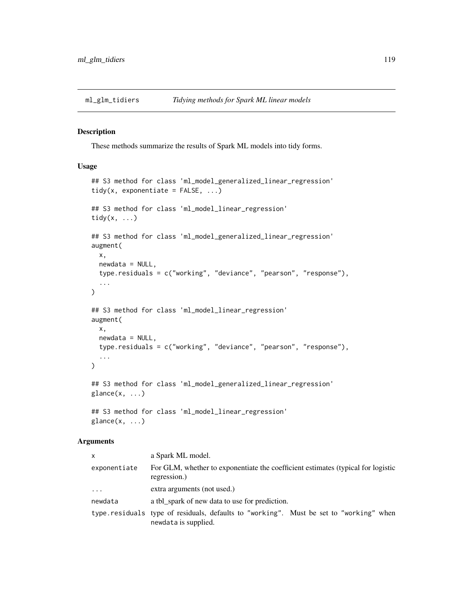## Description

These methods summarize the results of Spark ML models into tidy forms.

## Usage

```
## S3 method for class 'ml_model_generalized_linear_regression'
tidy(x, exponentiate = FALSE, ...)## S3 method for class 'ml_model_linear_regression'
tidy(x, \ldots)## S3 method for class 'ml_model_generalized_linear_regression'
augment(
 x,
  newdata = NULL,type.residuals = c("working", "deviance", "pearson", "response"),
  ...
\lambda## S3 method for class 'ml_model_linear_regression'
augment(
 x,
  newdata = NULL,
  type.residuals = c("working", "deviance", "pearson", "response"),
  ...
\mathcal{E}## S3 method for class 'ml_model_generalized_linear_regression'
glance(x, \ldots)## S3 method for class 'ml_model_linear_regression'
\text{glance}(x, \ldots)
```

| $\mathsf{x}$ | a Spark ML model.                                                                                              |  |
|--------------|----------------------------------------------------------------------------------------------------------------|--|
| exponentiate | For GLM, whether to exponentiate the coefficient estimates (typical for logistic<br>regression.)               |  |
| $\cdot$      | extra arguments (not used.)                                                                                    |  |
| newdata      | a tbl spark of new data to use for prediction.                                                                 |  |
|              | type residuals type of residuals, defaults to "working". Must be set to "working" when<br>newdata is supplied. |  |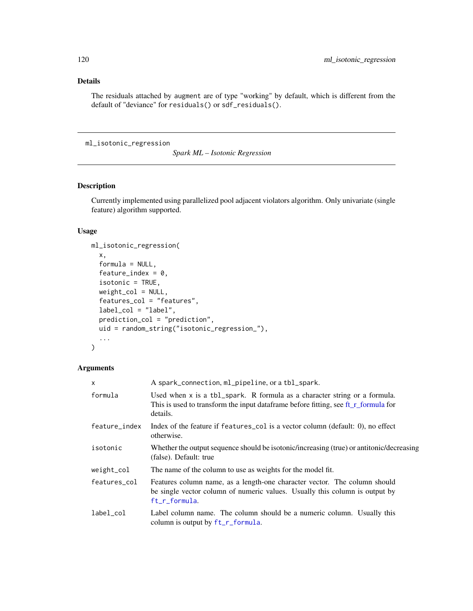The residuals attached by augment are of type "working" by default, which is different from the default of "deviance" for residuals() or sdf\_residuals().

### <span id="page-119-0"></span>ml\_isotonic\_regression

*Spark ML – Isotonic Regression*

## Description

Currently implemented using parallelized pool adjacent violators algorithm. Only univariate (single feature) algorithm supported.

## Usage

```
ml_isotonic_regression(
  x,
  formula = NULL,
  feature_index = 0,
  isotonic = TRUE,
  weight_col = NULL,
  features_col = "features",
  label_col = "label",
 prediction_col = "prediction",
  uid = random_string("isotonic_regression_"),
  ...
)
```

| X             | A spark_connection, ml_pipeline, or a tbl_spark.                                                                                                                              |  |
|---------------|-------------------------------------------------------------------------------------------------------------------------------------------------------------------------------|--|
| formula       | Used when $x$ is a tbl_spark. R formula as a character string or a formula.<br>This is used to transform the input dataframe before fitting, see ft_r_formula for<br>details. |  |
| feature_index | Index of the feature if features_col is a vector column (default: 0), no effect<br>otherwise.                                                                                 |  |
| isotonic      | Whether the output sequence should be isotonic/increasing (true) or antitonic/decreasing<br>(false). Default: true                                                            |  |
| weight_col    | The name of the column to use as weights for the model fit.                                                                                                                   |  |
| features_col  | Features column name, as a length-one character vector. The column should<br>be single vector column of numeric values. Usually this column is output by<br>ft_r_formula.     |  |
| label col     | Label column name. The column should be a numeric column. Usually this<br>column is output by ft_r_formula.                                                                   |  |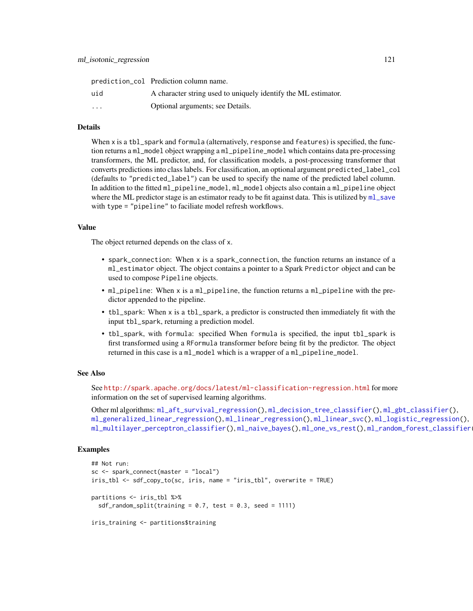|                         | prediction_col Prediction column name.                         |
|-------------------------|----------------------------------------------------------------|
| uid                     | A character string used to uniquely identify the ML estimator. |
| $\cdot$ $\cdot$ $\cdot$ | Optional arguments; see Details.                               |

When x is a tbl\_spark and formula (alternatively, response and features) is specified, the function returns a ml\_model object wrapping a ml\_pipeline\_model which contains data pre-processing transformers, the ML predictor, and, for classification models, a post-processing transformer that converts predictions into class labels. For classification, an optional argument predicted\_label\_col (defaults to "predicted\_label") can be used to specify the name of the predicted label column. In addition to the fitted ml\_pipeline\_model, ml\_model objects also contain a ml\_pipeline object where the ML predictor stage is an estimator ready to be fit against data. This is utilized by  $m_{\text{1}}$  save with type = "pipeline" to faciliate model refresh workflows.

#### Value

The object returned depends on the class of x.

- spark\_connection: When x is a spark\_connection, the function returns an instance of a ml\_estimator object. The object contains a pointer to a Spark Predictor object and can be used to compose Pipeline objects.
- ml\_pipeline: When x is a ml\_pipeline, the function returns a ml\_pipeline with the predictor appended to the pipeline.
- tbl\_spark: When x is a tbl\_spark, a predictor is constructed then immediately fit with the input tbl\_spark, returning a prediction model.
- tbl\_spark, with formula: specified When formula is specified, the input tbl\_spark is first transformed using a RFormula transformer before being fit by the predictor. The object returned in this case is a ml\_model which is a wrapper of a ml\_pipeline\_model.

## See Also

See <http://spark.apache.org/docs/latest/ml-classification-regression.html> for more information on the set of supervised learning algorithms.

```
Other ml algorithms: ml_aft_survival_regression(), ml_decision_tree_classifier(), ml_gbt_classifier(),
ml_generalized_linear_regression(), ml_linear_regression(), ml_linear_svc(), ml_logistic_regression(),
ml_multilayer_perceptron_classifier(), ml_naive_bayes(), ml_one_vs_rest(), ml_random_forest_classifier()
```
#### Examples

```
## Not run:
sc <- spark_connect(master = "local")
iris_tbl <- sdf_copy_to(sc, iris, name = "iris_tbl", overwrite = TRUE)
partitions <- iris_tbl %>%
 sdf_random_split(training = 0.7, test = 0.3, seed = 1111)
```
iris\_training <- partitions\$training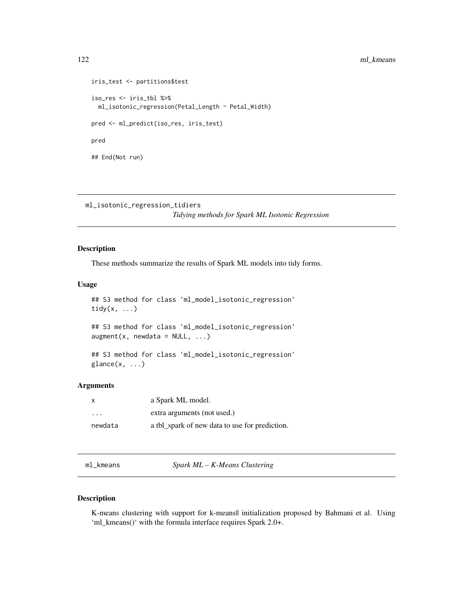## 122 ml\_kmeans

```
iris_test <- partitions$test
iso_res <- iris_tbl %>%
  ml_isotonic_regression(Petal_Length ~ Petal_Width)
pred <- ml_predict(iso_res, iris_test)
pred
## End(Not run)
```
ml\_isotonic\_regression\_tidiers

*Tidying methods for Spark ML Isotonic Regression*

#### Description

These methods summarize the results of Spark ML models into tidy forms.

## Usage

```
## S3 method for class 'ml_model_isotonic_regression'
tidy(x, ...)
## S3 method for class 'ml_model_isotonic_regression'
augment(x, newdata = NULL, ...)
```

```
## S3 method for class 'ml_model_isotonic_regression'
\text{glance}(x, \ldots)
```
## **Arguments**

| X        | a Spark ML model.                              |
|----------|------------------------------------------------|
| $\cdots$ | extra arguments (not used.)                    |
| newdata  | a tbl spark of new data to use for prediction. |

```
ml_kmeans Spark ML – K-Means Clustering
```
#### Description

K-means clustering with support for k-means|| initialization proposed by Bahmani et al. Using 'ml\_kmeans()' with the formula interface requires Spark 2.0+.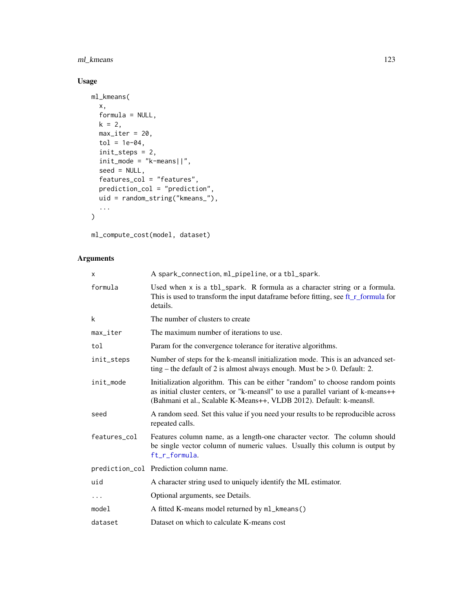ml\_kmeans 123

## Usage

```
ml_kmeans(
  x,
  formula = NULL,
  k = 2,max\_iter = 20,
  tol = 1e-04,init_steps = 2,
  init_mode = "k-means||",
  seed = NULL,
  features_col = "features",
 prediction_col = "prediction",
  uid = random_string("kmeans_"),
  ...
\overline{)}
```
ml\_compute\_cost(model, dataset)

| X                      | A spark_connection, ml_pipeline, or a tbl_spark.                                                                                                                                                                                           |
|------------------------|--------------------------------------------------------------------------------------------------------------------------------------------------------------------------------------------------------------------------------------------|
| formula                | Used when $x$ is a tbl_spark. R formula as a character string or a formula.<br>This is used to transform the input dataframe before fitting, see ft_r_formula for<br>details.                                                              |
| k                      | The number of clusters to create                                                                                                                                                                                                           |
| $max$ <sub>Liter</sub> | The maximum number of iterations to use.                                                                                                                                                                                                   |
| tol                    | Param for the convergence tolerance for iterative algorithms.                                                                                                                                                                              |
| init_steps             | Number of steps for the k-meansl initialization mode. This is an advanced set-<br>ting – the default of 2 is almost always enough. Must be $> 0$ . Default: 2.                                                                             |
| init_mode              | Initialization algorithm. This can be either "random" to choose random points<br>as initial cluster centers, or "k-meansll" to use a parallel variant of k-means++<br>(Bahmani et al., Scalable K-Means++, VLDB 2012). Default: k-meansll. |
| seed                   | A random seed. Set this value if you need your results to be reproducible across<br>repeated calls.                                                                                                                                        |
| features_col           | Features column name, as a length-one character vector. The column should<br>be single vector column of numeric values. Usually this column is output by<br>ft_r_formula.                                                                  |
|                        | prediction_col Prediction column name.                                                                                                                                                                                                     |
| uid                    | A character string used to uniquely identify the ML estimator.                                                                                                                                                                             |
| .                      | Optional arguments, see Details.                                                                                                                                                                                                           |
| model                  | A fitted K-means model returned by ml_kmeans()                                                                                                                                                                                             |
| dataset                | Dataset on which to calculate K-means cost                                                                                                                                                                                                 |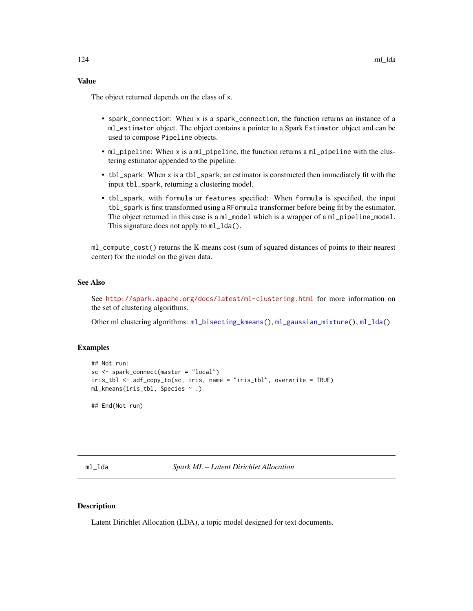## Value

The object returned depends on the class of x.

- spark\_connection: When x is a spark\_connection, the function returns an instance of a ml\_estimator object. The object contains a pointer to a Spark Estimator object and can be used to compose Pipeline objects.
- ml\_pipeline: When x is a ml\_pipeline, the function returns a ml\_pipeline with the clustering estimator appended to the pipeline.
- tbl\_spark: When x is a tbl\_spark, an estimator is constructed then immediately fit with the input tbl\_spark, returning a clustering model.
- tbl\_spark, with formula or features specified: When formula is specified, the input tbl\_spark is first transformed using a RFormula transformer before being fit by the estimator. The object returned in this case is a ml\_model which is a wrapper of a ml\_pipeline\_model. This signature does not apply to  $m1$  da().

ml\_compute\_cost() returns the K-means cost (sum of squared distances of points to their nearest center) for the model on the given data.

## See Also

See <http://spark.apache.org/docs/latest/ml-clustering.html> for more information on the set of clustering algorithms.

Other ml clustering algorithms: [ml\\_bisecting\\_kmeans\(](#page-93-0)), [ml\\_gaussian\\_mixture\(](#page-108-0)), [ml\\_lda\(](#page-123-0))

## Examples

```
## Not run:
sc <- spark_connect(master = "local")
iris_tbl <- sdf_copy_to(sc, iris, name = "iris_tbl", overwrite = TRUE)
ml_kmeans(iris_tbl, Species ~ .)
```

```
## End(Not run)
```
<span id="page-123-0"></span>

## Description

Latent Dirichlet Allocation (LDA), a topic model designed for text documents.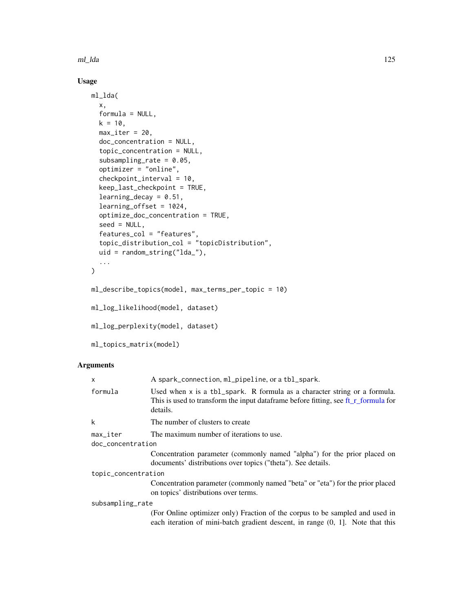ml\_lda 125

## Usage

```
ml_lda(
 x,
  formula = NULL,
 k = 10,
 max\_iter = 20,
  doc_concentration = NULL,
  topic_concentration = NULL,
  subsampling_rate = 0.05,
  optimizer = "online",
  checkpoint_interval = 10,
  keep_last_checkpoint = TRUE,
  learning\_decay = 0.51,learning_offset = 1024,
  optimize_doc_concentration = TRUE,
  seed = NULL,
  features_col = "features",
  topic_distribution_col = "topicDistribution",
  uid = random_string("lda_"),
  ...
\mathcal{L}ml_describe_topics(model, max_terms_per_topic = 10)
ml_log_likelihood(model, dataset)
ml_log_perplexity(model, dataset)
ml_topics_matrix(model)
```

| X                                           | A spark_connection, ml_pipeline, or a tbl_spark.                                                                                                                              |  |
|---------------------------------------------|-------------------------------------------------------------------------------------------------------------------------------------------------------------------------------|--|
| formula                                     | Used when $x$ is a tbl_spark. R formula as a character string or a formula.<br>This is used to transform the input dataframe before fitting, see ft_r_formula for<br>details. |  |
| k                                           | The number of clusters to create                                                                                                                                              |  |
| $max$ <sub>Liter</sub><br>doc concentration | The maximum number of iterations to use.                                                                                                                                      |  |
|                                             | Concentration parameter (commonly named "alpha") for the prior placed on<br>documents' distributions over topics ("theta"). See details.                                      |  |
| topic_concentration                         |                                                                                                                                                                               |  |
|                                             | Concentration parameter (commonly named "beta" or "eta") for the prior placed<br>on topics' distributions over terms.                                                         |  |
| subsampling_rate                            |                                                                                                                                                                               |  |
|                                             | (For Online optimizer only) Fraction of the corpus to be sampled and used in<br>each iteration of mini-batch gradient descent, in range $(0, 1]$ . Note that this             |  |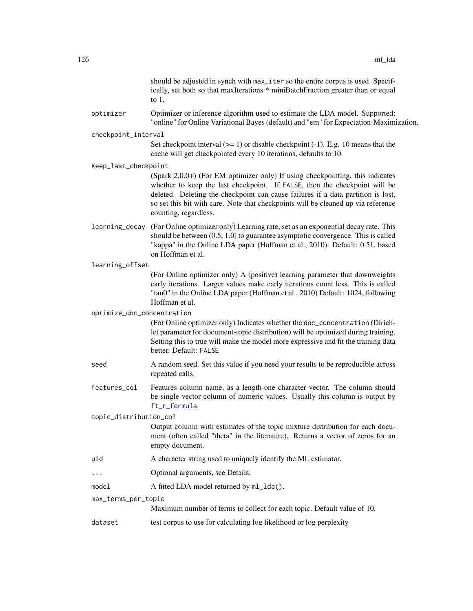should be adjusted in synch with max\_iter so the entire corpus is used. Specifically, set both so that maxIterations \* miniBatchFraction greater than or equal to 1.

optimizer Optimizer or inference algorithm used to estimate the LDA model. Supported: "online" for Online Variational Bayes (default) and "em" for Expectation-Maximization.

checkpoint\_interval

Set checkpoint interval  $(>= 1)$  or disable checkpoint  $(-1)$ . E.g. 10 means that the cache will get checkpointed every 10 iterations, defaults to 10.

keep\_last\_checkpoint

(Spark 2.0.0+) (For EM optimizer only) If using checkpointing, this indicates whether to keep the last checkpoint. If FALSE, then the checkpoint will be deleted. Deleting the checkpoint can cause failures if a data partition is lost, so set this bit with care. Note that checkpoints will be cleaned up via reference counting, regardless.

learning\_decay (For Online optimizer only) Learning rate, set as an exponential decay rate. This should be between (0.5, 1.0] to guarantee asymptotic convergence. This is called "kappa" in the Online LDA paper (Hoffman et al., 2010). Default: 0.51, based on Hoffman et al.

learning\_offset

(For Online optimizer only) A (positive) learning parameter that downweights early iterations. Larger values make early iterations count less. This is called "tau0" in the Online LDA paper (Hoffman et al., 2010) Default: 1024, following Hoffman et al.

optimize\_doc\_concentration

(For Online optimizer only) Indicates whether the doc\_concentration (Dirichlet parameter for document-topic distribution) will be optimized during training. Setting this to true will make the model more expressive and fit the training data better. Default: FALSE

- seed A random seed. Set this value if you need your results to be reproducible across repeated calls.
- features\_col Features column name, as a length-one character vector. The column should be single vector column of numeric values. Usually this column is output by [ft\\_r\\_formula](#page-50-0).

topic\_distribution\_col

Output column with estimates of the topic mixture distribution for each document (often called "theta" in the literature). Returns a vector of zeros for an empty document.

- uid A character string used to uniquely identify the ML estimator.
- ... Optional arguments, see Details.
- model A fitted LDA model returned by ml\_lda().

max\_terms\_per\_topic

Maximum number of terms to collect for each topic. Default value of 10.

dataset test corpus to use for calculating log likelihood or log perplexity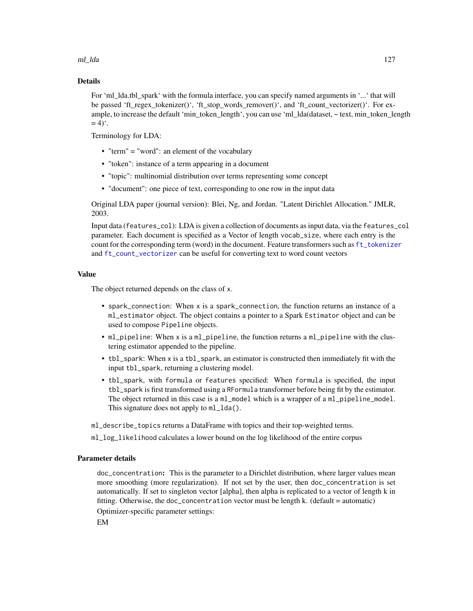ml\_lda 127

## Details

For 'ml\_lda.tbl\_spark' with the formula interface, you can specify named arguments in '...' that will be passed 'ft\_regex\_tokenizer()', 'ft\_stop\_words\_remover()', and 'ft\_count\_vectorizer()'. For example, to increase the default 'min\_token\_length', you can use 'ml\_lda(dataset, ~ text, min\_token\_length  $= 4$ <sup>.</sup>

Terminology for LDA:

- "term" = "word": an element of the vocabulary
- "token": instance of a term appearing in a document
- "topic": multinomial distribution over terms representing some concept
- "document": one piece of text, corresponding to one row in the input data

Original LDA paper (journal version): Blei, Ng, and Jordan. "Latent Dirichlet Allocation." JMLR, 2003.

Input data (features\_col): LDA is given a collection of documents as input data, via the features\_col parameter. Each document is specified as a Vector of length vocab\_size, where each entry is the count for the corresponding term (word) in the document. Feature transformers such as [ft\\_tokenizer](#page-58-0) and [ft\\_count\\_vectorizer](#page-19-0) can be useful for converting text to word count vectors

#### Value

The object returned depends on the class of x.

- spark\_connection: When x is a spark\_connection, the function returns an instance of a ml\_estimator object. The object contains a pointer to a Spark Estimator object and can be used to compose Pipeline objects.
- ml\_pipeline: When x is a ml\_pipeline, the function returns a ml\_pipeline with the clustering estimator appended to the pipeline.
- tbl\_spark: When x is a tbl\_spark, an estimator is constructed then immediately fit with the input tbl\_spark, returning a clustering model.
- tbl\_spark, with formula or features specified: When formula is specified, the input tbl\_spark is first transformed using a RFormula transformer before being fit by the estimator. The object returned in this case is a ml\_model which is a wrapper of a ml\_pipeline\_model. This signature does not apply to  $m1$  da().

ml\_describe\_topics returns a DataFrame with topics and their top-weighted terms.

ml\_log\_likelihood calculates a lower bound on the log likelihood of the entire corpus

## Parameter details

doc\_concentration: This is the parameter to a Dirichlet distribution, where larger values mean more smoothing (more regularization). If not set by the user, then doc\_concentration is set automatically. If set to singleton vector [alpha], then alpha is replicated to a vector of length k in fitting. Otherwise, the doc\_concentration vector must be length k. (default = automatic) Optimizer-specific parameter settings:

EM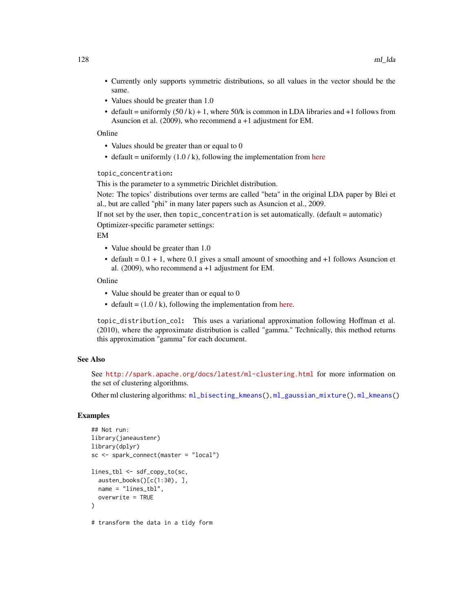- Currently only supports symmetric distributions, so all values in the vector should be the same.
- Values should be greater than 1.0
- default = uniformly  $(50/k) + 1$ , where  $50/k$  is common in LDA libraries and +1 follows from Asuncion et al. (2009), who recommend a +1 adjustment for EM.

#### Online

- Values should be greater than or equal to 0
- default = uniformly  $(1.0 / k)$ , following the implementation from [here](https://github.com/Blei-Lab/onlineldavb)

#### topic\_concentration:

This is the parameter to a symmetric Dirichlet distribution.

Note: The topics' distributions over terms are called "beta" in the original LDA paper by Blei et al., but are called "phi" in many later papers such as Asuncion et al., 2009.

If not set by the user, then  $topic\_concentration$  is set automatically. (default = automatic) Optimizer-specific parameter settings:

### EM

- Value should be greater than 1.0
- default  $= 0.1 + 1$ , where 0.1 gives a small amount of smoothing and  $+1$  follows Asuncion et al. (2009), who recommend a +1 adjustment for EM.

#### Online

- Value should be greater than or equal to 0
- default =  $(1.0 / k)$ , following the implementation from [here.](https://github.com/Blei-Lab/onlineldavb)

topic\_distribution\_col: This uses a variational approximation following Hoffman et al. (2010), where the approximate distribution is called "gamma." Technically, this method returns this approximation "gamma" for each document.

## See Also

See <http://spark.apache.org/docs/latest/ml-clustering.html> for more information on the set of clustering algorithms.

Other ml clustering algorithms: [ml\\_bisecting\\_kmeans\(](#page-93-0)), [ml\\_gaussian\\_mixture\(](#page-108-0)), [ml\\_kmeans\(](#page-121-0))

## Examples

```
## Not run:
library(janeaustenr)
library(dplyr)
sc <- spark_connect(master = "local")
lines_tbl <- sdf_copy_to(sc,
  austen_books()[c(1:30), ],
  name = "lines_tbl",
  overwrite = TRUE
)
# transform the data in a tidy form
```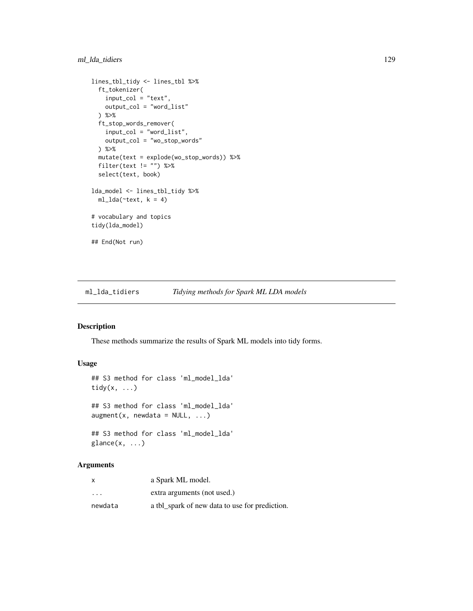```
lines_tbl_tidy <- lines_tbl %>%
  ft_tokenizer(
   input_col = "text",
   output_col = "word_list"
  ) %>%
  ft_stop_words_remover(
   input_col = "word_list",
   output_col = "wo_stop_words"
  ) %>%
  mutate(text = explode(wo_stop_words)) %>%
  filter(text != "") %>%
  select(text, book)
lda_model <- lines_tbl_tidy %>%
  ml\_lda(\text{text}, k = 4)# vocabulary and topics
tidy(lda_model)
## End(Not run)
```
ml\_lda\_tidiers *Tidying methods for Spark ML LDA models*

## Description

These methods summarize the results of Spark ML models into tidy forms.

## Usage

```
## S3 method for class 'ml_model_lda'
tidy(x, ...)
## S3 method for class 'ml_model_lda'
augment(x, newdata = NULL, ...)## S3 method for class 'ml_model_lda'
```
# $glance(x, \ldots)$

| x                       | a Spark ML model.                              |
|-------------------------|------------------------------------------------|
| $\cdot$ $\cdot$ $\cdot$ | extra arguments (not used.)                    |
| newdata                 | a tbl_spark of new data to use for prediction. |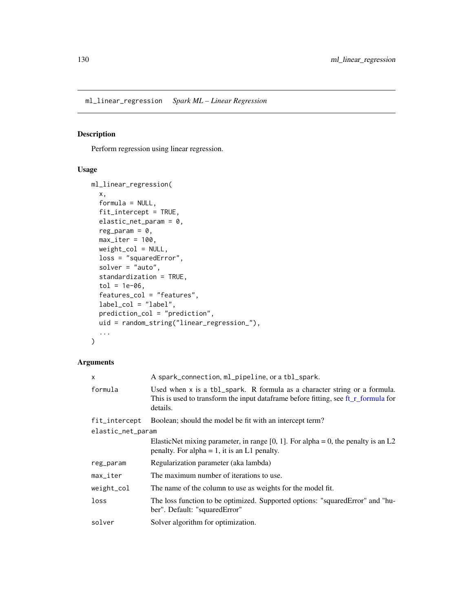<span id="page-129-0"></span>ml\_linear\_regression *Spark ML – Linear Regression*

## Description

Perform regression using linear regression.

## Usage

```
ml_linear_regression(
 x,
  formula = NULL,
 fit_intercept = TRUE,
 elastic_net_param = 0,
 reg\_param = 0,max\_iter = 100,
 weight_col = NULL,
  loss = "squaredError",
  solver = "auto",
  standardization = TRUE,
  tol = 1e-06,
  features_col = "features",
 label_col = "label",
 prediction_col = "prediction",
 uid = random_string("linear_regression_"),
  ...
\mathcal{E}
```

| x                 | A spark_connection, ml_pipeline, or a tbl_spark.                                                                                                                              |  |
|-------------------|-------------------------------------------------------------------------------------------------------------------------------------------------------------------------------|--|
| formula           | Used when $x$ is a tbl_spark. R formula as a character string or a formula.<br>This is used to transform the input dataframe before fitting, see ft_r_formula for<br>details. |  |
| fit_intercept     | Boolean; should the model be fit with an intercept term?                                                                                                                      |  |
| elastic_net_param |                                                                                                                                                                               |  |
|                   | ElasticNet mixing parameter, in range [0, 1]. For alpha = 0, the penalty is an L2<br>penalty. For alpha $= 1$ , it is an L1 penalty.                                          |  |
| reg_param         | Regularization parameter (aka lambda)                                                                                                                                         |  |
| max_iter          | The maximum number of iterations to use.                                                                                                                                      |  |
| weight_col        | The name of the column to use as weights for the model fit.                                                                                                                   |  |
| loss              | The loss function to be optimized. Supported options: "squaredError" and "hu-<br>ber". Default: "squaredError"                                                                |  |
| solver            | Solver algorithm for optimization.                                                                                                                                            |  |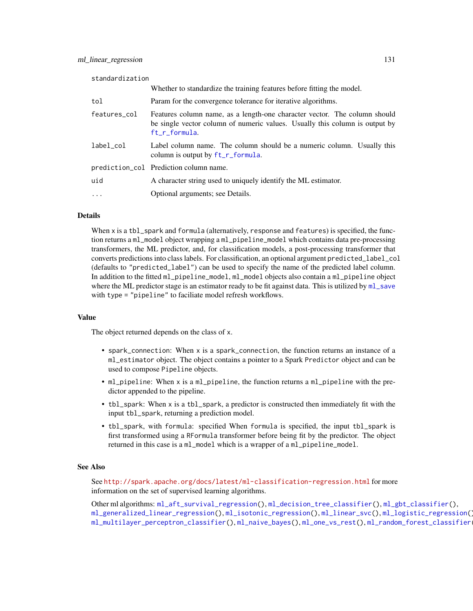| standardization |                                                                                                                                                                           |
|-----------------|---------------------------------------------------------------------------------------------------------------------------------------------------------------------------|
|                 | Whether to standardize the training features before fitting the model.                                                                                                    |
| tol             | Param for the convergence tolerance for iterative algorithms.                                                                                                             |
| features_col    | Features column name, as a length-one character vector. The column should<br>be single vector column of numeric values. Usually this column is output by<br>ft_r_formula. |
| label col       | Label column name. The column should be a numeric column. Usually this<br>column is output by ft_r_formula.                                                               |
|                 | prediction_col Prediction column name.                                                                                                                                    |
| uid             | A character string used to uniquely identify the ML estimator.                                                                                                            |
| $\ddots$        | Optional arguments; see Details.                                                                                                                                          |
|                 |                                                                                                                                                                           |

When x is a tbl\_spark and formula (alternatively, response and features) is specified, the function returns a ml\_model object wrapping a ml\_pipeline\_model which contains data pre-processing transformers, the ML predictor, and, for classification models, a post-processing transformer that converts predictions into class labels. For classification, an optional argument predicted\_label\_col (defaults to "predicted\_label") can be used to specify the name of the predicted label column. In addition to the fitted ml\_pipeline\_model, ml\_model objects also contain a ml\_pipeline object where the ML predictor stage is an estimator ready to be fit against data. This is utilized by  $m_1$  save with type = "pipeline" to faciliate model refresh workflows.

#### Value

The object returned depends on the class of x.

- spark\_connection: When x is a spark\_connection, the function returns an instance of a ml\_estimator object. The object contains a pointer to a Spark Predictor object and can be used to compose Pipeline objects.
- ml\_pipeline: When x is a ml\_pipeline, the function returns a ml\_pipeline with the predictor appended to the pipeline.
- tbl\_spark: When x is a tbl\_spark, a predictor is constructed then immediately fit with the input tbl\_spark, returning a prediction model.
- tbl\_spark, with formula: specified When formula is specified, the input tbl\_spark is first transformed using a RFormula transformer before being fit by the predictor. The object returned in this case is a ml\_model which is a wrapper of a ml\_pipeline\_model.

#### See Also

See <http://spark.apache.org/docs/latest/ml-classification-regression.html> for more information on the set of supervised learning algorithms.

Other ml algorithms: [ml\\_aft\\_survival\\_regression\(](#page-86-0)), [ml\\_decision\\_tree\\_classifier\(](#page-97-0)), [ml\\_gbt\\_classifier\(](#page-110-0)), [ml\\_generalized\\_linear\\_regression\(](#page-114-0)), [ml\\_isotonic\\_regression\(](#page-119-0)), [ml\\_linear\\_svc\(](#page-131-0)), [ml\\_logistic\\_regression\(](#page-134-0)), [ml\\_multilayer\\_perceptron\\_classifier\(](#page-138-0)), [ml\\_naive\\_bayes\(](#page-142-0)), [ml\\_one\\_vs\\_rest\(](#page-145-0)), [ml\\_random\\_forest\\_classifier\(](#page-148-0))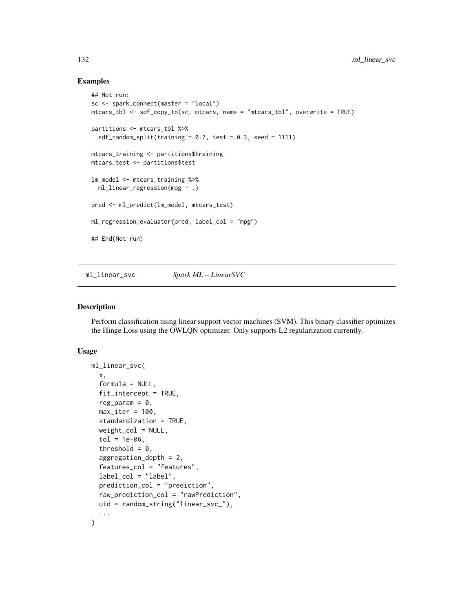## Examples

```
## Not run:
sc <- spark_connect(master = "local")
mtcars_tbl <- sdf_copy_to(sc, mtcars, name = "mtcars_tbl", overwrite = TRUE)
partitions <- mtcars_tbl %>%
  sdf_random_split(training = 0.7, test = 0.3, seed = 1111)
mtcars_training <- partitions$training
mtcars_test <- partitions$test
lm_model <- mtcars_training %>%
  ml_linear_regression(mpg ~ .)
pred <- ml_predict(lm_model, mtcars_test)
ml_regression_evaluator(pred, label_col = "mpg")
## End(Not run)
```
<span id="page-131-0"></span>ml\_linear\_svc *Spark ML – LinearSVC*

#### Description

Perform classification using linear support vector machines (SVM). This binary classifier optimizes the Hinge Loss using the OWLQN optimizer. Only supports L2 regularization currently.

#### Usage

```
ml_linear_svc(
  x,
  formula = NULL,fit_intercept = TRUE,
  reg\_param = 0,max\_iter = 100,
  standardization = TRUE,
  weight_col = NULL,
  tol = 1e-06,threshold = 0,
  aggregation_depth = 2,
  features_col = "features",
  label_col = "label",
  prediction_col = "prediction",
  raw_prediction_col = "rawPrediction",
  uid = random_string("linear_svc_"),
  ...
)
```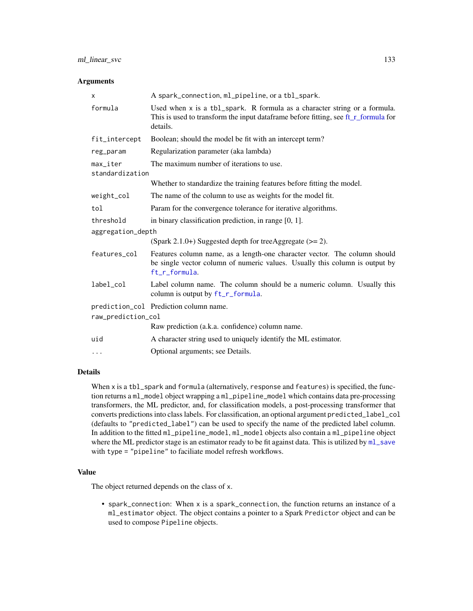#### **Arguments**

| X                                         | A spark_connection, ml_pipeline, or a tbl_spark.                                                                                                                              |
|-------------------------------------------|-------------------------------------------------------------------------------------------------------------------------------------------------------------------------------|
| formula                                   | Used when $x$ is a tbl_spark. R formula as a character string or a formula.<br>This is used to transform the input dataframe before fitting, see ft_r_formula for<br>details. |
| fit_intercept                             | Boolean; should the model be fit with an intercept term?                                                                                                                      |
| reg_param                                 | Regularization parameter (aka lambda)                                                                                                                                         |
| $max$ <sub>_iter</sub><br>standardization | The maximum number of iterations to use.                                                                                                                                      |
|                                           | Whether to standardize the training features before fitting the model.                                                                                                        |
| weight_col                                | The name of the column to use as weights for the model fit.                                                                                                                   |
| tol                                       | Param for the convergence tolerance for iterative algorithms.                                                                                                                 |
| threshold                                 | in binary classification prediction, in range $[0, 1]$ .                                                                                                                      |
| aggregation_depth                         |                                                                                                                                                                               |
|                                           | (Spark 2.1.0+) Suggested depth for treeAggregate $(>= 2)$ .                                                                                                                   |
| features_col                              | Features column name, as a length-one character vector. The column should<br>be single vector column of numeric values. Usually this column is output by<br>ft_r_formula.     |
| label_col                                 | Label column name. The column should be a numeric column. Usually this<br>column is output by ft_r_formula.                                                                   |
|                                           | prediction_col Prediction column name.                                                                                                                                        |
| raw_prediction_col                        |                                                                                                                                                                               |
|                                           | Raw prediction (a.k.a. confidence) column name.                                                                                                                               |
| uid                                       | A character string used to uniquely identify the ML estimator.                                                                                                                |
| $\cdots$                                  | Optional arguments; see Details.                                                                                                                                              |

#### Details

When x is a tbl\_spark and formula (alternatively, response and features) is specified, the function returns a ml\_model object wrapping a ml\_pipeline\_model which contains data pre-processing transformers, the ML predictor, and, for classification models, a post-processing transformer that converts predictions into class labels. For classification, an optional argument predicted\_label\_col (defaults to "predicted\_label") can be used to specify the name of the predicted label column. In addition to the fitted ml\_pipeline\_model, ml\_model objects also contain a ml\_pipeline object where the ML predictor stage is an estimator ready to be fit against data. This is utilized by  $m_1$  save with type = "pipeline" to faciliate model refresh workflows.

## Value

The object returned depends on the class of x.

• spark\_connection: When x is a spark\_connection, the function returns an instance of a ml\_estimator object. The object contains a pointer to a Spark Predictor object and can be used to compose Pipeline objects.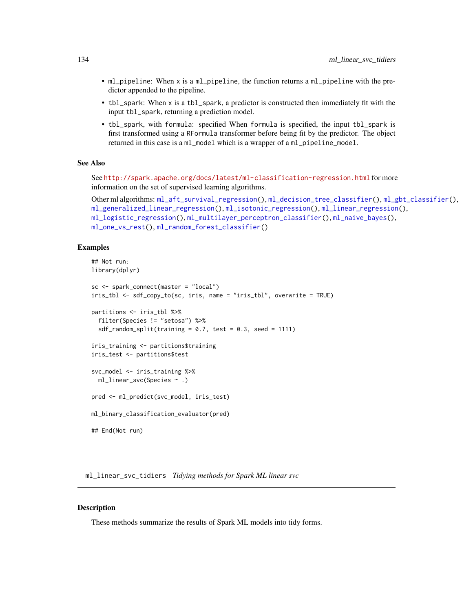- ml\_pipeline: When x is a ml\_pipeline, the function returns a ml\_pipeline with the predictor appended to the pipeline.
- tbl\_spark: When x is a tbl\_spark, a predictor is constructed then immediately fit with the input tbl\_spark, returning a prediction model.
- tbl\_spark, with formula: specified When formula is specified, the input tbl\_spark is first transformed using a RFormula transformer before being fit by the predictor. The object returned in this case is a ml\_model which is a wrapper of a ml\_pipeline\_model.

#### See Also

See <http://spark.apache.org/docs/latest/ml-classification-regression.html> for more information on the set of supervised learning algorithms.

```
Other ml algorithms: ml_aft_survival_regression(), ml_decision_tree_classifier(), ml_gbt_classifier(),
ml_generalized_linear_regression(), ml_isotonic_regression(), ml_linear_regression(),
ml_logistic_regression(), ml_multilayer_perceptron_classifier(), ml_naive_bayes(),
ml_one_vs_rest(), ml_random_forest_classifier()
```
## Examples

```
## Not run:
library(dplyr)
sc <- spark_connect(master = "local")
iris_tbl <- sdf_copy_to(sc, iris, name = "iris_tbl", overwrite = TRUE)
partitions <- iris_tbl %>%
  filter(Species != "setosa") %>%
  sdf_random_split(training = 0.7, test = 0.3, seed = 1111)
iris_training <- partitions$training
iris_test <- partitions$test
svc_model <- iris_training %>%
  ml_linear_svc(Species ~ .)
pred <- ml_predict(svc_model, iris_test)
ml_binary_classification_evaluator(pred)
## End(Not run)
```
ml\_linear\_svc\_tidiers *Tidying methods for Spark ML linear svc*

## Description

These methods summarize the results of Spark ML models into tidy forms.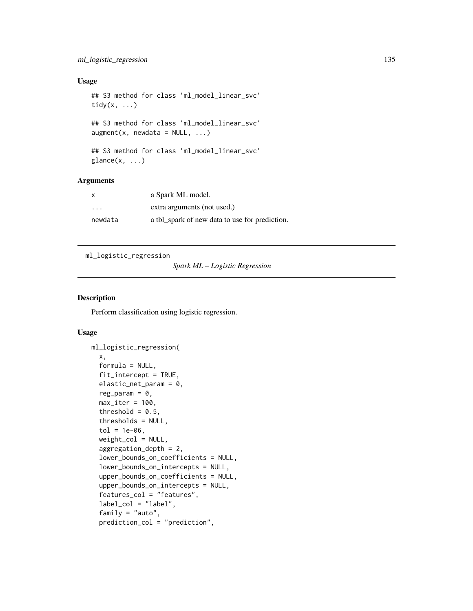## Usage

```
## S3 method for class 'ml_model_linear_svc'
tidy(x, \ldots)## S3 method for class 'ml_model_linear_svc'
augment(x, newdata = NULL, ...)## S3 method for class 'ml_model_linear_svc'
```
 $\text{glance}(x, \ldots)$ 

## Arguments

| X                       | a Spark ML model.                              |
|-------------------------|------------------------------------------------|
| $\cdot$ $\cdot$ $\cdot$ | extra arguments (not used.)                    |
| newdata                 | a tbl_spark of new data to use for prediction. |

```
ml_logistic_regression
```
*Spark ML – Logistic Regression*

## Description

Perform classification using logistic regression.

## Usage

```
ml_logistic_regression(
  x,
  formula = NULL,
  fit_intercept = TRUE,
  elastic_net_param = 0,
  reg_param = 0,
 max\_iter = 100,
  threshold = 0.5,
  thresholds = NULL,
  tol = 1e-06,weight_col = NULL,
  aggregation_depth = 2,
  lower_bounds_on_coefficients = NULL,
  lower_bounds_on_intercepts = NULL,
  upper_bounds_on_coefficients = NULL,
  upper_bounds_on_intercepts = NULL,
  features_col = "features",
  label_col = "label",
  family = "auto",
  prediction_col = "prediction",
```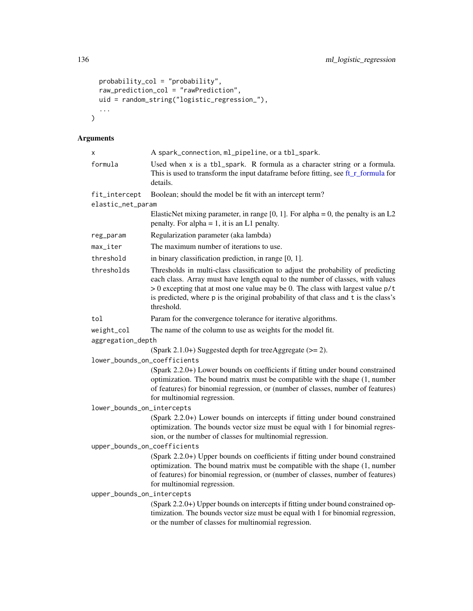```
probability_col = "probability",
  raw_prediction_col = "rawPrediction",
 uid = random_string("logistic_regression_"),
 ...
\overline{)}
```

| х                                                                                                              | A spark_connection, ml_pipeline, or a tbl_spark.                                                                                                                                                                                                                                                                                                            |  |
|----------------------------------------------------------------------------------------------------------------|-------------------------------------------------------------------------------------------------------------------------------------------------------------------------------------------------------------------------------------------------------------------------------------------------------------------------------------------------------------|--|
| formula                                                                                                        | Used when x is a tbl_spark. R formula as a character string or a formula.<br>This is used to transform the input dataframe before fitting, see ft_r_formula for<br>details.                                                                                                                                                                                 |  |
| fit_intercept                                                                                                  | Boolean; should the model be fit with an intercept term?                                                                                                                                                                                                                                                                                                    |  |
| elastic_net_param                                                                                              |                                                                                                                                                                                                                                                                                                                                                             |  |
|                                                                                                                | ElasticNet mixing parameter, in range [0, 1]. For alpha = 0, the penalty is an L2<br>penalty. For alpha = 1, it is an L1 penalty.                                                                                                                                                                                                                           |  |
| reg_param                                                                                                      | Regularization parameter (aka lambda)                                                                                                                                                                                                                                                                                                                       |  |
| max_iter                                                                                                       | The maximum number of iterations to use.                                                                                                                                                                                                                                                                                                                    |  |
| threshold                                                                                                      | in binary classification prediction, in range [0, 1].                                                                                                                                                                                                                                                                                                       |  |
| thresholds                                                                                                     | Thresholds in multi-class classification to adjust the probability of predicting<br>each class. Array must have length equal to the number of classes, with values<br>> 0 excepting that at most one value may be 0. The class with largest value p/t<br>is predicted, where p is the original probability of that class and t is the class's<br>threshold. |  |
| tol                                                                                                            | Param for the convergence tolerance for iterative algorithms.                                                                                                                                                                                                                                                                                               |  |
| weight_col                                                                                                     | The name of the column to use as weights for the model fit.                                                                                                                                                                                                                                                                                                 |  |
| aggregation_depth                                                                                              |                                                                                                                                                                                                                                                                                                                                                             |  |
|                                                                                                                | (Spark 2.1.0+) Suggested depth for treeAggregate $(>= 2)$ .                                                                                                                                                                                                                                                                                                 |  |
| lower_bounds_on_coefficients                                                                                   |                                                                                                                                                                                                                                                                                                                                                             |  |
|                                                                                                                | (Spark 2.2.0+) Lower bounds on coefficients if fitting under bound constrained<br>optimization. The bound matrix must be compatible with the shape (1, number<br>of features) for binomial regression, or (number of classes, number of features)<br>for multinomial regression.                                                                            |  |
| lower_bounds_on_intercepts                                                                                     |                                                                                                                                                                                                                                                                                                                                                             |  |
|                                                                                                                | (Spark 2.2.0+) Lower bounds on intercepts if fitting under bound constrained<br>optimization. The bounds vector size must be equal with 1 for binomial regres-<br>sion, or the number of classes for multinomial regression.                                                                                                                                |  |
| upper_bounds_on_coefficients<br>(Spark 2.2.0+) Upper bounds on coefficients if fitting under bound constrained |                                                                                                                                                                                                                                                                                                                                                             |  |
|                                                                                                                | optimization. The bound matrix must be compatible with the shape (1, number<br>of features) for binomial regression, or (number of classes, number of features)<br>for multinomial regression.                                                                                                                                                              |  |
| upper_bounds_on_intercepts                                                                                     |                                                                                                                                                                                                                                                                                                                                                             |  |
|                                                                                                                | (Spark 2.2.0+) Upper bounds on intercepts if fitting under bound constrained op-<br>timization. The bounds vector size must be equal with 1 for binomial regression,<br>or the number of classes for multinomial regression.                                                                                                                                |  |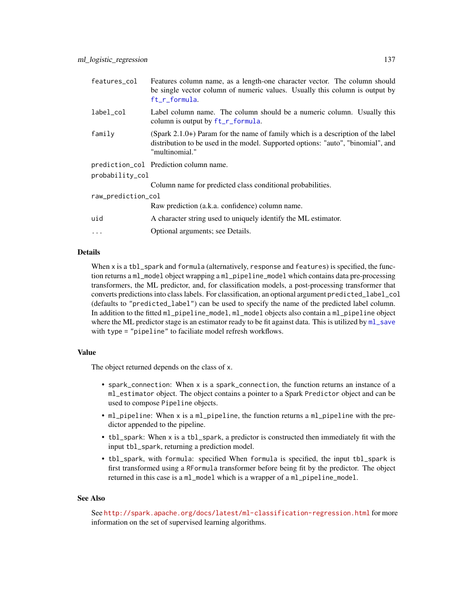| features_col       | Features column name, as a length-one character vector. The column should<br>be single vector column of numeric values. Usually this column is output by<br>ft_r_formula.                |  |
|--------------------|------------------------------------------------------------------------------------------------------------------------------------------------------------------------------------------|--|
| label_col          | Label column name. The column should be a numeric column. Usually this<br>column is output by ft_r_formula.                                                                              |  |
| family             | (Spark $2.1.0+$ ) Param for the name of family which is a description of the label<br>distribution to be used in the model. Supported options: "auto", "binomial", and<br>"multinomial." |  |
|                    | prediction_col Prediction column name.                                                                                                                                                   |  |
| probability_col    |                                                                                                                                                                                          |  |
|                    | Column name for predicted class conditional probabilities.                                                                                                                               |  |
| raw_prediction_col |                                                                                                                                                                                          |  |
|                    | Raw prediction (a.k.a. confidence) column name.                                                                                                                                          |  |
| uid                | A character string used to uniquely identify the ML estimator.                                                                                                                           |  |
| $\cdots$           | Optional arguments; see Details.                                                                                                                                                         |  |

When x is a tbl\_spark and formula (alternatively, response and features) is specified, the function returns a ml\_model object wrapping a ml\_pipeline\_model which contains data pre-processing transformers, the ML predictor, and, for classification models, a post-processing transformer that converts predictions into class labels. For classification, an optional argument predicted\_label\_col (defaults to "predicted\_label") can be used to specify the name of the predicted label column. In addition to the fitted ml\_pipeline\_model, ml\_model objects also contain a ml\_pipeline object where the ML predictor stage is an estimator ready to be fit against data. This is utilized by  $m_{\text{L}}$  save with type = "pipeline" to faciliate model refresh workflows.

#### Value

The object returned depends on the class of x.

- spark\_connection: When x is a spark\_connection, the function returns an instance of a ml\_estimator object. The object contains a pointer to a Spark Predictor object and can be used to compose Pipeline objects.
- ml\_pipeline: When x is a ml\_pipeline, the function returns a ml\_pipeline with the predictor appended to the pipeline.
- tbl\_spark: When x is a tbl\_spark, a predictor is constructed then immediately fit with the input tbl\_spark, returning a prediction model.
- tbl\_spark, with formula: specified When formula is specified, the input tbl\_spark is first transformed using a RFormula transformer before being fit by the predictor. The object returned in this case is a ml\_model which is a wrapper of a ml\_pipeline\_model.

#### See Also

See <http://spark.apache.org/docs/latest/ml-classification-regression.html> for more information on the set of supervised learning algorithms.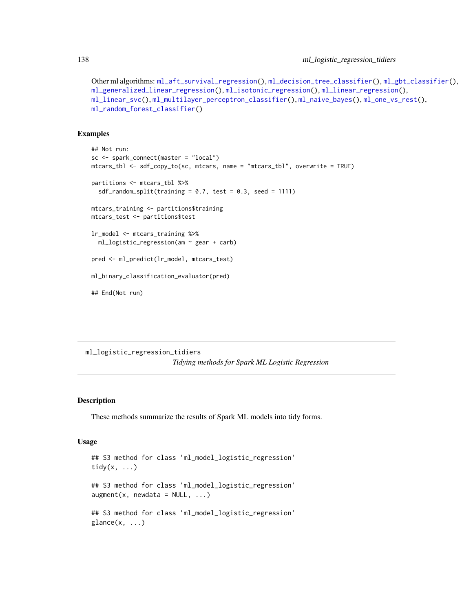```
Other ml algorithms: ml_aft_survival_regression(), ml_decision_tree_classifier(), ml_gbt_classifier(),
ml_generalized_linear_regression(), ml_isotonic_regression(), ml_linear_regression(),
ml_linear_svc(), ml_multilayer_perceptron_classifier(), ml_naive_bayes(), ml_one_vs_rest(),
ml_random_forest_classifier()
```
#### Examples

```
## Not run:
sc <- spark_connect(master = "local")
mtcars_tbl <- sdf_copy_to(sc, mtcars, name = "mtcars_tbl", overwrite = TRUE)
partitions <- mtcars_tbl %>%
  sdf_random_split(training = 0.7, test = 0.3, seed = 1111)
mtcars_training <- partitions$training
mtcars_test <- partitions$test
lr_model <- mtcars_training %>%
  ml_logistic_regression(am ~ gear + carb)
pred <- ml_predict(lr_model, mtcars_test)
ml_binary_classification_evaluator(pred)
## End(Not run)
```

```
ml_logistic_regression_tidiers
                         Tidying methods for Spark ML Logistic Regression
```
## Description

These methods summarize the results of Spark ML models into tidy forms.

#### Usage

```
## S3 method for class 'ml_model_logistic_regression'
tidy(x, \ldots)## S3 method for class 'ml_model_logistic_regression'
augment(x, newdata = NULL, ...)## S3 method for class 'ml_model_logistic_regression'
\text{glance}(x, \ldots)
```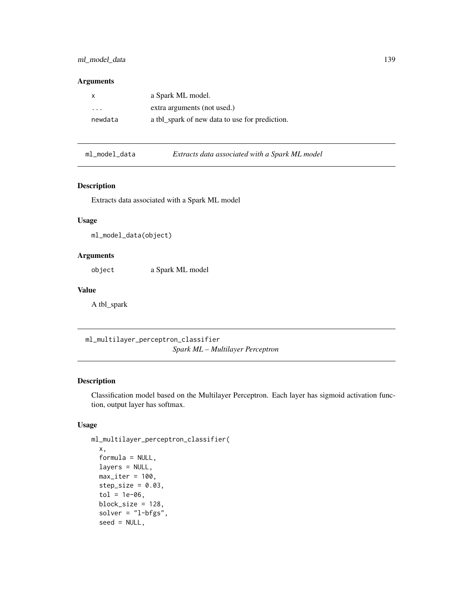## ml\_model\_data 139

## Arguments

| $\mathsf{X}$ | a Spark ML model.                              |
|--------------|------------------------------------------------|
| .            | extra arguments (not used.)                    |
| newdata      | a tbl_spark of new data to use for prediction. |

ml\_model\_data *Extracts data associated with a Spark ML model*

## Description

Extracts data associated with a Spark ML model

## Usage

ml\_model\_data(object)

## Arguments

object a Spark ML model

## Value

A tbl\_spark

<span id="page-138-0"></span>ml\_multilayer\_perceptron\_classifier *Spark ML – Multilayer Perceptron*

## Description

Classification model based on the Multilayer Perceptron. Each layer has sigmoid activation function, output layer has softmax.

## Usage

```
ml_multilayer_perceptron_classifier(
  x,
  formula = NULL,
 layers = NULL,
 max\_iter = 100,
 step\_size = 0.03,
  tol = 1e-06,
 block_size = 128,
  solver = "l-bfgs",
  seed = NULL,
```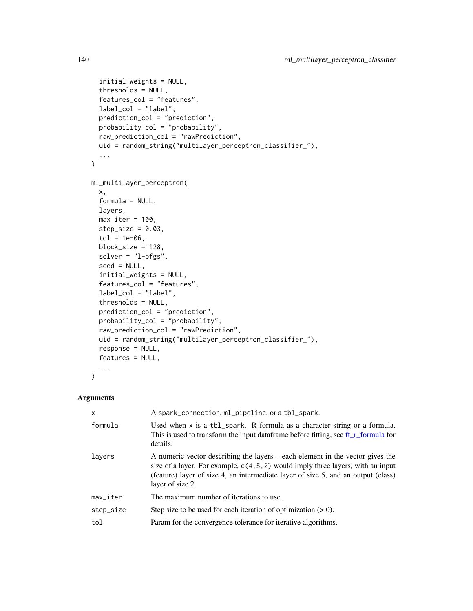```
initial_weights = NULL,
  thresholds = NULL,
  features_col = "features",
  label_col = "label",
  prediction_col = "prediction",
  probability_col = "probability",
  raw_prediction_col = "rawPrediction",
  uid = random_string("multilayer_perceptron_classifier_"),
  ...
)
ml_multilayer_perceptron(
  x,
  formula = NULL,layers,
  max\_iter = 100,
  step\_size = 0.03,
  tol = 1e-06,
 block_size = 128,
  solver = "l-bfgs",
  seed = NULL,
  initial_weights = NULL,
  features_col = "features",
  label_col = "label",
  thresholds = NULL,
 prediction_col = "prediction",
 probability_col = "probability",
  raw_prediction_col = "rawPrediction",
  uid = random_string("multilayer_perceptron_classifier_"),
  response = NULL,
  features = NULL,
  ...
\mathcal{L}
```

| $\mathsf{x}$           | A spark_connection, ml_pipeline, or a tbl_spark.                                                                                                                                                                                                                           |
|------------------------|----------------------------------------------------------------------------------------------------------------------------------------------------------------------------------------------------------------------------------------------------------------------------|
| formula                | Used when $x$ is a tbl_spark. R formula as a character string or a formula.<br>This is used to transform the input dataframe before fitting, see ft_r_formula for<br>details.                                                                                              |
| layers                 | A numeric vector describing the layers – each element in the vector gives the<br>size of a layer. For example, $c(4,5,2)$ would imply three layers, with an input<br>(feature) layer of size 4, an intermediate layer of size 5, and an output (class)<br>layer of size 2. |
| $max$ <sub>Liter</sub> | The maximum number of iterations to use.                                                                                                                                                                                                                                   |
| step_size              | Step size to be used for each iteration of optimization $(0)$ .                                                                                                                                                                                                            |
| tol                    | Param for the convergence tolerance for iterative algorithms.                                                                                                                                                                                                              |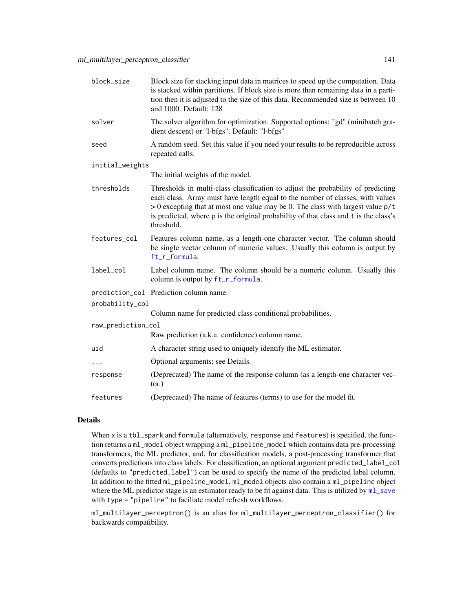| block_size         | Block size for stacking input data in matrices to speed up the computation. Data<br>is stacked within partitions. If block size is more than remaining data in a parti-<br>tion then it is adjusted to the size of this data. Recommended size is between 10<br>and 1000. Default: 128                                                                          |
|--------------------|-----------------------------------------------------------------------------------------------------------------------------------------------------------------------------------------------------------------------------------------------------------------------------------------------------------------------------------------------------------------|
| solver             | The solver algorithm for optimization. Supported options: "gd" (minibatch gra-<br>dient descent) or "l-bfgs". Default: "l-bfgs"                                                                                                                                                                                                                                 |
| seed               | A random seed. Set this value if you need your results to be reproducible across<br>repeated calls.                                                                                                                                                                                                                                                             |
| initial_weights    |                                                                                                                                                                                                                                                                                                                                                                 |
|                    | The initial weights of the model.                                                                                                                                                                                                                                                                                                                               |
| thresholds         | Thresholds in multi-class classification to adjust the probability of predicting<br>each class. Array must have length equal to the number of classes, with values<br>$> 0$ excepting that at most one value may be 0. The class with largest value $p/t$<br>is predicted, where p is the original probability of that class and t is the class's<br>threshold. |
| features_col       | Features column name, as a length-one character vector. The column should<br>be single vector column of numeric values. Usually this column is output by<br>ft_r_formula.                                                                                                                                                                                       |
| label_col          | Label column name. The column should be a numeric column. Usually this<br>column is output by ft_r_formula.                                                                                                                                                                                                                                                     |
|                    | prediction_col Prediction column name.                                                                                                                                                                                                                                                                                                                          |
| probability_col    |                                                                                                                                                                                                                                                                                                                                                                 |
|                    | Column name for predicted class conditional probabilities.                                                                                                                                                                                                                                                                                                      |
| raw_prediction_col |                                                                                                                                                                                                                                                                                                                                                                 |
|                    | Raw prediction (a.k.a. confidence) column name.                                                                                                                                                                                                                                                                                                                 |
| uid                | A character string used to uniquely identify the ML estimator.                                                                                                                                                                                                                                                                                                  |
| $\cdots$           | Optional arguments; see Details.                                                                                                                                                                                                                                                                                                                                |
| response           | (Deprecated) The name of the response column (as a length-one character vec-<br>tor.)                                                                                                                                                                                                                                                                           |
| features           | (Deprecated) The name of features (terms) to use for the model fit.                                                                                                                                                                                                                                                                                             |

When x is a tbl\_spark and formula (alternatively, response and features) is specified, the function returns a ml\_model object wrapping a ml\_pipeline\_model which contains data pre-processing transformers, the ML predictor, and, for classification models, a post-processing transformer that converts predictions into class labels. For classification, an optional argument predicted\_label\_col (defaults to "predicted\_label") can be used to specify the name of the predicted label column. In addition to the fitted ml\_pipeline\_model, ml\_model objects also contain a ml\_pipeline object where the ML predictor stage is an estimator ready to be fit against data. This is utilized by  $m_1$  save with type = "pipeline" to faciliate model refresh workflows.

ml\_multilayer\_perceptron() is an alias for ml\_multilayer\_perceptron\_classifier() for backwards compatibility.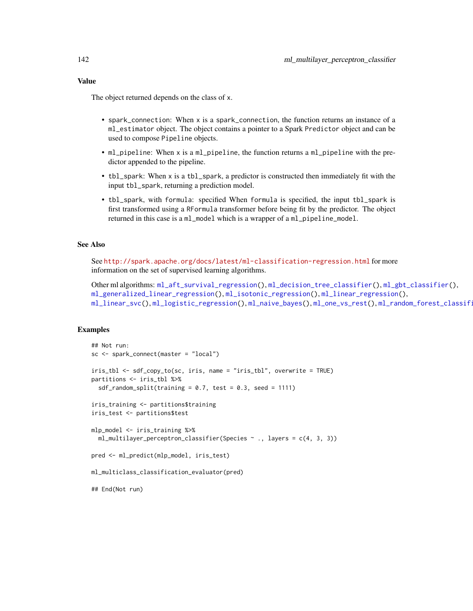The object returned depends on the class of x.

- spark\_connection: When x is a spark\_connection, the function returns an instance of a ml\_estimator object. The object contains a pointer to a Spark Predictor object and can be used to compose Pipeline objects.
- ml\_pipeline: When x is a ml\_pipeline, the function returns a ml\_pipeline with the predictor appended to the pipeline.
- tbl\_spark: When x is a tbl\_spark, a predictor is constructed then immediately fit with the input tbl\_spark, returning a prediction model.
- tbl\_spark, with formula: specified When formula is specified, the input tbl\_spark is first transformed using a RFormula transformer before being fit by the predictor. The object returned in this case is a ml\_model which is a wrapper of a ml\_pipeline\_model.

#### See Also

See <http://spark.apache.org/docs/latest/ml-classification-regression.html> for more information on the set of supervised learning algorithms.

```
Other ml algorithms: ml_aft_survival_regression(), ml_decision_tree_classifier(), ml_gbt_classifier(),
ml_generalized_linear_regression(), ml_isotonic_regression(), ml_linear_regression(),
ml_linear_svc(), ml_logistic_regression(), ml_naive_bayes(), ml_one_vs_rest(), ml_random_forest_classifier()
```
## Examples

```
## Not run:
sc <- spark_connect(master = "local")
iris_tbl <- sdf_copy_to(sc, iris, name = "iris_tbl", overwrite = TRUE)
partitions <- iris_tbl %>%
 sdf_random_split(training = 0.7, test = 0.3, seed = 1111)
iris_training <- partitions$training
iris_test <- partitions$test
mlp_model <- iris_training %>%
 ml_multilayer_perceptron_classifier(Species ~ ., layers = c(4, 3, 3))
pred <- ml_predict(mlp_model, iris_test)
ml_multiclass_classification_evaluator(pred)
```
## End(Not run)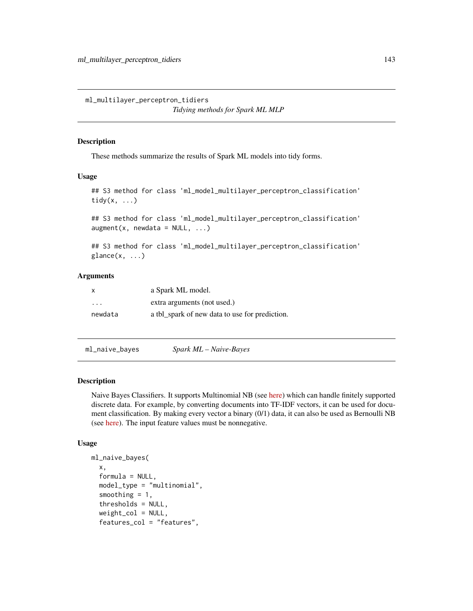ml\_multilayer\_perceptron\_tidiers *Tidying methods for Spark ML MLP*

#### Description

These methods summarize the results of Spark ML models into tidy forms.

## Usage

## S3 method for class 'ml\_model\_multilayer\_perceptron\_classification' tidy $(x, \ldots)$ 

## S3 method for class 'ml\_model\_multilayer\_perceptron\_classification'  $augment(x, newdata = NULL, ...)$ 

## S3 method for class 'ml\_model\_multilayer\_perceptron\_classification'  $\text{glance}(x, \ldots)$ 

## Arguments

| X       | a Spark ML model.                              |
|---------|------------------------------------------------|
| $\cdot$ | extra arguments (not used.)                    |
| newdata | a tbl_spark of new data to use for prediction. |

<span id="page-142-0"></span>ml\_naive\_bayes *Spark ML – Naive-Bayes*

## Description

Naive Bayes Classifiers. It supports Multinomial NB (see [here\)](http://nlp.stanford.edu/IR-book/html/htmledition/naive-bayes-text-classification-1.html) which can handle finitely supported discrete data. For example, by converting documents into TF-IDF vectors, it can be used for document classification. By making every vector a binary (0/1) data, it can also be used as Bernoulli NB (see [here\)](http://nlp.stanford.edu/IR-book/html/htmledition/the-bernoulli-model-1.html). The input feature values must be nonnegative.

## Usage

```
ml_naive_bayes(
  x,
  formula = NULL,model_type = "multinomial",
  smoothing = 1,
  thresholds = NULL,
  weight\_col = NULL,features_col = "features",
```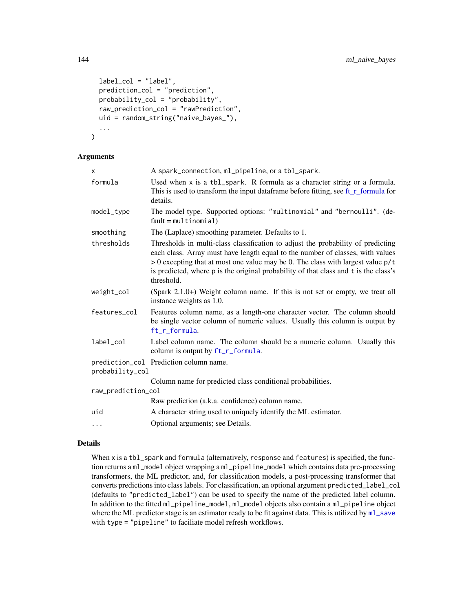```
label_col = "label",
 prediction_col = "prediction",
 probability_col = "probability",
  raw_prediction_col = "rawPrediction",
  uid = random_string("naive_bayes_"),
  ...
)
```
## Arguments

| X.                 | A spark_connection, ml_pipeline, or a tbl_spark.                                                                                                                                                                                                                                                                                                                |
|--------------------|-----------------------------------------------------------------------------------------------------------------------------------------------------------------------------------------------------------------------------------------------------------------------------------------------------------------------------------------------------------------|
| formula            | Used when $x$ is a tbl_spark. R formula as a character string or a formula.<br>This is used to transform the input dataframe before fitting, see ft_r_formula for<br>details.                                                                                                                                                                                   |
| model_type         | The model type. Supported options: "multinomial" and "bernoulli". (de-<br>$fault = multinomial)$                                                                                                                                                                                                                                                                |
| smoothing          | The (Laplace) smoothing parameter. Defaults to 1.                                                                                                                                                                                                                                                                                                               |
| thresholds         | Thresholds in multi-class classification to adjust the probability of predicting<br>each class. Array must have length equal to the number of classes, with values<br>$> 0$ excepting that at most one value may be 0. The class with largest value $p/t$<br>is predicted, where p is the original probability of that class and t is the class's<br>threshold. |
| weight_col         | (Spark 2.1.0+) Weight column name. If this is not set or empty, we treat all<br>instance weights as 1.0.                                                                                                                                                                                                                                                        |
| features_col       | Features column name, as a length-one character vector. The column should<br>be single vector column of numeric values. Usually this column is output by<br>ft_r_formula.                                                                                                                                                                                       |
| label_col          | Label column name. The column should be a numeric column. Usually this<br>column is output by ft_r_formula.                                                                                                                                                                                                                                                     |
| probability_col    | prediction_col Prediction column name.                                                                                                                                                                                                                                                                                                                          |
|                    | Column name for predicted class conditional probabilities.                                                                                                                                                                                                                                                                                                      |
| raw_prediction_col |                                                                                                                                                                                                                                                                                                                                                                 |
|                    | Raw prediction (a.k.a. confidence) column name.                                                                                                                                                                                                                                                                                                                 |
| uid                | A character string used to uniquely identify the ML estimator.                                                                                                                                                                                                                                                                                                  |
| $\ddots$ .         | Optional arguments; see Details.                                                                                                                                                                                                                                                                                                                                |
|                    |                                                                                                                                                                                                                                                                                                                                                                 |

## Details

When x is a tbl\_spark and formula (alternatively, response and features) is specified, the function returns a ml\_model object wrapping a ml\_pipeline\_model which contains data pre-processing transformers, the ML predictor, and, for classification models, a post-processing transformer that converts predictions into class labels. For classification, an optional argument predicted\_label\_col (defaults to "predicted\_label") can be used to specify the name of the predicted label column. In addition to the fitted ml\_pipeline\_model, ml\_model objects also contain a ml\_pipeline object where the ML predictor stage is an estimator ready to be fit against data. This is utilized by  $m_{\text{L}}$  save with type = "pipeline" to faciliate model refresh workflows.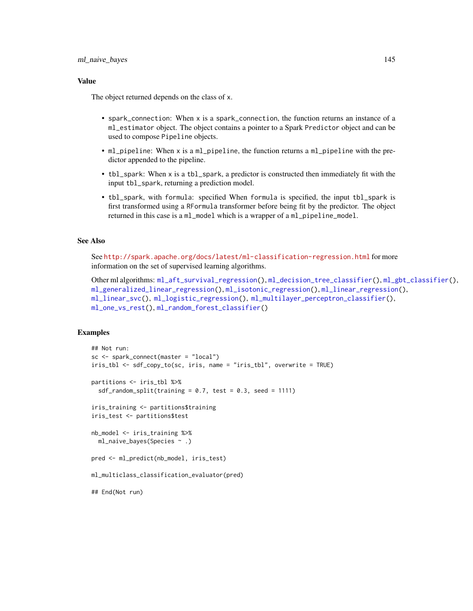#### Value

The object returned depends on the class of x.

- spark\_connection: When x is a spark\_connection, the function returns an instance of a ml\_estimator object. The object contains a pointer to a Spark Predictor object and can be used to compose Pipeline objects.
- ml\_pipeline: When x is a ml\_pipeline, the function returns a ml\_pipeline with the predictor appended to the pipeline.
- tbl\_spark: When x is a tbl\_spark, a predictor is constructed then immediately fit with the input tbl\_spark, returning a prediction model.
- tbl\_spark, with formula: specified When formula is specified, the input tbl\_spark is first transformed using a RFormula transformer before being fit by the predictor. The object returned in this case is a ml\_model which is a wrapper of a ml\_pipeline\_model.

#### See Also

See <http://spark.apache.org/docs/latest/ml-classification-regression.html> for more information on the set of supervised learning algorithms.

```
Other ml algorithms: ml_aft_survival_regression(), ml_decision_tree_classifier(), ml_gbt_classifier(),
ml_generalized_linear_regression(), ml_isotonic_regression(), ml_linear_regression(),
ml_linear_svc(), ml_logistic_regression(), ml_multilayer_perceptron_classifier(),
ml_one_vs_rest(), ml_random_forest_classifier()
```
#### Examples

```
## Not run:
sc <- spark_connect(master = "local")
iris_tbl <- sdf_copy_to(sc, iris, name = "iris_tbl", overwrite = TRUE)
partitions <- iris_tbl %>%
 sdf_random_split(training = 0.7, test = 0.3, seed = 1111)
iris_training <- partitions$training
iris_test <- partitions$test
nb_model <- iris_training %>%
 ml_naive_bayes(Species ~ .)
pred <- ml_predict(nb_model, iris_test)
ml_multiclass_classification_evaluator(pred)
## End(Not run)
```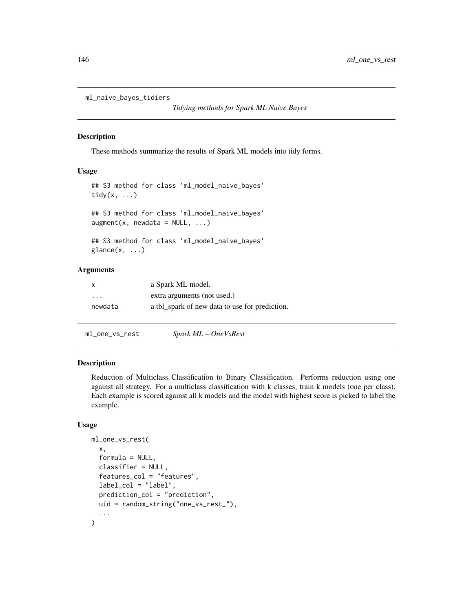```
ml_naive_bayes_tidiers
```
These methods summarize the results of Spark ML models into tidy forms.

#### Usage

```
## S3 method for class 'ml_model_naive_bayes'
tidy(x, ...)
## S3 method for class 'ml_model_naive_bayes'
augment(x, newdata = NULL, ...)## S3 method for class 'ml_model_naive_bayes'
\text{glance}(x, \ldots)
```
#### Arguments

| x       | a Spark ML model.                              |
|---------|------------------------------------------------|
| $\cdot$ | extra arguments (not used.)                    |
| newdata | a tbl_spark of new data to use for prediction. |

<span id="page-145-0"></span>ml\_one\_vs\_rest *Spark ML – OneVsRest*

# Description

Reduction of Multiclass Classification to Binary Classification. Performs reduction using one against all strategy. For a multiclass classification with k classes, train k models (one per class). Each example is scored against all k models and the model with highest score is picked to label the example.

```
ml_one_vs_rest(
  x,
  formula = NULL,classifier = NULL,
  features_col = "features",
  label_col = "label",
 prediction_col = "prediction",
 uid = random_string("one_vs_rest_"),
  ...
)
```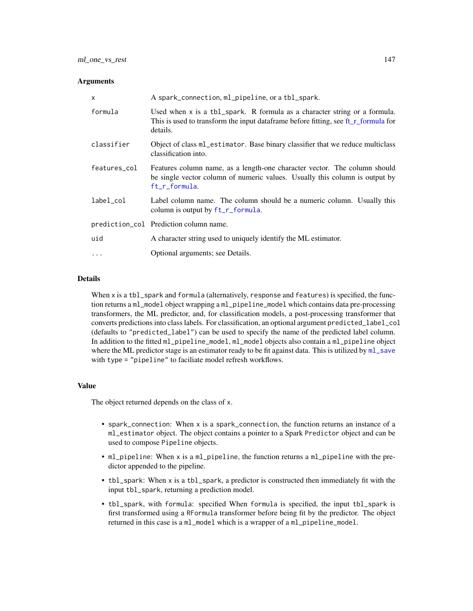| $\mathsf{x}$ | A spark_connection, ml_pipeline, or a tbl_spark.                                                                                                                              |
|--------------|-------------------------------------------------------------------------------------------------------------------------------------------------------------------------------|
| formula      | Used when $x$ is a tbl_spark. R formula as a character string or a formula.<br>This is used to transform the input dataframe before fitting, see ft_r_formula for<br>details. |
| classifier   | Object of class m <sub>1</sub> estimator. Base binary classifier that we reduce multiclass<br>classification into.                                                            |
| features_col | Features column name, as a length-one character vector. The column should<br>be single vector column of numeric values. Usually this column is output by<br>ft_r_formula.     |
| label_col    | Label column name. The column should be a numeric column. Usually this<br>column is output by ft_r_formula.                                                                   |
|              | prediction_col Prediction column name.                                                                                                                                        |
| uid          | A character string used to uniquely identify the ML estimator.                                                                                                                |
| $\cdot$      | Optional arguments; see Details.                                                                                                                                              |

#### Details

When x is a tbl\_spark and formula (alternatively, response and features) is specified, the function returns a ml\_model object wrapping a ml\_pipeline\_model which contains data pre-processing transformers, the ML predictor, and, for classification models, a post-processing transformer that converts predictions into class labels. For classification, an optional argument predicted\_label\_col (defaults to "predicted\_label") can be used to specify the name of the predicted label column. In addition to the fitted ml\_pipeline\_model, ml\_model objects also contain a ml\_pipeline object where the ML predictor stage is an estimator ready to be fit against data. This is utilized by [ml\\_save](#page-82-0) with type = "pipeline" to faciliate model refresh workflows.

#### Value

The object returned depends on the class of x.

- spark\_connection: When x is a spark\_connection, the function returns an instance of a ml\_estimator object. The object contains a pointer to a Spark Predictor object and can be used to compose Pipeline objects.
- ml\_pipeline: When x is a ml\_pipeline, the function returns a ml\_pipeline with the predictor appended to the pipeline.
- tbl\_spark: When x is a tbl\_spark, a predictor is constructed then immediately fit with the input tbl\_spark, returning a prediction model.
- tbl\_spark, with formula: specified When formula is specified, the input tbl\_spark is first transformed using a RFormula transformer before being fit by the predictor. The object returned in this case is a ml\_model which is a wrapper of a ml\_pipeline\_model.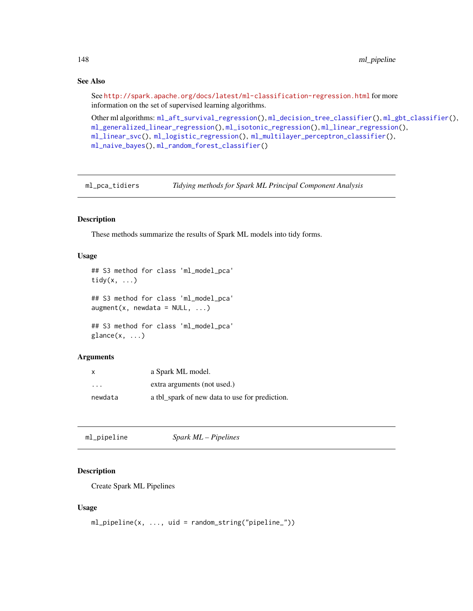# See Also

See <http://spark.apache.org/docs/latest/ml-classification-regression.html> for more information on the set of supervised learning algorithms.

```
Other ml algorithms: ml_aft_survival_regression(), ml_decision_tree_classifier(), ml_gbt_classifier(),
ml_generalized_linear_regression(), ml_isotonic_regression(), ml_linear_regression(),
ml_linear_svc(), ml_logistic_regression(), ml_multilayer_perceptron_classifier(),
ml_naive_bayes(), ml_random_forest_classifier()
```
ml\_pca\_tidiers *Tidying methods for Spark ML Principal Component Analysis*

#### Description

These methods summarize the results of Spark ML models into tidy forms.

#### Usage

```
## S3 method for class 'ml_model_pca'
tidy(x, \ldots)## S3 method for class 'ml_model_pca'
augment(x, newdata = NULL, ...)## S3 method for class 'ml_model_pca'
```

```
\text{glance}(x, \ldots)
```
# Arguments

| $\mathsf{x}$ | a Spark ML model.                              |
|--------------|------------------------------------------------|
| .            | extra arguments (not used.)                    |
| newdata      | a tbl_spark of new data to use for prediction. |

| ml_pipeline | $Spark ML-Pipelines$ |
|-------------|----------------------|
|-------------|----------------------|

# Description

Create Spark ML Pipelines

```
ml\_pipeline(x, ..., uid = random_string("pipeline_"))
```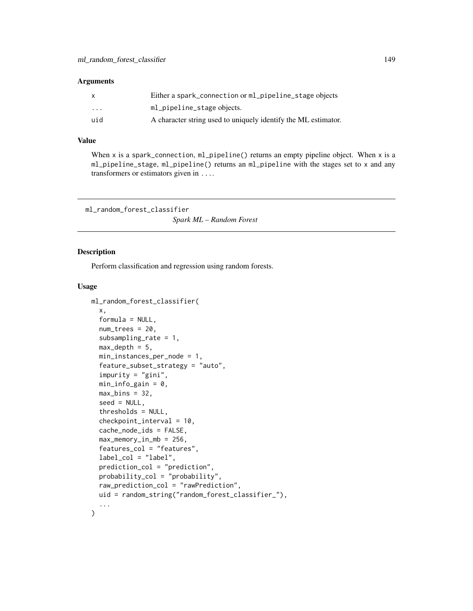| $\mathsf{x}$            | Either a spark_connection or ml_pipeline_stage objects         |
|-------------------------|----------------------------------------------------------------|
| $\cdot$ $\cdot$ $\cdot$ | ml_pipeline_stage objects.                                     |
| uid                     | A character string used to uniquely identify the ML estimator. |

#### Value

When  $x$  is a spark\_connection,  $m$ l\_pipeline() returns an empty pipeline object. When  $x$  is a ml\_pipeline\_stage, ml\_pipeline() returns an ml\_pipeline with the stages set to x and any transformers or estimators given in ....

<span id="page-148-0"></span>ml\_random\_forest\_classifier

*Spark ML – Random Forest*

#### Description

Perform classification and regression using random forests.

```
ml_random_forest_classifier(
 x,
  formula = NULL,num_trees = 20,
  subsampling_rate = 1,
 max\_depth = 5,
 min_instances_per_node = 1,
  feature_subset_strategy = "auto",
  impurity = "gini",
 min\_info\_gain = 0,
 max\_bins = 32,
  seed = NULL,
  thresholds = NULL,
  checkpoint_interval = 10,
  cache_node_ids = FALSE,
 max\_memory\_in\_mb = 256,
  features_col = "features",
  label_col = "label",
 prediction_col = "prediction",
 probability_col = "probability",
  raw_prediction_col = "rawPrediction",
 uid = random_string("random_forest_classifier_"),
  ...
)
```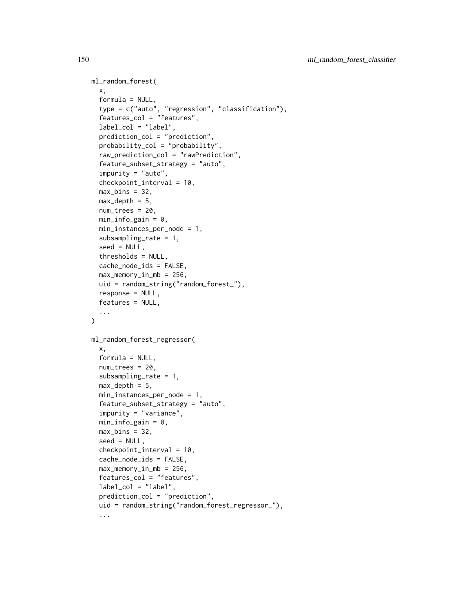```
ml_random_forest(
  x,
  formula = NULL,type = c("auto", "regression", "classification"),
  features_col = "features",
  label_col = "label",
 prediction_col = "prediction",
 probability_col = "probability",
  raw_prediction_col = "rawPrediction",
  feature_subset_strategy = "auto",
  impurity = "auto",
  checkpoint_interval = 10,
 max\_bins = 32,
 max\_depth = 5,
 num_trees = 20,
 min\_info\_gain = 0,
 min_instances_per_node = 1,
  subsampling_rate = 1,
  seed = NULL,
  thresholds = NULL,
  cache_node_ids = FALSE,
 max\_memory\_in\_mb = 256,
 uid = random_string("random_forest_"),
  response = NULL,
  features = NULL,
  ...
\mathcal{L}ml_random_forest_regressor(
 x,
  formula = NULL,num_trees = 20,
  subsampling_rate = 1,
 max\_depth = 5,
 min_instances_per_node = 1,
  feature_subset_strategy = "auto",
  impurity = "variance",
 min\_info\_gain = 0,
 max\_bins = 32,
  seed = NULL,
  checkpoint_interval = 10,
  cache_node_ids = FALSE,
 max_memory_in_mb = 256,
  features_col = "features",
  label_col = "label",
  prediction_col = "prediction",
  uid = random_string("random_forest_regressor_"),
  ...
```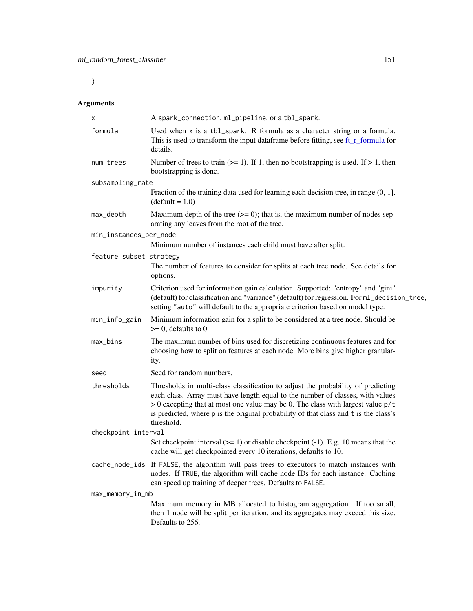$\overline{\phantom{a}}$ 

| x                       | A spark_connection, ml_pipeline, or a tbl_spark.                                                                                                                                                                                                                                                                                                                |
|-------------------------|-----------------------------------------------------------------------------------------------------------------------------------------------------------------------------------------------------------------------------------------------------------------------------------------------------------------------------------------------------------------|
| formula                 | Used when x is a tbl_spark. R formula as a character string or a formula.<br>This is used to transform the input dataframe before fitting, see ft_r_formula for<br>details.                                                                                                                                                                                     |
| num_trees               | Number of trees to train $(>= 1)$ . If 1, then no bootstrapping is used. If $> 1$ , then<br>bootstrapping is done.                                                                                                                                                                                                                                              |
| subsampling_rate        |                                                                                                                                                                                                                                                                                                                                                                 |
|                         | Fraction of the training data used for learning each decision tree, in range $(0, 1]$ .<br>$(default = 1.0)$                                                                                                                                                                                                                                                    |
| max_depth               | Maximum depth of the tree $(>= 0)$ ; that is, the maximum number of nodes sep-<br>arating any leaves from the root of the tree.                                                                                                                                                                                                                                 |
| min_instances_per_node  |                                                                                                                                                                                                                                                                                                                                                                 |
|                         | Minimum number of instances each child must have after split.                                                                                                                                                                                                                                                                                                   |
| feature_subset_strategy |                                                                                                                                                                                                                                                                                                                                                                 |
|                         | The number of features to consider for splits at each tree node. See details for<br>options.                                                                                                                                                                                                                                                                    |
| impurity                | Criterion used for information gain calculation. Supported: "entropy" and "gini"<br>(default) for classification and "variance" (default) for regression. For ml_decision_tree,<br>setting "auto" will default to the appropriate criterion based on model type.                                                                                                |
| min_info_gain           | Minimum information gain for a split to be considered at a tree node. Should be<br>$\geq 0$ , defaults to 0.                                                                                                                                                                                                                                                    |
| max_bins                | The maximum number of bins used for discretizing continuous features and for<br>choosing how to split on features at each node. More bins give higher granular-<br>ity.                                                                                                                                                                                         |
| seed                    | Seed for random numbers.                                                                                                                                                                                                                                                                                                                                        |
| thresholds              | Thresholds in multi-class classification to adjust the probability of predicting<br>each class. Array must have length equal to the number of classes, with values<br>$> 0$ excepting that at most one value may be 0. The class with largest value $p/t$<br>is predicted, where p is the original probability of that class and t is the class's<br>threshold. |
| checkpoint_interval     |                                                                                                                                                                                                                                                                                                                                                                 |
|                         | Set checkpoint interval $(>= 1)$ or disable checkpoint $(-1)$ . E.g. 10 means that the<br>cache will get checkpointed every 10 iterations, defaults to 10.                                                                                                                                                                                                      |
|                         | cache_node_ids If FALSE, the algorithm will pass trees to executors to match instances with<br>nodes. If TRUE, the algorithm will cache node IDs for each instance. Caching<br>can speed up training of deeper trees. Defaults to FALSE.                                                                                                                        |
| max_memory_in_mb        |                                                                                                                                                                                                                                                                                                                                                                 |
|                         | Maximum memory in MB allocated to histogram aggregation. If too small,<br>then 1 node will be split per iteration, and its aggregates may exceed this size.<br>Defaults to 256.                                                                                                                                                                                 |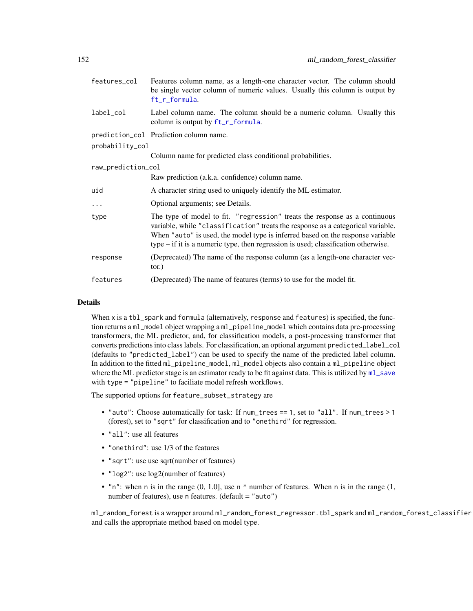| features_col       | Features column name, as a length-one character vector. The column should<br>be single vector column of numeric values. Usually this column is output by<br>ft_r_formula.                                                                                                                                                             |  |
|--------------------|---------------------------------------------------------------------------------------------------------------------------------------------------------------------------------------------------------------------------------------------------------------------------------------------------------------------------------------|--|
| label_col          | Label column name. The column should be a numeric column. Usually this<br>column is output by $ft_r-formula$ .                                                                                                                                                                                                                        |  |
|                    | prediction_col Prediction column name.                                                                                                                                                                                                                                                                                                |  |
| probability_col    |                                                                                                                                                                                                                                                                                                                                       |  |
|                    | Column name for predicted class conditional probabilities.                                                                                                                                                                                                                                                                            |  |
| raw_prediction_col |                                                                                                                                                                                                                                                                                                                                       |  |
|                    | Raw prediction (a.k.a. confidence) column name.                                                                                                                                                                                                                                                                                       |  |
| uid                | A character string used to uniquely identify the ML estimator.                                                                                                                                                                                                                                                                        |  |
| $\cdots$           | Optional arguments; see Details.                                                                                                                                                                                                                                                                                                      |  |
| type               | The type of model to fit. "regression" treats the response as a continuous<br>variable, while "classification" treats the response as a categorical variable.<br>When "auto" is used, the model type is inferred based on the response variable<br>type – if it is a numeric type, then regression is used; classification otherwise. |  |
| response           | (Deprecated) The name of the response column (as a length-one character vec-<br>tor.)                                                                                                                                                                                                                                                 |  |
| features           | (Deprecated) The name of features (terms) to use for the model fit.                                                                                                                                                                                                                                                                   |  |

#### Details

When x is a tbl\_spark and formula (alternatively, response and features) is specified, the function returns a ml\_model object wrapping a ml\_pipeline\_model which contains data pre-processing transformers, the ML predictor, and, for classification models, a post-processing transformer that converts predictions into class labels. For classification, an optional argument predicted\_label\_col (defaults to "predicted\_label") can be used to specify the name of the predicted label column. In addition to the fitted ml\_pipeline\_model, ml\_model objects also contain a ml\_pipeline object where the ML predictor stage is an estimator ready to be fit against data. This is utilized by  $m_{\text{L}}$  save with type = "pipeline" to faciliate model refresh workflows.

The supported options for feature\_subset\_strategy are

- "auto": Choose automatically for task: If num\_trees == 1, set to "all". If num\_trees > 1 (forest), set to "sqrt" for classification and to "onethird" for regression.
- "all": use all features
- "onethird": use 1/3 of the features
- "sqrt": use use sqrt(number of features)
- "log2": use log2(number of features)
- "n": when n is in the range  $(0, 1.0]$ , use n  $*$  number of features. When n is in the range  $(1, 1.0]$ number of features), use n features. (default = "auto")

ml\_random\_forest is a wrapper around ml\_random\_forest\_regressor.tbl\_spark and ml\_random\_forest\_classifier and calls the appropriate method based on model type.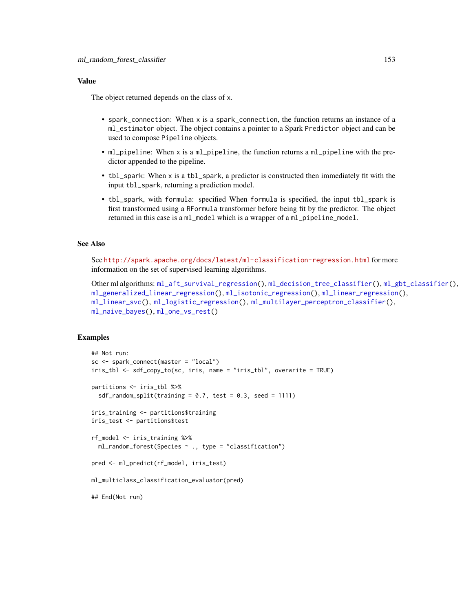## Value

The object returned depends on the class of x.

- spark\_connection: When x is a spark\_connection, the function returns an instance of a ml\_estimator object. The object contains a pointer to a Spark Predictor object and can be used to compose Pipeline objects.
- ml\_pipeline: When x is a ml\_pipeline, the function returns a ml\_pipeline with the predictor appended to the pipeline.
- tbl\_spark: When x is a tbl\_spark, a predictor is constructed then immediately fit with the input tbl\_spark, returning a prediction model.
- tbl\_spark, with formula: specified When formula is specified, the input tbl\_spark is first transformed using a RFormula transformer before being fit by the predictor. The object returned in this case is a ml\_model which is a wrapper of a ml\_pipeline\_model.

#### See Also

See <http://spark.apache.org/docs/latest/ml-classification-regression.html> for more information on the set of supervised learning algorithms.

```
Other ml algorithms: ml_aft_survival_regression(), ml_decision_tree_classifier(), ml_gbt_classifier(),
ml_generalized_linear_regression(), ml_isotonic_regression(), ml_linear_regression(),
ml_linear_svc(), ml_logistic_regression(), ml_multilayer_perceptron_classifier(),
ml_naive_bayes(), ml_one_vs_rest()
```
#### Examples

```
## Not run:
sc <- spark_connect(master = "local")
iris_tbl <- sdf_copy_to(sc, iris, name = "iris_tbl", overwrite = TRUE)
partitions <- iris_tbl %>%
 sdf_random_split(training = 0.7, test = 0.3, seed = 1111)
iris_training <- partitions$training
iris_test <- partitions$test
rf_model <- iris_training %>%
 ml_random_forest(Species ~ ., type = "classification")
pred <- ml_predict(rf_model, iris_test)
ml_multiclass_classification_evaluator(pred)
## End(Not run)
```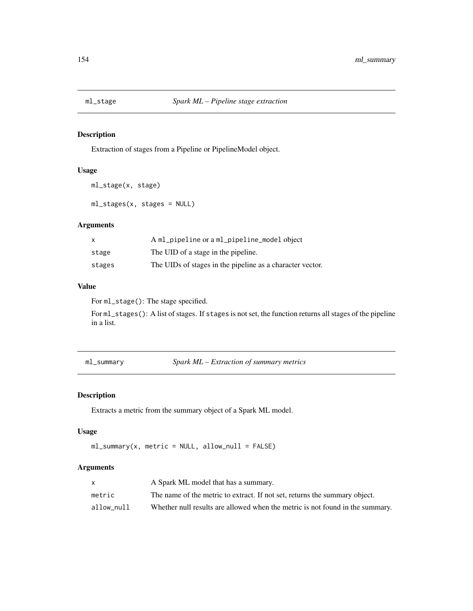Extraction of stages from a Pipeline or PipelineModel object.

# Usage

```
ml_stage(x, stage)
```
ml\_stages(x, stages = NULL)

# Arguments

| x      | A ml_pipeline or a ml_pipeline_model object               |
|--------|-----------------------------------------------------------|
| stage  | The UID of a stage in the pipeline.                       |
| stages | The UIDs of stages in the pipeline as a character vector. |

#### Value

For ml\_stage(): The stage specified.

For ml\_stages(): A list of stages. If stages is not set, the function returns all stages of the pipeline in a list.

ml\_summary *Spark ML – Extraction of summary metrics*

# Description

Extracts a metric from the summary object of a Spark ML model.

#### Usage

```
ml_summary(x, metric = NULL, allow_null = FALSE)
```

|            | A Spark ML model that has a summary.                                          |
|------------|-------------------------------------------------------------------------------|
| metric     | The name of the metric to extract. If not set, returns the summary object.    |
| allow null | Whether null results are allowed when the metric is not found in the summary. |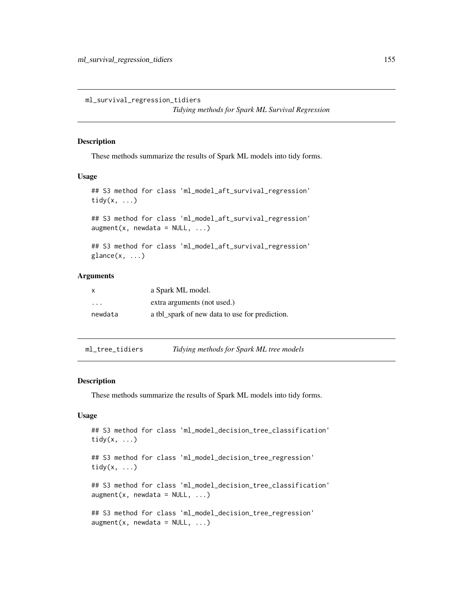ml\_survival\_regression\_tidiers

*Tidying methods for Spark ML Survival Regression*

#### Description

These methods summarize the results of Spark ML models into tidy forms.

#### Usage

```
## S3 method for class 'ml_model_aft_survival_regression'
tidy(x, \ldots)## S3 method for class 'ml_model_aft_survival_regression'
augment(x, newdata = NULL, ...)## S3 method for class 'ml_model_aft_survival_regression'
\text{glance}(x, \ldots)
```
### Arguments

| x        | a Spark ML model.                              |
|----------|------------------------------------------------|
| $\cdots$ | extra arguments (not used.)                    |
| newdata  | a tbl_spark of new data to use for prediction. |

|  | ml_tree_tidiers |  | Tidying methods for Spark ML tree models |  |  |
|--|-----------------|--|------------------------------------------|--|--|
|--|-----------------|--|------------------------------------------|--|--|

#### Description

These methods summarize the results of Spark ML models into tidy forms.

#### Usage

```
## S3 method for class 'ml_model_decision_tree_classification'
tidy(x, \ldots)
```
## S3 method for class 'ml\_model\_decision\_tree\_regression' tidy $(x, \ldots)$ 

## S3 method for class 'ml\_model\_decision\_tree\_classification'  $augment(x, newdata = NULL, ...)$ 

## S3 method for class 'ml\_model\_decision\_tree\_regression'  $augment(x, newdata = NULL, ...)$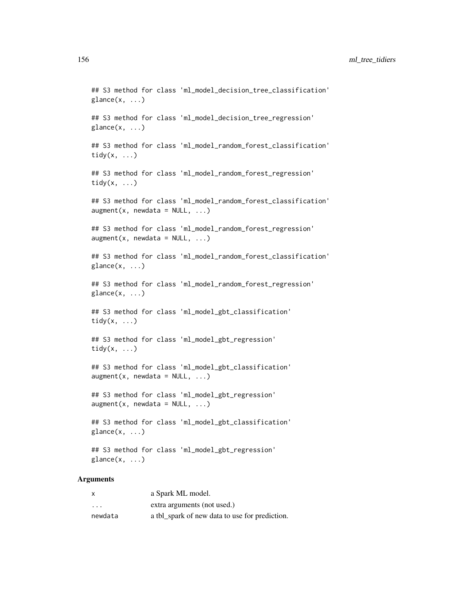```
## S3 method for class 'ml_model_decision_tree_classification'
\text{glance}(x, \ldots)## S3 method for class 'ml_model_decision_tree_regression'
\text{glance}(x, \ldots)## S3 method for class 'ml_model_random_forest_classification'
tidy(x, \ldots)## S3 method for class 'ml_model_random_forest_regression'
tidy(x, \ldots)## S3 method for class 'ml_model_random_forest_classification'
augment(x, newdata = NULL, ...)## S3 method for class 'ml_model_random_forest_regression'
augment(x, newdata = NULL, ...)## S3 method for class 'ml_model_random_forest_classification'
\text{glance}(x, \ldots)## S3 method for class 'ml_model_random_forest_regression'
\text{glance}(x, \ldots)## S3 method for class 'ml_model_gbt_classification'
tidy(x, \ldots)## S3 method for class 'ml_model_gbt_regression'
tidy(x, \ldots)## S3 method for class 'ml_model_gbt_classification'
augment(x, newdata = NULL, ...)## S3 method for class 'ml_model_gbt_regression'
augment(x, newdata = NULL, ...)## S3 method for class 'ml_model_gbt_classification'
\text{glance}(x, \ldots)## S3 method for class 'ml_model_gbt_regression'
\text{glance}(x, \ldots)
```

| x                       | a Spark ML model.                              |
|-------------------------|------------------------------------------------|
| $\cdot$ $\cdot$ $\cdot$ | extra arguments (not used.)                    |
| newdata                 | a tbl spark of new data to use for prediction. |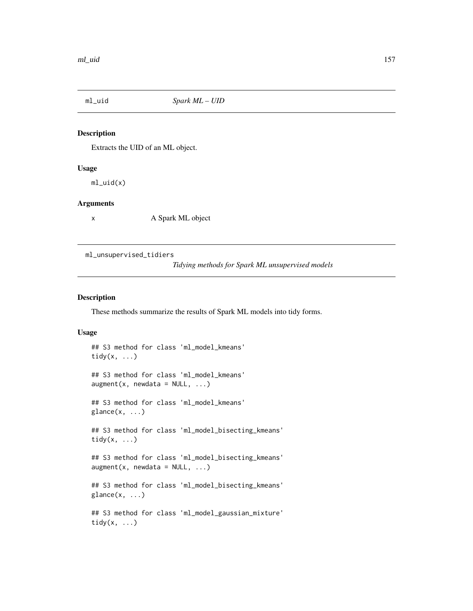Extracts the UID of an ML object.

#### Usage

ml\_uid(x)

#### Arguments

x A Spark ML object

ml\_unsupervised\_tidiers

*Tidying methods for Spark ML unsupervised models*

#### Description

These methods summarize the results of Spark ML models into tidy forms.

```
## S3 method for class 'ml_model_kmeans'
tidy(x, ...)
## S3 method for class 'ml_model_kmeans'
augment(x, newdata = NULL, ...)## S3 method for class 'ml_model_kmeans'
\text{glance}(x, \ldots)## S3 method for class 'ml_model_bisecting_kmeans'
tidy(x, \ldots)## S3 method for class 'ml_model_bisecting_kmeans'
augment(x, newdata = NULL, ...)## S3 method for class 'ml_model_bisecting_kmeans'
\text{glance}(x, \ldots)## S3 method for class 'ml_model_gaussian_mixture'
tidy(x, \ldots)
```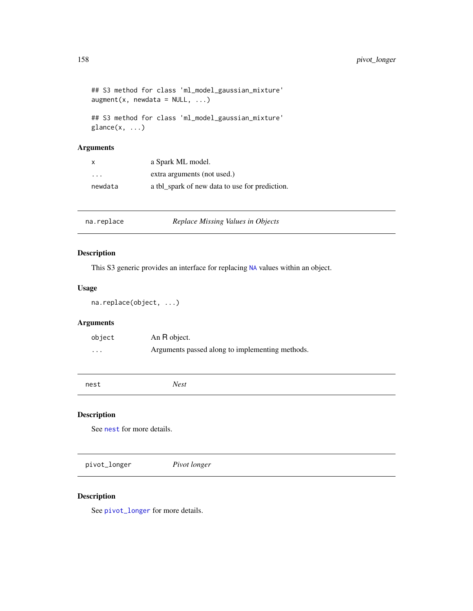```
## S3 method for class 'ml_model_gaussian_mixture'
augment(x, newdata = NULL, ...)
```

```
## S3 method for class 'ml_model_gaussian_mixture'
glance(x, ...)
```

| $\mathsf{X}$ | a Spark ML model.                              |
|--------------|------------------------------------------------|
| .            | extra arguments (not used.)                    |
| newdata      | a tbl_spark of new data to use for prediction. |

| na.replace | Replace Missing Values in Objects |
|------------|-----------------------------------|
|------------|-----------------------------------|

# Description

This S3 generic provides an interface for replacing [NA](#page-0-0) values within an object.

# Usage

```
na.replace(object, ...)
```
# Arguments

| object   | An R object.                                    |
|----------|-------------------------------------------------|
| $\cdots$ | Arguments passed along to implementing methods. |

<span id="page-157-0"></span>nest *Nest*

# Description

See [nest](#page-157-0) for more details.

<span id="page-157-1"></span>pivot\_longer *Pivot longer*

# Description

See [pivot\\_longer](#page-157-1) for more details.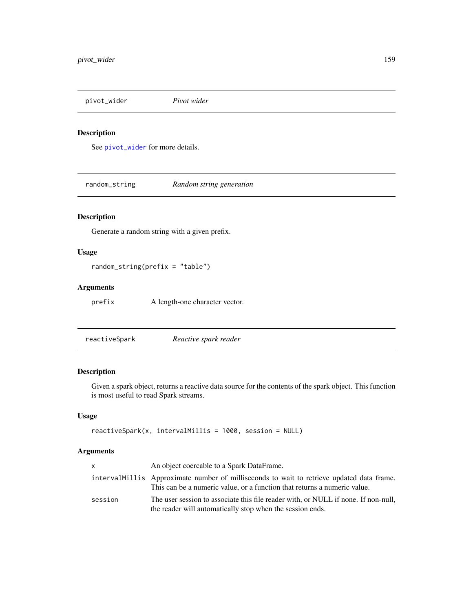<span id="page-158-0"></span>pivot\_wider *Pivot wider*

# Description

See [pivot\\_wider](#page-158-0) for more details.

random\_string *Random string generation*

# Description

Generate a random string with a given prefix.

# Usage

random\_string(prefix = "table")

# Arguments

prefix A length-one character vector.

reactiveSpark *Reactive spark reader*

# Description

Given a spark object, returns a reactive data source for the contents of the spark object. This function is most useful to read Spark streams.

# Usage

```
reactiveSpark(x, intervalMillis = 1000, session = NULL)
```

| <b>X</b> | An object coercable to a Spark DataFrame.                                                                                                                              |
|----------|------------------------------------------------------------------------------------------------------------------------------------------------------------------------|
|          | interval Millis Approximate number of milliseconds to wait to retrieve updated data frame.<br>This can be a numeric value, or a function that returns a numeric value. |
| session  | The user session to associate this file reader with, or NULL if none. If non-null,<br>the reader will automatically stop when the session ends.                        |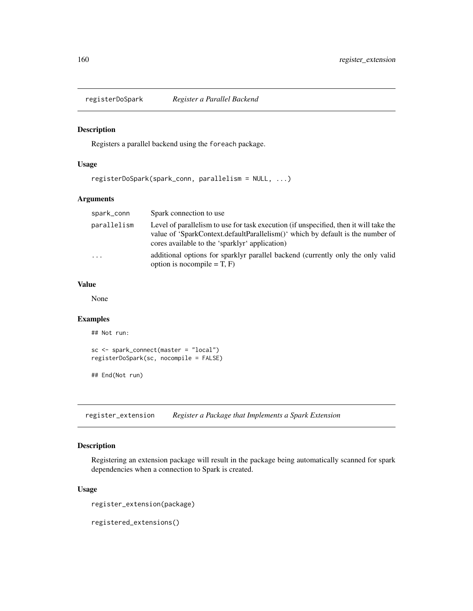Registers a parallel backend using the foreach package.

#### Usage

registerDoSpark(spark\_conn, parallelism = NULL, ...)

#### Arguments

| spark_conn              | Spark connection to use                                                                                                                                                                                                   |
|-------------------------|---------------------------------------------------------------------------------------------------------------------------------------------------------------------------------------------------------------------------|
| parallelism             | Level of parallelism to use for task execution (if unspecified, then it will take the<br>value of 'SparkContext.defaultParallelism()' which by default is the number of<br>cores available to the 'sparklyr' application) |
| $\cdot$ $\cdot$ $\cdot$ | additional options for sparklyr parallel backend (currently only the only valid<br>option is no<br>compile = $T$ , $F$ )                                                                                                  |

# Value

None

#### Examples

```
## Not run:
sc <- spark_connect(master = "local")
registerDoSpark(sc, nocompile = FALSE)
## End(Not run)
```
register\_extension *Register a Package that Implements a Spark Extension*

# Description

Registering an extension package will result in the package being automatically scanned for spark dependencies when a connection to Spark is created.

#### Usage

register\_extension(package)

registered\_extensions()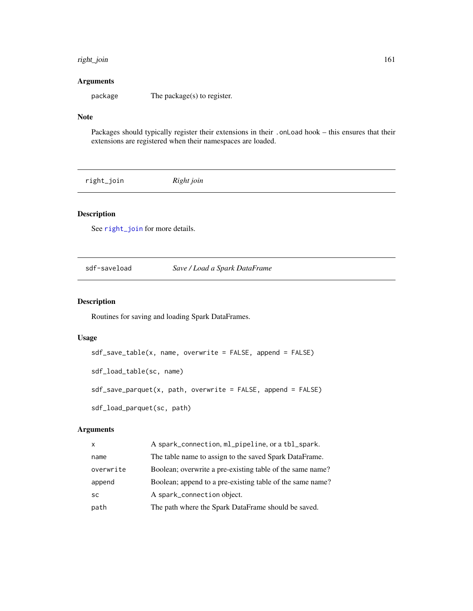#### right\_join 161

#### Arguments

package The package(s) to register.

## Note

Packages should typically register their extensions in their .onLoad hook – this ensures that their extensions are registered when their namespaces are loaded.

<span id="page-160-0"></span>right\_join *Right join*

# Description

See [right\\_join](#page-160-0) for more details.

sdf-saveload *Save / Load a Spark DataFrame*

# Description

Routines for saving and loading Spark DataFrames.

#### Usage

```
sdf_save_table(x, name, overwrite = FALSE, append = FALSE)
sdf_load_table(sc, name)
sdf_save_parquet(x, path, overwrite = FALSE, append = FALSE)
sdf_load_parquet(sc, path)
```

| $\mathsf{x}$ | A spark_connection, ml_pipeline, or a tbl_spark.          |
|--------------|-----------------------------------------------------------|
| name         | The table name to assign to the saved Spark DataFrame.    |
| overwrite    | Boolean; overwrite a pre-existing table of the same name? |
| append       | Boolean; append to a pre-existing table of the same name? |
| <b>SC</b>    | A spark_connection object.                                |
| path         | The path where the Spark DataFrame should be saved.       |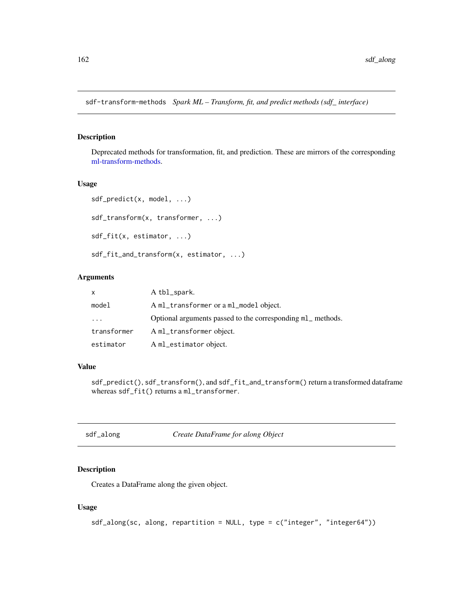sdf-transform-methods *Spark ML – Transform, fit, and predict methods (sdf\_ interface)*

#### Description

Deprecated methods for transformation, fit, and prediction. These are mirrors of the corresponding [ml-transform-methods.](#page-83-0)

#### Usage

```
sdf_predict(x, model, ...)
sdf_transform(x, transformer, ...)
sdf_fit(x, estimator, ...)
sdf_fit_and_transform(x, estimator, ...)
```
#### Arguments

| X           | A tbl_spark.                                                |
|-------------|-------------------------------------------------------------|
| model       | A ml_transformer or a ml_model object.                      |
| $\cdot$     | Optional arguments passed to the corresponding ml_ methods. |
| transformer | A ml_transformer object.                                    |
| estimator   | A ml_estimator object.                                      |

#### Value

sdf\_predict(), sdf\_transform(), and sdf\_fit\_and\_transform() return a transformed dataframe whereas sdf\_fit() returns a ml\_transformer.

| sdf<br>along |  |
|--------------|--|
|--------------|--|

**Create DataFrame for along Object** 

#### Description

Creates a DataFrame along the given object.

```
sdf_along(sc, along, repartition = NULL, type = c("integer", "integer64"))
```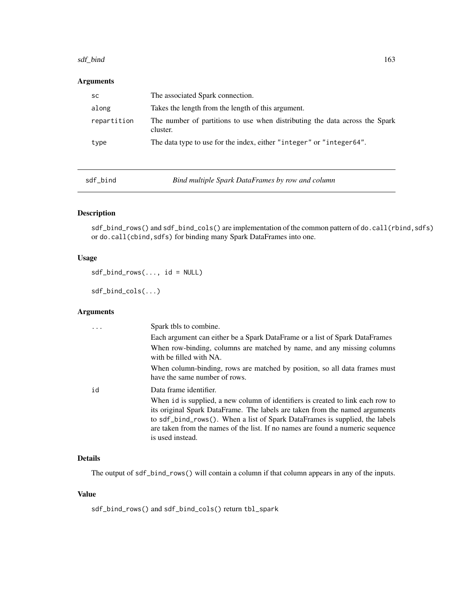#### sdf\_bind 163

#### Arguments

| <b>SC</b>   | The associated Spark connection.                                                        |
|-------------|-----------------------------------------------------------------------------------------|
| along       | Takes the length from the length of this argument.                                      |
| repartition | The number of partitions to use when distributing the data across the Spark<br>cluster. |
| type        | The data type to use for the index, either "integer" or "integer64".                    |

sdf\_bind *Bind multiple Spark DataFrames by row and column*

# Description

sdf\_bind\_rows() and sdf\_bind\_cols() are implementation of the common pattern of do.call(rbind,sdfs) or do.call(cbind, sdfs) for binding many Spark DataFrames into one.

#### Usage

 $sdf\_bind\_rows(..., id = NULL)$ 

sdf\_bind\_cols(...)

# Arguments

|    | Spark tbls to combine.                                                                                                                                                                                                                                                                                                                              |
|----|-----------------------------------------------------------------------------------------------------------------------------------------------------------------------------------------------------------------------------------------------------------------------------------------------------------------------------------------------------|
|    | Each argument can either be a Spark DataFrame or a list of Spark DataFrames                                                                                                                                                                                                                                                                         |
|    | When row-binding, columns are matched by name, and any missing columns<br>with be filled with NA.                                                                                                                                                                                                                                                   |
|    | When column-binding, rows are matched by position, so all data frames must<br>have the same number of rows.                                                                                                                                                                                                                                         |
| id | Data frame identifier.                                                                                                                                                                                                                                                                                                                              |
|    | When id is supplied, a new column of identifiers is created to link each row to<br>its original Spark DataFrame. The labels are taken from the named arguments<br>to sdf_bind_rows(). When a list of Spark DataFrames is supplied, the labels<br>are taken from the names of the list. If no names are found a numeric sequence<br>is used instead. |

# Details

The output of sdf\_bind\_rows() will contain a column if that column appears in any of the inputs.

# Value

sdf\_bind\_rows() and sdf\_bind\_cols() return tbl\_spark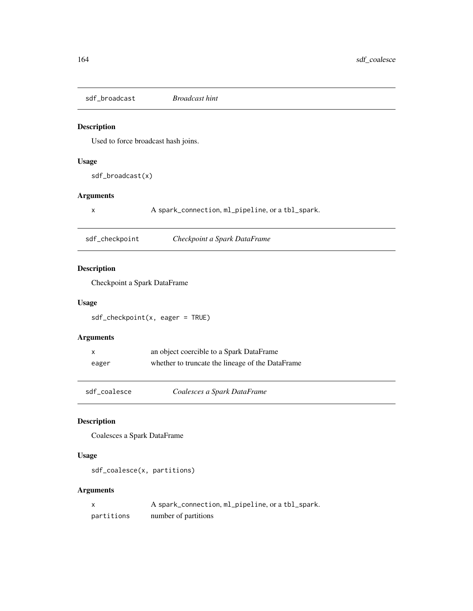sdf\_broadcast *Broadcast hint*

# Description

Used to force broadcast hash joins.

# Usage

sdf\_broadcast(x)

# Arguments

x A spark\_connection, ml\_pipeline, or a tbl\_spark.

| sdf_checkpoint | Checkpoint a Spark DataFrame |
|----------------|------------------------------|
|                |                              |

# Description

Checkpoint a Spark DataFrame

#### Usage

sdf\_checkpoint(x, eager = TRUE)

# Arguments

|       | an object coercible to a Spark DataFrame         |
|-------|--------------------------------------------------|
| eager | whether to truncate the lineage of the DataFrame |

sdf\_coalesce *Coalesces a Spark DataFrame*

# Description

Coalesces a Spark DataFrame

# Usage

sdf\_coalesce(x, partitions)

|            | A spark_connection, ml_pipeline, or a tbl_spark. |
|------------|--------------------------------------------------|
| partitions | number of partitions                             |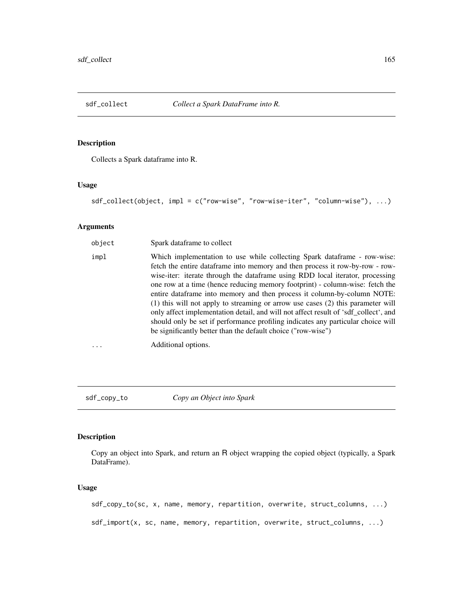Collects a Spark dataframe into R.

#### Usage

sdf\_collect(object, impl = c("row-wise", "row-wise-iter", "column-wise"), ...)

#### Arguments

| object | Spark dataframe to collect                                                                                                                                                                                                                                                                                                                                                                                                                                                                                                                                                                                                                                                                                                         |
|--------|------------------------------------------------------------------------------------------------------------------------------------------------------------------------------------------------------------------------------------------------------------------------------------------------------------------------------------------------------------------------------------------------------------------------------------------------------------------------------------------------------------------------------------------------------------------------------------------------------------------------------------------------------------------------------------------------------------------------------------|
| impl   | Which implementation to use while collecting Spark dataframe - row-wise:<br>fetch the entire dataframe into memory and then process it row-by-row - row-<br>wise-iter: iterate through the dataframe using RDD local iterator, processing<br>one row at a time (hence reducing memory footprint) - column-wise: fetch the<br>entire dataframe into memory and then process it column-by-column NOTE:<br>(1) this will not apply to streaming or arrow use cases (2) this parameter will<br>only affect implementation detail, and will not affect result of 'sdf_collect', and<br>should only be set if performance profiling indicates any particular choice will<br>be significantly better than the default choice ("row-wise") |
|        | Additional options.                                                                                                                                                                                                                                                                                                                                                                                                                                                                                                                                                                                                                                                                                                                |

<span id="page-164-0"></span>sdf\_copy\_to *Copy an Object into Spark*

# Description

Copy an object into Spark, and return an R object wrapping the copied object (typically, a Spark DataFrame).

# Usage

sdf\_copy\_to(sc, x, name, memory, repartition, overwrite, struct\_columns, ...) sdf\_import(x, sc, name, memory, repartition, overwrite, struct\_columns, ...)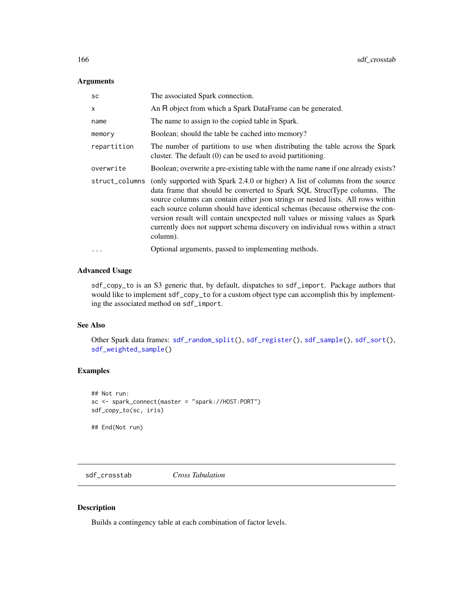| <b>SC</b>      | The associated Spark connection.                                                                                                                                                                                                                                                                                                                                                                                                                                                                            |
|----------------|-------------------------------------------------------------------------------------------------------------------------------------------------------------------------------------------------------------------------------------------------------------------------------------------------------------------------------------------------------------------------------------------------------------------------------------------------------------------------------------------------------------|
| x              | An R object from which a Spark DataFrame can be generated.                                                                                                                                                                                                                                                                                                                                                                                                                                                  |
| name           | The name to assign to the copied table in Spark.                                                                                                                                                                                                                                                                                                                                                                                                                                                            |
| memory         | Boolean; should the table be cached into memory?                                                                                                                                                                                                                                                                                                                                                                                                                                                            |
| repartition    | The number of partitions to use when distributing the table across the Spark<br>cluster. The default $(0)$ can be used to avoid partitioning.                                                                                                                                                                                                                                                                                                                                                               |
| overwrite      | Boolean; overwrite a pre-existing table with the name name if one already exists?                                                                                                                                                                                                                                                                                                                                                                                                                           |
| struct_columns | (only supported with Spark 2.4.0 or higher) A list of columns from the source<br>data frame that should be converted to Spark SQL StructType columns. The<br>source columns can contain either json strings or nested lists. All rows within<br>each source column should have identical schemas (because otherwise the con-<br>version result will contain unexpected null values or missing values as Spark<br>currently does not support schema discovery on individual rows within a struct<br>column). |
| .              | Optional arguments, passed to implementing methods.                                                                                                                                                                                                                                                                                                                                                                                                                                                         |

#### Advanced Usage

sdf\_copy\_to is an S3 generic that, by default, dispatches to sdf\_import. Package authors that would like to implement sdf\_copy\_to for a custom object type can accomplish this by implementing the associated method on sdf\_import.

# See Also

Other Spark data frames: [sdf\\_random\\_split\(](#page-175-0)), [sdf\\_register\(](#page-177-0)), [sdf\\_sample\(](#page-178-0)), [sdf\\_sort\(](#page-181-0)), [sdf\\_weighted\\_sample\(](#page-185-0))

#### Examples

```
## Not run:
sc <- spark_connect(master = "spark://HOST:PORT")
sdf_copy_to(sc, iris)
```
## End(Not run)

sdf\_crosstab *Cross Tabulation*

# Description

Builds a contingency table at each combination of factor levels.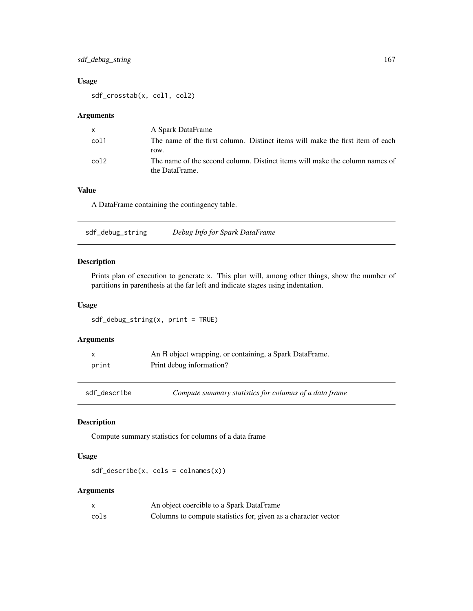# sdf\_debug\_string 167

# Usage

sdf\_crosstab(x, col1, col2)

#### Arguments

|       | A Spark DataFrame                                                                             |
|-------|-----------------------------------------------------------------------------------------------|
| col1  | The name of the first column. Distinct items will make the first item of each<br>row.         |
| col 2 | The name of the second column. Distinct items will make the column names of<br>the DataFrame. |

### Value

A DataFrame containing the contingency table.

| sdf_debug_string | Debug Info for Spark DataFrame |  |
|------------------|--------------------------------|--|
|------------------|--------------------------------|--|

# Description

Prints plan of execution to generate x. This plan will, among other things, show the number of partitions in parenthesis at the far left and indicate stages using indentation.

## Usage

sdf\_debug\_string(x, print = TRUE)

# Arguments

|       | An R object wrapping, or containing, a Spark DataFrame. |
|-------|---------------------------------------------------------|
| print | Print debug information?                                |
|       |                                                         |

sdf\_describe *Compute summary statistics for columns of a data frame*

# Description

Compute summary statistics for columns of a data frame

#### Usage

sdf\_describe(x, cols = colnames(x))

|      | An object coercible to a Spark DataFrame                       |
|------|----------------------------------------------------------------|
| cols | Columns to compute statistics for, given as a character vector |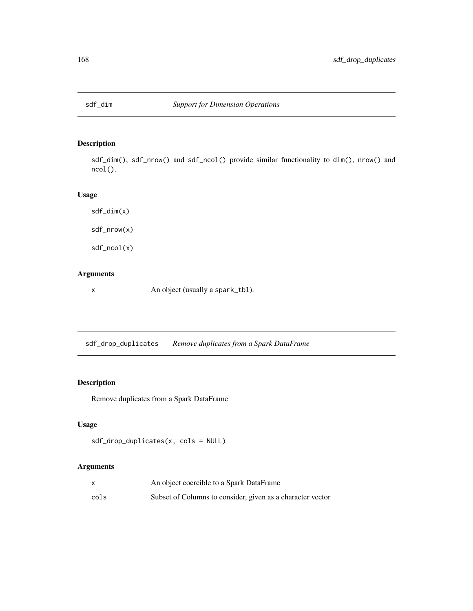sdf\_dim(), sdf\_nrow() and sdf\_ncol() provide similar functionality to dim(), nrow() and ncol().

# Usage

sdf\_dim(x) sdf\_nrow(x) sdf\_ncol(x)

# Arguments

x An object (usually a spark\_tbl).

sdf\_drop\_duplicates *Remove duplicates from a Spark DataFrame*

# Description

Remove duplicates from a Spark DataFrame

# Usage

```
sdf_drop_duplicates(x, cols = NULL)
```

|      | An object coercible to a Spark DataFrame                   |
|------|------------------------------------------------------------|
| cols | Subset of Columns to consider, given as a character vector |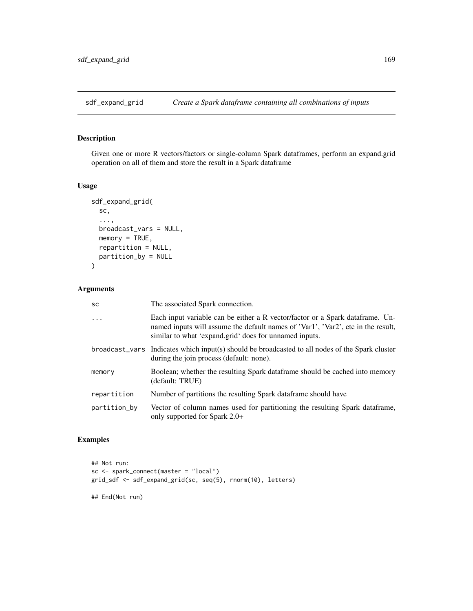Given one or more R vectors/factors or single-column Spark dataframes, perform an expand.grid operation on all of them and store the result in a Spark dataframe

# Usage

```
sdf_expand_grid(
  sc,
  ...,
 broadcast_vars = NULL,
 memory = TRUE,repartition = NULL,
 partition_by = NULL
)
```
# Arguments

| The associated Spark connection.                                                                                                                                                                                             |
|------------------------------------------------------------------------------------------------------------------------------------------------------------------------------------------------------------------------------|
| Each input variable can be either a R vector/factor or a Spark data frame. Un-<br>named inputs will assume the default names of 'Var1', 'Var2', etc in the result,<br>similar to what 'expand.grid' does for unnamed inputs. |
| broadcast_vars Indicates which input(s) should be broadcasted to all nodes of the Spark cluster<br>during the join process (default: none).                                                                                  |
| Boolean; whether the resulting Spark data frame should be cached into memory<br>(default: TRUE)                                                                                                                              |
| Number of partitions the resulting Spark dataframe should have                                                                                                                                                               |
| Vector of column names used for partitioning the resulting Spark dataframe,<br>only supported for Spark 2.0+                                                                                                                 |
|                                                                                                                                                                                                                              |

# Examples

```
## Not run:
sc <- spark_connect(master = "local")
grid_sdf <- sdf_expand_grid(sc, seq(5), rnorm(10), letters)
```
## End(Not run)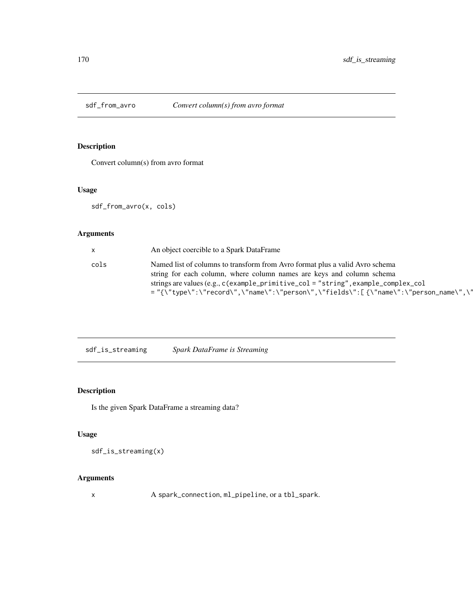Convert column(s) from avro format

# Usage

sdf\_from\_avro(x, cols)

# Arguments

|      | An object coercible to a Spark DataFrame                                             |
|------|--------------------------------------------------------------------------------------|
| cols | Named list of columns to transform from Avro format plus a valid Avro schema         |
|      | string for each column, where column names are keys and column schema                |
|      | strings are values (e.g., $c$ (example_primitive_col = "string", example_complex_col |
|      | ="{\"type\":\"record\",\"name\":\"person\",\"fields\":[{\"name\":\"person_name\",\"  |

| Spark DataFrame is Streaming<br>sdf_is_streaming |  |
|--------------------------------------------------|--|
|                                                  |  |

# Description

Is the given Spark DataFrame a streaming data?

# Usage

```
sdf_is_streaming(x)
```
# Arguments

x A spark\_connection, ml\_pipeline, or a tbl\_spark.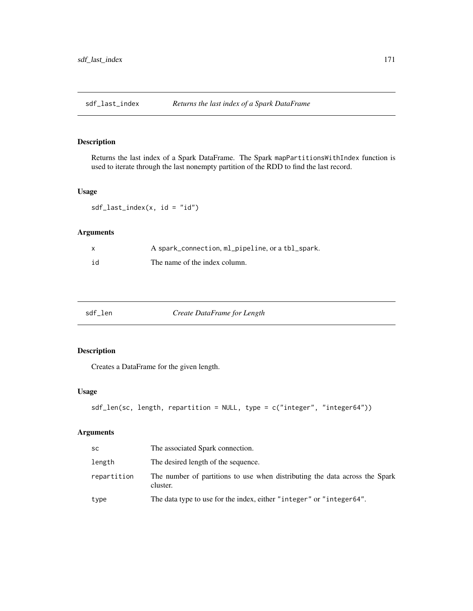Returns the last index of a Spark DataFrame. The Spark mapPartitionsWithIndex function is used to iterate through the last nonempty partition of the RDD to find the last record.

#### Usage

sdf\_last\_index(x, id = "id")

# Arguments

|    | A spark_connection, ml_pipeline, or a tbl_spark. |
|----|--------------------------------------------------|
| id | The name of the index column.                    |

| sdf len | Create DataFrame for Length |  |
|---------|-----------------------------|--|
|---------|-----------------------------|--|

# Description

Creates a DataFrame for the given length.

#### Usage

```
sdf_len(sc, length, repartition = NULL, type = c("integer", "integer64"))
```

| <b>SC</b>   | The associated Spark connection.                                                        |
|-------------|-----------------------------------------------------------------------------------------|
| length      | The desired length of the sequence.                                                     |
| repartition | The number of partitions to use when distributing the data across the Spark<br>cluster. |
| type        | The data type to use for the index, either "integer" or "integer64".                    |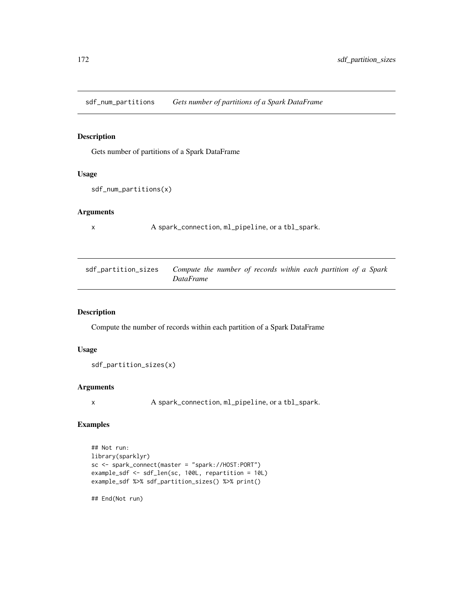sdf\_num\_partitions *Gets number of partitions of a Spark DataFrame*

#### Description

Gets number of partitions of a Spark DataFrame

# Usage

```
sdf_num_partitions(x)
```
#### Arguments

x A spark\_connection, ml\_pipeline, or a tbl\_spark.

| sdf_partition_sizes | Compute the number of records within each partition of a Spark |
|---------------------|----------------------------------------------------------------|
|                     | <i>DataFrame</i>                                               |

# Description

Compute the number of records within each partition of a Spark DataFrame

#### Usage

sdf\_partition\_sizes(x)

# Arguments

x A spark\_connection, ml\_pipeline, or a tbl\_spark.

# Examples

```
## Not run:
library(sparklyr)
sc <- spark_connect(master = "spark://HOST:PORT")
example_sdf <- sdf_len(sc, 100L, repartition = 10L)
example_sdf %>% sdf_partition_sizes() %>% print()
```
## End(Not run)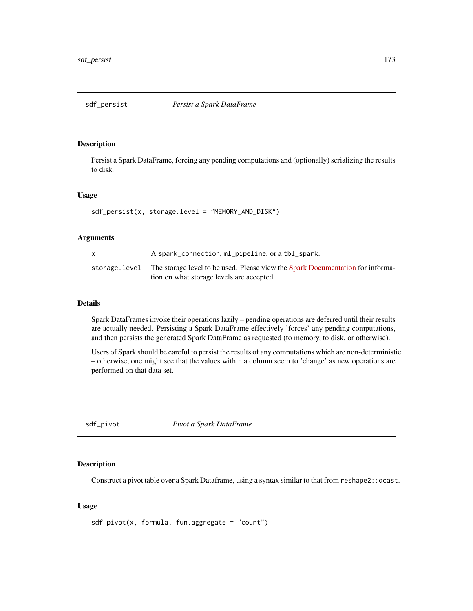Persist a Spark DataFrame, forcing any pending computations and (optionally) serializing the results to disk.

#### Usage

sdf\_persist(x, storage.level = "MEMORY\_AND\_DISK")

### Arguments

| A spark_connection, ml_pipeline, or a tbl_spark.                                                                                           |
|--------------------------------------------------------------------------------------------------------------------------------------------|
| storage. level The storage level to be used. Please view the Spark Documentation for informa-<br>tion on what storage levels are accepted. |

#### Details

Spark DataFrames invoke their operations lazily – pending operations are deferred until their results are actually needed. Persisting a Spark DataFrame effectively 'forces' any pending computations, and then persists the generated Spark DataFrame as requested (to memory, to disk, or otherwise).

Users of Spark should be careful to persist the results of any computations which are non-deterministic – otherwise, one might see that the values within a column seem to 'change' as new operations are performed on that data set.

sdf\_pivot *Pivot a Spark DataFrame*

#### Description

Construct a pivot table over a Spark Dataframe, using a syntax similar to that from reshape2:: dcast.

```
sdf_pivot(x, formula, fun.aggregate = "count")
```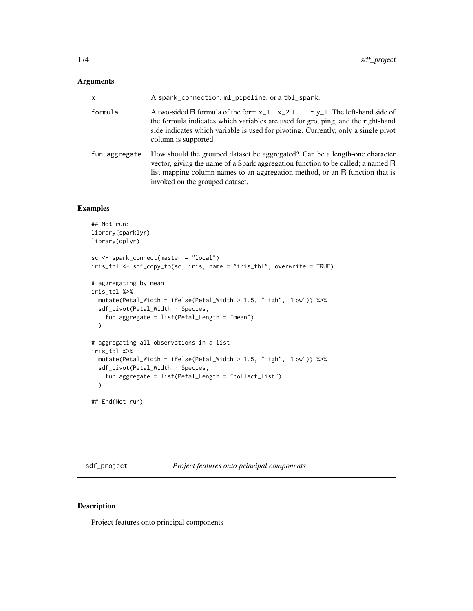| X             | A spark_connection, ml_pipeline, or a tbl_spark.                                                                                                                                                                                                                                   |
|---------------|------------------------------------------------------------------------------------------------------------------------------------------------------------------------------------------------------------------------------------------------------------------------------------|
| formula       | A two-sided R formula of the form $x_1 + x_2 +  \sim y_1$ . The left-hand side of<br>the formula indicates which variables are used for grouping, and the right-hand<br>side indicates which variable is used for pivoting. Currently, only a single pivot<br>column is supported. |
| fun.aggregate | How should the grouped dataset be aggregated? Can be a length-one character<br>vector, giving the name of a Spark aggregation function to be called; a named R<br>list mapping column names to an aggregation method, or an R function that is<br>invoked on the grouped dataset.  |

#### Examples

```
## Not run:
library(sparklyr)
library(dplyr)
sc <- spark_connect(master = "local")
iris_tbl <- sdf_copy_to(sc, iris, name = "iris_tbl", overwrite = TRUE)
# aggregating by mean
iris_tbl %>%
  mutate(Petal_Width = ifelse(Petal_Width > 1.5, "High", "Low")) %>%
  sdf_pivot(Petal_Width ~ Species,
   fun.aggregate = list(Petal_Length = "mean")
  )
# aggregating all observations in a list
iris_tbl %>%
 mutate(Petal_Width = ifelse(Petal_Width > 1.5, "High", "Low")) %>%
  sdf_pivot(Petal_Width ~ Species,
   fun.aggregate = list(Petal_Length = "collect_list")
  \lambda
```
## End(Not run)

sdf\_project *Project features onto principal components*

## Description

Project features onto principal components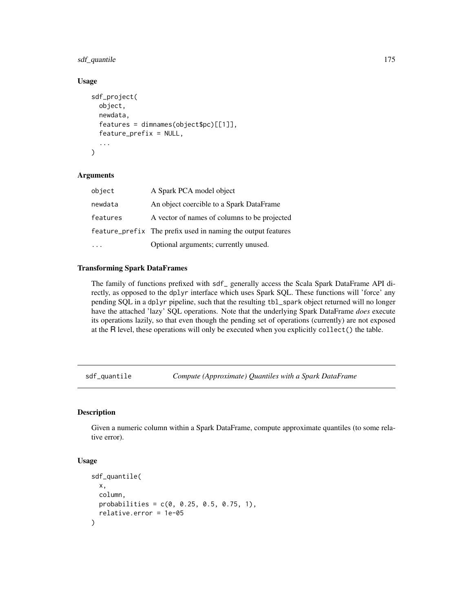# sdf\_quantile 175

# Usage

```
sdf_project(
  object,
  newdata,
  features = dimnames(object$pc)[[1]],
  feature_prefix = NULL,
  ...
\mathcal{E}
```
#### Arguments

| object   | A Spark PCA model object                                     |
|----------|--------------------------------------------------------------|
| newdata  | An object coercible to a Spark DataFrame                     |
| features | A vector of names of columns to be projected                 |
|          | feature_prefix The prefix used in naming the output features |
|          | Optional arguments; currently unused.                        |

#### Transforming Spark DataFrames

The family of functions prefixed with sdf\_ generally access the Scala Spark DataFrame API directly, as opposed to the dplyr interface which uses Spark SQL. These functions will 'force' any pending SQL in a dplyr pipeline, such that the resulting tbl\_spark object returned will no longer have the attached 'lazy' SQL operations. Note that the underlying Spark DataFrame *does* execute its operations lazily, so that even though the pending set of operations (currently) are not exposed at the R level, these operations will only be executed when you explicitly collect() the table.

sdf\_quantile *Compute (Approximate) Quantiles with a Spark DataFrame*

# Description

Given a numeric column within a Spark DataFrame, compute approximate quantiles (to some relative error).

```
sdf_quantile(
 x,
  column,
 probabilities = c(0, 0.25, 0.5, 0.75, 1),
  relative.error = 1e-05
)
```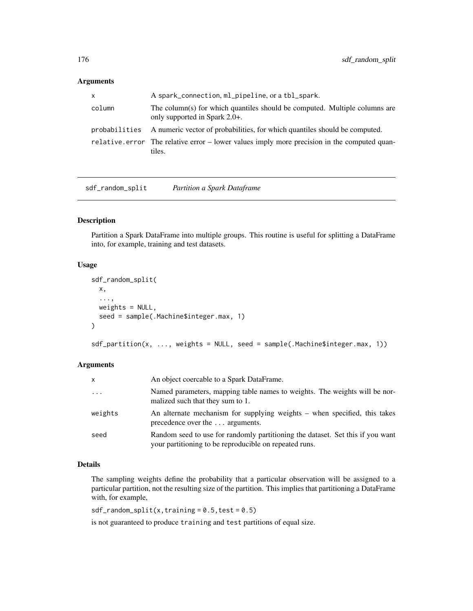| x             | A spark_connection, ml_pipeline, or a tbl_spark.                                                            |
|---------------|-------------------------------------------------------------------------------------------------------------|
| column        | The column(s) for which quantiles should be computed. Multiple columns are<br>only supported in Spark 2.0+. |
| probabilities | A numeric vector of probabilities, for which quantiles should be computed.                                  |
|               | relative.error The relative error - lower values imply more precision in the computed quan-<br>tiles.       |

<span id="page-175-0"></span>sdf\_random\_split *Partition a Spark Dataframe*

# Description

Partition a Spark DataFrame into multiple groups. This routine is useful for splitting a DataFrame into, for example, training and test datasets.

#### Usage

```
sdf_random_split(
 x,
  ...,
 weights = NULL,
 seed = sample(.Machine$integer.max, 1)
)
```
# sdf\_partition(x, ..., weights = NULL, seed = sample(.Machine\$integer.max, 1))

## Arguments

| x       | An object coercable to a Spark DataFrame.                                                                                                |
|---------|------------------------------------------------------------------------------------------------------------------------------------------|
| .       | Named parameters, mapping table names to weights. The weights will be nor-<br>malized such that they sum to 1.                           |
| weights | An alternate mechanism for supplying weights – when specified, this takes<br>precedence over the  arguments.                             |
| seed    | Random seed to use for randomly partitioning the dataset. Set this if you want<br>your partitioning to be reproducible on repeated runs. |

#### Details

The sampling weights define the probability that a particular observation will be assigned to a particular partition, not the resulting size of the partition. This implies that partitioning a DataFrame with, for example,

 $sdf_r$ andom\_split(x,training = 0.5,test = 0.5)

is not guaranteed to produce training and test partitions of equal size.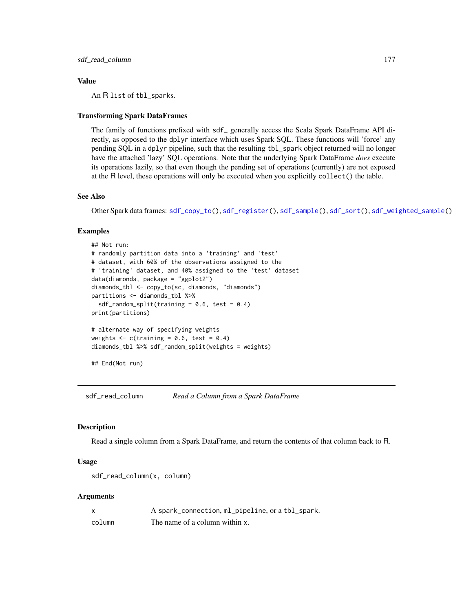#### Value

An R list of tbl\_sparks.

#### Transforming Spark DataFrames

The family of functions prefixed with sdf\_ generally access the Scala Spark DataFrame API directly, as opposed to the dplyr interface which uses Spark SQL. These functions will 'force' any pending SQL in a dplyr pipeline, such that the resulting tbl\_spark object returned will no longer have the attached 'lazy' SQL operations. Note that the underlying Spark DataFrame *does* execute its operations lazily, so that even though the pending set of operations (currently) are not exposed at the R level, these operations will only be executed when you explicitly collect() the table.

#### See Also

Other Spark data frames: [sdf\\_copy\\_to\(](#page-164-0)), [sdf\\_register\(](#page-177-0)), [sdf\\_sample\(](#page-178-0)), [sdf\\_sort\(](#page-181-0)), [sdf\\_weighted\\_sample\(](#page-185-0))

#### Examples

```
## Not run:
# randomly partition data into a 'training' and 'test'
# dataset, with 60% of the observations assigned to the
# 'training' dataset, and 40% assigned to the 'test' dataset
data(diamonds, package = "ggplot2")
diamonds_tbl <- copy_to(sc, diamonds, "diamonds")
partitions <- diamonds_tbl %>%
 sdf_r andom_split(training = 0.6, test = 0.4)
print(partitions)
# alternate way of specifying weights
weights \leq c(training = 0.6, test = 0.4)
diamonds_tbl %>% sdf_random_split(weights = weights)
```
## End(Not run)

sdf\_read\_column *Read a Column from a Spark DataFrame*

#### **Description**

Read a single column from a Spark DataFrame, and return the contents of that column back to R.

#### Usage

```
sdf_read_column(x, column)
```

|        | A spark_connection, ml_pipeline, or a tbl_spark. |
|--------|--------------------------------------------------|
| column | The name of a column within x.                   |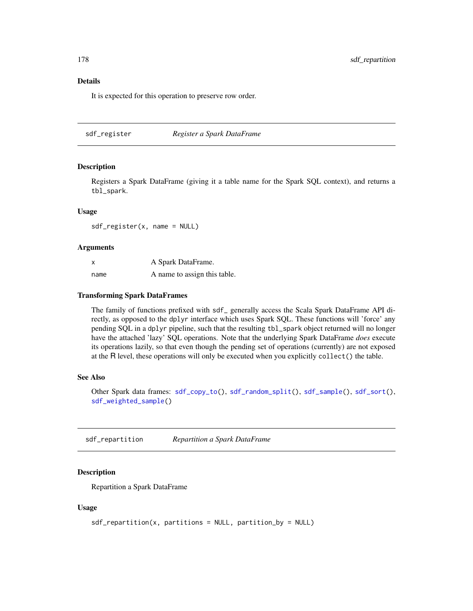#### Details

It is expected for this operation to preserve row order.

<span id="page-177-0"></span>sdf\_register *Register a Spark DataFrame*

#### Description

Registers a Spark DataFrame (giving it a table name for the Spark SQL context), and returns a tbl\_spark.

#### Usage

sdf\_register(x, name = NULL)

#### Arguments

| x    | A Spark DataFrame.           |
|------|------------------------------|
| name | A name to assign this table. |

#### Transforming Spark DataFrames

The family of functions prefixed with sdf\_ generally access the Scala Spark DataFrame API directly, as opposed to the dplyr interface which uses Spark SQL. These functions will 'force' any pending SQL in a dplyr pipeline, such that the resulting tbl\_spark object returned will no longer have the attached 'lazy' SQL operations. Note that the underlying Spark DataFrame *does* execute its operations lazily, so that even though the pending set of operations (currently) are not exposed at the R level, these operations will only be executed when you explicitly collect() the table.

# See Also

Other Spark data frames: [sdf\\_copy\\_to\(](#page-164-0)), [sdf\\_random\\_split\(](#page-175-0)), [sdf\\_sample\(](#page-178-0)), [sdf\\_sort\(](#page-181-0)), [sdf\\_weighted\\_sample\(](#page-185-0))

sdf\_repartition *Repartition a Spark DataFrame*

#### **Description**

Repartition a Spark DataFrame

```
sdf_repartition(x, partitions = NULL, partition_by = NULL)
```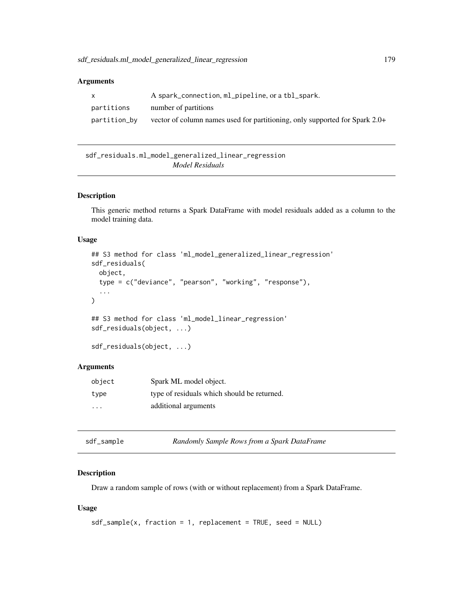| X            | A spark_connection, ml_pipeline, or a tbl_spark.                            |
|--------------|-----------------------------------------------------------------------------|
| partitions   | number of partitions                                                        |
| partition_by | vector of column names used for partitioning, only supported for Spark 2.0+ |

sdf\_residuals.ml\_model\_generalized\_linear\_regression *Model Residuals*

#### Description

This generic method returns a Spark DataFrame with model residuals added as a column to the model training data.

#### Usage

```
## S3 method for class 'ml_model_generalized_linear_regression'
sdf_residuals(
  object,
  type = c("deviance", "pearson", "working", "response"),
  ...
\mathcal{L}## S3 method for class 'ml_model_linear_regression'
sdf_residuals(object, ...)
```

```
sdf_residuals(object, ...)
```
#### Arguments

| object  | Spark ML model object.                      |
|---------|---------------------------------------------|
| type    | type of residuals which should be returned. |
| $\cdot$ | additional arguments                        |

<span id="page-178-0"></span>

|  | sdf_sample |  |  | Rand |
|--|------------|--|--|------|
|--|------------|--|--|------|

# sdf\_sample *Randomly Sample Rows from a Spark DataFrame*

# Description

Draw a random sample of rows (with or without replacement) from a Spark DataFrame.

```
sdf_sample(x, fraction = 1, replacement = TRUE, seed = NULL)
```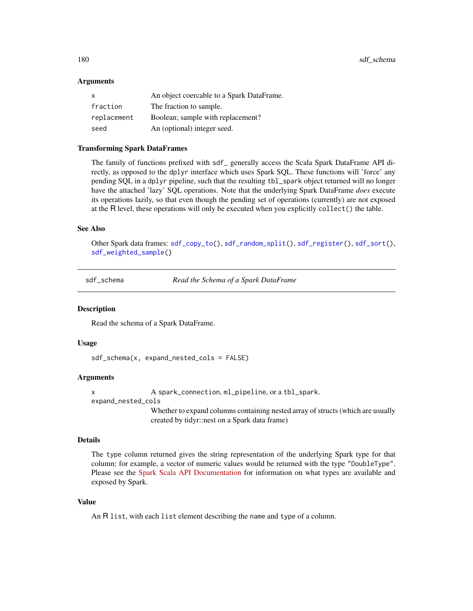| X           | An object coercable to a Spark DataFrame. |
|-------------|-------------------------------------------|
| fraction    | The fraction to sample.                   |
| replacement | Boolean; sample with replacement?         |
| seed        | An (optional) integer seed.               |

#### Transforming Spark DataFrames

The family of functions prefixed with sdf\_ generally access the Scala Spark DataFrame API directly, as opposed to the dplyr interface which uses Spark SQL. These functions will 'force' any pending SQL in a dplyr pipeline, such that the resulting tbl\_spark object returned will no longer have the attached 'lazy' SQL operations. Note that the underlying Spark DataFrame *does* execute its operations lazily, so that even though the pending set of operations (currently) are not exposed at the R level, these operations will only be executed when you explicitly collect() the table.

#### See Also

Other Spark data frames: [sdf\\_copy\\_to\(](#page-164-0)), [sdf\\_random\\_split\(](#page-175-0)), [sdf\\_register\(](#page-177-0)), [sdf\\_sort\(](#page-181-0)), [sdf\\_weighted\\_sample\(](#page-185-0))

sdf\_schema *Read the Schema of a Spark DataFrame*

#### Description

Read the schema of a Spark DataFrame.

#### Usage

sdf\_schema(x, expand\_nested\_cols = FALSE)

#### Arguments

x A spark\_connection, ml\_pipeline, or a tbl\_spark. expand\_nested\_cols

Whether to expand columns containing nested array of structs (which are usually created by tidyr::nest on a Spark data frame)

#### Details

The type column returned gives the string representation of the underlying Spark type for that column; for example, a vector of numeric values would be returned with the type "DoubleType". Please see the [Spark Scala API Documentation](http://spark.apache.org/docs/latest/api/scala/index.html#org.apache.spark.sql.types.package) for information on what types are available and exposed by Spark.

#### Value

An R list, with each list element describing the name and type of a column.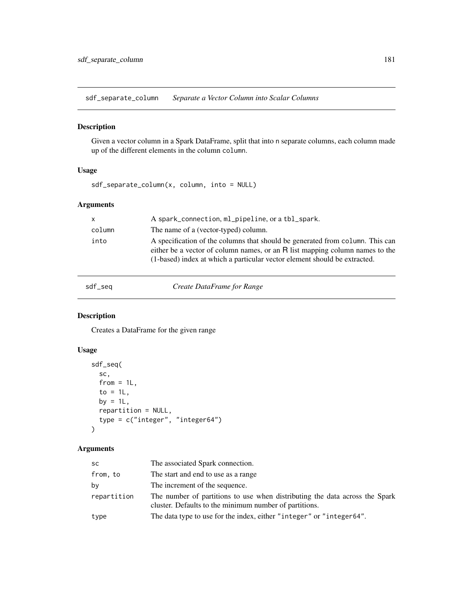sdf\_separate\_column *Separate a Vector Column into Scalar Columns*

#### Description

Given a vector column in a Spark DataFrame, split that into n separate columns, each column made up of the different elements in the column column.

# Usage

sdf\_separate\_column(x, column, into = NULL)

## Arguments

| $\mathsf{X}$ | A spark_connection, ml_pipeline, or a tbl_spark.                                                                                                                                                                                           |
|--------------|--------------------------------------------------------------------------------------------------------------------------------------------------------------------------------------------------------------------------------------------|
| column       | The name of a (vector-typed) column.                                                                                                                                                                                                       |
| into         | A specification of the columns that should be generated from column. This can<br>either be a vector of column names, or an R list mapping column names to the<br>(1-based) index at which a particular vector element should be extracted. |

sdf\_seq *Create DataFrame for Range*

## Description

Creates a DataFrame for the given range

## Usage

```
sdf_seq(
  sc,
  from = 1L,
  to = 1L,
 by = 1L,
  repartition = NULL,
  type = c("integer", "integer64")
)
```

| <b>SC</b>   | The associated Spark connection.                                                                                                      |
|-------------|---------------------------------------------------------------------------------------------------------------------------------------|
| from, to    | The start and end to use as a range                                                                                                   |
| by          | The increment of the sequence.                                                                                                        |
| repartition | The number of partitions to use when distributing the data across the Spark<br>cluster. Defaults to the minimum number of partitions. |
| type        | The data type to use for the index, either "integer" or "integer64".                                                                  |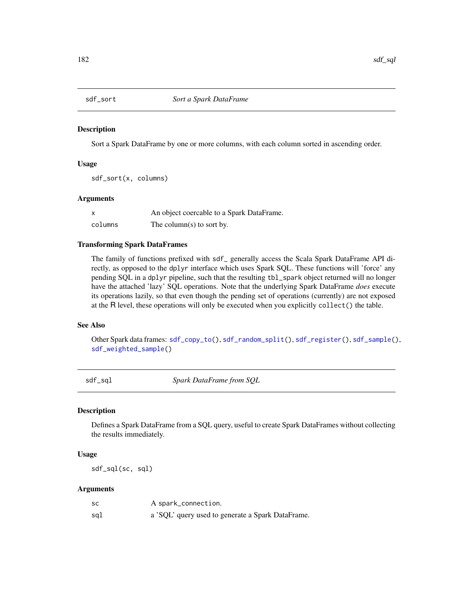<span id="page-181-0"></span>

#### Description

Sort a Spark DataFrame by one or more columns, with each column sorted in ascending order.

#### Usage

sdf\_sort(x, columns)

#### Arguments

|         | An object coercable to a Spark DataFrame. |
|---------|-------------------------------------------|
| columns | The column(s) to sort by.                 |

#### Transforming Spark DataFrames

The family of functions prefixed with sdf\_ generally access the Scala Spark DataFrame API directly, as opposed to the dplyr interface which uses Spark SQL. These functions will 'force' any pending SQL in a dplyr pipeline, such that the resulting tbl\_spark object returned will no longer have the attached 'lazy' SQL operations. Note that the underlying Spark DataFrame *does* execute its operations lazily, so that even though the pending set of operations (currently) are not exposed at the R level, these operations will only be executed when you explicitly collect() the table.

#### See Also

Other Spark data frames: [sdf\\_copy\\_to\(](#page-164-0)), [sdf\\_random\\_split\(](#page-175-0)), [sdf\\_register\(](#page-177-0)), [sdf\\_sample\(](#page-178-0)), [sdf\\_weighted\\_sample\(](#page-185-0))

sdf\_sql *Spark DataFrame from SQL*

#### Description

Defines a Spark DataFrame from a SQL query, useful to create Spark DataFrames without collecting the results immediately.

#### Usage

sdf\_sql(sc, sql)

| sc  | A spark_connection.                               |
|-----|---------------------------------------------------|
| sal | a 'SQL' query used to generate a Spark DataFrame. |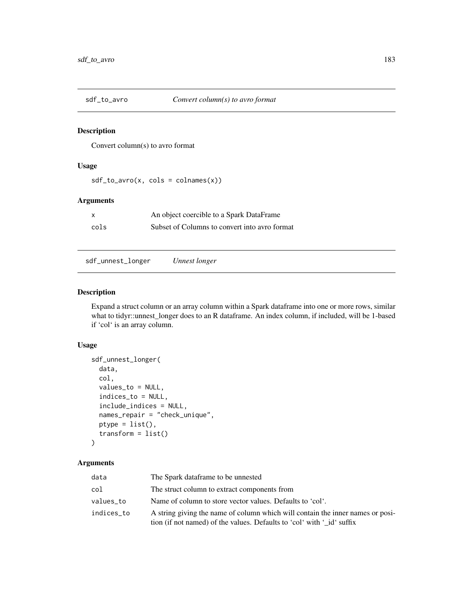## Description

Convert column(s) to avro format

## Usage

 $sdf_to_avro(x, \ncols = \ncolnames(x))$ 

## Arguments

| $\boldsymbol{\mathsf{x}}$ | An object coercible to a Spark DataFrame      |
|---------------------------|-----------------------------------------------|
| cols                      | Subset of Columns to convert into avro format |

sdf\_unnest\_longer *Unnest longer*

## Description

Expand a struct column or an array column within a Spark dataframe into one or more rows, similar what to tidyr::unnest\_longer does to an R dataframe. An index column, if included, will be 1-based if 'col' is an array column.

## Usage

```
sdf_unnest_longer(
  data,
  col,
  values_to = NULL,
  indices_to = NULL,
  include_indices = NULL,
 names_repair = "check_unique",
 ptype = list(),
  transform = list()\mathcal{L}
```

| data       | The Spark dataframe to be unnested                                                                                                                       |
|------------|----------------------------------------------------------------------------------------------------------------------------------------------------------|
| col        | The struct column to extract components from                                                                                                             |
| values_to  | Name of column to store vector values. Defaults to 'col'.                                                                                                |
| indices_to | A string giving the name of column which will contain the inner names or posi-<br>tion (if not named) of the values. Defaults to 'col' with '_id' suffix |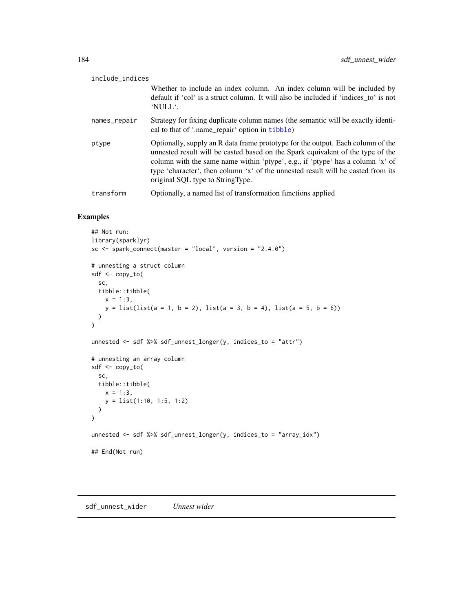| include_indices |                                                                                                                                                                                                                                                                                                                                                                              |
|-----------------|------------------------------------------------------------------------------------------------------------------------------------------------------------------------------------------------------------------------------------------------------------------------------------------------------------------------------------------------------------------------------|
|                 | Whether to include an index column. An index column will be included by<br>default if 'col' is a struct column. It will also be included if 'indices_to' is not<br>'NULL'.                                                                                                                                                                                                   |
| names_repair    | Strategy for fixing duplicate column names (the semantic will be exactly identi-<br>cal to that of '.name_repair' option in tibble)                                                                                                                                                                                                                                          |
| ptype           | Optionally, supply an R data frame prototype for the output. Each column of the<br>unnested result will be casted based on the Spark equivalent of the type of the<br>column with the same name within 'ptype', e.g., if 'ptype' has a column 'x' of<br>type 'character', then column 'x' of the unnested result will be casted from its<br>original SQL type to StringType. |
| transform       | Optionally, a named list of transformation functions applied                                                                                                                                                                                                                                                                                                                 |

# Examples

```
## Not run:
library(sparklyr)
sc <- spark_connect(master = "local", version = "2.4.0")
# unnesting a struct column
sdf <- copy_to(
 sc,
 tibble::tibble(
   x = 1:3,
    y = list(list(a = 1, b = 2), list(a = 3, b = 4), list(a = 5, b = 6)))
\mathcal{L}unnested <- sdf %>% sdf_unnest_longer(y, indices_to = "attr")
# unnesting an array column
sdf <- copy_to(
 sc,
 tibble::tibble(
   x = 1:3,
    y = list(1:10, 1:5, 1:2)
  \lambda\lambdaunnested <- sdf %>% sdf_unnest_longer(y, indices_to = "array_idx")
## End(Not run)
```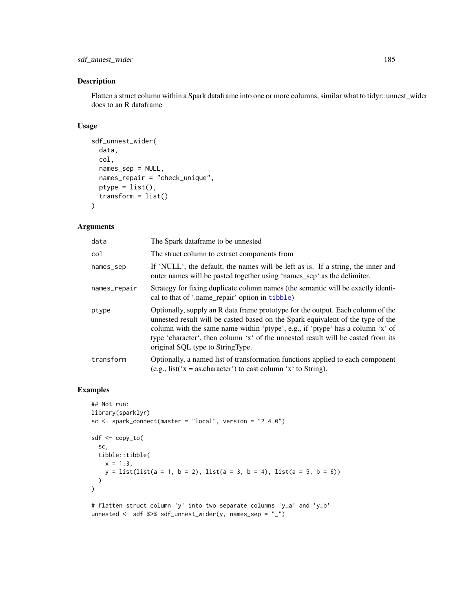sdf\_unnest\_wider 185

## Description

Flatten a struct column within a Spark dataframe into one or more columns, similar what to tidyr::unnest\_wider does to an R dataframe

#### Usage

```
sdf_unnest_wider(
  data,
  col,
 names_sep = NULL,
 names_repair = "check_unique",
 ptype = list(),
  transform = list()\lambda
```
## Arguments

| data         | The Spark dataframe to be unnested                                                                                                                                                                                                                                                                                                                                           |
|--------------|------------------------------------------------------------------------------------------------------------------------------------------------------------------------------------------------------------------------------------------------------------------------------------------------------------------------------------------------------------------------------|
| col          | The struct column to extract components from                                                                                                                                                                                                                                                                                                                                 |
| names_sep    | If 'NULL', the default, the names will be left as is. If a string, the inner and<br>outer names will be pasted together using 'names_sep' as the delimiter.                                                                                                                                                                                                                  |
| names_repair | Strategy for fixing duplicate column names (the semantic will be exactly identi-<br>cal to that of '.name_repair' option in tibble)                                                                                                                                                                                                                                          |
| ptype        | Optionally, supply an R data frame prototype for the output. Each column of the<br>unnested result will be casted based on the Spark equivalent of the type of the<br>column with the same name within 'ptype', e.g., if 'ptype' has a column 'x' of<br>type 'character', then column 'x' of the unnested result will be casted from its<br>original SQL type to StringType. |
| transform    | Optionally, a named list of transformation functions applied to each component<br>(e.g., list('x = as.character') to cast column 'x' to String).                                                                                                                                                                                                                             |

## Examples

```
## Not run:
library(sparklyr)
sc \leq spark_connect(master = "local", version = "2.4.0")
sdf <- copy_to(
  sc,
  tibble::tibble(
    x = 1:3,
    y = list(list(a = 1, b = 2), list(a = 3, b = 4), list(a = 5, b = 6)))
\lambda# flatten struct column 'y' into two separate columns 'y_a' and 'y_b'
unnested \leq sdf %>% sdf_unnest_wider(y, names_sep = "_")
```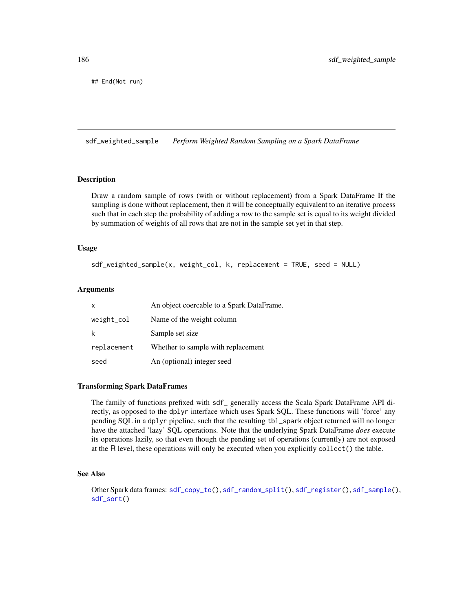## End(Not run)

<span id="page-185-0"></span>sdf\_weighted\_sample *Perform Weighted Random Sampling on a Spark DataFrame*

#### Description

Draw a random sample of rows (with or without replacement) from a Spark DataFrame If the sampling is done without replacement, then it will be conceptually equivalent to an iterative process such that in each step the probability of adding a row to the sample set is equal to its weight divided by summation of weights of all rows that are not in the sample set yet in that step.

#### Usage

```
sdf_weighted_sample(x, weight_col, k, replacement = TRUE, seed = NULL)
```
#### Arguments

| x           | An object coercable to a Spark DataFrame. |
|-------------|-------------------------------------------|
| weight_col  | Name of the weight column                 |
| k           | Sample set size                           |
| replacement | Whether to sample with replacement        |
| seed        | An (optional) integer seed                |

#### Transforming Spark DataFrames

The family of functions prefixed with sdf\_ generally access the Scala Spark DataFrame API directly, as opposed to the dplyr interface which uses Spark SQL. These functions will 'force' any pending SQL in a dplyr pipeline, such that the resulting tbl\_spark object returned will no longer have the attached 'lazy' SQL operations. Note that the underlying Spark DataFrame *does* execute its operations lazily, so that even though the pending set of operations (currently) are not exposed at the R level, these operations will only be executed when you explicitly collect() the table.

#### See Also

Other Spark data frames: [sdf\\_copy\\_to\(](#page-164-0)), [sdf\\_random\\_split\(](#page-175-0)), [sdf\\_register\(](#page-177-0)), [sdf\\_sample\(](#page-178-0)), [sdf\\_sort\(](#page-181-0))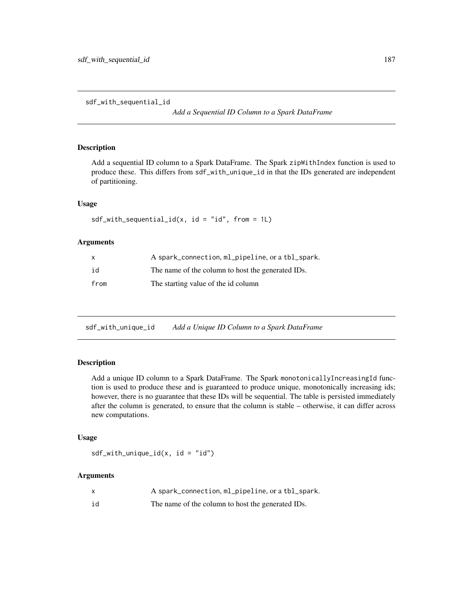sdf\_with\_sequential\_id

*Add a Sequential ID Column to a Spark DataFrame*

#### Description

Add a sequential ID column to a Spark DataFrame. The Spark zipWithIndex function is used to produce these. This differs from sdf\_with\_unique\_id in that the IDs generated are independent of partitioning.

## Usage

```
sdf_with\_sequential_id(x, id = "id", from = 1L)
```
## Arguments

| X    | A spark_connection, ml_pipeline, or a tbl_spark.  |
|------|---------------------------------------------------|
| id   | The name of the column to host the generated IDs. |
| from | The starting value of the id column               |

sdf\_with\_unique\_id *Add a Unique ID Column to a Spark DataFrame*

#### Description

Add a unique ID column to a Spark DataFrame. The Spark monotonicallyIncreasingId function is used to produce these and is guaranteed to produce unique, monotonically increasing ids; however, there is no guarantee that these IDs will be sequential. The table is persisted immediately after the column is generated, to ensure that the column is stable – otherwise, it can differ across new computations.

#### Usage

 $sdf_with\_unique_id(x, id = "id")$ 

|    | A spark_connection, ml_pipeline, or a tbl_spark.  |
|----|---------------------------------------------------|
| id | The name of the column to host the generated IDs. |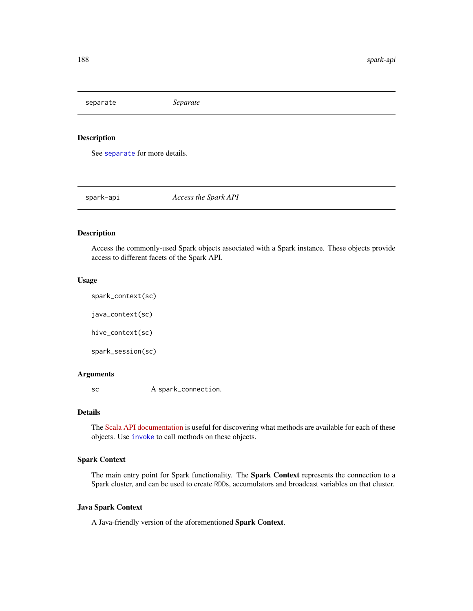<span id="page-187-0"></span>separate *Separate*

#### Description

See [separate](#page-187-0) for more details.

spark-api *Access the Spark API*

## Description

Access the commonly-used Spark objects associated with a Spark instance. These objects provide access to different facets of the Spark API.

#### Usage

spark\_context(sc) java\_context(sc) hive\_context(sc) spark\_session(sc)

#### Arguments

sc A spark\_connection.

# Details

The [Scala API documentation](http://spark.apache.org/docs/latest/api/scala/#package) is useful for discovering what methods are available for each of these objects. Use [invoke](#page-76-0) to call methods on these objects.

#### Spark Context

The main entry point for Spark functionality. The Spark Context represents the connection to a Spark cluster, and can be used to create RDDs, accumulators and broadcast variables on that cluster.

#### Java Spark Context

A Java-friendly version of the aforementioned Spark Context.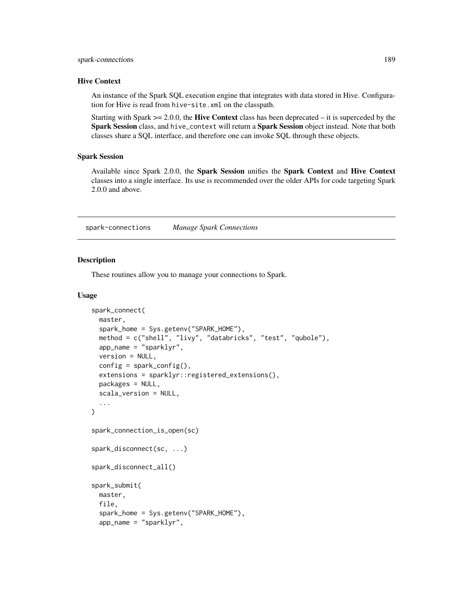## spark-connections 189

#### Hive Context

An instance of the Spark SQL execution engine that integrates with data stored in Hive. Configuration for Hive is read from hive-site.xml on the classpath.

Starting with Spark  $>= 2.0.0$ , the **Hive Context** class has been deprecated – it is superceded by the Spark Session class, and hive\_context will return a Spark Session object instead. Note that both classes share a SQL interface, and therefore one can invoke SQL through these objects.

#### Spark Session

Available since Spark 2.0.0, the Spark Session unifies the Spark Context and Hive Context classes into a single interface. Its use is recommended over the older APIs for code targeting Spark 2.0.0 and above.

spark-connections *Manage Spark Connections*

#### **Description**

These routines allow you to manage your connections to Spark.

#### Usage

```
spark_connect(
 master,
  spark_home = Sys.getenv("SPARK_HOME"),
 method = c("shell", "livy", "databricks", "test", "qubole"),
  app_name = "sparklyr",
  version = NULL,
  config = spark\_config(),
  extensions = sparklyr::registered_extensions(),
 packages = NULL,
  scala_version = NULL,
  ...
)
spark_connection_is_open(sc)
spark_disconnect(sc, ...)
spark_disconnect_all()
spark_submit(
 master,
  file,
  spark_home = Sys.getenv("SPARK_HOME"),
  app_name = "sparklyr",
```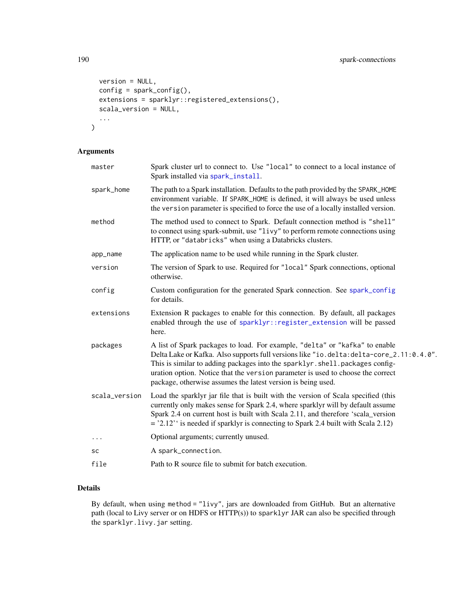```
version = NULL,
 config = spark\_config(),extensions = sparklyr::registered_extensions(),
  scala_version = NULL,
  ...
\mathcal{L}
```
## Arguments

| master        | Spark cluster url to connect to. Use "local" to connect to a local instance of<br>Spark installed via spark_install.                                                                                                                                                                                                                                                                                     |
|---------------|----------------------------------------------------------------------------------------------------------------------------------------------------------------------------------------------------------------------------------------------------------------------------------------------------------------------------------------------------------------------------------------------------------|
| spark_home    | The path to a Spark installation. Defaults to the path provided by the SPARK_HOME<br>environment variable. If SPARK_HOME is defined, it will always be used unless<br>the version parameter is specified to force the use of a locally installed version.                                                                                                                                                |
| method        | The method used to connect to Spark. Default connection method is "shell"<br>to connect using spark-submit, use "livy" to perform remote connections using<br>HTTP, or "databricks" when using a Databricks clusters.                                                                                                                                                                                    |
| app_name      | The application name to be used while running in the Spark cluster.                                                                                                                                                                                                                                                                                                                                      |
| version       | The version of Spark to use. Required for "local" Spark connections, optional<br>otherwise.                                                                                                                                                                                                                                                                                                              |
| config        | Custom configuration for the generated Spark connection. See spark_config<br>for details.                                                                                                                                                                                                                                                                                                                |
| extensions    | Extension R packages to enable for this connection. By default, all packages<br>enabled through the use of sparklyr:: register_extension will be passed<br>here.                                                                                                                                                                                                                                         |
| packages      | A list of Spark packages to load. For example, "delta" or "kafka" to enable<br>Delta Lake or Kafka. Also supports full versions like "io.delta:delta-core_2.11:0.4.0".<br>This is similar to adding packages into the sparklyr.shell.packages config-<br>uration option. Notice that the version parameter is used to choose the correct<br>package, otherwise assumes the latest version is being used. |
| scala_version | Load the sparklyr jar file that is built with the version of Scala specified (this<br>currently only makes sense for Spark 2.4, where sparklyr will by default assume<br>Spark 2.4 on current host is built with Scala 2.11, and therefore 'scala_version<br>$=$ '2.12'' is needed if sparklyr is connecting to Spark 2.4 built with Scala 2.12)                                                         |
| $\cdots$      | Optional arguments; currently unused.                                                                                                                                                                                                                                                                                                                                                                    |
| sc            | A spark_connection.                                                                                                                                                                                                                                                                                                                                                                                      |
| file          | Path to R source file to submit for batch execution.                                                                                                                                                                                                                                                                                                                                                     |

# Details

By default, when using method = "livy", jars are downloaded from GitHub. But an alternative path (local to Livy server or on HDFS or HTTP(s)) to sparklyr JAR can also be specified through the sparklyr.livy.jar setting.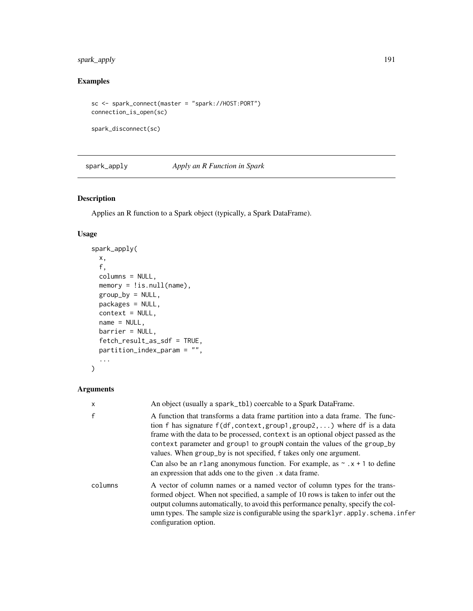# spark\_apply 191

# Examples

```
sc <- spark_connect(master = "spark://HOST:PORT")
connection_is_open(sc)
```
spark\_disconnect(sc)

spark\_apply *Apply an R Function in Spark*

## Description

Applies an R function to a Spark object (typically, a Spark DataFrame).

## Usage

```
spark_apply(
 x,
 f,
 columns = NULL,
 memory = !is.null(name),
 group_by = NULL,packages = NULL,
 context = NULL,
 name = NULL,
 barrier = NULL,
 fetch_result_as_sdf = TRUE,
 partition_index_param = "",
  ...
\mathcal{L}
```

| $\times$     | An object (usually a spark_tb1) coercable to a Spark DataFrame.                                                                                                                                                                                                                                                                                                                                                                                                                                                                                   |
|--------------|---------------------------------------------------------------------------------------------------------------------------------------------------------------------------------------------------------------------------------------------------------------------------------------------------------------------------------------------------------------------------------------------------------------------------------------------------------------------------------------------------------------------------------------------------|
| $\mathsf{f}$ | A function that transforms a data frame partition into a data frame. The func-<br>tion f has signature $f(df, context, group1, group2,)$ where df is a data<br>frame with the data to be processed, context is an optional object passed as the<br>context parameter and group1 to groupN contain the values of the group_by<br>values. When group_by is not specified, f takes only one argument.<br>Can also be an r1ang anonymous function. For example, as $\sim x + 1$ to define<br>an expression that adds one to the given . x data frame. |
| columns      | A vector of column names or a named vector of column types for the trans-<br>formed object. When not specified, a sample of 10 rows is taken to infer out the<br>output columns automatically, to avoid this performance penalty, specify the col-<br>umn types. The sample size is configurable using the sparklyr.apply.schema.infer<br>configuration option.                                                                                                                                                                                   |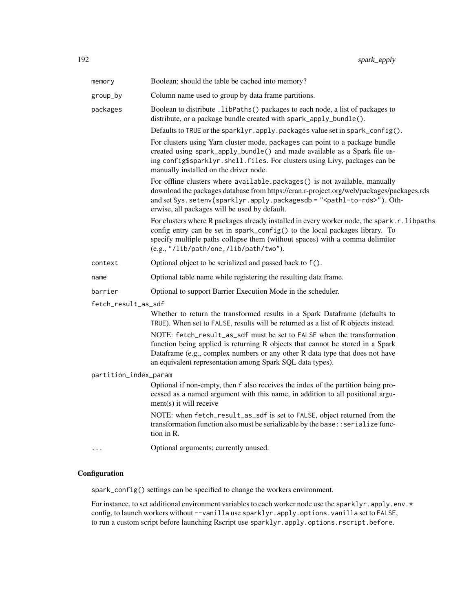| memory                | Boolean; should the table be cached into memory?                                                                                                                                                                                                                                                                      |  |
|-----------------------|-----------------------------------------------------------------------------------------------------------------------------------------------------------------------------------------------------------------------------------------------------------------------------------------------------------------------|--|
| group_by              | Column name used to group by data frame partitions.                                                                                                                                                                                                                                                                   |  |
| packages              | Boolean to distribute .1ibPaths() packages to each node, a list of packages to<br>distribute, or a package bundle created with spark_apply_bundle().                                                                                                                                                                  |  |
|                       | Defaults to TRUE or the sparklyr.apply.packages value set in spark_config().                                                                                                                                                                                                                                          |  |
|                       | For clusters using Yarn cluster mode, packages can point to a package bundle<br>created using spark_apply_bundle() and made available as a Spark file us-<br>ing config\$sparklyr.shell.files. For clusters using Livy, packages can be<br>manually installed on the driver node.                                     |  |
|                       | For offline clusters where available.packages() is not available, manually<br>download the packages database from https://cran.r-project.org/web/packages/packages.rds<br>and set Sys. setenv(sparklyr. apply. packagesdb = " <pathl-to-rds>"). Oth-<br/>erwise, all packages will be used by default.</pathl-to-rds> |  |
|                       | For clusters where R packages already installed in every worker node, the spark.r.libpaths<br>config entry can be set in spark_config() to the local packages library. To<br>specify multiple paths collapse them (without spaces) with a comma delimiter<br>(e.g., "/lib/path/one,/lib/path/two").                   |  |
| context               | Optional object to be serialized and passed back to f().                                                                                                                                                                                                                                                              |  |
| name                  | Optional table name while registering the resulting data frame.                                                                                                                                                                                                                                                       |  |
| barrier               | Optional to support Barrier Execution Mode in the scheduler.                                                                                                                                                                                                                                                          |  |
| fetch_result_as_sdf   |                                                                                                                                                                                                                                                                                                                       |  |
|                       | Whether to return the transformed results in a Spark Dataframe (defaults to<br>TRUE). When set to FALSE, results will be returned as a list of R objects instead.                                                                                                                                                     |  |
|                       | NOTE: fetch_result_as_sdf must be set to FALSE when the transformation<br>function being applied is returning R objects that cannot be stored in a Spark<br>Dataframe (e.g., complex numbers or any other R data type that does not have<br>an equivalent representation among Spark SQL data types).                 |  |
| partition_index_param |                                                                                                                                                                                                                                                                                                                       |  |
|                       | Optional if non-empty, then f also receives the index of the partition being pro-<br>cessed as a named argument with this name, in addition to all positional argu-<br>$ment(s)$ it will receive                                                                                                                      |  |
|                       | NOTE: when fetch_result_as_sdf is set to FALSE, object returned from the<br>transformation function also must be serializable by the base: : serialize func-<br>tion in R.                                                                                                                                            |  |
|                       | Optional arguments; currently unused.                                                                                                                                                                                                                                                                                 |  |

# **Configuration**

spark\_config() settings can be specified to change the workers environment.

For instance, to set additional environment variables to each worker node use the sparklyr.apply.env.\* config, to launch workers without --vanilla use sparklyr.apply.options.vanilla set to FALSE, to run a custom script before launching Rscript use sparklyr.apply.options.rscript.before.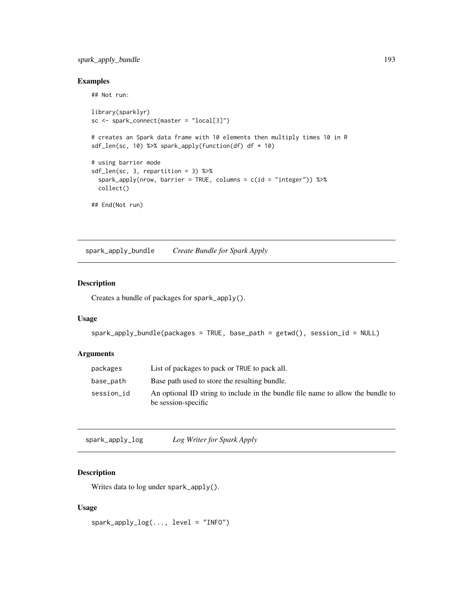## spark\_apply\_bundle 193

## Examples

```
## Not run:
library(sparklyr)
sc <- spark_connect(master = "local[3]")
# creates an Spark data frame with 10 elements then multiply times 10 in R
sdf_len(sc, 10) %>% spark_apply(function(df) df * 10)
# using barrier mode
sdf_len(sc, 3, repartition = 3) %>%
  spark\_apply(nrow, barrier = TRUE, columns = c(id = "integer")) %>%
  collect()
## End(Not run)
```
spark\_apply\_bundle *Create Bundle for Spark Apply*

#### Description

Creates a bundle of packages for spark\_apply().

# Usage

```
spark_apply_bundle(packages = TRUE, base_path = getwd(), session_id = NULL)
```
#### Arguments

| packages   | List of packages to pack or TRUE to pack all.                                                          |
|------------|--------------------------------------------------------------------------------------------------------|
| base_path  | Base path used to store the resulting bundle.                                                          |
| session_id | An optional ID string to include in the bundle file name to allow the bundle to<br>be session-specific |

spark\_apply\_log *Log Writer for Spark Apply*

## Description

Writes data to log under spark\_apply().

#### Usage

 $spark\_apply_log(..., level = "INFO")$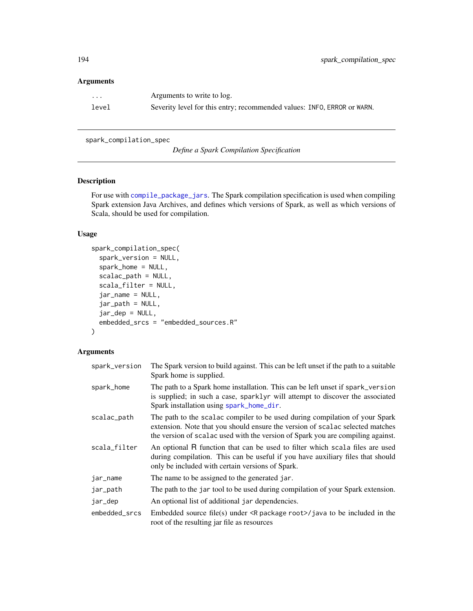## Arguments

| .     | Arguments to write to log.                                              |
|-------|-------------------------------------------------------------------------|
| level | Severity level for this entry; recommended values: INFO, ERROR or WARN. |

spark\_compilation\_spec

*Define a Spark Compilation Specification*

#### Description

For use with [compile\\_package\\_jars](#page-9-0). The Spark compilation specification is used when compiling Spark extension Java Archives, and defines which versions of Spark, as well as which versions of Scala, should be used for compilation.

## Usage

```
spark_compilation_spec(
  spark_version = NULL,
  spark_home = NULL,
  scalac_path = NULL,
  scala_filter = NULL,
  jar_name = NULL,
  jar_path = NULL,
  jar_dep = NULL,
  embedded_srcs = "embedded_sources.R"
)
```

| spark_version | The Spark version to build against. This can be left unset if the path to a suitable<br>Spark home is supplied.                                                                                                                                 |
|---------------|-------------------------------------------------------------------------------------------------------------------------------------------------------------------------------------------------------------------------------------------------|
| spark_home    | The path to a Spark home installation. This can be left unset if spark_version<br>is supplied; in such a case, sparklyr will attempt to discover the associated<br>Spark installation using spark_home_dir.                                     |
| scalac_path   | The path to the scalac compiler to be used during compilation of your Spark<br>extension. Note that you should ensure the version of scalac selected matches<br>the version of scalac used with the version of Spark you are compiling against. |
| scala_filter  | An optional R function that can be used to filter which scala files are used<br>during compilation. This can be useful if you have auxiliary files that should<br>only be included with certain versions of Spark.                              |
| jar_name      | The name to be assigned to the generated jar.                                                                                                                                                                                                   |
| jar_path      | The path to the jar tool to be used during compilation of your Spark extension.                                                                                                                                                                 |
| jar_dep       | An optional list of additional jar dependencies.                                                                                                                                                                                                |
| embedded srcs | Embedded source file(s) under $\leq R$ package root >/java to be included in the<br>root of the resulting jar file as resources                                                                                                                 |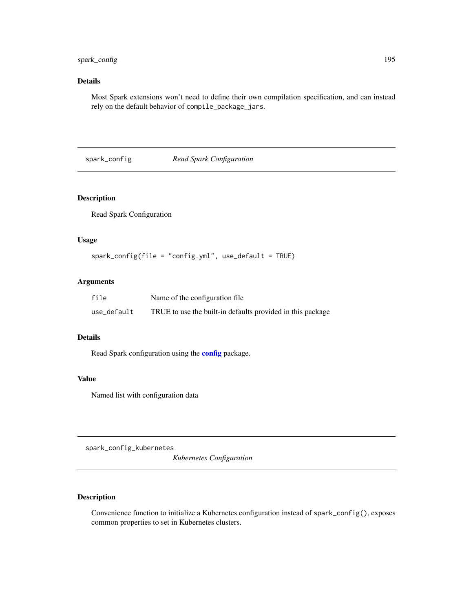## spark\_config 195

# Details

Most Spark extensions won't need to define their own compilation specification, and can instead rely on the default behavior of compile\_package\_jars.

<span id="page-194-0"></span>spark\_config *Read Spark Configuration*

## Description

Read Spark Configuration

#### Usage

spark\_config(file = "config.yml", use\_default = TRUE)

## Arguments

| file        | Name of the configuration file.                            |
|-------------|------------------------------------------------------------|
| use_default | TRUE to use the built-in defaults provided in this package |

## Details

Read Spark [config](#page-0-0)uration using the **config** package.

## Value

Named list with configuration data

spark\_config\_kubernetes

*Kubernetes Configuration*

# Description

Convenience function to initialize a Kubernetes configuration instead of spark\_config(), exposes common properties to set in Kubernetes clusters.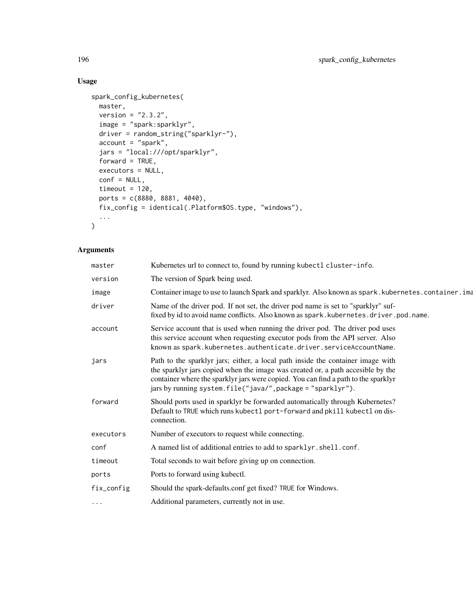# Usage

```
spark_config_kubernetes(
 master,
 version = "2.3.2",image = "spark:sparklyr",
 driver = random_string("sparklyr-"),
  account = "spark",
 jars = "local:///opt/sparklyr",
 forward = TRUE,
 executors = NULL,
 conf = NULL,timeout = 120,
 ports = c(8880, 8881, 4040),
 fix_config = identical(.Platform$OS.type, "windows"),
  ...
\mathcal{L}
```

| master     | Kubernetes url to connect to, found by running kubectl cluster-info.                                                                                                                                                                                                                                                     |
|------------|--------------------------------------------------------------------------------------------------------------------------------------------------------------------------------------------------------------------------------------------------------------------------------------------------------------------------|
| version    | The version of Spark being used.                                                                                                                                                                                                                                                                                         |
| image      | Container image to use to launch Spark and sparklyr. Also known as spark. kubernetes. container. ima                                                                                                                                                                                                                     |
| driver     | Name of the driver pod. If not set, the driver pod name is set to "sparklyr" suf-<br>fixed by id to avoid name conflicts. Also known as spark. kubernetes. driver. pod. name.                                                                                                                                            |
| account    | Service account that is used when running the driver pod. The driver pod uses<br>this service account when requesting executor pods from the API server. Also<br>known as spark.kubernetes.authenticate.driver.serviceAccountName.                                                                                       |
| jars       | Path to the sparklyr jars; either, a local path inside the container image with<br>the sparklyr jars copied when the image was created or, a path accesible by the<br>container where the sparklyr jars were copied. You can find a path to the sparklyr<br>jars by running system. file("java/", package = "sparklyr"). |
| forward    | Should ports used in sparklyr be forwarded automatically through Kubernetes?<br>Default to TRUE which runs kubectl port-forward and pkill kubectl on dis-<br>connection.                                                                                                                                                 |
| executors  | Number of executors to request while connecting.                                                                                                                                                                                                                                                                         |
| conf       | A named list of additional entries to add to sparklyr.shell.conf.                                                                                                                                                                                                                                                        |
| timeout    | Total seconds to wait before giving up on connection.                                                                                                                                                                                                                                                                    |
| ports      | Ports to forward using kubectl.                                                                                                                                                                                                                                                                                          |
| fix_config | Should the spark-defaults.conf get fixed? TRUE for Windows.                                                                                                                                                                                                                                                              |
| .          | Additional parameters, currently not in use.                                                                                                                                                                                                                                                                             |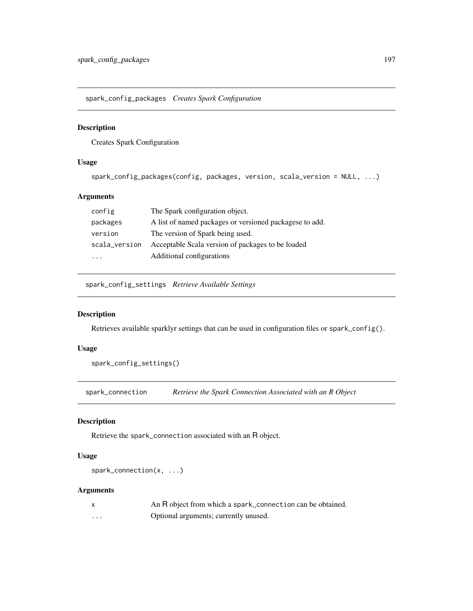spark\_config\_packages *Creates Spark Configuration*

# Description

Creates Spark Configuration

#### Usage

```
spark_config_packages(config, packages, version, scala_version = NULL, ...)
```
## Arguments

| The Spark configuration object.                         |
|---------------------------------------------------------|
| A list of named packages or versioned packagese to add. |
| The version of Spark being used.                        |
| Acceptable Scala version of packages to be loaded       |
| Additional configurations                               |
|                                                         |

spark\_config\_settings *Retrieve Available Settings*

# Description

Retrieves available sparklyr settings that can be used in configuration files or spark\_config().

## Usage

```
spark_config_settings()
```
spark\_connection *Retrieve the Spark Connection Associated with an R Object*

## Description

Retrieve the spark\_connection associated with an R object.

#### Usage

spark\_connection(x, ...)

|   | An R object from which a spark_connection can be obtained. |
|---|------------------------------------------------------------|
| . | Optional arguments; currently unused.                      |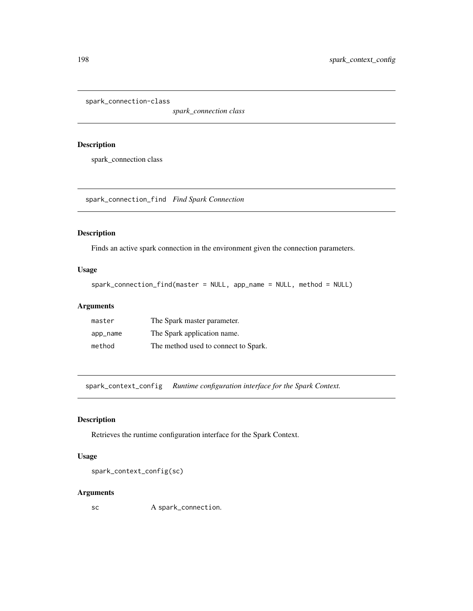spark\_connection-class

*spark\_connection class*

## Description

spark\_connection class

spark\_connection\_find *Find Spark Connection*

## Description

Finds an active spark connection in the environment given the connection parameters.

## Usage

```
spark_connection_find(master = NULL, app_name = NULL, method = NULL)
```
# Arguments

| master   | The Spark master parameter.          |
|----------|--------------------------------------|
| app_name | The Spark application name.          |
| method   | The method used to connect to Spark. |

spark\_context\_config *Runtime configuration interface for the Spark Context.*

# Description

Retrieves the runtime configuration interface for the Spark Context.

#### Usage

spark\_context\_config(sc)

# Arguments

sc A spark\_connection.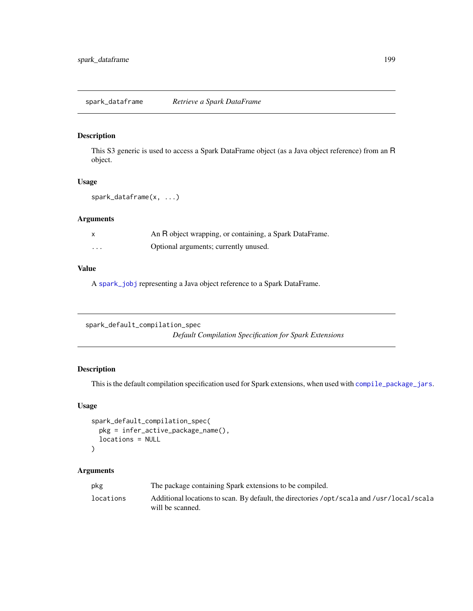# Description

This S3 generic is used to access a Spark DataFrame object (as a Java object reference) from an R object.

## Usage

```
spark_dataframe(x, ...)
```
## Arguments

| $\mathsf{x}$ | An R object wrapping, or containing, a Spark DataFrame. |
|--------------|---------------------------------------------------------|
| $\cdots$     | Optional arguments; currently unused.                   |

## Value

A [spark\\_jobj](#page-201-0) representing a Java object reference to a Spark DataFrame.

```
spark_default_compilation_spec
                         Default Compilation Specification for Spark Extensions
```
## Description

This is the default compilation specification used for Spark extensions, when used with [compile\\_package\\_jars](#page-9-0).

## Usage

```
spark_default_compilation_spec(
 pkg = infer_active_package_name(),
 locations = NULL
)
```

| pkg       | The package containing Spark extensions to be compiled.                                                       |
|-----------|---------------------------------------------------------------------------------------------------------------|
| locations | Additional locations to scan. By default, the directories /opt/scala and /usr/local/scala<br>will be scanned. |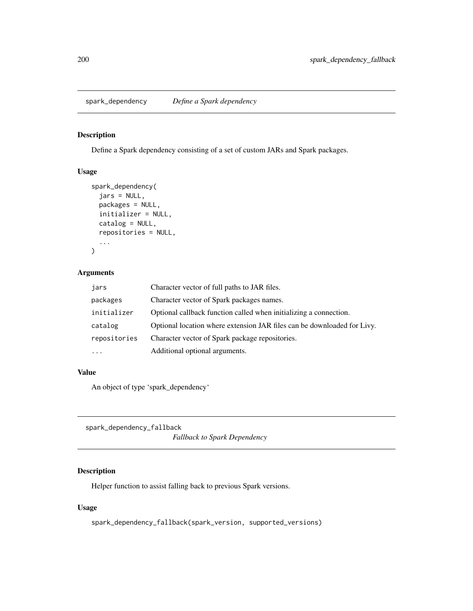spark\_dependency *Define a Spark dependency*

## Description

Define a Spark dependency consisting of a set of custom JARs and Spark packages.

## Usage

```
spark_dependency(
  jars = NULL,
  packages = NULL,
  initializer = NULL,
  catalog = NULL,
  repositories = NULL,
  ...
\mathcal{L}
```
#### Arguments

| jars         | Character vector of full paths to JAR files.                            |
|--------------|-------------------------------------------------------------------------|
| packages     | Character vector of Spark packages names.                               |
| initializer  | Optional callback function called when initializing a connection.       |
| catalog      | Optional location where extension JAR files can be downloaded for Livy. |
| repositories | Character vector of Spark package repositories.                         |
|              | Additional optional arguments.                                          |

#### Value

An object of type 'spark\_dependency'

spark\_dependency\_fallback *Fallback to Spark Dependency*

## Description

Helper function to assist falling back to previous Spark versions.

# Usage

```
spark_dependency_fallback(spark_version, supported_versions)
```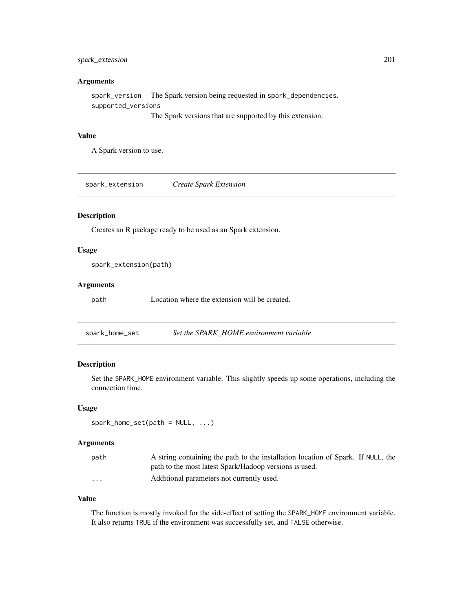## spark\_extension 201

#### **Arguments**

spark\_version The Spark version being requested in spark\_dependencies. supported\_versions

The Spark versions that are supported by this extension.

# Value

A Spark version to use.

spark\_extension *Create Spark Extension*

## Description

Creates an R package ready to be used as an Spark extension.

## Usage

spark\_extension(path)

#### **Arguments**

path Location where the extension will be created.

spark\_home\_set *Set the SPARK\_HOME environment variable*

## Description

Set the SPARK\_HOME environment variable. This slightly speeds up some operations, including the connection time.

#### Usage

```
spark_home_set(path = NULL, ...)
```
#### Arguments

| path     | A string containing the path to the installation location of Spark. If NULL, the |
|----------|----------------------------------------------------------------------------------|
|          | path to the most latest Spark/Hadoop versions is used.                           |
| $\cdots$ | Additional parameters not currently used.                                        |

#### Value

The function is mostly invoked for the side-effect of setting the SPARK\_HOME environment variable. It also returns TRUE if the environment was successfully set, and FALSE otherwise.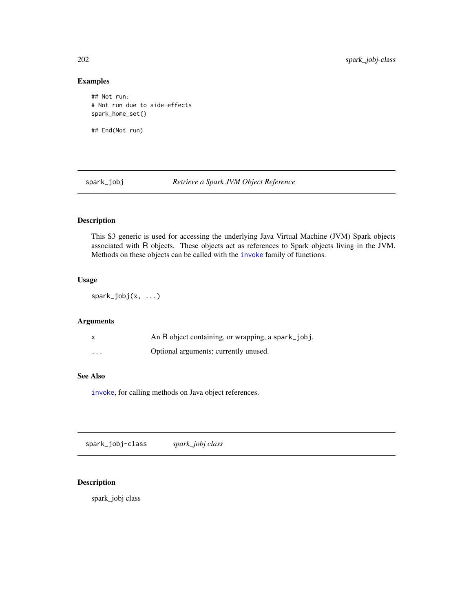## Examples

## Not run: # Not run due to side-effects spark\_home\_set()

## End(Not run)

<span id="page-201-0"></span>spark\_jobj *Retrieve a Spark JVM Object Reference*

# Description

This S3 generic is used for accessing the underlying Java Virtual Machine (JVM) Spark objects associated with R objects. These objects act as references to Spark objects living in the JVM. Methods on these objects can be called with the [invoke](#page-76-0) family of functions.

# Usage

spark\_jobj(x, ...)

## Arguments

|          | An R object containing, or wrapping, a spark_jobj. |
|----------|----------------------------------------------------|
| $\cdots$ | Optional arguments; currently unused.              |

#### See Also

[invoke](#page-76-0), for calling methods on Java object references.

spark\_jobj-class *spark\_jobj class*

#### Description

spark\_jobj class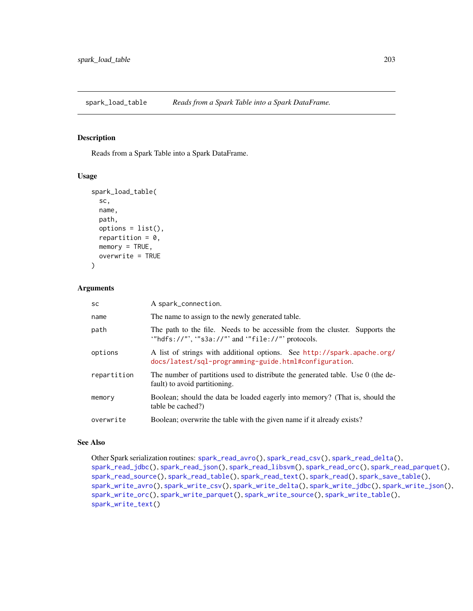<span id="page-202-0"></span>spark\_load\_table *Reads from a Spark Table into a Spark DataFrame.*

#### Description

Reads from a Spark Table into a Spark DataFrame.

#### Usage

```
spark_load_table(
  sc,
 name,
  path,
 options = list(),
  repartition = 0,
 memory = TRUE,overwrite = TRUE
)
```
# Arguments

| <b>SC</b>   | A spark_connection.                                                                                                              |
|-------------|----------------------------------------------------------------------------------------------------------------------------------|
| name        | The name to assign to the newly generated table.                                                                                 |
| path        | The path to the file. Needs to be accessible from the cluster. Supports the<br>"hdfs://"', "s3a://"' and "file://"' protocols.   |
| options     | A list of strings with additional options. See http://spark.apache.org/<br>docs/latest/sql-programming-guide.html#configuration. |
| repartition | The number of partitions used to distribute the generated table. Use 0 (the de-<br>fault) to avoid partitioning.                 |
| memory      | Boolean; should the data be loaded eagerly into memory? (That is, should the<br>table be cached?)                                |
| overwrite   | Boolean; overwrite the table with the given name if it already exists?                                                           |

## See Also

Other Spark serialization routines: [spark\\_read\\_avro\(](#page-204-0)), [spark\\_read\\_csv\(](#page-205-0)), [spark\\_read\\_delta\(](#page-207-0)), [spark\\_read\\_jdbc\(](#page-208-0)), [spark\\_read\\_json\(](#page-209-0)), [spark\\_read\\_libsvm\(](#page-211-0)), [spark\\_read\\_orc\(](#page-212-0)), [spark\\_read\\_parquet\(](#page-213-0)), [spark\\_read\\_source\(](#page-214-0)), [spark\\_read\\_table\(](#page-215-0)), [spark\\_read\\_text\(](#page-216-0)), [spark\\_read\(](#page-203-0)), [spark\\_save\\_table\(](#page-218-0)), [spark\\_write\\_avro\(](#page-222-0)), [spark\\_write\\_csv\(](#page-223-0)), [spark\\_write\\_delta\(](#page-224-0)), [spark\\_write\\_jdbc\(](#page-225-0)), [spark\\_write\\_json\(](#page-226-0)), [spark\\_write\\_orc\(](#page-227-0)), [spark\\_write\\_parquet\(](#page-228-0)), [spark\\_write\\_source\(](#page-229-0)), [spark\\_write\\_table\(](#page-230-0)), [spark\\_write\\_text\(](#page-231-0))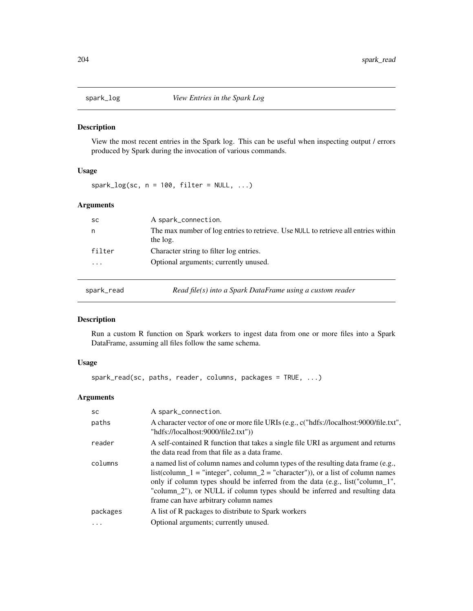# Description

View the most recent entries in the Spark log. This can be useful when inspecting output / errors produced by Spark during the invocation of various commands.

## Usage

 $spark\_log$ (sc, n = 100, filter = NULL, ...)

## Arguments

| <b>SC</b>  | A spark_connection.                                                                            |
|------------|------------------------------------------------------------------------------------------------|
| n          | The max number of log entries to retrieve. Use NULL to retrieve all entries within<br>the log. |
| filter     | Character string to filter log entries.                                                        |
| .          | Optional arguments; currently unused.                                                          |
| spark_read | Read file(s) into a Spark DataFrame using a custom reader                                      |

## <span id="page-203-0"></span>Description

Run a custom R function on Spark workers to ingest data from one or more files into a Spark DataFrame, assuming all files follow the same schema.

#### Usage

```
spark_read(sc, paths, reader, columns, packages = TRUE, ...)
```

| <b>SC</b> | A spark_connection.                                                                                                                                                                                                                                                                                                                                                           |
|-----------|-------------------------------------------------------------------------------------------------------------------------------------------------------------------------------------------------------------------------------------------------------------------------------------------------------------------------------------------------------------------------------|
| paths     | A character vector of one or more file URIs (e.g., c("hdfs://localhost:9000/file.txt",<br>"hdfs://localhost:9000/file2.txt"))                                                                                                                                                                                                                                                 |
| reader    | A self-contained R function that takes a single file URI as argument and returns<br>the data read from that file as a data frame.                                                                                                                                                                                                                                             |
| columns   | a named list of column names and column types of the resulting data frame (e.g.,<br>$list$ (column_1 = "integer", column_2 = "character")), or a list of column names<br>only if column types should be inferred from the data (e.g., list("column_1",<br>"column_2"), or NULL if column types should be inferred and resulting data<br>frame can have arbitrary column names |
| packages  | A list of R packages to distribute to Spark workers                                                                                                                                                                                                                                                                                                                           |
| .         | Optional arguments; currently unused.                                                                                                                                                                                                                                                                                                                                         |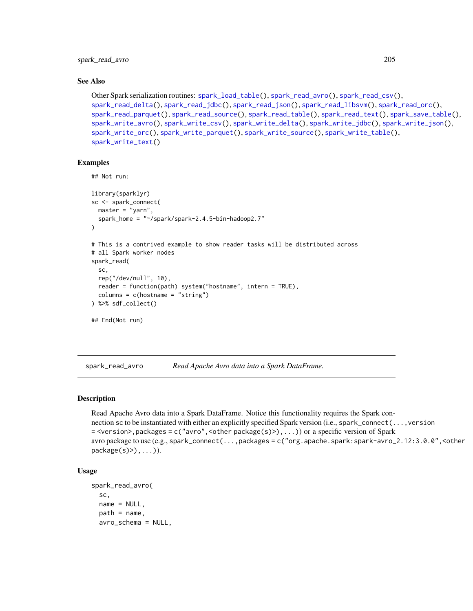spark\_read\_avro 205

#### See Also

```
Other Spark serialization routines: spark_load_table(), spark_read_avro(), spark_read_csv(),
spark_read_delta(), spark_read_jdbc(), spark_read_json(), spark_read_libsvm(), spark_read_orc(),
spark_read_parquet(), spark_read_source(), spark_read_table(), spark_read_text(), spark_save_table(),
spark_write_avro(), spark_write_csv(), spark_write_delta(), spark_write_jdbc(), spark_write_json(),
spark_write_orc(), spark_write_parquet(), spark_write_source(), spark_write_table(),
spark_write_text()
```
#### Examples

```
## Not run:
```

```
library(sparklyr)
sc <- spark_connect(
  master = "varn".spark_home = "~/spark/spark-2.4.5-bin-hadoop2.7"
)
# This is a contrived example to show reader tasks will be distributed across
# all Spark worker nodes
spark_read(
  sc,
  rep("/dev/null", 10),
  reader = function(path) system("hostname", intern = TRUE),
  column = c(hostname = "string")) %>% sdf_collect()
## End(Not run)
```
<span id="page-204-0"></span>spark\_read\_avro *Read Apache Avro data into a Spark DataFrame.*

#### Description

Read Apache Avro data into a Spark DataFrame. Notice this functionality requires the Spark connection sc to be instantiated with either an explicitly specified Spark version (i.e., spark\_connect(...,version  $=$  <version>, packages  $=$  c("avro", <other package(s)>),...)) or a specific version of Spark avro package to use (e.g., spark\_connect(...,packages = c("org.apache.spark:spark-avro\_2.12:3.0.0",<other  $package(s)$ ,...)).

### Usage

```
spark_read_avro(
 sc,
 name = NULL,path = name,avro_schema = NULL,
```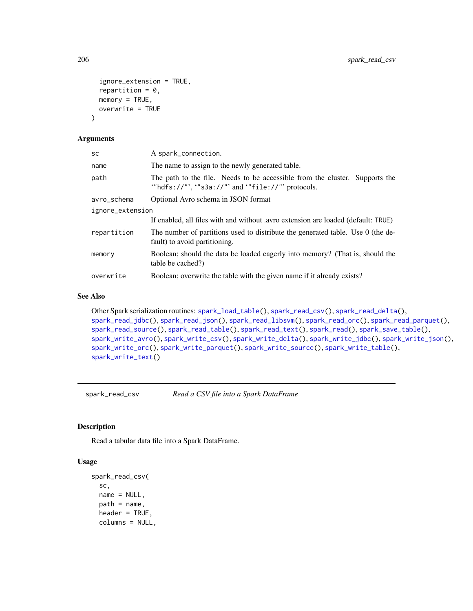```
ignore_extension = TRUE,
  repartition = 0,
 memory = TRUE,overwrite = TRUE
)
```
#### Arguments

| <b>SC</b>        | A spark_connection.                                                                                                             |  |
|------------------|---------------------------------------------------------------------------------------------------------------------------------|--|
| name             | The name to assign to the newly generated table.                                                                                |  |
| path             | The path to the file. Needs to be accessible from the cluster. Supports the<br>"hdfs://"', "s3a://"' and '"file://"' protocols. |  |
| avro_schema      | Optional Avro schema in JSON format                                                                                             |  |
| ignore_extension |                                                                                                                                 |  |
|                  | If enabled, all files with and without avro extension are loaded (default: TRUE)                                                |  |
| repartition      | The number of partitions used to distribute the generated table. Use 0 (the de-<br>fault) to avoid partitioning.                |  |
| memory           | Boolean; should the data be loaded eagerly into memory? (That is, should the<br>table be cached?)                               |  |
| overwrite        | Boolean; overwrite the table with the given name if it already exists?                                                          |  |
|                  |                                                                                                                                 |  |

## See Also

```
Other Spark serialization routines: spark_load_table(), spark_read_csv(), spark_read_delta(),
spark_read_jdbc(), spark_read_json(), spark_read_libsvm(), spark_read_orc(), spark_read_parquet(),
spark_read_source(), spark_read_table(), spark_read_text(), spark_read(), spark_save_table(),
spark_write_avro(), spark_write_csv(), spark_write_delta(), spark_write_jdbc(), spark_write_json(),
spark_write_orc(), spark_write_parquet(), spark_write_source(), spark_write_table(),
spark_write_text()
```
<span id="page-205-0"></span>spark\_read\_csv *Read a CSV file into a Spark DataFrame*

## Description

Read a tabular data file into a Spark DataFrame.

## Usage

```
spark_read_csv(
 sc,
 name = NULL,
 path = name,header = TRUE,columns = NULL,
```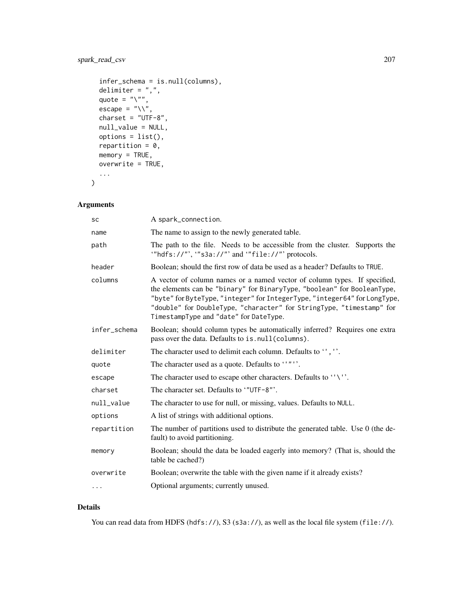# spark\_read\_csv 207

```
infer_schema = is.null(columns),
  delimiter = ",",
  quote = "\rangle",
  escape = "\wedge",
  cluster = "UTF-8",null_value = NULL,
  options = list(),
  repartition = 0,
  memory = TRUE,overwrite = TRUE,
  ...
\mathcal{L}
```
# Arguments

| SC           | A spark_connection.                                                                                                                                                                                                                                                                                                                                 |
|--------------|-----------------------------------------------------------------------------------------------------------------------------------------------------------------------------------------------------------------------------------------------------------------------------------------------------------------------------------------------------|
| name         | The name to assign to the newly generated table.                                                                                                                                                                                                                                                                                                    |
| path         | The path to the file. Needs to be accessible from the cluster. Supports the<br>"hdfs://"', "s3a://"' and '"file://"' protocols.                                                                                                                                                                                                                     |
| header       | Boolean; should the first row of data be used as a header? Defaults to TRUE.                                                                                                                                                                                                                                                                        |
| columns      | A vector of column names or a named vector of column types. If specified,<br>the elements can be "binary" for BinaryType, "boolean" for BooleanType,<br>"byte" for ByteType, "integer" for IntegerType, "integer64" for LongType,<br>"double" for DoubleType, "character" for StringType, "timestamp" for<br>TimestampType and "date" for DateType. |
| infer_schema | Boolean; should column types be automatically inferred? Requires one extra<br>pass over the data. Defaults to is.null(columns).                                                                                                                                                                                                                     |
| delimiter    | The character used to delimit each column. Defaults to ", ".                                                                                                                                                                                                                                                                                        |
| quote        | The character used as a quote. Defaults to ''"''.                                                                                                                                                                                                                                                                                                   |
| escape       | The character used to escape other characters. Defaults to ''\''.                                                                                                                                                                                                                                                                                   |
| charset      | The character set. Defaults to '"UTF-8"'.                                                                                                                                                                                                                                                                                                           |
| null_value   | The character to use for null, or missing, values. Defaults to NULL.                                                                                                                                                                                                                                                                                |
| options      | A list of strings with additional options.                                                                                                                                                                                                                                                                                                          |
| repartition  | The number of partitions used to distribute the generated table. Use 0 (the de-<br>fault) to avoid partitioning.                                                                                                                                                                                                                                    |
| memory       | Boolean; should the data be loaded eagerly into memory? (That is, should the<br>table be cached?)                                                                                                                                                                                                                                                   |
| overwrite    | Boolean; overwrite the table with the given name if it already exists?                                                                                                                                                                                                                                                                              |
| $\cdots$     | Optional arguments; currently unused.                                                                                                                                                                                                                                                                                                               |

## Details

You can read data from HDFS (hdfs://), S3 (s3a://), as well as the local file system (file://).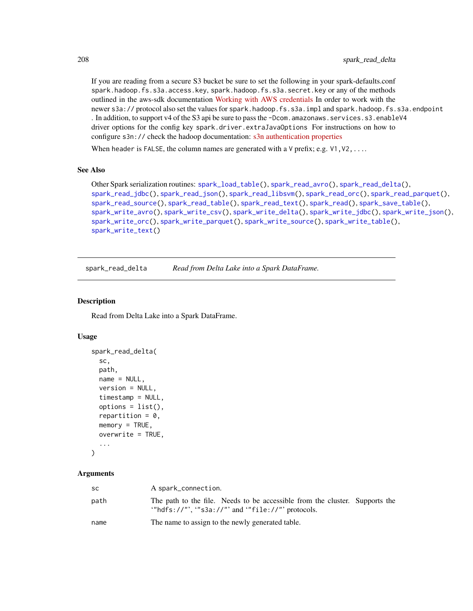If you are reading from a secure S3 bucket be sure to set the following in your spark-defaults.conf spark.hadoop.fs.s3a.access.key, spark.hadoop.fs.s3a.secret.key or any of the methods outlined in the aws-sdk documentation [Working with AWS credentials](https://docs.aws.amazon.com/sdk-for-java/v1/developer-guide/credentials.html) In order to work with the newer s3a:// protocol also set the values for spark.hadoop.fs.s3a.impl and spark.hadoop.fs.s3a.endpoint . In addition, to support v4 of the S3 api be sure to pass the -Dcom. amazonaws. services.s3. enableV4 driver options for the config key spark.driver.extraJavaOptions For instructions on how to configure s3n:// check the hadoop documentation: [s3n authentication properties](https://hadoop.apache.org/docs/stable/hadoop-aws/tools/hadoop-aws/index.html#Authentication_properties)

When header is FALSE, the column names are generated with a  $V$  prefix; e.g.  $V1, V2, \ldots$ 

# See Also

Other Spark serialization routines: [spark\\_load\\_table\(](#page-202-0)), [spark\\_read\\_avro\(](#page-204-0)), [spark\\_read\\_delta\(](#page-207-0)), [spark\\_read\\_jdbc\(](#page-208-0)), [spark\\_read\\_json\(](#page-209-0)), [spark\\_read\\_libsvm\(](#page-211-0)), [spark\\_read\\_orc\(](#page-212-0)), [spark\\_read\\_parquet\(](#page-213-0)), [spark\\_read\\_source\(](#page-214-0)), [spark\\_read\\_table\(](#page-215-0)), [spark\\_read\\_text\(](#page-216-0)), [spark\\_read\(](#page-203-0)), [spark\\_save\\_table\(](#page-218-0)), [spark\\_write\\_avro\(](#page-222-0)), [spark\\_write\\_csv\(](#page-223-0)), [spark\\_write\\_delta\(](#page-224-0)), [spark\\_write\\_jdbc\(](#page-225-0)), [spark\\_write\\_json\(](#page-226-0)), [spark\\_write\\_orc\(](#page-227-0)), [spark\\_write\\_parquet\(](#page-228-0)), [spark\\_write\\_source\(](#page-229-0)), [spark\\_write\\_table\(](#page-230-0)), [spark\\_write\\_text\(](#page-231-0))

<span id="page-207-0"></span>spark\_read\_delta *Read from Delta Lake into a Spark DataFrame.*

#### Description

Read from Delta Lake into a Spark DataFrame.

#### Usage

```
spark_read_delta(
  sc,
 path,
 name = NULL,
  version = NULL,
  timestamp = NULL,
  options = list(),repartition = 0,
 memory = TRUE,overwrite = TRUE,
  ...
)
```

| sc   | A spark_connection.                                                                                                            |
|------|--------------------------------------------------------------------------------------------------------------------------------|
| path | The path to the file. Needs to be accessible from the cluster. Supports the<br>"hdfs://"', "s3a://"' and "file://"' protocols. |
| name | The name to assign to the newly generated table.                                                                               |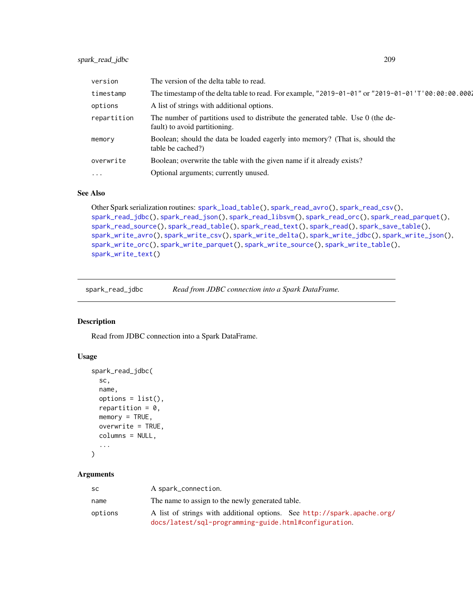| version     | The version of the delta table to read.                                                                          |
|-------------|------------------------------------------------------------------------------------------------------------------|
| timestamp   | The timestamp of the delta table to read. For example, "2019-01-01" or "2019-01-01'T'00:00:00.000.               |
| options     | A list of strings with additional options.                                                                       |
| repartition | The number of partitions used to distribute the generated table. Use 0 (the de-<br>fault) to avoid partitioning. |
| memory      | Boolean; should the data be loaded eagerly into memory? (That is, should the<br>table be cached?)                |
| overwrite   | Boolean; overwrite the table with the given name if it already exists?                                           |
| $\cdots$    | Optional arguments; currently unused.                                                                            |

#### See Also

```
Other Spark serialization routines: spark_load_table(), spark_read_avro(), spark_read_csv(),
spark_read_jdbc(), spark_read_json(), spark_read_libsvm(), spark_read_orc(), spark_read_parquet(),
spark_read_source(), spark_read_table(), spark_read_text(), spark_read(), spark_save_table(),
spark_write_avro(), spark_write_csv(), spark_write_delta(), spark_write_jdbc(), spark_write_json(),
spark_write_orc(), spark_write_parquet(), spark_write_source(), spark_write_table(),
spark_write_text()
```
<span id="page-208-0"></span>spark\_read\_jdbc *Read from JDBC connection into a Spark DataFrame.*

#### Description

Read from JDBC connection into a Spark DataFrame.

#### Usage

```
spark_read_jdbc(
  sc,
  name,
  options = list(),repartition = 0,
 memory = TRUE,
 overwrite = TRUE,
  columns = NULL,
  ...
```

```
)
```

| sc      | A spark_connection.                                                     |
|---------|-------------------------------------------------------------------------|
| name    | The name to assign to the newly generated table.                        |
| options | A list of strings with additional options. See http://spark.apache.org/ |
|         | docs/latest/sql-programming-guide.html#configuration.                   |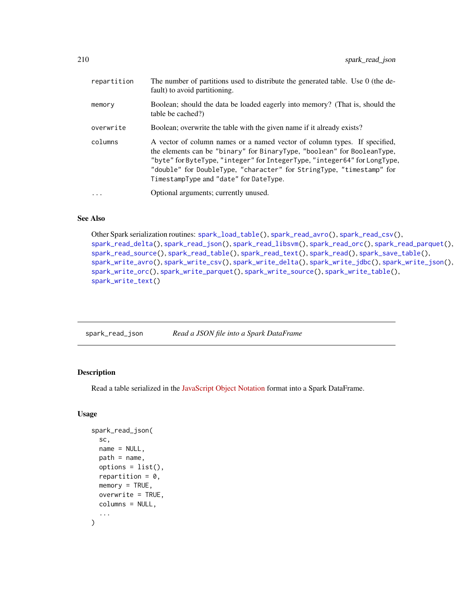| repartition | The number of partitions used to distribute the generated table. Use 0 (the de-<br>fault) to avoid partitioning.                                                                                                                                                                                                                                    |
|-------------|-----------------------------------------------------------------------------------------------------------------------------------------------------------------------------------------------------------------------------------------------------------------------------------------------------------------------------------------------------|
| memory      | Boolean; should the data be loaded eagerly into memory? (That is, should the<br>table be cached?)                                                                                                                                                                                                                                                   |
| overwrite   | Boolean; overwrite the table with the given name if it already exists?                                                                                                                                                                                                                                                                              |
| columns     | A vector of column names or a named vector of column types. If specified,<br>the elements can be "binary" for BinaryType, "boolean" for BooleanType,<br>"byte" for ByteType, "integer" for IntegerType, "integer64" for LongType,<br>"double" for DoubleType, "character" for StringType, "timestamp" for<br>TimestampType and "date" for DateType. |
| $\cdots$    | Optional arguments; currently unused.                                                                                                                                                                                                                                                                                                               |

## See Also

```
Other Spark serialization routines: spark_load_table(), spark_read_avro(), spark_read_csv(),
spark_read_delta(), spark_read_json(), spark_read_libsvm(), spark_read_orc(), spark_read_parquet(),
spark_read_source(), spark_read_table(), spark_read_text(), spark_read(), spark_save_table(),
spark_write_avro(), spark_write_csv(), spark_write_delta(), spark_write_jdbc(), spark_write_json(),
spark_write_orc(), spark_write_parquet(), spark_write_source(), spark_write_table(),
spark_write_text()
```
<span id="page-209-0"></span>

| spark_read_json | Read a JSON file into a Spark DataFrame |
|-----------------|-----------------------------------------|
|-----------------|-----------------------------------------|

#### Description

Read a table serialized in the [JavaScript Object Notation](http://www.json.org/) format into a Spark DataFrame.

#### Usage

```
spark_read_json(
  sc,
  name = NULL,
 path = name,options = list(),
  repartition = 0.
 memory = TRUE,overwrite = TRUE,
  columns = NULL,
  ...
)
```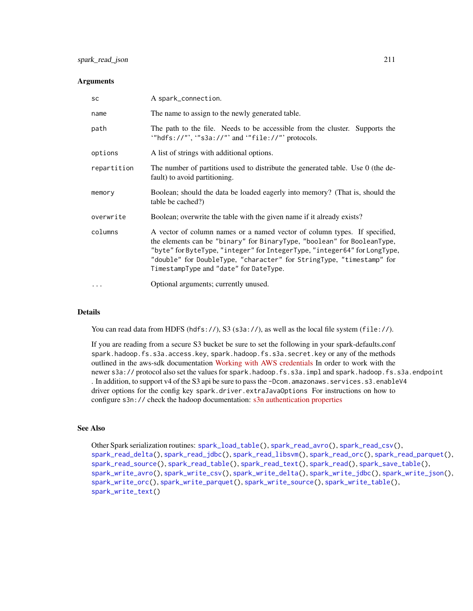#### **Arguments**

| SC          | A spark_connection.                                                                                                                                                                                                                                                                                                                                 |
|-------------|-----------------------------------------------------------------------------------------------------------------------------------------------------------------------------------------------------------------------------------------------------------------------------------------------------------------------------------------------------|
| name        | The name to assign to the newly generated table.                                                                                                                                                                                                                                                                                                    |
| path        | The path to the file. Needs to be accessible from the cluster. Supports the<br>"hdfs://"', "s3a://"' and '"file://"' protocols.                                                                                                                                                                                                                     |
| options     | A list of strings with additional options.                                                                                                                                                                                                                                                                                                          |
| repartition | The number of partitions used to distribute the generated table. Use 0 (the de-<br>fault) to avoid partitioning.                                                                                                                                                                                                                                    |
| memory      | Boolean; should the data be loaded eagerly into memory? (That is, should the<br>table be cached?)                                                                                                                                                                                                                                                   |
| overwrite   | Boolean; overwrite the table with the given name if it already exists?                                                                                                                                                                                                                                                                              |
| columns     | A vector of column names or a named vector of column types. If specified,<br>the elements can be "binary" for BinaryType, "boolean" for BooleanType,<br>"byte" for ByteType, "integer" for IntegerType, "integer64" for LongType,<br>"double" for DoubleType, "character" for StringType, "timestamp" for<br>TimestampType and "date" for DateType. |
| $\ddotsc$   | Optional arguments; currently unused.                                                                                                                                                                                                                                                                                                               |

## **Details**

You can read data from HDFS ( $hdfs: //$ ), S3 ( $s3a: //$ ), as well as the local file system ( $file: //$ ).

If you are reading from a secure S3 bucket be sure to set the following in your spark-defaults.conf spark.hadoop.fs.s3a.access.key, spark.hadoop.fs.s3a.secret.key or any of the methods outlined in the aws-sdk documentation [Working with AWS credentials](https://docs.aws.amazon.com/sdk-for-java/v1/developer-guide/credentials.html) In order to work with the newer s3a:// protocol also set the values for spark.hadoop.fs.s3a.impl and spark.hadoop.fs.s3a.endpoint . In addition, to support v4 of the S3 api be sure to pass the -Dcom. amazonaws. services.s3. enableV4 driver options for the config key spark.driver.extraJavaOptions For instructions on how to configure s3n:// check the hadoop documentation: [s3n authentication properties](https://hadoop.apache.org/docs/stable/hadoop-aws/tools/hadoop-aws/index.html#Authentication_properties)

## See Also

Other Spark serialization routines: [spark\\_load\\_table\(](#page-202-0)), [spark\\_read\\_avro\(](#page-204-0)), [spark\\_read\\_csv\(](#page-205-0)), [spark\\_read\\_delta\(](#page-207-0)), [spark\\_read\\_jdbc\(](#page-208-0)), [spark\\_read\\_libsvm\(](#page-211-0)), [spark\\_read\\_orc\(](#page-212-0)), [spark\\_read\\_parquet\(](#page-213-0)), [spark\\_read\\_source\(](#page-214-0)), [spark\\_read\\_table\(](#page-215-0)), [spark\\_read\\_text\(](#page-216-0)), [spark\\_read\(](#page-203-0)), [spark\\_save\\_table\(](#page-218-0)), [spark\\_write\\_avro\(](#page-222-0)), [spark\\_write\\_csv\(](#page-223-0)), [spark\\_write\\_delta\(](#page-224-0)), [spark\\_write\\_jdbc\(](#page-225-0)), [spark\\_write\\_json\(](#page-226-0)), [spark\\_write\\_orc\(](#page-227-0)), [spark\\_write\\_parquet\(](#page-228-0)), [spark\\_write\\_source\(](#page-229-0)), [spark\\_write\\_table\(](#page-230-0)), [spark\\_write\\_text\(](#page-231-0))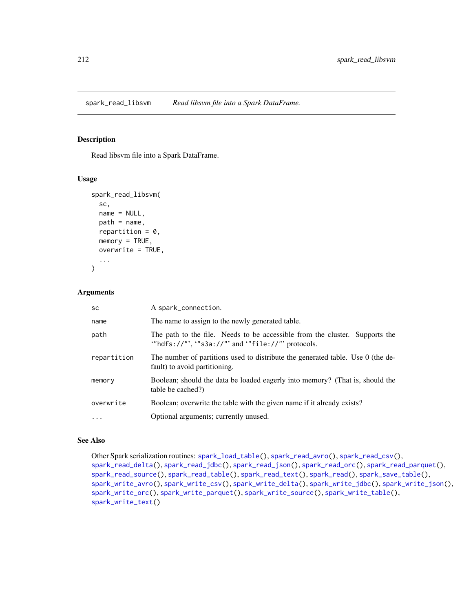<span id="page-211-0"></span>spark\_read\_libsvm *Read libsvm file into a Spark DataFrame.*

# Description

Read libsvm file into a Spark DataFrame.

#### Usage

```
spark_read_libsvm(
  sc,
  name = NULL,path = name,
  repartition = 0,
 memory = TRUE,overwrite = TRUE,
  ...
)
```
## Arguments

| <b>SC</b>   | A spark_connection.                                                                                                            |
|-------------|--------------------------------------------------------------------------------------------------------------------------------|
| name        | The name to assign to the newly generated table.                                                                               |
| path        | The path to the file. Needs to be accessible from the cluster. Supports the<br>"hdfs://"', "s3a://"' and "file://"' protocols. |
| repartition | The number of partitions used to distribute the generated table. Use 0 (the de-<br>fault) to avoid partitioning.               |
| memory      | Boolean; should the data be loaded eagerly into memory? (That is, should the<br>table be cached?)                              |
| overwrite   | Boolean; overwrite the table with the given name if it already exists?                                                         |
| $\cdot$     | Optional arguments; currently unused.                                                                                          |

#### See Also

Other Spark serialization routines: [spark\\_load\\_table\(](#page-202-0)), [spark\\_read\\_avro\(](#page-204-0)), [spark\\_read\\_csv\(](#page-205-0)), [spark\\_read\\_delta\(](#page-207-0)), [spark\\_read\\_jdbc\(](#page-208-0)), [spark\\_read\\_json\(](#page-209-0)), [spark\\_read\\_orc\(](#page-212-0)), [spark\\_read\\_parquet\(](#page-213-0)), [spark\\_read\\_source\(](#page-214-0)), [spark\\_read\\_table\(](#page-215-0)), [spark\\_read\\_text\(](#page-216-0)), [spark\\_read\(](#page-203-0)), [spark\\_save\\_table\(](#page-218-0)), [spark\\_write\\_avro\(](#page-222-0)), [spark\\_write\\_csv\(](#page-223-0)), [spark\\_write\\_delta\(](#page-224-0)), [spark\\_write\\_jdbc\(](#page-225-0)), [spark\\_write\\_json\(](#page-226-0)), [spark\\_write\\_orc\(](#page-227-0)), [spark\\_write\\_parquet\(](#page-228-0)), [spark\\_write\\_source\(](#page-229-0)), [spark\\_write\\_table\(](#page-230-0)), [spark\\_write\\_text\(](#page-231-0))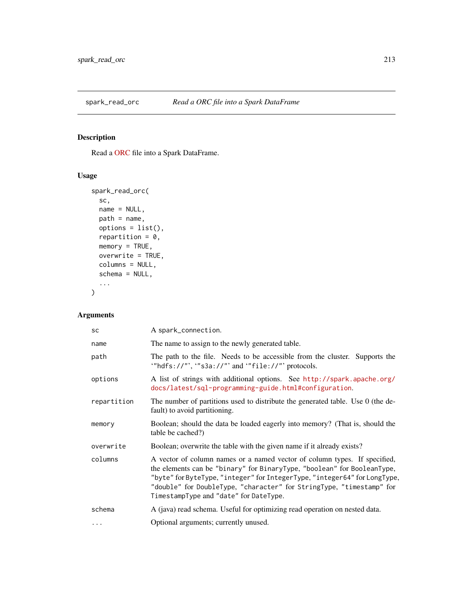<span id="page-212-0"></span>

# Description

Read a [ORC](https://orc.apache.org/) file into a Spark DataFrame.

## Usage

```
spark_read_orc(
 sc,
 name = NULL,path = name,
 options = list(),
  repartition = 0,
 memory = TRUE,overwrite = TRUE,
  columns = NULL,
  schema = NULL,
  ...
\mathcal{L}
```

| <b>SC</b>   | A spark_connection.                                                                                                                                                                                                                                                                                                                                 |
|-------------|-----------------------------------------------------------------------------------------------------------------------------------------------------------------------------------------------------------------------------------------------------------------------------------------------------------------------------------------------------|
| name        | The name to assign to the newly generated table.                                                                                                                                                                                                                                                                                                    |
| path        | The path to the file. Needs to be accessible from the cluster. Supports the<br>"hdfs://"', "s3a://"' and "file://"' protocols.                                                                                                                                                                                                                      |
| options     | A list of strings with additional options. See http://spark.apache.org/<br>docs/latest/sql-programming-guide.html#configuration.                                                                                                                                                                                                                    |
| repartition | The number of partitions used to distribute the generated table. Use 0 (the de-<br>fault) to avoid partitioning.                                                                                                                                                                                                                                    |
| memory      | Boolean; should the data be loaded eagerly into memory? (That is, should the<br>table be cached?)                                                                                                                                                                                                                                                   |
| overwrite   | Boolean; overwrite the table with the given name if it already exists?                                                                                                                                                                                                                                                                              |
| columns     | A vector of column names or a named vector of column types. If specified,<br>the elements can be "binary" for BinaryType, "boolean" for BooleanType,<br>"byte" for ByteType, "integer" for IntegerType, "integer64" for LongType,<br>"double" for DoubleType, "character" for StringType, "timestamp" for<br>TimestampType and "date" for DateType. |
| schema      | A (java) read schema. Useful for optimizing read operation on nested data.                                                                                                                                                                                                                                                                          |
| .           | Optional arguments; currently unused.                                                                                                                                                                                                                                                                                                               |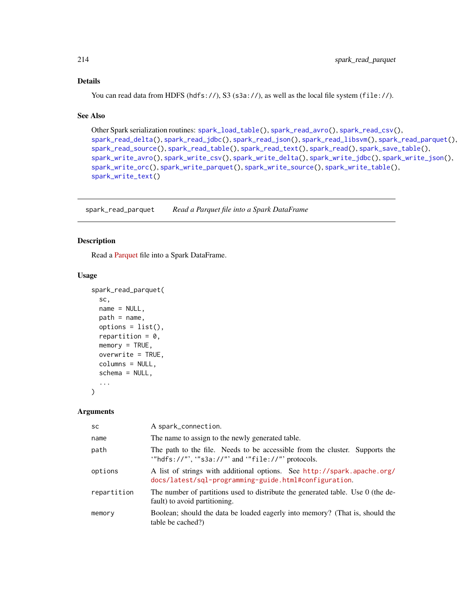## Details

You can read data from HDFS ( $hdfs: //$ ), S3 ( $s3a: //$ ), as well as the local file system ( $file: //$ ).

#### See Also

```
Other Spark serialization routines: spark_load_table(), spark_read_avro(), spark_read_csv(),
spark_read_delta(), spark_read_jdbc(), spark_read_json(), spark_read_libsvm(), spark_read_parquet(),
spark_read_source(), spark_read_table(), spark_read_text(), spark_read(), spark_save_table(),
spark_write_avro(), spark_write_csv(), spark_write_delta(), spark_write_jdbc(), spark_write_json(),
spark_write_orc(), spark_write_parquet(), spark_write_source(), spark_write_table(),
spark_write_text()
```
<span id="page-213-0"></span>spark\_read\_parquet *Read a Parquet file into a Spark DataFrame*

## Description

Read a [Parquet](https://parquet.apache.org/) file into a Spark DataFrame.

## Usage

```
spark_read_parquet(
  sc,
  name = NULL,
  path = name,
  options = list(),
  repartition = 0,
  memory = TRUE,overwrite = TRUE,
  columns = NULL,
  schema = NULL,
  ...
)
```

| <b>SC</b>   | A spark_connection.                                                                                                              |
|-------------|----------------------------------------------------------------------------------------------------------------------------------|
| name        | The name to assign to the newly generated table.                                                                                 |
| path        | The path to the file. Needs to be accessible from the cluster. Supports the<br>"hdfs://"', "s3a://"' and "file://"' protocols.   |
| options     | A list of strings with additional options. See http://spark.apache.org/<br>docs/latest/sql-programming-guide.html#configuration. |
| repartition | The number of partitions used to distribute the generated table. Use 0 (the de-<br>fault) to avoid partitioning.                 |
| memory      | Boolean; should the data be loaded eagerly into memory? (That is, should the<br>table be cached?)                                |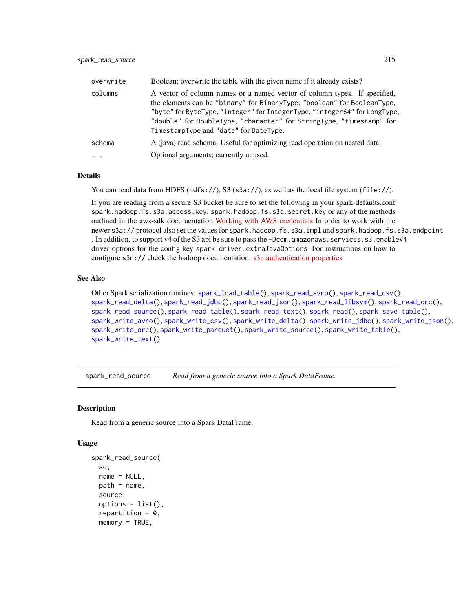| overwrite | Boolean; overwrite the table with the given name if it already exists?                                                                                                                                                                                                                                                                              |
|-----------|-----------------------------------------------------------------------------------------------------------------------------------------------------------------------------------------------------------------------------------------------------------------------------------------------------------------------------------------------------|
| columns   | A vector of column names or a named vector of column types. If specified,<br>the elements can be "binary" for BinaryType, "boolean" for BooleanType,<br>"byte" for ByteType, "integer" for IntegerType, "integer64" for LongType,<br>"double" for DoubleType, "character" for StringType, "timestamp" for<br>TimestampType and "date" for DateType. |
| schema    | A (java) read schema. Useful for optimizing read operation on nested data.                                                                                                                                                                                                                                                                          |
| $\cdots$  | Optional arguments; currently unused.                                                                                                                                                                                                                                                                                                               |

## Details

You can read data from HDFS (hdfs://), S3 (s3a://), as well as the local file system (file://).

If you are reading from a secure S3 bucket be sure to set the following in your spark-defaults.conf spark.hadoop.fs.s3a.access.key, spark.hadoop.fs.s3a.secret.key or any of the methods outlined in the aws-sdk documentation [Working with AWS credentials](https://docs.aws.amazon.com/sdk-for-java/v1/developer-guide/credentials.html) In order to work with the newer s3a:// protocol also set the values for spark.hadoop.fs.s3a.impl and spark.hadoop.fs.s3a.endpoint . In addition, to support v4 of the S3 api be sure to pass the -Dcom. amazonaws. services.s3. enableV4 driver options for the config key spark.driver.extraJavaOptions For instructions on how to configure s3n:// check the hadoop documentation: [s3n authentication properties](https://hadoop.apache.org/docs/stable/hadoop-aws/tools/hadoop-aws/index.html#Authentication_properties)

#### See Also

Other Spark serialization routines: [spark\\_load\\_table\(](#page-202-0)), [spark\\_read\\_avro\(](#page-204-0)), [spark\\_read\\_csv\(](#page-205-0)), [spark\\_read\\_delta\(](#page-207-0)), [spark\\_read\\_jdbc\(](#page-208-0)), [spark\\_read\\_json\(](#page-209-0)), [spark\\_read\\_libsvm\(](#page-211-0)), [spark\\_read\\_orc\(](#page-212-0)), [spark\\_read\\_source\(](#page-214-0)), [spark\\_read\\_table\(](#page-215-0)), [spark\\_read\\_text\(](#page-216-0)), [spark\\_read\(](#page-203-0)), [spark\\_save\\_table\(](#page-218-0)), [spark\\_write\\_avro\(](#page-222-0)), [spark\\_write\\_csv\(](#page-223-0)), [spark\\_write\\_delta\(](#page-224-0)), [spark\\_write\\_jdbc\(](#page-225-0)), [spark\\_write\\_json\(](#page-226-0)), [spark\\_write\\_orc\(](#page-227-0)), [spark\\_write\\_parquet\(](#page-228-0)), [spark\\_write\\_source\(](#page-229-0)), [spark\\_write\\_table\(](#page-230-0)), [spark\\_write\\_text\(](#page-231-0))

<span id="page-214-0"></span>spark\_read\_source *Read from a generic source into a Spark DataFrame.*

#### **Description**

Read from a generic source into a Spark DataFrame.

#### Usage

```
spark_read_source(
  sc,
 name = NULL,
 path = name,
  source,
  options = list(),repartition = 0,
 memory = TRUE,
```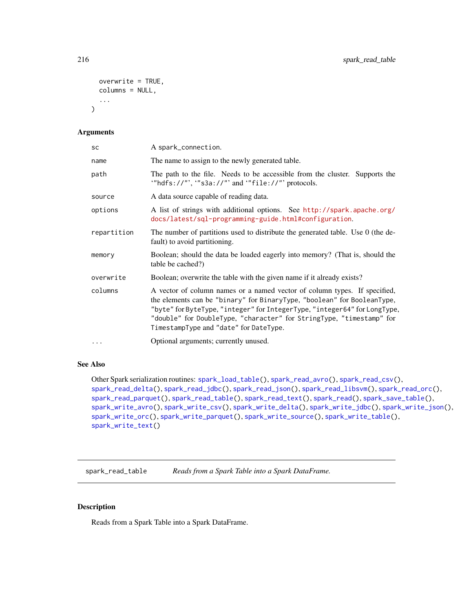```
overwrite = TRUE,
 columns = NULL,
  ...
\lambda
```
#### Arguments

| SC          | A spark_connection.                                                                                                                                                                                                                                                                                                                                 |
|-------------|-----------------------------------------------------------------------------------------------------------------------------------------------------------------------------------------------------------------------------------------------------------------------------------------------------------------------------------------------------|
| name        | The name to assign to the newly generated table.                                                                                                                                                                                                                                                                                                    |
| path        | The path to the file. Needs to be accessible from the cluster. Supports the<br>"hdfs://"', "s3a://"' and '"file://"' protocols.                                                                                                                                                                                                                     |
| source      | A data source capable of reading data.                                                                                                                                                                                                                                                                                                              |
| options     | A list of strings with additional options. See http://spark.apache.org/<br>docs/latest/sql-programming-guide.html#configuration.                                                                                                                                                                                                                    |
| repartition | The number of partitions used to distribute the generated table. Use 0 (the de-<br>fault) to avoid partitioning.                                                                                                                                                                                                                                    |
| memory      | Boolean; should the data be loaded eagerly into memory? (That is, should the<br>table be cached?)                                                                                                                                                                                                                                                   |
| overwrite   | Boolean; overwrite the table with the given name if it already exists?                                                                                                                                                                                                                                                                              |
| columns     | A vector of column names or a named vector of column types. If specified,<br>the elements can be "binary" for BinaryType, "boolean" for BooleanType,<br>"byte" for ByteType, "integer" for IntegerType, "integer64" for LongType,<br>"double" for DoubleType, "character" for StringType, "timestamp" for<br>TimestampType and "date" for DateType. |
| $\cdots$    | Optional arguments; currently unused.                                                                                                                                                                                                                                                                                                               |

## See Also

Other Spark serialization routines: [spark\\_load\\_table\(](#page-202-0)), [spark\\_read\\_avro\(](#page-204-0)), [spark\\_read\\_csv\(](#page-205-0)), [spark\\_read\\_delta\(](#page-207-0)), [spark\\_read\\_jdbc\(](#page-208-0)), [spark\\_read\\_json\(](#page-209-0)), [spark\\_read\\_libsvm\(](#page-211-0)), [spark\\_read\\_orc\(](#page-212-0)), [spark\\_read\\_parquet\(](#page-213-0)), [spark\\_read\\_table\(](#page-215-0)), [spark\\_read\\_text\(](#page-216-0)), [spark\\_read\(](#page-203-0)), [spark\\_save\\_table\(](#page-218-0)), [spark\\_write\\_avro\(](#page-222-0)), [spark\\_write\\_csv\(](#page-223-0)), [spark\\_write\\_delta\(](#page-224-0)), [spark\\_write\\_jdbc\(](#page-225-0)), [spark\\_write\\_json\(](#page-226-0)), [spark\\_write\\_orc\(](#page-227-0)), [spark\\_write\\_parquet\(](#page-228-0)), [spark\\_write\\_source\(](#page-229-0)), [spark\\_write\\_table\(](#page-230-0)), [spark\\_write\\_text\(](#page-231-0))

<span id="page-215-0"></span>spark\_read\_table *Reads from a Spark Table into a Spark DataFrame.*

#### Description

Reads from a Spark Table into a Spark DataFrame.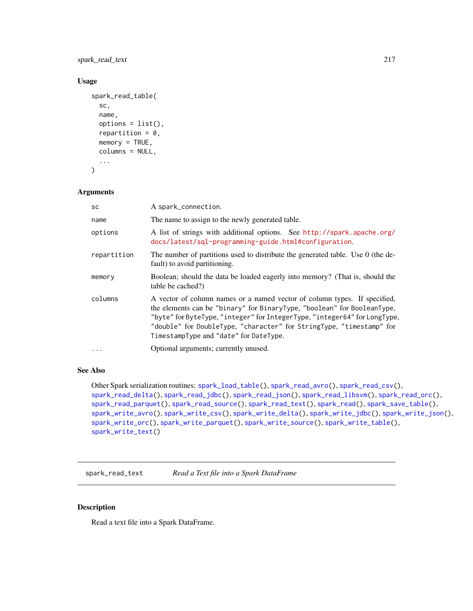spark\_read\_text 217

## Usage

```
spark_read_table(
  sc,
  name,
  options = list(),
  repartition = 0,
  memory = TRUE,columns = NULL,
  ...
\mathcal{L}
```
## Arguments

| sc          | A spark_connection.                                                                                                                                                                                                                                                                                                                                 |
|-------------|-----------------------------------------------------------------------------------------------------------------------------------------------------------------------------------------------------------------------------------------------------------------------------------------------------------------------------------------------------|
| name        | The name to assign to the newly generated table.                                                                                                                                                                                                                                                                                                    |
| options     | A list of strings with additional options. See http://spark.apache.org/<br>docs/latest/sql-programming-guide.html#configuration.                                                                                                                                                                                                                    |
| repartition | The number of partitions used to distribute the generated table. Use 0 (the de-<br>fault) to avoid partitioning.                                                                                                                                                                                                                                    |
| memory      | Boolean; should the data be loaded eagerly into memory? (That is, should the<br>table be cached?)                                                                                                                                                                                                                                                   |
| columns     | A vector of column names or a named vector of column types. If specified,<br>the elements can be "binary" for BinaryType, "boolean" for BooleanType,<br>"byte" for ByteType, "integer" for IntegerType, "integer64" for LongType,<br>"double" for DoubleType, "character" for StringType, "timestamp" for<br>TimestampType and "date" for DateType. |
| .           | Optional arguments; currently unused.                                                                                                                                                                                                                                                                                                               |

#### See Also

Other Spark serialization routines: [spark\\_load\\_table\(](#page-202-0)), [spark\\_read\\_avro\(](#page-204-0)), [spark\\_read\\_csv\(](#page-205-0)), [spark\\_read\\_delta\(](#page-207-0)), [spark\\_read\\_jdbc\(](#page-208-0)), [spark\\_read\\_json\(](#page-209-0)), [spark\\_read\\_libsvm\(](#page-211-0)), [spark\\_read\\_orc\(](#page-212-0)), [spark\\_read\\_parquet\(](#page-213-0)), [spark\\_read\\_source\(](#page-214-0)), [spark\\_read\\_text\(](#page-216-0)), [spark\\_read\(](#page-203-0)), [spark\\_save\\_table\(](#page-218-0)), [spark\\_write\\_avro\(](#page-222-0)), [spark\\_write\\_csv\(](#page-223-0)), [spark\\_write\\_delta\(](#page-224-0)), [spark\\_write\\_jdbc\(](#page-225-0)), [spark\\_write\\_json\(](#page-226-0)), [spark\\_write\\_orc\(](#page-227-0)), [spark\\_write\\_parquet\(](#page-228-0)), [spark\\_write\\_source\(](#page-229-0)), [spark\\_write\\_table\(](#page-230-0)), [spark\\_write\\_text\(](#page-231-0))

<span id="page-216-0"></span>spark\_read\_text *Read a Text file into a Spark DataFrame*

### Description

Read a text file into a Spark DataFrame.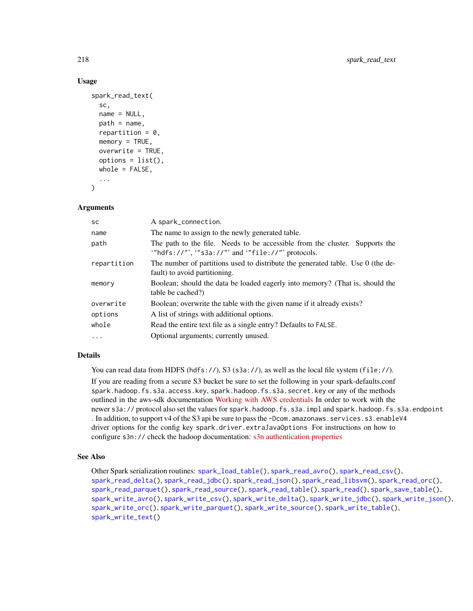### Usage

```
spark_read_text(
  sc,
  name = NULL,path = name,
  repartition = 0,
  memory = TRUE,overwrite = TRUE,
  options = list(),whole = FALSE,...
)
```
### Arguments

| <b>SC</b>   | A spark_connection.                                                                                                              |
|-------------|----------------------------------------------------------------------------------------------------------------------------------|
| name        | The name to assign to the newly generated table.                                                                                 |
| path        | The path to the file. Needs to be accessible from the cluster. Supports the<br>""hdfs://"', "s3a://"' and ""file://"' protocols. |
| repartition | The number of partitions used to distribute the generated table. Use 0 (the de-<br>fault) to avoid partitioning.                 |
| memory      | Boolean; should the data be loaded eagerly into memory? (That is, should the<br>table be cached?)                                |
| overwrite   | Boolean; overwrite the table with the given name if it already exists?                                                           |
| options     | A list of strings with additional options.                                                                                       |
| whole       | Read the entire text file as a single entry? Defaults to FALSE.                                                                  |
| $\cdot$     | Optional arguments; currently unused.                                                                                            |

# Details

You can read data from HDFS (hdfs://), S3 (s3a://), as well as the local file system (file://).

If you are reading from a secure S3 bucket be sure to set the following in your spark-defaults.conf spark.hadoop.fs.s3a.access.key, spark.hadoop.fs.s3a.secret.key or any of the methods outlined in the aws-sdk documentation [Working with AWS credentials](https://docs.aws.amazon.com/sdk-for-java/v1/developer-guide/credentials.html) In order to work with the newer s3a:// protocol also set the values for spark.hadoop.fs.s3a.impl and spark.hadoop.fs.s3a.endpoint . In addition, to support v4 of the S3 api be sure to pass the -Dcom. amazonaws. services.s3. enableV4 driver options for the config key spark.driver.extraJavaOptions For instructions on how to configure s3n:// check the hadoop documentation: [s3n authentication properties](https://hadoop.apache.org/docs/stable/hadoop-aws/tools/hadoop-aws/index.html#Authentication_properties)

## See Also

Other Spark serialization routines: [spark\\_load\\_table\(](#page-202-0)), [spark\\_read\\_avro\(](#page-204-0)), [spark\\_read\\_csv\(](#page-205-0)), [spark\\_read\\_delta\(](#page-207-0)), [spark\\_read\\_jdbc\(](#page-208-0)), [spark\\_read\\_json\(](#page-209-0)), [spark\\_read\\_libsvm\(](#page-211-0)), [spark\\_read\\_orc\(](#page-212-0)), [spark\\_read\\_parquet\(](#page-213-0)), [spark\\_read\\_source\(](#page-214-0)), [spark\\_read\\_table\(](#page-215-0)), [spark\\_read\(](#page-203-0)), [spark\\_save\\_table\(](#page-218-0)), [spark\\_write\\_avro\(](#page-222-0)), [spark\\_write\\_csv\(](#page-223-0)), [spark\\_write\\_delta\(](#page-224-0)), [spark\\_write\\_jdbc\(](#page-225-0)), [spark\\_write\\_json\(](#page-226-0)), [spark\\_write\\_orc\(](#page-227-0)), [spark\\_write\\_parquet\(](#page-228-0)), [spark\\_write\\_source\(](#page-229-0)), [spark\\_write\\_table\(](#page-230-0)), [spark\\_write\\_text\(](#page-231-0))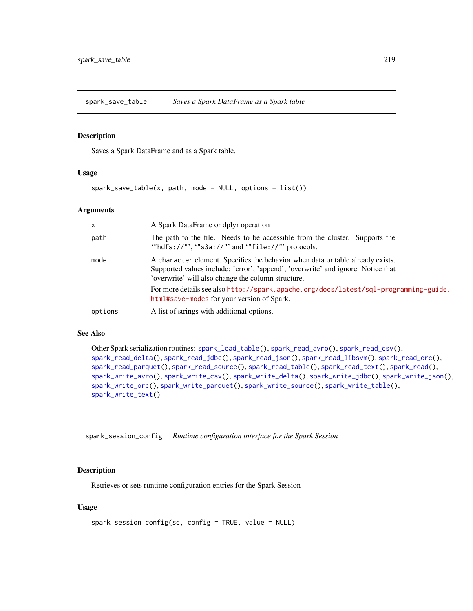<span id="page-218-0"></span>spark\_save\_table *Saves a Spark DataFrame as a Spark table*

### Description

Saves a Spark DataFrame and as a Spark table.

#### Usage

```
spark\_save\_table(x, path, mode = NULL, options = list())
```
#### Arguments

| $\mathsf{x}$ | A Spark DataFrame or dplyr operation                                                                                                                                                                                     |
|--------------|--------------------------------------------------------------------------------------------------------------------------------------------------------------------------------------------------------------------------|
| path         | The path to the file. Needs to be accessible from the cluster. Supports the<br>"hdfs://"', "s3a://"' and '"file://"' protocols.                                                                                          |
| mode         | A character element. Specifies the behavior when data or table already exists.<br>Supported values include: 'error', 'append', 'overwrite' and ignore. Notice that<br>'overwrite' will also change the column structure. |
|              | For more details see also http://spark.apache.org/docs/latest/sql-programming-guide.<br>html#save-modes for your version of Spark.                                                                                       |
| options      | A list of strings with additional options.                                                                                                                                                                               |

#### See Also

```
Other Spark serialization routines: spark_load_table(), spark_read_avro(), spark_read_csv(),
spark_read_delta(), spark_read_jdbc(), spark_read_json(), spark_read_libsvm(), spark_read_orc(),
spark_read_parquet(), spark_read_source(), spark_read_table(), spark_read_text(), spark_read(),
spark_write_avro(), spark_write_csv(), spark_write_delta(), spark_write_jdbc(), spark_write_json(),
spark_write_orc(), spark_write_parquet(), spark_write_source(), spark_write_table(),
spark_write_text()
```
spark\_session\_config *Runtime configuration interface for the Spark Session*

#### Description

Retrieves or sets runtime configuration entries for the Spark Session

### Usage

```
spark_session_config(sc, config = TRUE, value = NULL)
```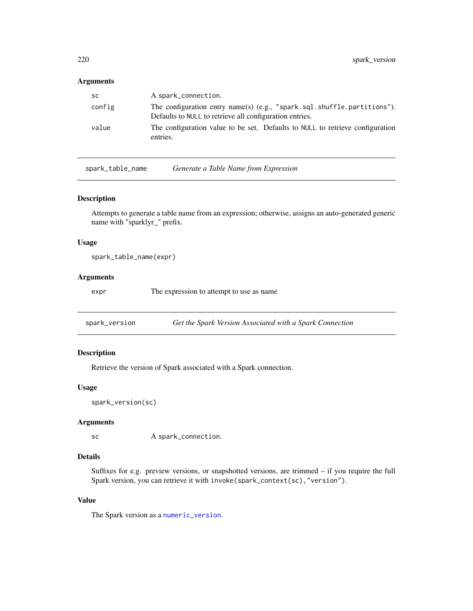#### Arguments

| <b>SC</b> | A spark_connection.                                                                                                                  |
|-----------|--------------------------------------------------------------------------------------------------------------------------------------|
| config    | The configuration entry name(s) $(e.g., "spark.sql.shuffle.partitions").$<br>Defaults to NULL to retrieve all configuration entries. |
| value     | The configuration value to be set. Defaults to NULL to retrieve configuration<br>entries.                                            |

spark\_table\_name *Generate a Table Name from Expression*

## Description

Attempts to generate a table name from an expression; otherwise, assigns an auto-generated generic name with "sparklyr\_" prefix.

### Usage

spark\_table\_name(expr)

### Arguments

expr The expression to attempt to use as name

spark\_version *Get the Spark Version Associated with a Spark Connection*

### Description

Retrieve the version of Spark associated with a Spark connection.

#### Usage

```
spark_version(sc)
```
### Arguments

sc A spark\_connection.

### Details

Suffixes for e.g. preview versions, or snapshotted versions, are trimmed – if you require the full Spark version, you can retrieve it with invoke(spark\_context(sc),"version").

### Value

The Spark version as a [numeric\\_version](#page-0-0).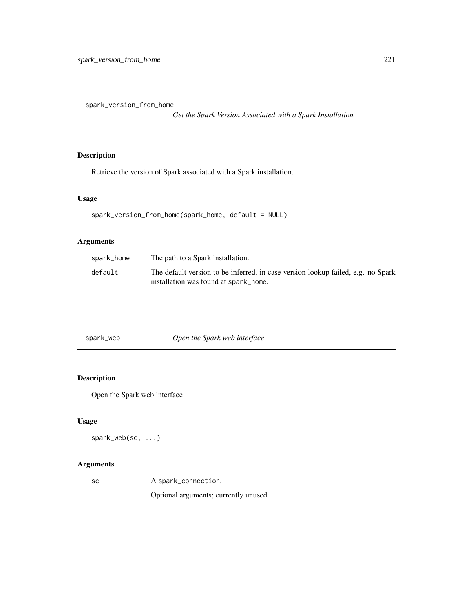spark\_version\_from\_home

*Get the Spark Version Associated with a Spark Installation*

# Description

Retrieve the version of Spark associated with a Spark installation.

## Usage

```
spark_version_from_home(spark_home, default = NULL)
```
# Arguments

| spark_home | The path to a Spark installation.                                                                                         |
|------------|---------------------------------------------------------------------------------------------------------------------------|
| default    | The default version to be inferred, in case version lookup failed, e.g. no Spark<br>installation was found at spark_home. |

| Open the Spark web interface<br>spark_web |
|-------------------------------------------|
|-------------------------------------------|

# Description

Open the Spark web interface

# Usage

spark\_web(sc, ...)

| <b>SC</b> | A spark_connection.                   |
|-----------|---------------------------------------|
| $\cdots$  | Optional arguments; currently unused. |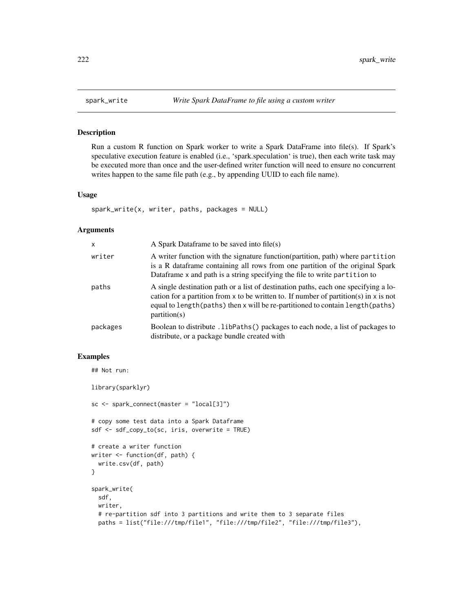### Description

Run a custom R function on Spark worker to write a Spark DataFrame into file(s). If Spark's speculative execution feature is enabled (i.e., 'spark.speculation' is true), then each write task may be executed more than once and the user-defined writer function will need to ensure no concurrent writes happen to the same file path (e.g., by appending UUID to each file name).

#### Usage

```
spark_write(x, writer, paths, packages = NULL)
```
#### Arguments

| X        | A Spark Dataframe to be saved into $file(s)$                                                                                                                                                                                                                                    |
|----------|---------------------------------------------------------------------------------------------------------------------------------------------------------------------------------------------------------------------------------------------------------------------------------|
| writer   | A writer function with the signature function (partition, path) where partition<br>is a R dataframe containing all rows from one partition of the original Spark<br>Dataframe x and path is a string specifying the file to write partition to                                  |
| paths    | A single destination path or a list of destination paths, each one specifying a lo-<br>cation for a partition from x to be written to. If number of partition(s) in x is not<br>equal to length (paths) then x will be re-partitioned to contain length (paths)<br>partition(s) |
| packages | Boolean to distribute .1ibPaths() packages to each node, a list of packages to<br>distribute, or a package bundle created with                                                                                                                                                  |

## Examples

## Not run:

```
library(sparklyr)
sc <- spark_connect(master = "local[3]")
# copy some test data into a Spark Dataframe
sdf <- sdf_copy_to(sc, iris, overwrite = TRUE)
# create a writer function
writer <- function(df, path) {
  write.csv(df, path)
}
spark_write(
  sdf,
  writer,
  # re-partition sdf into 3 partitions and write them to 3 separate files
  paths = list("file:///tmp/file1", "file:///tmp/file2", "file:///tmp/file3"),
```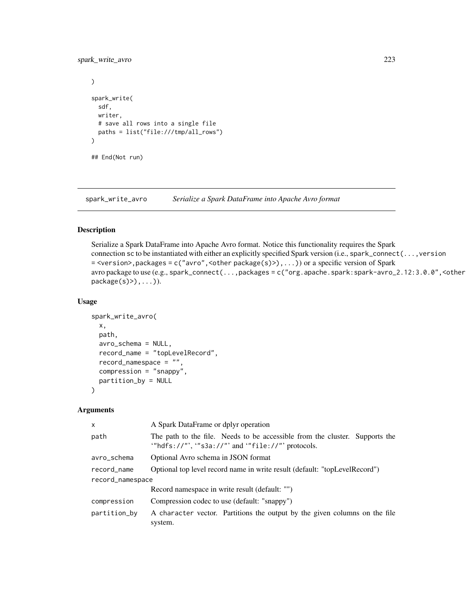## spark\_write\_avro 223

```
)
spark_write(
 sdf,
 writer,
 # save all rows into a single file
 paths = list("file:///tmp/all_rows")
)
## End(Not run)
```
<span id="page-222-0"></span>spark\_write\_avro *Serialize a Spark DataFrame into Apache Avro format*

#### Description

Serialize a Spark DataFrame into Apache Avro format. Notice this functionality requires the Spark connection sc to be instantiated with either an explicitly specified Spark version (i.e., spark\_connect(...,version = <version>,packages = c("avro",<other package(s)>),...)) or a specific version of Spark avro package to use (e.g., spark\_connect(...,packages = c("org.apache.spark:spark-avro\_2.12:3.0.0",<other package(s)>),...)).

### Usage

```
spark_write_avro(
 x,
 path,
 avro_schema = NULL,
 record_name = "topLevelRecord",
 record_namespace = "",
 compression = "snappy",
 partition_by = NULL
\mathcal{L}
```

| $\mathsf{x}$     | A Spark DataFrame or dplyr operation                                                                                             |
|------------------|----------------------------------------------------------------------------------------------------------------------------------|
| path             | The path to the file. Needs to be accessible from the cluster. Supports the<br>""hdfs://"', "s3a://"' and ""file://"' protocols. |
| avro_schema      | Optional Avro schema in JSON format                                                                                              |
| record_name      | Optional top level record name in write result (default: "top Level Record")                                                     |
| record_namespace |                                                                                                                                  |
|                  | Record namespace in write result (default: "")                                                                                   |
| compression      | Compression codec to use (default: "snappy")                                                                                     |
| partition_by     | A character vector. Partitions the output by the given columns on the file<br>system.                                            |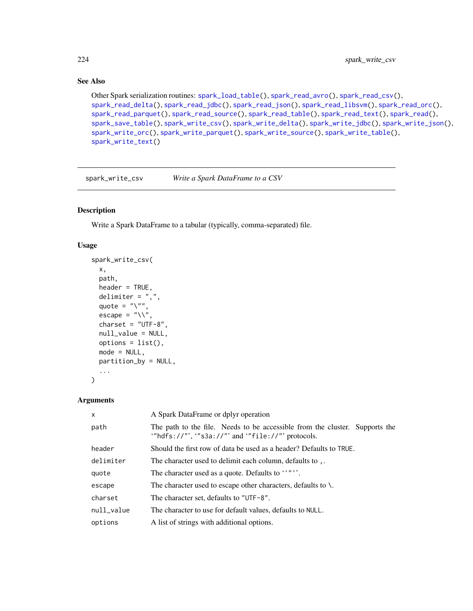```
Other Spark serialization routines: spark_load_table(), spark_read_avro(), spark_read_csv(),
spark_read_delta(), spark_read_jdbc(), spark_read_json(), spark_read_libsvm(), spark_read_orc(),
spark_read_parquet(), spark_read_source(), spark_read_table(), spark_read_text(), spark_read(),
spark_save_table(), spark_write_csv(), spark_write_delta(), spark_write_jdbc(), spark_write_json(),
spark_write_orc(), spark_write_parquet(), spark_write_source(), spark_write_table(),
spark_write_text()
```
<span id="page-223-0"></span>spark\_write\_csv *Write a Spark DataFrame to a CSV*

### Description

Write a Spark DataFrame to a tabular (typically, comma-separated) file.

### Usage

```
spark_write_csv(
 x,
 path,
 header = TRUE,
  delimiter = ",",
  quote = "\rangle",
 escape = ''\wedge",
 charset = "UTF-8",null_value = NULL,
 options = list(),
 mode = NULL,partition_by = NULL,
  ...
)
```

| $\mathsf{x}$ | A Spark DataFrame or dplyr operation                                                                                             |
|--------------|----------------------------------------------------------------------------------------------------------------------------------|
| path         | The path to the file. Needs to be accessible from the cluster. Supports the<br>""hdfs://"', "s3a://"' and ""file://"' protocols. |
| header       | Should the first row of data be used as a header? Defaults to TRUE.                                                              |
| delimiter    | The character used to delimit each column, defaults to.                                                                          |
| quote        | The character used as a quote. Defaults to ''"''.                                                                                |
| escape       | The character used to escape other characters, defaults to $\lambda$ .                                                           |
| charset      | The character set, defaults to "UTF-8".                                                                                          |
| null_value   | The character to use for default values, defaults to NULL.                                                                       |
| options      | A list of strings with additional options.                                                                                       |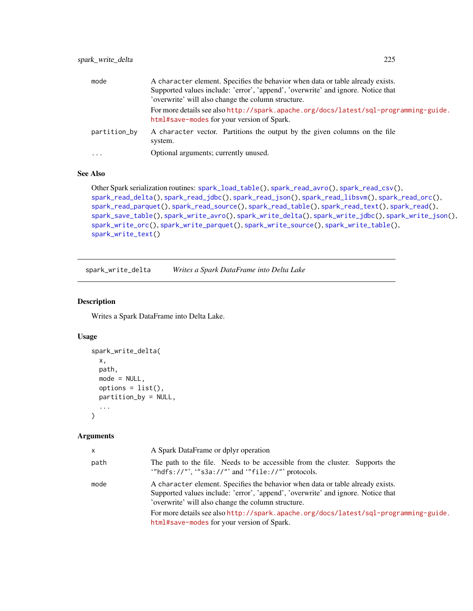| mode         | A character element. Specifies the behavior when data or table already exists.<br>Supported values include: 'error', 'append', 'overwrite' and ignore. Notice that<br>'overwrite' will also change the column structure. |
|--------------|--------------------------------------------------------------------------------------------------------------------------------------------------------------------------------------------------------------------------|
|              | For more details see also http://spark.apache.org/docs/latest/sql-programming-guide.<br>html#save-modes for your version of Spark.                                                                                       |
| partition_by | A character vector. Partitions the output by the given columns on the file<br>system.                                                                                                                                    |
| .            | Optional arguments; currently unused.                                                                                                                                                                                    |

```
Other Spark serialization routines: spark_load_table(), spark_read_avro(), spark_read_csv(),
spark_read_delta(), spark_read_jdbc(), spark_read_json(), spark_read_libsvm(), spark_read_orc(),
spark_read_parquet(), spark_read_source(), spark_read_table(), spark_read_text(), spark_read(),
spark_save_table(), spark_write_avro(), spark_write_delta(), spark_write_jdbc(), spark_write_json(),
spark_write_orc(), spark_write_parquet(), spark_write_source(), spark_write_table(),
spark_write_text()
```
<span id="page-224-0"></span>spark\_write\_delta *Writes a Spark DataFrame into Delta Lake*

### Description

Writes a Spark DataFrame into Delta Lake.

#### Usage

```
spark_write_delta(
  x,
  path,
 mode = NULL,options = list(),partition_by = NULL,
  ...
\mathcal{L}
```

| X    | A Spark DataFrame or dplyr operation                                                                                                                                                                                     |
|------|--------------------------------------------------------------------------------------------------------------------------------------------------------------------------------------------------------------------------|
| path | The path to the file. Needs to be accessible from the cluster. Supports the<br>""hdfs://"", ""s3a://"" and ""file://"" protocols.                                                                                        |
| mode | A character element. Specifies the behavior when data or table already exists.<br>Supported values include: 'error', 'append', 'overwrite' and ignore. Notice that<br>'overwrite' will also change the column structure. |
|      | For more details see also http://spark.apache.org/docs/latest/sql-programming-guide.<br>html#save-modes for your version of Spark.                                                                                       |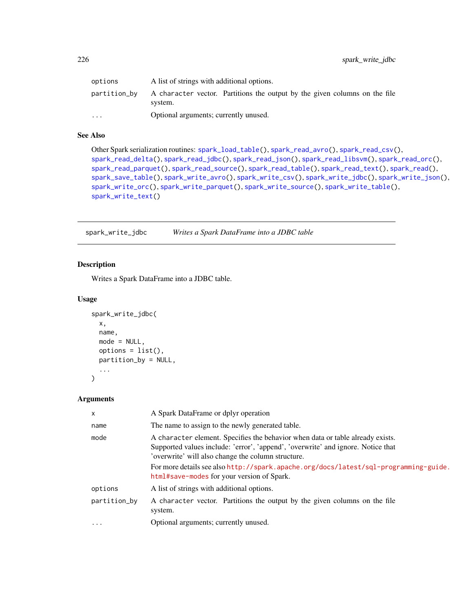| options                 | A list of strings with additional options.                                            |  |
|-------------------------|---------------------------------------------------------------------------------------|--|
| partition_bv            | A character vector. Partitions the output by the given columns on the file<br>system. |  |
| $\cdot$ $\cdot$ $\cdot$ | Optional arguments; currently unused.                                                 |  |

```
Other Spark serialization routines: spark_load_table(), spark_read_avro(), spark_read_csv(),
spark_read_delta(), spark_read_jdbc(), spark_read_json(), spark_read_libsvm(), spark_read_orc(),
spark_read_parquet(), spark_read_source(), spark_read_table(), spark_read_text(), spark_read(),
spark_save_table(), spark_write_avro(), spark_write_csv(), spark_write_jdbc(), spark_write_json(),
spark_write_orc(), spark_write_parquet(), spark_write_source(), spark_write_table(),
spark_write_text()
```
<span id="page-225-0"></span>spark\_write\_jdbc *Writes a Spark DataFrame into a JDBC table*

### Description

Writes a Spark DataFrame into a JDBC table.

#### Usage

```
spark_write_jdbc(
  x,
 name,
 mode = NULL,
  options = list(),
 partition_by = NULL,
  ...
\mathcal{L}
```

| $\times$     | A Spark DataFrame or dplyr operation                                                                                                                                                                                     |
|--------------|--------------------------------------------------------------------------------------------------------------------------------------------------------------------------------------------------------------------------|
| name         | The name to assign to the newly generated table.                                                                                                                                                                         |
| mode         | A character element. Specifies the behavior when data or table already exists.<br>Supported values include: 'error', 'append', 'overwrite' and ignore. Notice that<br>'overwrite' will also change the column structure. |
|              | For more details see also http://spark.apache.org/docs/latest/sql-programming-guide.<br>html#save-modes for your version of Spark.                                                                                       |
| options      | A list of strings with additional options.                                                                                                                                                                               |
| partition_by | A character vector. Partitions the output by the given columns on the file<br>system.                                                                                                                                    |
| $\ddotsc$    | Optional arguments; currently unused.                                                                                                                                                                                    |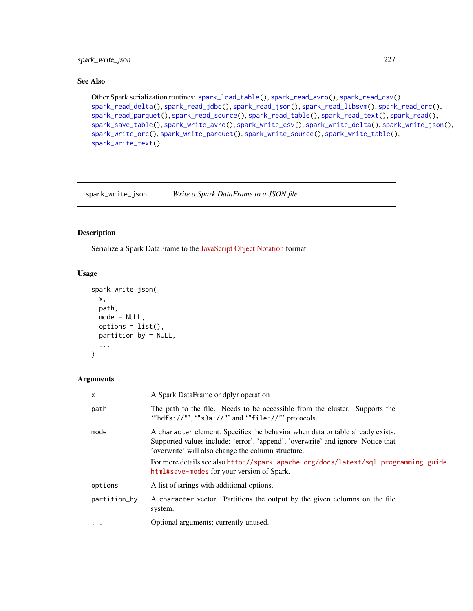## spark\_write\_json 227

## See Also

Other Spark serialization routines: [spark\\_load\\_table\(](#page-202-0)), [spark\\_read\\_avro\(](#page-204-0)), [spark\\_read\\_csv\(](#page-205-0)), [spark\\_read\\_delta\(](#page-207-0)), [spark\\_read\\_jdbc\(](#page-208-0)), [spark\\_read\\_json\(](#page-209-0)), [spark\\_read\\_libsvm\(](#page-211-0)), [spark\\_read\\_orc\(](#page-212-0)), [spark\\_read\\_parquet\(](#page-213-0)), [spark\\_read\\_source\(](#page-214-0)), [spark\\_read\\_table\(](#page-215-0)), [spark\\_read\\_text\(](#page-216-0)), [spark\\_read\(](#page-203-0)), [spark\\_save\\_table\(](#page-218-0)), [spark\\_write\\_avro\(](#page-222-0)), [spark\\_write\\_csv\(](#page-223-0)), [spark\\_write\\_delta\(](#page-224-0)), [spark\\_write\\_json\(](#page-226-0)), [spark\\_write\\_orc\(](#page-227-0)), [spark\\_write\\_parquet\(](#page-228-0)), [spark\\_write\\_source\(](#page-229-0)), [spark\\_write\\_table\(](#page-230-0)), [spark\\_write\\_text\(](#page-231-0))

<span id="page-226-0"></span>spark\_write\_json *Write a Spark DataFrame to a JSON file*

#### Description

Serialize a Spark DataFrame to the [JavaScript Object Notation](http://www.json.org/) format.

### Usage

```
spark_write_json(
 x,
 path,
 mode = NULL,
 options = list(),
 partition_by = NULL,
  ...
)
```

| $\mathsf{x}$ | A Spark DataFrame or dplyr operation                                                                                                                                                                                     |
|--------------|--------------------------------------------------------------------------------------------------------------------------------------------------------------------------------------------------------------------------|
| path         | The path to the file. Needs to be accessible from the cluster. Supports the<br>"hdfs://"', "s3a://"' and '"file://"' protocols.                                                                                          |
| mode         | A character element. Specifies the behavior when data or table already exists.<br>Supported values include: 'error', 'append', 'overwrite' and ignore. Notice that<br>'overwrite' will also change the column structure. |
|              | For more details see also http://spark.apache.org/docs/latest/sql-programming-guide.<br>html#save-modes for your version of Spark.                                                                                       |
| options      | A list of strings with additional options.                                                                                                                                                                               |
| partition_by | A character vector. Partitions the output by the given columns on the file<br>system.                                                                                                                                    |
| $\cdot$      | Optional arguments; currently unused.                                                                                                                                                                                    |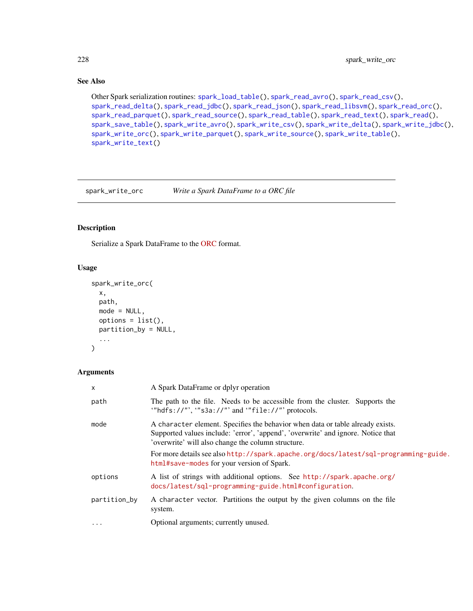Other Spark serialization routines: [spark\\_load\\_table\(](#page-202-0)), [spark\\_read\\_avro\(](#page-204-0)), [spark\\_read\\_csv\(](#page-205-0)), [spark\\_read\\_delta\(](#page-207-0)), [spark\\_read\\_jdbc\(](#page-208-0)), [spark\\_read\\_json\(](#page-209-0)), [spark\\_read\\_libsvm\(](#page-211-0)), [spark\\_read\\_orc\(](#page-212-0)), [spark\\_read\\_parquet\(](#page-213-0)), [spark\\_read\\_source\(](#page-214-0)), [spark\\_read\\_table\(](#page-215-0)), [spark\\_read\\_text\(](#page-216-0)), [spark\\_read\(](#page-203-0)), [spark\\_save\\_table\(](#page-218-0)), [spark\\_write\\_avro\(](#page-222-0)), [spark\\_write\\_csv\(](#page-223-0)), [spark\\_write\\_delta\(](#page-224-0)), [spark\\_write\\_jdbc\(](#page-225-0)), [spark\\_write\\_orc\(](#page-227-0)), [spark\\_write\\_parquet\(](#page-228-0)), [spark\\_write\\_source\(](#page-229-0)), [spark\\_write\\_table\(](#page-230-0)), [spark\\_write\\_text\(](#page-231-0))

<span id="page-227-0"></span>spark\_write\_orc *Write a Spark DataFrame to a ORC file*

#### Description

Serialize a Spark DataFrame to the [ORC](https://orc.apache.org/) format.

## Usage

```
spark_write_orc(
  x,
 path,
 mode = NULL,
 options = list(),partition_by = NULL,
  ...
)
```

| X            | A Spark DataFrame or dplyr operation                                                                                                                                                                                     |
|--------------|--------------------------------------------------------------------------------------------------------------------------------------------------------------------------------------------------------------------------|
| path         | The path to the file. Needs to be accessible from the cluster. Supports the<br>"hdfs://"', "s3a://"' and "file://"' protocols.                                                                                           |
| mode         | A character element. Specifies the behavior when data or table already exists.<br>Supported values include: 'error', 'append', 'overwrite' and ignore. Notice that<br>'overwrite' will also change the column structure. |
|              | For more details see also http://spark.apache.org/docs/latest/sql-programming-guide.<br>html#save-modes for your version of Spark.                                                                                       |
| options      | A list of strings with additional options. See http://spark.apache.org/<br>docs/latest/sql-programming-guide.html#configuration.                                                                                         |
| partition_by | A character vector. Partitions the output by the given columns on the file<br>system.                                                                                                                                    |
| $\cdots$     | Optional arguments; currently unused.                                                                                                                                                                                    |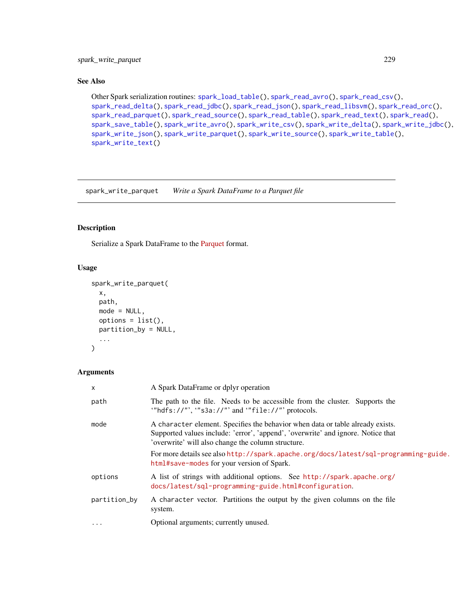## spark\_write\_parquet 229

## See Also

Other Spark serialization routines: [spark\\_load\\_table\(](#page-202-0)), [spark\\_read\\_avro\(](#page-204-0)), [spark\\_read\\_csv\(](#page-205-0)), [spark\\_read\\_delta\(](#page-207-0)), [spark\\_read\\_jdbc\(](#page-208-0)), [spark\\_read\\_json\(](#page-209-0)), [spark\\_read\\_libsvm\(](#page-211-0)), [spark\\_read\\_orc\(](#page-212-0)), [spark\\_read\\_parquet\(](#page-213-0)), [spark\\_read\\_source\(](#page-214-0)), [spark\\_read\\_table\(](#page-215-0)), [spark\\_read\\_text\(](#page-216-0)), [spark\\_read\(](#page-203-0)), [spark\\_save\\_table\(](#page-218-0)), [spark\\_write\\_avro\(](#page-222-0)), [spark\\_write\\_csv\(](#page-223-0)), [spark\\_write\\_delta\(](#page-224-0)), [spark\\_write\\_jdbc\(](#page-225-0)), [spark\\_write\\_json\(](#page-226-0)), [spark\\_write\\_parquet\(](#page-228-0)), [spark\\_write\\_source\(](#page-229-0)), [spark\\_write\\_table\(](#page-230-0)), [spark\\_write\\_text\(](#page-231-0))

<span id="page-228-0"></span>spark\_write\_parquet *Write a Spark DataFrame to a Parquet file*

#### Description

Serialize a Spark DataFrame to the [Parquet](https://parquet.apache.org/) format.

## Usage

```
spark_write_parquet(
 x,
 path,
 mode = NULL,
 options = list(),partition_by = NULL,
  ...
)
```

| X            | A Spark DataFrame or dplyr operation                                                                                                                                                                                     |
|--------------|--------------------------------------------------------------------------------------------------------------------------------------------------------------------------------------------------------------------------|
| path         | The path to the file. Needs to be accessible from the cluster. Supports the<br>"hdfs://"', "s3a://"' and "file://"' protocols.                                                                                           |
| mode         | A character element. Specifies the behavior when data or table already exists.<br>Supported values include: 'error', 'append', 'overwrite' and ignore. Notice that<br>'overwrite' will also change the column structure. |
|              | For more details see also http://spark.apache.org/docs/latest/sql-programming-guide.<br>html#save-modes for your version of Spark.                                                                                       |
| options      | A list of strings with additional options. See http://spark.apache.org/<br>docs/latest/sql-programming-guide.html#configuration.                                                                                         |
| partition_by | A character vector. Partitions the output by the given columns on the file<br>system.                                                                                                                                    |
| $\cdots$     | Optional arguments; currently unused.                                                                                                                                                                                    |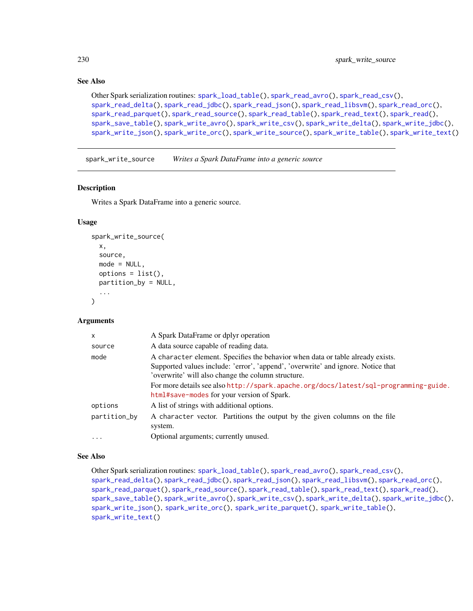```
Other Spark serialization routines: spark_load_table(), spark_read_avro(), spark_read_csv(),
spark_read_delta(), spark_read_jdbc(), spark_read_json(), spark_read_libsvm(), spark_read_orc(),
spark_read_parquet(), spark_read_source(), spark_read_table(), spark_read_text(), spark_read(),
spark_save_table(), spark_write_avro(), spark_write_csv(), spark_write_delta(), spark_write_jdbc(),
spark_write_json(), spark_write_orc(), spark_write_source(), spark_write_table(), spark_write_text()
```
<span id="page-229-0"></span>spark\_write\_source *Writes a Spark DataFrame into a generic source*

### Description

Writes a Spark DataFrame into a generic source.

### Usage

```
spark_write_source(
 x,
  source,
 mode = NULL,
 options = list(),partition_by = NULL,
  ...
)
```
#### Arguments

| $\mathsf{x}$ | A Spark DataFrame or dplyr operation                                                                                                                                                                                     |
|--------------|--------------------------------------------------------------------------------------------------------------------------------------------------------------------------------------------------------------------------|
| source       | A data source capable of reading data.                                                                                                                                                                                   |
| mode         | A character element. Specifies the behavior when data or table already exists.<br>Supported values include: 'error', 'append', 'overwrite' and ignore. Notice that<br>'overwrite' will also change the column structure. |
|              | For more details see also http://spark.apache.org/docs/latest/sql-programming-guide.<br>html#save-modes for your version of Spark.                                                                                       |
| options      | A list of strings with additional options.                                                                                                                                                                               |
| partition_by | A character vector. Partitions the output by the given columns on the file<br>system.                                                                                                                                    |
| $\ddotsc$    | Optional arguments; currently unused.                                                                                                                                                                                    |

### See Also

```
Other Spark serialization routines: spark_load_table(), spark_read_avro(), spark_read_csv(),
spark_read_delta(), spark_read_jdbc(), spark_read_json(), spark_read_libsvm(), spark_read_orc(),
spark_read_parquet(), spark_read_source(), spark_read_table(), spark_read_text(), spark_read(),
spark_save_table(), spark_write_avro(), spark_write_csv(), spark_write_delta(), spark_write_jdbc(),
spark_write_json(), spark_write_orc(), spark_write_parquet(), spark_write_table(),
spark_write_text()
```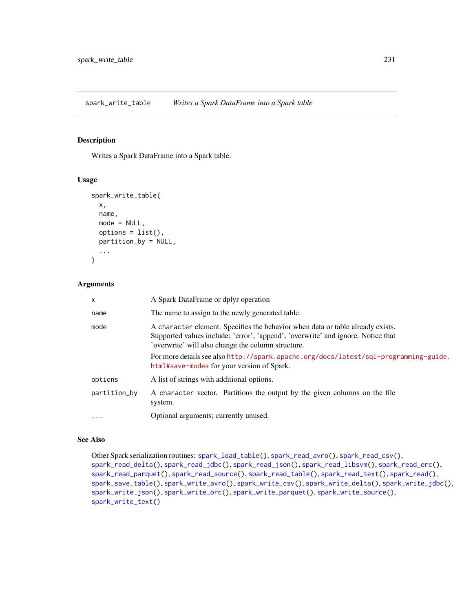<span id="page-230-0"></span>spark\_write\_table *Writes a Spark DataFrame into a Spark table*

# Description

Writes a Spark DataFrame into a Spark table.

#### Usage

```
spark_write_table(
  x,
 name,
 mode = NULL,
 options = list(),
 partition_by = NULL,
  ...
)
```
## Arguments

| X            | A Spark DataFrame or dplyr operation                                                                                                                                                                                     |
|--------------|--------------------------------------------------------------------------------------------------------------------------------------------------------------------------------------------------------------------------|
| name         | The name to assign to the newly generated table.                                                                                                                                                                         |
| mode         | A character element. Specifies the behavior when data or table already exists.<br>Supported values include: 'error', 'append', 'overwrite' and ignore. Notice that<br>'overwrite' will also change the column structure. |
|              | For more details see also http://spark.apache.org/docs/latest/sql-programming-guide.<br>html#save-modes for your version of Spark.                                                                                       |
| options      | A list of strings with additional options.                                                                                                                                                                               |
| partition_by | A character vector. Partitions the output by the given columns on the file<br>system.                                                                                                                                    |
| $\cdots$     | Optional arguments; currently unused.                                                                                                                                                                                    |

### See Also

Other Spark serialization routines: [spark\\_load\\_table\(](#page-202-0)), [spark\\_read\\_avro\(](#page-204-0)), [spark\\_read\\_csv\(](#page-205-0)), [spark\\_read\\_delta\(](#page-207-0)), [spark\\_read\\_jdbc\(](#page-208-0)), [spark\\_read\\_json\(](#page-209-0)), [spark\\_read\\_libsvm\(](#page-211-0)), [spark\\_read\\_orc\(](#page-212-0)), [spark\\_read\\_parquet\(](#page-213-0)), [spark\\_read\\_source\(](#page-214-0)), [spark\\_read\\_table\(](#page-215-0)), [spark\\_read\\_text\(](#page-216-0)), [spark\\_read\(](#page-203-0)), [spark\\_save\\_table\(](#page-218-0)), [spark\\_write\\_avro\(](#page-222-0)), [spark\\_write\\_csv\(](#page-223-0)), [spark\\_write\\_delta\(](#page-224-0)), [spark\\_write\\_jdbc\(](#page-225-0)), [spark\\_write\\_json\(](#page-226-0)), [spark\\_write\\_orc\(](#page-227-0)), [spark\\_write\\_parquet\(](#page-228-0)), [spark\\_write\\_source\(](#page-229-0)), [spark\\_write\\_text\(](#page-231-0))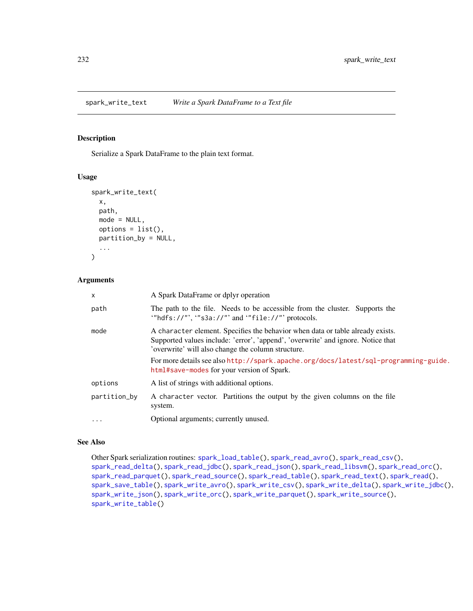<span id="page-231-0"></span>spark\_write\_text *Write a Spark DataFrame to a Text file*

#### Description

Serialize a Spark DataFrame to the plain text format.

#### Usage

```
spark_write_text(
 x,
 path,
 mode = NULL,options = list(),
 partition_by = NULL,
  ...
)
```
## Arguments

| $\times$     | A Spark DataFrame or dplyr operation                                                                                                                                                                                     |
|--------------|--------------------------------------------------------------------------------------------------------------------------------------------------------------------------------------------------------------------------|
| path         | The path to the file. Needs to be accessible from the cluster. Supports the<br>"hdfs://"', "s3a://"' and "file://"' protocols.                                                                                           |
| mode         | A character element. Specifies the behavior when data or table already exists.<br>Supported values include: 'error', 'append', 'overwrite' and ignore. Notice that<br>'overwrite' will also change the column structure. |
|              | For more details see also http://spark.apache.org/docs/latest/sql-programming-guide.<br>html#save-modes for your version of Spark.                                                                                       |
| options      | A list of strings with additional options.                                                                                                                                                                               |
| partition_by | A character vector. Partitions the output by the given columns on the file<br>system.                                                                                                                                    |
| $\ddots$ .   | Optional arguments; currently unused.                                                                                                                                                                                    |

### See Also

Other Spark serialization routines: [spark\\_load\\_table\(](#page-202-0)), [spark\\_read\\_avro\(](#page-204-0)), [spark\\_read\\_csv\(](#page-205-0)), [spark\\_read\\_delta\(](#page-207-0)), [spark\\_read\\_jdbc\(](#page-208-0)), [spark\\_read\\_json\(](#page-209-0)), [spark\\_read\\_libsvm\(](#page-211-0)), [spark\\_read\\_orc\(](#page-212-0)), [spark\\_read\\_parquet\(](#page-213-0)), [spark\\_read\\_source\(](#page-214-0)), [spark\\_read\\_table\(](#page-215-0)), [spark\\_read\\_text\(](#page-216-0)), [spark\\_read\(](#page-203-0)), [spark\\_save\\_table\(](#page-218-0)), [spark\\_write\\_avro\(](#page-222-0)), [spark\\_write\\_csv\(](#page-223-0)), [spark\\_write\\_delta\(](#page-224-0)), [spark\\_write\\_jdbc\(](#page-225-0)), [spark\\_write\\_json\(](#page-226-0)), [spark\\_write\\_orc\(](#page-227-0)), [spark\\_write\\_parquet\(](#page-228-0)), [spark\\_write\\_source\(](#page-229-0)), [spark\\_write\\_table\(](#page-230-0))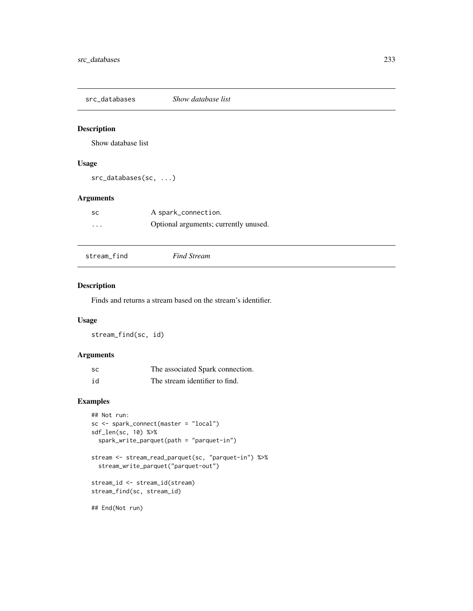src\_databases *Show database list*

### Description

Show database list

## Usage

src\_databases(sc, ...)

## Arguments

| -SC      | A spark_connection.                   |
|----------|---------------------------------------|
| $\cdots$ | Optional arguments; currently unused. |

stream\_find *Find Stream*

# Description

Finds and returns a stream based on the stream's identifier.

## Usage

stream\_find(sc, id)

## Arguments

| SC | The associated Spark connection. |
|----|----------------------------------|
| id | The stream identifier to find.   |

## Examples

```
## Not run:
sc <- spark_connect(master = "local")
sdf_len(sc, 10) %>%
  spark_write_parquet(path = "parquet-in")
```

```
stream <- stream_read_parquet(sc, "parquet-in") %>%
  stream_write_parquet("parquet-out")
```

```
stream_id <- stream_id(stream)
stream_find(sc, stream_id)
```
## End(Not run)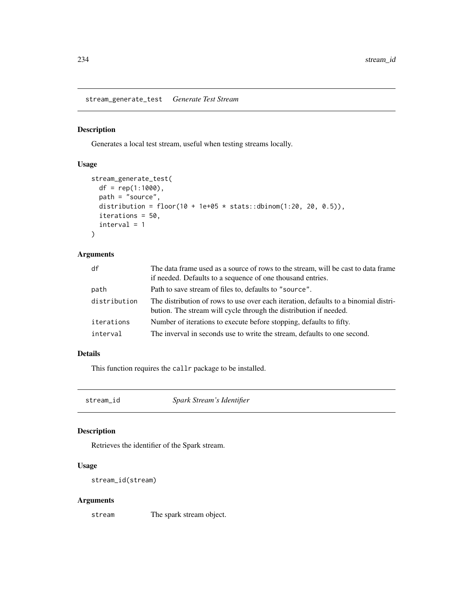stream\_generate\_test *Generate Test Stream*

### Description

Generates a local test stream, useful when testing streams locally.

### Usage

```
stream_generate_test(
 df = rep(1:1000),
 path = "source",distribution = floor(10 + 1e+05 * stats::dbinom(1:20, 20, 0.5)),iterations = 50,
 interval = 1
)
```
## Arguments

| df           | The data frame used as a source of rows to the stream, will be cast to data frame<br>if needed. Defaults to a sequence of one thousand entries.          |
|--------------|----------------------------------------------------------------------------------------------------------------------------------------------------------|
| path         | Path to save stream of files to, defaults to "source".                                                                                                   |
| distribution | The distribution of rows to use over each iteration, defaults to a binomial distri-<br>bution. The stream will cycle through the distribution if needed. |
| iterations   | Number of iterations to execute before stopping, defaults to fifty.                                                                                      |
| interval     | The inverval in seconds use to write the stream, defaults to one second.                                                                                 |

### Details

This function requires the callr package to be installed.

stream\_id *Spark Stream's Identifier*

## Description

Retrieves the identifier of the Spark stream.

### Usage

```
stream_id(stream)
```
### Arguments

stream The spark stream object.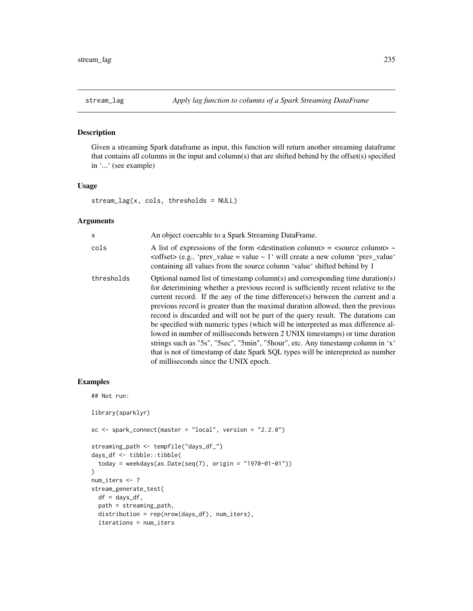## Description

Given a streaming Spark dataframe as input, this function will return another streaming dataframe that contains all columns in the input and column(s) that are shifted behind by the offset(s) specified in '...' (see example)

### Usage

 $stream\_lag(x, \text{cols}, \text{thresholds = NULL})$ 

## Arguments

| x          | An object coercable to a Spark Streaming DataFrame.                                                                                                                                                                                                                                                                                                                                                                                                                                                                                                                                                                                                                                                                                                                                                          |
|------------|--------------------------------------------------------------------------------------------------------------------------------------------------------------------------------------------------------------------------------------------------------------------------------------------------------------------------------------------------------------------------------------------------------------------------------------------------------------------------------------------------------------------------------------------------------------------------------------------------------------------------------------------------------------------------------------------------------------------------------------------------------------------------------------------------------------|
| cols       | A list of expressions of the form <destination column=""> = <source column=""/> <math>\sim</math><br/><math>\langle</math> offset &gt; (e.g., 'prev_value = value ~ 1' will create a new column 'prev_value'<br/>containing all values from the source column 'value' shifted behind by 1</destination>                                                                                                                                                                                                                                                                                                                                                                                                                                                                                                      |
| thresholds | Optional named list of timestamp column(s) and corresponding time duration(s)<br>for deterimining whether a previous record is sufficiently recent relative to the<br>current record. If the any of the time difference(s) between the current and a<br>previous record is greater than the maximal duration allowed, then the previous<br>record is discarded and will not be part of the query result. The durations can<br>be specified with numeric types (which will be interpreted as max difference al-<br>lowed in number of milliseconds between 2 UNIX timestamps) or time duration<br>strings such as "5s", "5sec", "5min", "5hour", etc. Any timestamp column in 'x'<br>that is not of timestamp of date Spark SQL types will be interepreted as number<br>of milliseconds since the UNIX epoch. |

# Examples

## Not run:

```
library(sparklyr)
```

```
sc \le spark_connect(master = "local", version = "2.2.0")
streaming_path <- tempfile("days_df_")
days_df <- tibble::tibble(
 today = weekdays(as.Date(seq(7), origin = "1970-01-01"))
\overline{\phantom{a}}num_iters <- 7
stream_generate_test(
 df = days_df,
 path = streaming_path,
 distribution = rep(nrow(days_df), num_iters),
 iterations = num_iters
```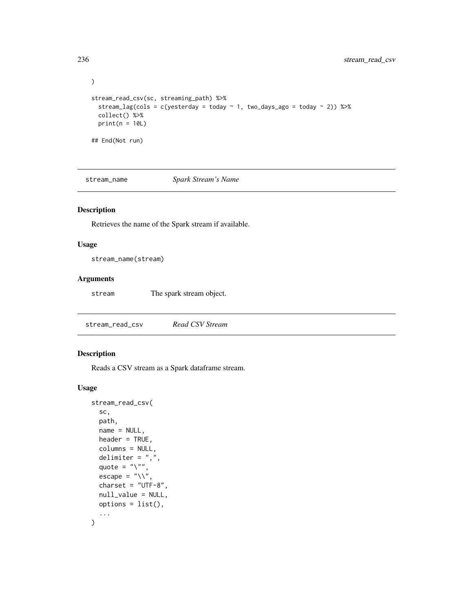```
)
stream_read_csv(sc, streaming_path) %>%
  stream_lag(cols = c(yesterday = today ~ 1, two_days_ago = today ~ 2)) %>%
  collect() %>%
  print(n = 10L)## End(Not run)
```
stream\_name *Spark Stream's Name*

#### Description

Retrieves the name of the Spark stream if available.

### Usage

stream\_name(stream)

### Arguments

stream The spark stream object.

<span id="page-235-0"></span>stream\_read\_csv *Read CSV Stream*

### Description

Reads a CSV stream as a Spark dataframe stream.

#### Usage

```
stream_read_csv(
  sc,
  path,
  name = NULL,header = TRUE,
  columns = NULL,
  delimiter = ",",
  quote = "\rangle",
  escape = ''\wedge",
  \text{charge} = \text{"UTF-8",}null_value = NULL,
  options = list(),...
\mathcal{L}
```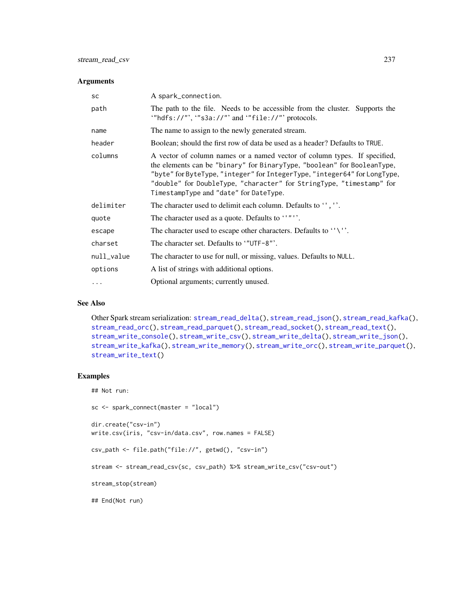### Arguments

| <b>SC</b>  | A spark_connection.                                                                                                                                                                                                                                                                                                                                   |
|------------|-------------------------------------------------------------------------------------------------------------------------------------------------------------------------------------------------------------------------------------------------------------------------------------------------------------------------------------------------------|
| path       | The path to the file. Needs to be accessible from the cluster. Supports the<br>"hdfs://"', "s3a://"' and "file://"' protocols.                                                                                                                                                                                                                        |
| name       | The name to assign to the newly generated stream.                                                                                                                                                                                                                                                                                                     |
| header     | Boolean; should the first row of data be used as a header? Defaults to TRUE.                                                                                                                                                                                                                                                                          |
| columns    | A vector of column names or a named vector of column types. If specified,<br>the elements can be "binary" for Binary Type, "boolean" for Boolean Type,<br>"byte" for ByteType, "integer" for IntegerType, "integer64" for LongType,<br>"double" for DoubleType, "character" for StringType, "timestamp" for<br>TimestampType and "date" for DateType. |
| delimiter  | The character used to delimit each column. Defaults to '', ''.                                                                                                                                                                                                                                                                                        |
| quote      | The character used as a quote. Defaults to ''"''.                                                                                                                                                                                                                                                                                                     |
| escape     | The character used to escape other characters. Defaults to $' \'$ .                                                                                                                                                                                                                                                                                   |
| charset    | The character set. Defaults to "UTF-8"'.                                                                                                                                                                                                                                                                                                              |
| null_value | The character to use for null, or missing, values. Defaults to NULL.                                                                                                                                                                                                                                                                                  |
| options    | A list of strings with additional options.                                                                                                                                                                                                                                                                                                            |
| .          | Optional arguments; currently unused.                                                                                                                                                                                                                                                                                                                 |

#### See Also

```
Other Spark stream serialization: stream_read_delta(), stream_read_json(), stream_read_kafka(),
stream_read_orc(), stream_read_parquet(), stream_read_socket(), stream_read_text(),
stream_write_console(), stream_write_csv(), stream_write_delta(), stream_write_json(),
stream_write_kafka(), stream_write_memory(), stream_write_orc(), stream_write_parquet(),
stream_write_text()
```
#### Examples

## Not run:

```
sc <- spark_connect(master = "local")
dir.create("csv-in")
write.csv(iris, "csv-in/data.csv", row.names = FALSE)
csv_path <- file.path("file://", getwd(), "csv-in")
stream <- stream_read_csv(sc, csv_path) %>% stream_write_csv("csv-out")
stream_stop(stream)
## End(Not run)
```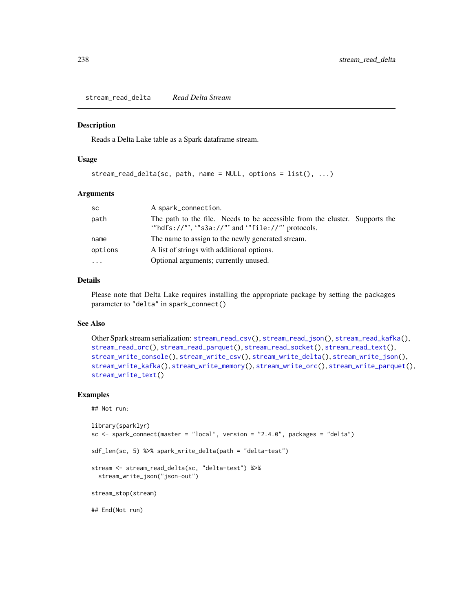<span id="page-237-0"></span>stream\_read\_delta *Read Delta Stream*

#### Description

Reads a Delta Lake table as a Spark dataframe stream.

## Usage

```
stream_read_delta(sc, path, name = NULL, options = list(), ...)
```
### Arguments

| <b>SC</b> | A spark_connection.                                                                                                            |  |
|-----------|--------------------------------------------------------------------------------------------------------------------------------|--|
| path      | The path to the file. Needs to be accessible from the cluster. Supports the<br>"hdfs://"', "s3a://"' and "file://"' protocols. |  |
| name      | The name to assign to the newly generated stream.                                                                              |  |
| options   | A list of strings with additional options.                                                                                     |  |
| $\ddots$  | Optional arguments; currently unused.                                                                                          |  |

## Details

Please note that Delta Lake requires installing the appropriate package by setting the packages parameter to "delta" in spark\_connect()

#### See Also

```
Other Spark stream serialization: stream_read_csv(), stream_read_json(), stream_read_kafka(),
stream_read_orc(), stream_read_parquet(), stream_read_socket(), stream_read_text(),
stream_write_console(), stream_write_csv(), stream_write_delta(), stream_write_json(),
stream_write_kafka(), stream_write_memory(), stream_write_orc(), stream_write_parquet(),
stream_write_text()
```
### Examples

## Not run:

```
library(sparklyr)
sc \leftarrow spark_connect(master = "local", version = "2.4.0", packages = "delta")
sdf_len(sc, 5) %>% spark_write_delta(path = "delta-test")
stream <- stream_read_delta(sc, "delta-test") %>%
 stream_write_json("json-out")
stream_stop(stream)
## End(Not run)
```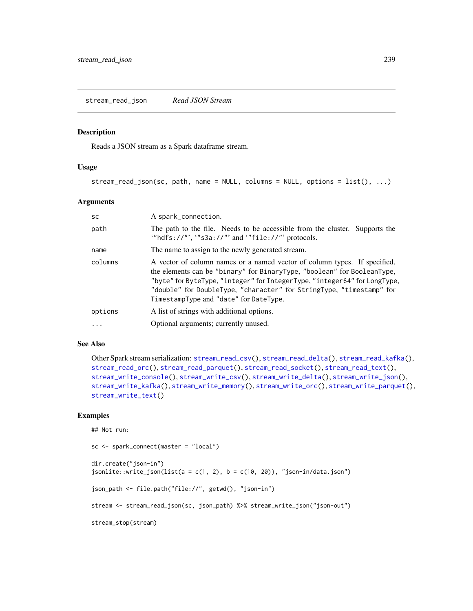<span id="page-238-0"></span>stream\_read\_json *Read JSON Stream*

#### Description

Reads a JSON stream as a Spark dataframe stream.

#### Usage

stream\_read\_json(sc, path, name = NULL, columns = NULL, options = list(), ...)

#### Arguments

| <b>SC</b> | A spark_connection.                                                                                                                                                                                                                                                                                                                                 |
|-----------|-----------------------------------------------------------------------------------------------------------------------------------------------------------------------------------------------------------------------------------------------------------------------------------------------------------------------------------------------------|
| path      | The path to the file. Needs to be accessible from the cluster. Supports the<br>""hdfs://"', "s3a://"' and ""file://"' protocols.                                                                                                                                                                                                                    |
| name      | The name to assign to the newly generated stream.                                                                                                                                                                                                                                                                                                   |
| columns   | A vector of column names or a named vector of column types. If specified,<br>the elements can be "binary" for BinaryType, "boolean" for BooleanType,<br>"byte" for ByteType, "integer" for IntegerType, "integer64" for LongType,<br>"double" for DoubleType, "character" for StringType, "timestamp" for<br>TimestampType and "date" for DateType. |
| options   | A list of strings with additional options.                                                                                                                                                                                                                                                                                                          |
| $\cdots$  | Optional arguments; currently unused.                                                                                                                                                                                                                                                                                                               |

### See Also

```
Other Spark stream serialization: stream_read_csv(), stream_read_delta(), stream_read_kafka(),
stream_read_orc(), stream_read_parquet(), stream_read_socket(), stream_read_text(),
stream_write_console(), stream_write_csv(), stream_write_delta(), stream_write_json(),
stream_write_kafka(), stream_write_memory(), stream_write_orc(), stream_write_parquet(),
stream_write_text()
```
### Examples

```
## Not run:
sc <- spark_connect(master = "local")
dir.create("json-in")
jsonlite::write_json(list(a = c(1, 2), b = c(10, 20)), "json-in/data.json")json_path <- file.path("file://", getwd(), "json-in")
stream <- stream_read_json(sc, json_path) %>% stream_write_json("json-out")
stream_stop(stream)
```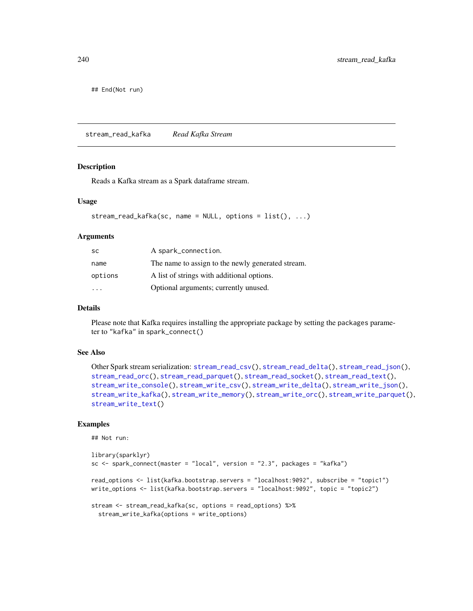## End(Not run)

<span id="page-239-0"></span>stream\_read\_kafka *Read Kafka Stream*

#### Description

Reads a Kafka stream as a Spark dataframe stream.

### Usage

```
stream_read_kafka(sc, name = NULL, options = list(), ...)
```
### Arguments

| <b>SC</b> | A spark_connection.                               |
|-----------|---------------------------------------------------|
| name      | The name to assign to the newly generated stream. |
| options   | A list of strings with additional options.        |
| .         | Optional arguments; currently unused.             |

#### Details

Please note that Kafka requires installing the appropriate package by setting the packages parameter to "kafka" in spark\_connect()

#### See Also

```
Other Spark stream serialization: stream_read_csv(), stream_read_delta(), stream_read_json(),
stream_read_orc(), stream_read_parquet(), stream_read_socket(), stream_read_text(),
stream_write_console(), stream_write_csv(), stream_write_delta(), stream_write_json(),
stream_write_kafka(), stream_write_memory(), stream_write_orc(), stream_write_parquet(),
stream_write_text()
```
## Examples

## Not run:

```
library(sparklyr)
sc \le spark_connect(master = "local", version = "2.3", packages = "kafka")
read_options <- list(kafka.bootstrap.servers = "localhost:9092", subscribe = "topic1")
write_options <- list(kafka.bootstrap.servers = "localhost:9092", topic = "topic2")
stream <- stream_read_kafka(sc, options = read_options) %>%
 stream_write_kafka(options = write_options)
```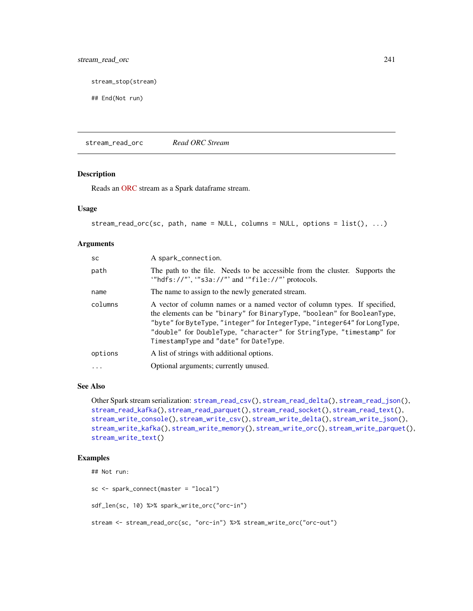stream\_stop(stream)

## End(Not run)

<span id="page-240-0"></span>stream\_read\_orc *Read ORC Stream*

## Description

Reads an [ORC](https://orc.apache.org/) stream as a Spark dataframe stream.

### Usage

```
stream_read_orc(sc, path, name = NULL, columns = NULL, options = list(), ...)
```
### Arguments

| <b>SC</b> | A spark_connection.                                                                                                                                                                                                                                                                                                                                 |
|-----------|-----------------------------------------------------------------------------------------------------------------------------------------------------------------------------------------------------------------------------------------------------------------------------------------------------------------------------------------------------|
| path      | The path to the file. Needs to be accessible from the cluster. Supports the<br>"hdfs://"', "s3a://"' and "file://"' protocols.                                                                                                                                                                                                                      |
| name      | The name to assign to the newly generated stream.                                                                                                                                                                                                                                                                                                   |
| columns   | A vector of column names or a named vector of column types. If specified,<br>the elements can be "binary" for BinaryType, "boolean" for BooleanType,<br>"byte" for ByteType, "integer" for IntegerType, "integer64" for LongType,<br>"double" for DoubleType, "character" for StringType, "timestamp" for<br>TimestampType and "date" for DateType. |
| options   | A list of strings with additional options.                                                                                                                                                                                                                                                                                                          |
| $\cdots$  | Optional arguments; currently unused.                                                                                                                                                                                                                                                                                                               |

## See Also

Other Spark stream serialization: [stream\\_read\\_csv\(](#page-235-0)), [stream\\_read\\_delta\(](#page-237-0)), [stream\\_read\\_json\(](#page-238-0)), [stream\\_read\\_kafka\(](#page-239-0)), [stream\\_read\\_parquet\(](#page-241-0)), [stream\\_read\\_socket\(](#page-242-0)), [stream\\_read\\_text\(](#page-243-0)), [stream\\_write\\_console\(](#page-248-0)), [stream\\_write\\_csv\(](#page-249-0)), [stream\\_write\\_delta\(](#page-250-0)), [stream\\_write\\_json\(](#page-252-0)), [stream\\_write\\_kafka\(](#page-253-0)), [stream\\_write\\_memory\(](#page-254-0)), [stream\\_write\\_orc\(](#page-255-0)), [stream\\_write\\_parquet\(](#page-257-0)), [stream\\_write\\_text\(](#page-258-0))

## Examples

```
## Not run:
```

```
sc <- spark_connect(master = "local")
sdf_len(sc, 10) %>% spark_write_orc("orc-in")
stream <- stream_read_orc(sc, "orc-in") %>% stream_write_orc("orc-out")
```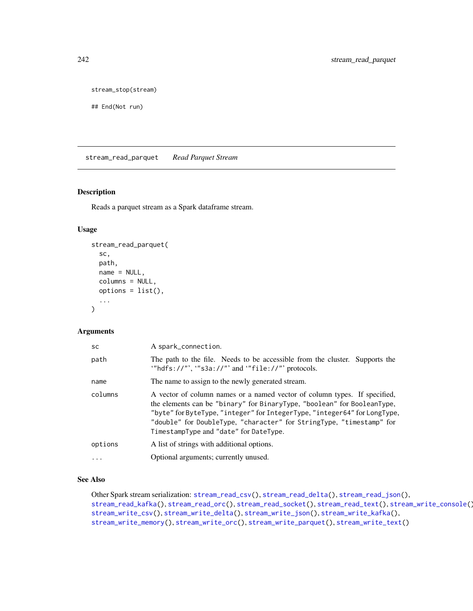stream\_stop(stream)

## End(Not run)

<span id="page-241-0"></span>stream\_read\_parquet *Read Parquet Stream*

### Description

Reads a parquet stream as a Spark dataframe stream.

## Usage

```
stream_read_parquet(
  sc,
 path,
 name = NULL,
  columns = NULL,
  options = list(),...
)
```
#### Arguments

| <b>SC</b> | A spark_connection.                                                                                                                                                                                                                                                                                                                                 |
|-----------|-----------------------------------------------------------------------------------------------------------------------------------------------------------------------------------------------------------------------------------------------------------------------------------------------------------------------------------------------------|
| path      | The path to the file. Needs to be accessible from the cluster. Supports the<br>"hdfs://"', "s3a://"' and '"file://"' protocols.                                                                                                                                                                                                                     |
| name      | The name to assign to the newly generated stream.                                                                                                                                                                                                                                                                                                   |
| columns   | A vector of column names or a named vector of column types. If specified,<br>the elements can be "binary" for BinaryType, "boolean" for BooleanType,<br>"byte" for ByteType, "integer" for IntegerType, "integer64" for LongType,<br>"double" for DoubleType, "character" for StringType, "timestamp" for<br>TimestampType and "date" for DateType. |
| options   | A list of strings with additional options.                                                                                                                                                                                                                                                                                                          |
| $\cdots$  | Optional arguments; currently unused.                                                                                                                                                                                                                                                                                                               |

# See Also

Other Spark stream serialization: [stream\\_read\\_csv\(](#page-235-0)), [stream\\_read\\_delta\(](#page-237-0)), [stream\\_read\\_json\(](#page-238-0)), [stream\\_read\\_kafka\(](#page-239-0)), [stream\\_read\\_orc\(](#page-240-0)), [stream\\_read\\_socket\(](#page-242-0)), [stream\\_read\\_text\(](#page-243-0)), [stream\\_write\\_console\(](#page-248-0)), [stream\\_write\\_csv\(](#page-249-0)), [stream\\_write\\_delta\(](#page-250-0)), [stream\\_write\\_json\(](#page-252-0)), [stream\\_write\\_kafka\(](#page-253-0)), [stream\\_write\\_memory\(](#page-254-0)), [stream\\_write\\_orc\(](#page-255-0)), [stream\\_write\\_parquet\(](#page-257-0)), [stream\\_write\\_text\(](#page-258-0))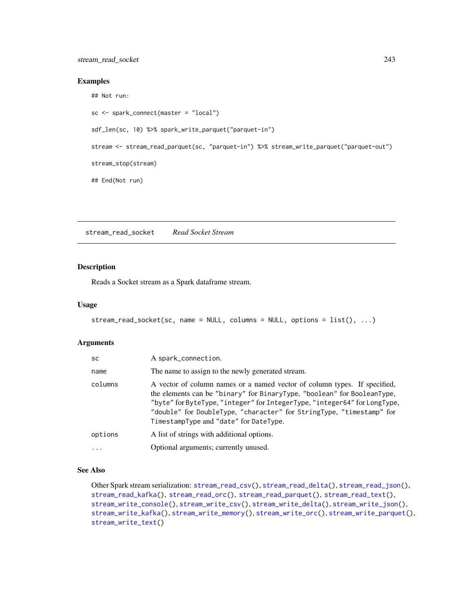## stream\_read\_socket 243

### Examples

## Not run:

```
sc <- spark_connect(master = "local")
sdf_len(sc, 10) %>% spark_write_parquet("parquet-in")
stream <- stream_read_parquet(sc, "parquet-in") %>% stream_write_parquet("parquet-out")
stream_stop(stream)
## End(Not run)
```
<span id="page-242-0"></span>stream\_read\_socket *Read Socket Stream*

## Description

Reads a Socket stream as a Spark dataframe stream.

## Usage

```
stream_read_socket(sc, name = NULL, columns = NULL, options = list(), ...)
```
## Arguments

| <b>SC</b> | A spark_connection.                                                                                                                                                                                                                                                                                                                                 |
|-----------|-----------------------------------------------------------------------------------------------------------------------------------------------------------------------------------------------------------------------------------------------------------------------------------------------------------------------------------------------------|
| name      | The name to assign to the newly generated stream.                                                                                                                                                                                                                                                                                                   |
| columns   | A vector of column names or a named vector of column types. If specified,<br>the elements can be "binary" for BinaryType, "boolean" for BooleanType,<br>"byte" for ByteType, "integer" for IntegerType, "integer64" for LongType,<br>"double" for DoubleType, "character" for StringType, "timestamp" for<br>TimestampType and "date" for DateType. |
| options   | A list of strings with additional options.                                                                                                                                                                                                                                                                                                          |
| $\ddotsc$ | Optional arguments; currently unused.                                                                                                                                                                                                                                                                                                               |

## See Also

Other Spark stream serialization: [stream\\_read\\_csv\(](#page-235-0)), [stream\\_read\\_delta\(](#page-237-0)), [stream\\_read\\_json\(](#page-238-0)), [stream\\_read\\_kafka\(](#page-239-0)), [stream\\_read\\_orc\(](#page-240-0)), [stream\\_read\\_parquet\(](#page-241-0)), [stream\\_read\\_text\(](#page-243-0)), [stream\\_write\\_console\(](#page-248-0)), [stream\\_write\\_csv\(](#page-249-0)), [stream\\_write\\_delta\(](#page-250-0)), [stream\\_write\\_json\(](#page-252-0)), [stream\\_write\\_kafka\(](#page-253-0)), [stream\\_write\\_memory\(](#page-254-0)), [stream\\_write\\_orc\(](#page-255-0)), [stream\\_write\\_parquet\(](#page-257-0)), [stream\\_write\\_text\(](#page-258-0))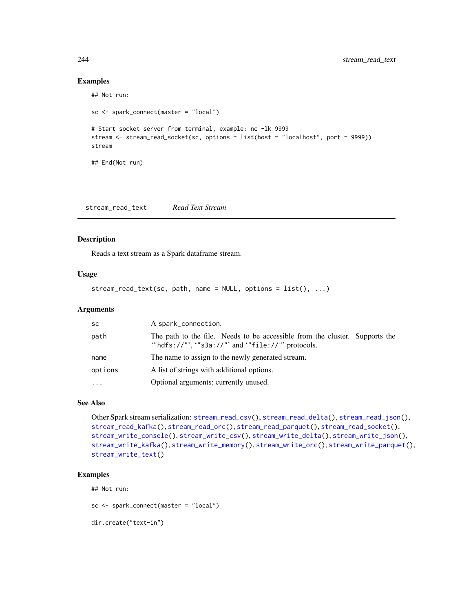### Examples

## Not run:

```
sc <- spark_connect(master = "local")
# Start socket server from terminal, example: nc -lk 9999
stream <- stream_read_socket(sc, options = list(host = "localhost", port = 9999))
stream
## End(Not run)
```
<span id="page-243-0"></span>stream\_read\_text *Read Text Stream*

### Description

Reads a text stream as a Spark dataframe stream.

#### Usage

```
stream_read_text(sc, path, name = NULL, options = list(), ...)
```
### Arguments

| <b>SC</b> | A spark_connection.                                                                                                            |
|-----------|--------------------------------------------------------------------------------------------------------------------------------|
| path      | The path to the file. Needs to be accessible from the cluster. Supports the<br>"hdfs://"', "s3a://"' and "file://"' protocols. |
| name      | The name to assign to the newly generated stream.                                                                              |
| options   | A list of strings with additional options.                                                                                     |
| $\ddotsc$ | Optional arguments; currently unused.                                                                                          |

#### See Also

```
Other Spark stream serialization: stream_read_csv(), stream_read_delta(), stream_read_json(),
stream_read_kafka(), stream_read_orc(), stream_read_parquet(), stream_read_socket(),
stream_write_console(), stream_write_csv(), stream_write_delta(), stream_write_json(),
stream_write_kafka(), stream_write_memory(), stream_write_orc(), stream_write_parquet(),
stream_write_text()
```
## Examples

## Not run:

sc <- spark\_connect(master = "local")

dir.create("text-in")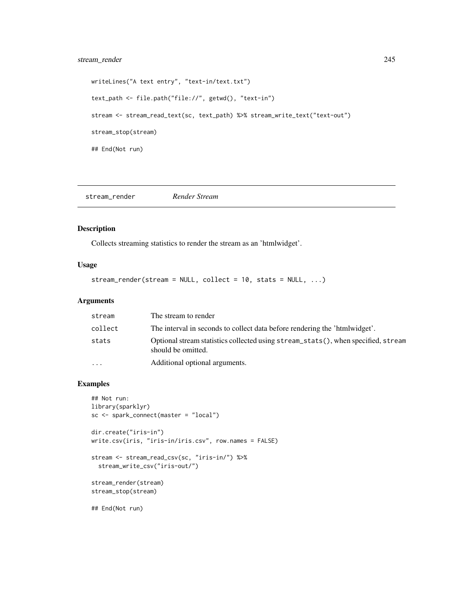## stream\_render 245

```
writeLines("A text entry", "text-in/text.txt")
text_path <- file.path("file://", getwd(), "text-in")
stream <- stream_read_text(sc, text_path) %>% stream_write_text("text-out")
stream_stop(stream)
## End(Not run)
```
stream\_render *Render Stream*

## Description

Collects streaming statistics to render the stream as an 'htmlwidget'.

### Usage

stream\_render(stream = NULL, collect = 10, stats = NULL, ...)

### Arguments

| stream    | The stream to render                                                                                    |
|-----------|---------------------------------------------------------------------------------------------------------|
| collect   | The interval in seconds to collect data before rendering the 'htmlwidget'.                              |
| stats     | Optional stream statistics collected using stream_stats(), when specified, stream<br>should be omitted. |
| $\ddotsc$ | Additional optional arguments.                                                                          |

## Examples

```
## Not run:
library(sparklyr)
sc <- spark_connect(master = "local")
dir.create("iris-in")
write.csv(iris, "iris-in/iris.csv", row.names = FALSE)
stream <- stream_read_csv(sc, "iris-in/") %>%
  stream_write_csv("iris-out/")
stream_render(stream)
stream_stop(stream)
```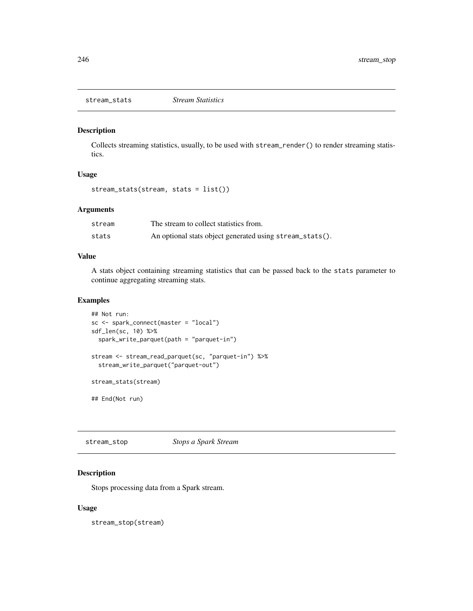stream\_stats *Stream Statistics*

### Description

Collects streaming statistics, usually, to be used with stream\_render() to render streaming statistics.

### Usage

```
stream_stats(stream, stats = list())
```
## Arguments

| stream | The stream to collect statistics from.                   |
|--------|----------------------------------------------------------|
| stats  | An optional stats object generated using stream_stats(). |

## Value

A stats object containing streaming statistics that can be passed back to the stats parameter to continue aggregating streaming stats.

### Examples

```
## Not run:
sc <- spark_connect(master = "local")
sdf_len(sc, 10) %>%
  spark_write_parquet(path = "parquet-in")
stream <- stream_read_parquet(sc, "parquet-in") %>%
  stream_write_parquet("parquet-out")
stream_stats(stream)
```
## End(Not run)

stream\_stop *Stops a Spark Stream*

## Description

Stops processing data from a Spark stream.

### Usage

stream\_stop(stream)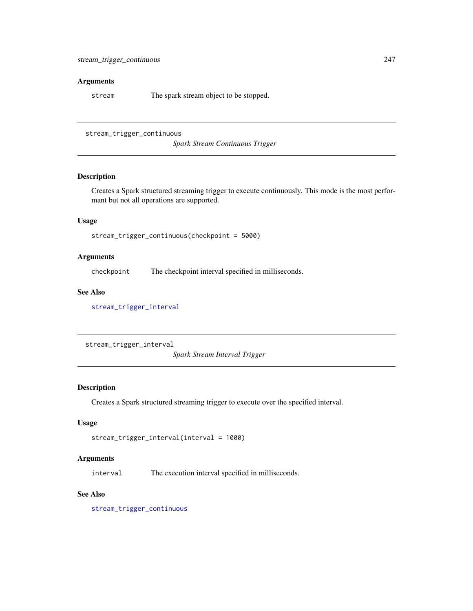#### Arguments

stream The spark stream object to be stopped.

<span id="page-246-1"></span>stream\_trigger\_continuous

*Spark Stream Continuous Trigger*

## Description

Creates a Spark structured streaming trigger to execute continuously. This mode is the most performant but not all operations are supported.

## Usage

stream\_trigger\_continuous(checkpoint = 5000)

#### Arguments

checkpoint The checkpoint interval specified in milliseconds.

## See Also

[stream\\_trigger\\_interval](#page-246-0)

```
stream_trigger_interval
```
*Spark Stream Interval Trigger*

## Description

Creates a Spark structured streaming trigger to execute over the specified interval.

#### Usage

```
stream_trigger_interval(interval = 1000)
```
## Arguments

interval The execution interval specified in milliseconds.

### See Also

[stream\\_trigger\\_continuous](#page-246-1)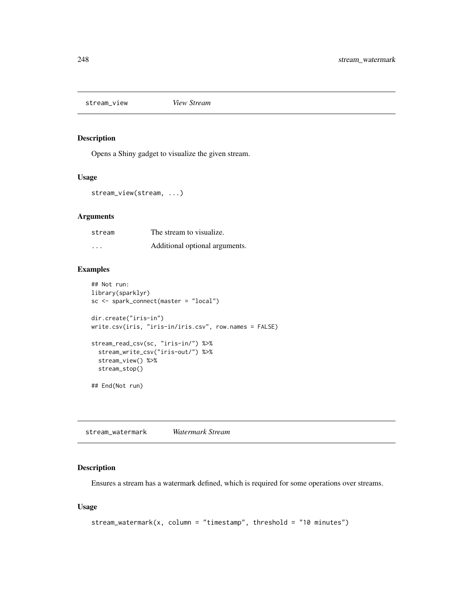stream\_view *View Stream*

### Description

Opens a Shiny gadget to visualize the given stream.

## Usage

```
stream_view(stream, ...)
```
## Arguments

| stream            | The stream to visualize.       |
|-------------------|--------------------------------|
| $\cdot\cdot\cdot$ | Additional optional arguments. |

## Examples

```
## Not run:
library(sparklyr)
sc <- spark_connect(master = "local")
dir.create("iris-in")
write.csv(iris, "iris-in/iris.csv", row.names = FALSE)
stream_read_csv(sc, "iris-in/") %>%
  stream_write_csv("iris-out/") %>%
  stream_view() %>%
  stream_stop()
## End(Not run)
```
stream\_watermark *Watermark Stream*

### Description

Ensures a stream has a watermark defined, which is required for some operations over streams.

## Usage

```
stream_watermark(x, column = "timestamp", threshold = "10 minutes")
```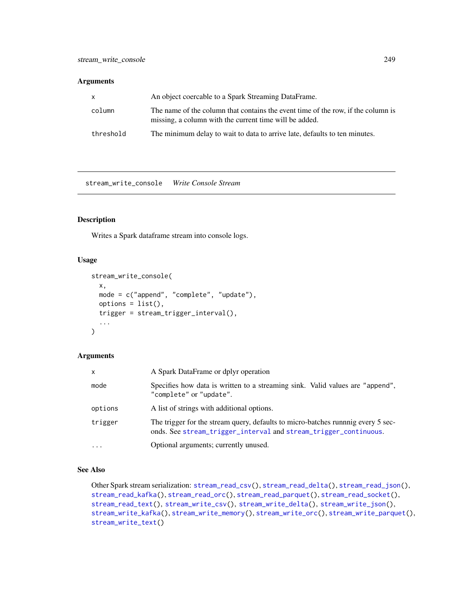## Arguments

|           | An object coercable to a Spark Streaming DataFrame.                                                                                        |
|-----------|--------------------------------------------------------------------------------------------------------------------------------------------|
| column    | The name of the column that contains the event time of the row, if the column is<br>missing, a column with the current time will be added. |
| threshold | The minimum delay to wait to data to arrive late, defaults to ten minutes.                                                                 |

<span id="page-248-0"></span>stream\_write\_console *Write Console Stream*

#### Description

Writes a Spark dataframe stream into console logs.

#### Usage

```
stream_write_console(
 x,
 mode = c("append", "complete", "update"),
 options = list(),trigger = stream_trigger_interval(),
  ...
\mathcal{L}
```
## Arguments

| X         | A Spark DataFrame or dplyr operation                                                                                                                 |
|-----------|------------------------------------------------------------------------------------------------------------------------------------------------------|
| mode      | Specifies how data is written to a streaming sink. Valid values are "append",<br>"complete" or "update".                                             |
| options   | A list of strings with additional options.                                                                                                           |
| trigger   | The trigger for the stream query, defaults to micro-batches running every 5 sec-<br>onds. See stream_trigger_interval and stream_trigger_continuous. |
| $\ddotsc$ | Optional arguments; currently unused.                                                                                                                |

## See Also

Other Spark stream serialization: [stream\\_read\\_csv\(](#page-235-0)), [stream\\_read\\_delta\(](#page-237-0)), [stream\\_read\\_json\(](#page-238-0)), [stream\\_read\\_kafka\(](#page-239-0)), [stream\\_read\\_orc\(](#page-240-0)), [stream\\_read\\_parquet\(](#page-241-0)), [stream\\_read\\_socket\(](#page-242-0)), [stream\\_read\\_text\(](#page-243-0)), [stream\\_write\\_csv\(](#page-249-0)), [stream\\_write\\_delta\(](#page-250-0)), [stream\\_write\\_json\(](#page-252-0)), [stream\\_write\\_kafka\(](#page-253-0)), [stream\\_write\\_memory\(](#page-254-0)), [stream\\_write\\_orc\(](#page-255-0)), [stream\\_write\\_parquet\(](#page-257-0)), [stream\\_write\\_text\(](#page-258-0))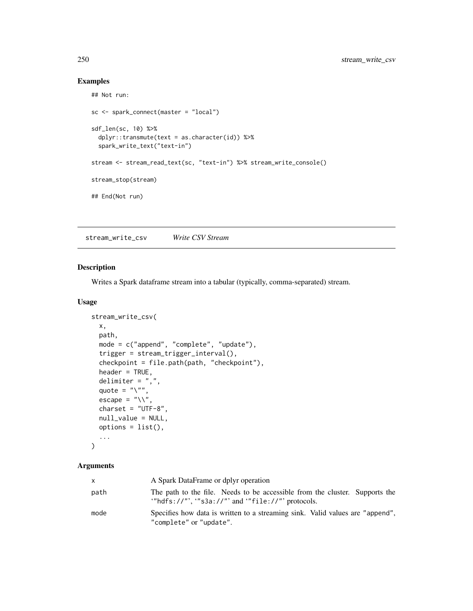## Examples

```
## Not run:
sc <- spark_connect(master = "local")
sdf_len(sc, 10) %>%
  dplyr::transmute(text = as.character(id)) %>%
  spark_write_text("text-in")
stream <- stream_read_text(sc, "text-in") %>% stream_write_console()
stream_stop(stream)
## End(Not run)
```
<span id="page-249-0"></span>stream\_write\_csv *Write CSV Stream*

## Description

Writes a Spark dataframe stream into a tabular (typically, comma-separated) stream.

## Usage

```
stream_write_csv(
 x,
 path,
 mode = c("append", "complete", "update"),
  trigger = stream_trigger_interval(),
  checkpoint = file.path(path, "checkpoint"),
 header = TRUE,delimiter = ",",
 quote = "'\'",
 escape = "\wedge",
 charset = "UTF-8",null_value = NULL,
 options = list(),...
\mathcal{L}
```

| X    | A Spark DataFrame or dplyr operation                                                                                           |
|------|--------------------------------------------------------------------------------------------------------------------------------|
| path | The path to the file. Needs to be accessible from the cluster. Supports the<br>"hdfs://"', "s3a://"' and "file://"' protocols. |
| mode | Specifies how data is written to a streaming sink. Valid values are "append",<br>"complete" or "update".                       |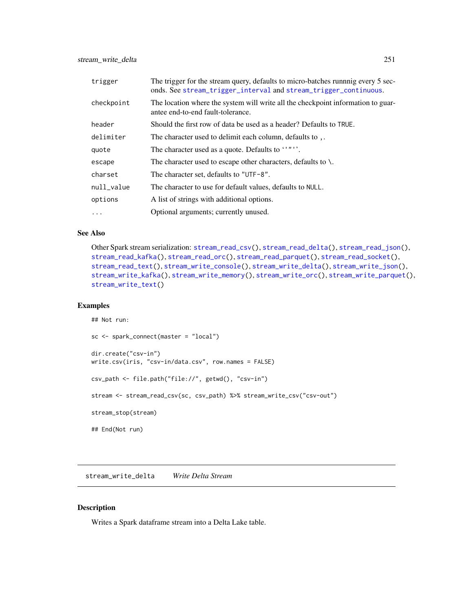stream\_write\_delta 251

| trigger    | The trigger for the stream query, defaults to micro-batches running every 5 sec-<br>onds. See stream_trigger_interval and stream_trigger_continuous. |
|------------|------------------------------------------------------------------------------------------------------------------------------------------------------|
| checkpoint | The location where the system will write all the checkpoint information to guar-<br>antee end-to-end fault-tolerance.                                |
| header     | Should the first row of data be used as a header? Defaults to TRUE.                                                                                  |
| delimiter  | The character used to delimit each column, defaults to.                                                                                              |
| quote      | The character used as a quote. Defaults to ''"''.                                                                                                    |
| escape     | The character used to escape other characters, defaults to $\lambda$ .                                                                               |
| charset    | The character set, defaults to "UTF-8".                                                                                                              |
| null_value | The character to use for default values, defaults to NULL.                                                                                           |
| options    | A list of strings with additional options.                                                                                                           |
| $\cdots$   | Optional arguments; currently unused.                                                                                                                |

## See Also

```
Other Spark stream serialization: stream_read_csv(), stream_read_delta(), stream_read_json(),
stream_read_kafka(), stream_read_orc(), stream_read_parquet(), stream_read_socket(),
stream_read_text(), stream_write_console(), stream_write_delta(), stream_write_json(),
stream_write_kafka(), stream_write_memory(), stream_write_orc(), stream_write_parquet(),
stream_write_text()
```
## Examples

```
## Not run:
sc <- spark_connect(master = "local")
dir.create("csv-in")
write.csv(iris, "csv-in/data.csv", row.names = FALSE)
csv_path <- file.path("file://", getwd(), "csv-in")
stream <- stream_read_csv(sc, csv_path) %>% stream_write_csv("csv-out")
stream_stop(stream)
## End(Not run)
```
<span id="page-250-0"></span>stream\_write\_delta *Write Delta Stream*

### Description

Writes a Spark dataframe stream into a Delta Lake table.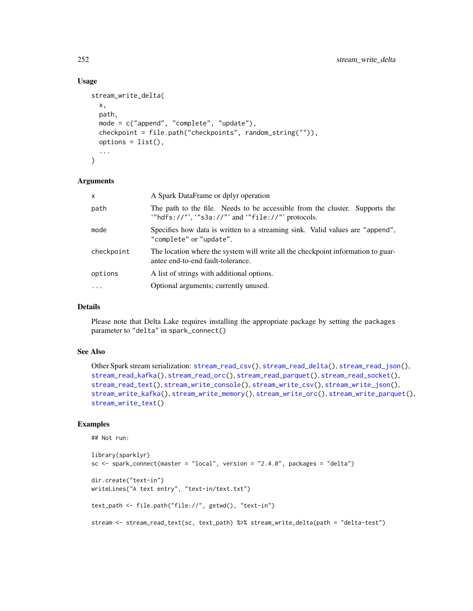### Usage

```
stream_write_delta(
  x,
  path,
  mode = c("append", "complete", "update"),
  checkpoint = file.path("checkpoints", random_string("")),
  options = list(),
  ...
\mathcal{L}
```
#### Arguments

| x          | A Spark DataFrame or dplyr operation                                                                                            |
|------------|---------------------------------------------------------------------------------------------------------------------------------|
| path       | The path to the file. Needs to be accessible from the cluster. Supports the<br>"hdfs://"', "s3a://"' and '"file://"' protocols. |
| mode       | Specifies how data is written to a streaming sink. Valid values are "append",<br>"complete" or "update".                        |
| checkpoint | The location where the system will write all the checkpoint information to guar-<br>antee end-to-end fault-tolerance.           |
| options    | A list of strings with additional options.                                                                                      |
| $\cdot$    | Optional arguments; currently unused.                                                                                           |

#### Details

Please note that Delta Lake requires installing the appropriate package by setting the packages parameter to "delta" in spark\_connect()

#### See Also

```
Other Spark stream serialization: stream_read_csv(), stream_read_delta(), stream_read_json(),
stream_read_kafka(), stream_read_orc(), stream_read_parquet(), stream_read_socket(),
stream_read_text(), stream_write_console(), stream_write_csv(), stream_write_json(),
stream_write_kafka(), stream_write_memory(), stream_write_orc(), stream_write_parquet(),
stream_write_text()
```
# Examples

```
## Not run:
```

```
library(sparklyr)
sc \le spark_connect(master = "local", version = "2.4.0", packages = "delta")
dir.create("text-in")
writeLines("A text entry", "text-in/text.txt")
text_path <- file.path("file://", getwd(), "text-in")
stream <- stream_read_text(sc, text_path) %>% stream_write_delta(path = "delta-test")
```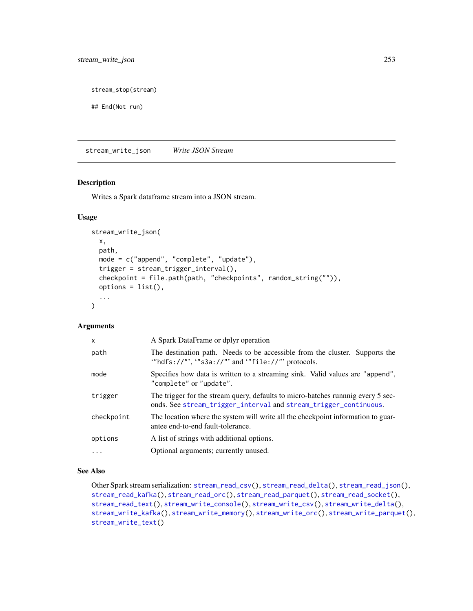<span id="page-252-1"></span>stream\_stop(stream)

```
## End(Not run)
```
<span id="page-252-0"></span>stream\_write\_json *Write JSON Stream*

#### Description

Writes a Spark dataframe stream into a JSON stream.

#### Usage

```
stream_write_json(
 x,
 path,
 mode = c("append", "complete", "update"),
  trigger = stream_trigger_interval(),
  checkpoint = file.path(path, "checkpoints", random_string("")),
 options = list(),
  ...
\mathcal{L}
```
#### Arguments

| $\mathsf{x}$ | A Spark DataFrame or dplyr operation                                                                                                                 |  |  |
|--------------|------------------------------------------------------------------------------------------------------------------------------------------------------|--|--|
| path         | The destination path. Needs to be accessible from the cluster. Supports the<br>"hdfs://"', "s3a://"' and "file://"' protocols.                       |  |  |
| mode         | Specifies how data is written to a streaming sink. Valid values are "append",<br>"complete" or "update".                                             |  |  |
| trigger      | The trigger for the stream query, defaults to micro-batches running every 5 sec-<br>onds. See stream_trigger_interval and stream_trigger_continuous. |  |  |
| checkpoint   | The location where the system will write all the checkpoint information to guar-<br>antee end-to-end fault-tolerance.                                |  |  |
| options      | A list of strings with additional options.                                                                                                           |  |  |
| $\ddotsc$    | Optional arguments; currently unused.                                                                                                                |  |  |

#### See Also

```
Other Spark stream serialization: stream_read_csv(), stream_read_delta(), stream_read_json(),
stream_read_kafka(), stream_read_orc(), stream_read_parquet(), stream_read_socket(),
stream_read_text(), stream_write_console(), stream_write_csv(), stream_write_delta(),
stream_write_kafka(), stream_write_memory(), stream_write_orc(), stream_write_parquet(),
stream_write_text()
```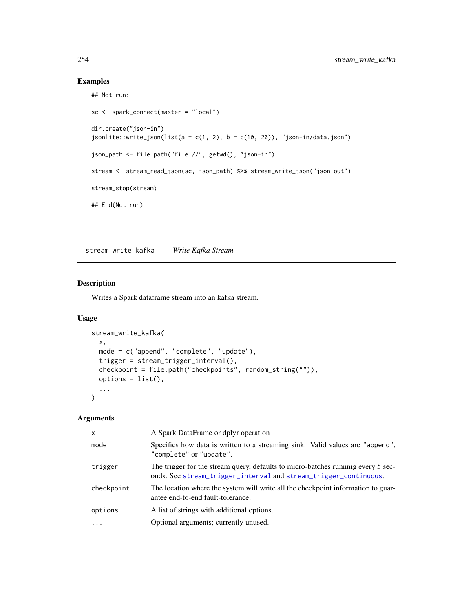#### Examples

```
## Not run:
sc <- spark_connect(master = "local")
dir.create("json-in")
jsonlite::write_json(list(a = c(1, 2), b = c(10, 20)), "json-in/data.json")json_path <- file.path("file://", getwd(), "json-in")
stream <- stream_read_json(sc, json_path) %>% stream_write_json("json-out")
stream_stop(stream)
## End(Not run)
```
<span id="page-253-0"></span>stream\_write\_kafka *Write Kafka Stream*

#### Description

Writes a Spark dataframe stream into an kafka stream.

#### Usage

```
stream_write_kafka(
  x,
 mode = c("append", "complete", "update"),
  trigger = stream_trigger_interval(),
  checkpoint = file.path("checkpoints", random_string("")),
 options = list(),
  ...
\mathcal{L}
```

| $\mathsf{x}$ | A Spark DataFrame or dplyr operation                                                                                                                 |
|--------------|------------------------------------------------------------------------------------------------------------------------------------------------------|
| mode         | Specifies how data is written to a streaming sink. Valid values are "append",<br>"complete" or "update".                                             |
| trigger      | The trigger for the stream query, defaults to micro-batches running every 5 sec-<br>onds. See stream_trigger_interval and stream_trigger_continuous. |
| checkpoint   | The location where the system will write all the checkpoint information to guar-<br>antee end-to-end fault-tolerance.                                |
| options      | A list of strings with additional options.                                                                                                           |
|              | Optional arguments; currently unused.                                                                                                                |

<span id="page-253-1"></span>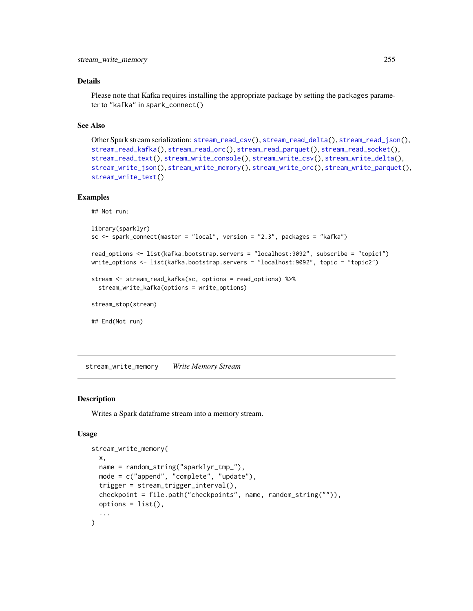#### <span id="page-254-1"></span>Details

Please note that Kafka requires installing the appropriate package by setting the packages parameter to "kafka" in spark\_connect()

#### See Also

```
Other Spark stream serialization: stream_read_csv(), stream_read_delta(), stream_read_json(),
stream_read_kafka(), stream_read_orc(), stream_read_parquet(), stream_read_socket(),
stream_read_text(), stream_write_console(), stream_write_csv(), stream_write_delta(),
stream_write_json(), stream_write_memory(), stream_write_orc(), stream_write_parquet(),
stream_write_text()
```
#### Examples

## Not run:

```
library(sparklyr)
sc <- spark_connect(master = "local", version = "2.3", packages = "kafka")
```

```
read_options <- list(kafka.bootstrap.servers = "localhost:9092", subscribe = "topic1")
write_options <- list(kafka.bootstrap.servers = "localhost:9092", topic = "topic2")
```

```
stream <- stream_read_kafka(sc, options = read_options) %>%
 stream_write_kafka(options = write_options)
```
stream\_stop(stream)

## End(Not run)

<span id="page-254-0"></span>stream\_write\_memory *Write Memory Stream*

#### **Description**

Writes a Spark dataframe stream into a memory stream.

#### Usage

```
stream_write_memory(
  x,
  name = random_string("sparklyr_tmp_"),
 mode = c("append", "complete", "update"),
  trigger = stream_trigger_interval(),
  checkpoint = file.path("checkpoints", name, random_string("")),
 options = list(),...
)
```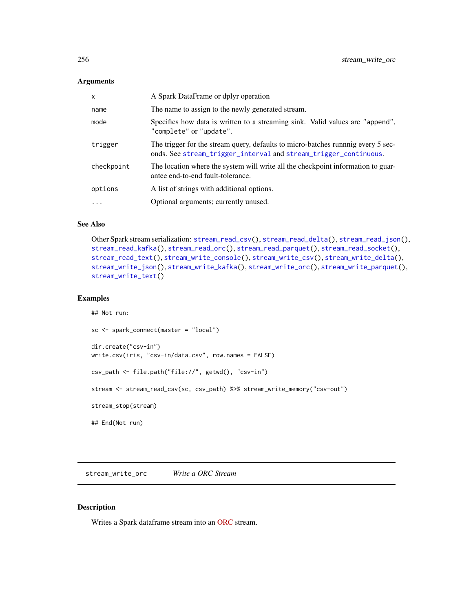#### <span id="page-255-1"></span>Arguments

| x          | A Spark DataFrame or dplyr operation                                                                                                                 |  |  |
|------------|------------------------------------------------------------------------------------------------------------------------------------------------------|--|--|
| name       | The name to assign to the newly generated stream.                                                                                                    |  |  |
| mode       | Specifies how data is written to a streaming sink. Valid values are "append",<br>"complete" or "update".                                             |  |  |
| trigger    | The trigger for the stream query, defaults to micro-batches running every 5 sec-<br>onds. See stream_trigger_interval and stream_trigger_continuous. |  |  |
| checkpoint | The location where the system will write all the checkpoint information to guar-<br>antee end-to-end fault-tolerance.                                |  |  |
| options    | A list of strings with additional options.                                                                                                           |  |  |
| $\ddots$ . | Optional arguments; currently unused.                                                                                                                |  |  |

### See Also

```
Other Spark stream serialization: stream_read_csv(), stream_read_delta(), stream_read_json(),
stream_read_kafka(), stream_read_orc(), stream_read_parquet(), stream_read_socket(),
stream_read_text(), stream_write_console(), stream_write_csv(), stream_write_delta(),
stream_write_json(), stream_write_kafka(), stream_write_orc(), stream_write_parquet(),
stream_write_text()
```
#### Examples

```
## Not run:
sc <- spark_connect(master = "local")
dir.create("csv-in")
write.csv(iris, "csv-in/data.csv", row.names = FALSE)
csv_path <- file.path("file://", getwd(), "csv-in")
stream <- stream_read_csv(sc, csv_path) %>% stream_write_memory("csv-out")
stream_stop(stream)
## End(Not run)
```
<span id="page-255-0"></span>stream\_write\_orc *Write a ORC Stream*

#### Description

Writes a Spark dataframe stream into an [ORC](https://orc.apache.org/) stream.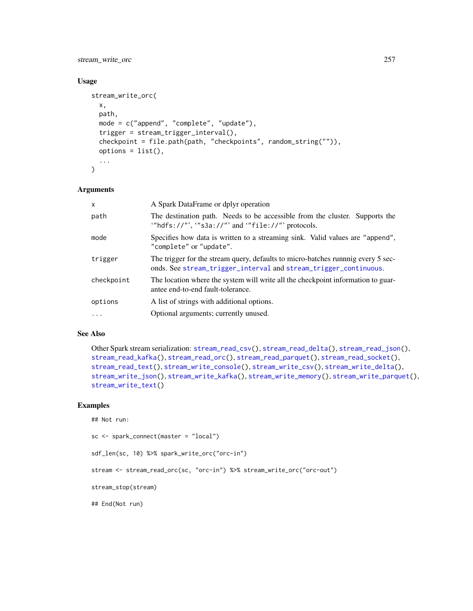#### <span id="page-256-0"></span>stream\_write\_orc 257

#### Usage

```
stream_write_orc(
 x,
 path,
 mode = c("append", "complete", "update"),
  trigger = stream_trigger_interval(),
  checkpoint = file.path(path, "checkpoints", random_string("")),
 options = list(),...
)
```
#### Arguments

| x          | A Spark DataFrame or dplyr operation                                                                                                                 |  |  |
|------------|------------------------------------------------------------------------------------------------------------------------------------------------------|--|--|
| path       | The destination path. Needs to be accessible from the cluster. Supports the<br>"hdfs://"', "s3a://"' and '"file://"' protocols.                      |  |  |
| mode       | Specifies how data is written to a streaming sink. Valid values are "append",<br>"complete" or "update".                                             |  |  |
| trigger    | The trigger for the stream query, defaults to micro-batches running every 5 sec-<br>onds. See stream_trigger_interval and stream_trigger_continuous. |  |  |
| checkpoint | The location where the system will write all the checkpoint information to guar-<br>antee end-to-end fault-tolerance.                                |  |  |
| options    | A list of strings with additional options.                                                                                                           |  |  |
| $\ddots$ . | Optional arguments; currently unused.                                                                                                                |  |  |

#### See Also

```
Other Spark stream serialization: stream_read_csv(), stream_read_delta(), stream_read_json(),
stream_read_kafka(), stream_read_orc(), stream_read_parquet(), stream_read_socket(),
stream_read_text(), stream_write_console(), stream_write_csv(), stream_write_delta(),
stream_write_json(), stream_write_kafka(), stream_write_memory(), stream_write_parquet(),
stream_write_text()
```
#### Examples

```
## Not run:
sc <- spark_connect(master = "local")
sdf_len(sc, 10) %>% spark_write_orc("orc-in")
stream <- stream_read_orc(sc, "orc-in") %>% stream_write_orc("orc-out")
stream_stop(stream)
## End(Not run)
```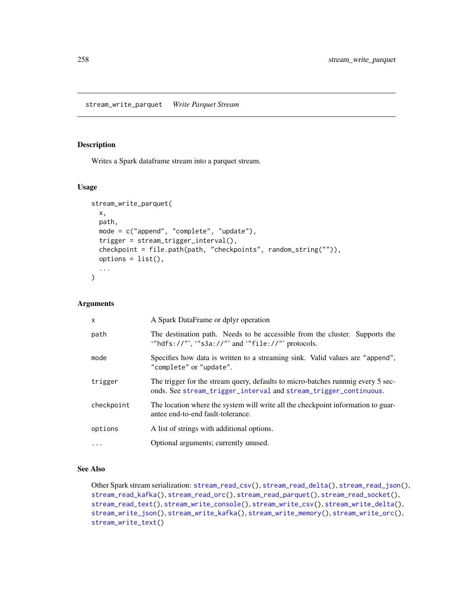#### <span id="page-257-1"></span><span id="page-257-0"></span>Description

Writes a Spark dataframe stream into a parquet stream.

#### Usage

```
stream_write_parquet(
 x,
 path,
 mode = c("append", "complete", "update"),
  trigger = stream_trigger_interval(),
 checkpoint = file.path(path, "checkpoints", random_string("")),
 options = list(),...
)
```
#### Arguments

| $\mathsf{x}$ | A Spark DataFrame or dplyr operation                                                                                                                 |  |  |
|--------------|------------------------------------------------------------------------------------------------------------------------------------------------------|--|--|
| path         | The destination path. Needs to be accessible from the cluster. Supports the<br>"hdfs://"', "s3a://"' and "file://"' protocols.                       |  |  |
| mode         | Specifies how data is written to a streaming sink. Valid values are "append",<br>"complete" or "update".                                             |  |  |
| trigger      | The trigger for the stream query, defaults to micro-batches running every 5 sec-<br>onds. See stream_trigger_interval and stream_trigger_continuous. |  |  |
| checkpoint   | The location where the system will write all the checkpoint information to guar-<br>antee end-to-end fault-tolerance.                                |  |  |
| options      | A list of strings with additional options.                                                                                                           |  |  |
| .            | Optional arguments; currently unused.                                                                                                                |  |  |

#### See Also

Other Spark stream serialization: [stream\\_read\\_csv\(](#page-235-0)), [stream\\_read\\_delta\(](#page-237-0)), [stream\\_read\\_json\(](#page-238-0)), [stream\\_read\\_kafka\(](#page-239-0)), [stream\\_read\\_orc\(](#page-240-0)), [stream\\_read\\_parquet\(](#page-241-0)), [stream\\_read\\_socket\(](#page-242-0)), [stream\\_read\\_text\(](#page-243-0)), [stream\\_write\\_console\(](#page-248-0)), [stream\\_write\\_csv\(](#page-249-0)), [stream\\_write\\_delta\(](#page-250-0)), [stream\\_write\\_json\(](#page-252-0)), [stream\\_write\\_kafka\(](#page-253-0)), [stream\\_write\\_memory\(](#page-254-0)), [stream\\_write\\_orc\(](#page-255-0)), [stream\\_write\\_text\(](#page-258-0))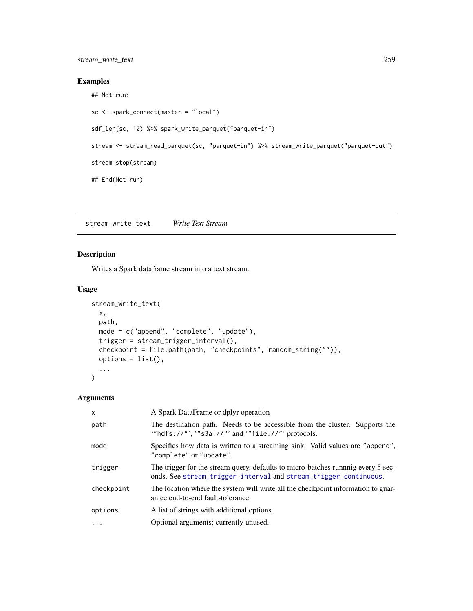#### <span id="page-258-1"></span>stream\_write\_text 259

#### Examples

## Not run:

```
sc <- spark_connect(master = "local")
sdf_len(sc, 10) %>% spark_write_parquet("parquet-in")
stream <- stream_read_parquet(sc, "parquet-in") %>% stream_write_parquet("parquet-out")
stream_stop(stream)
## End(Not run)
```
<span id="page-258-0"></span>stream\_write\_text *Write Text Stream*

#### Description

Writes a Spark dataframe stream into a text stream.

#### Usage

```
stream_write_text(
  x,
 path,
 mode = c("append", "complete", "update"),
  trigger = stream_trigger_interval(),
  checkpoint = file.path(path, "checkpoints", random_string("")),
 options = list(),
  ...
\mathcal{L}
```

| $\times$   | A Spark DataFrame or dplyr operation                                                                                                                 |  |  |  |
|------------|------------------------------------------------------------------------------------------------------------------------------------------------------|--|--|--|
| path       | The destination path. Needs to be accessible from the cluster. Supports the<br>""hdfs://"', "s3a://"' and ""file://"' protocols.                     |  |  |  |
| mode       | Specifies how data is written to a streaming sink. Valid values are "append",<br>"complete" or "update".                                             |  |  |  |
| trigger    | The trigger for the stream query, defaults to micro-batches running every 5 sec-<br>onds. See stream_trigger_interval and stream_trigger_continuous. |  |  |  |
| checkpoint | The location where the system will write all the checkpoint information to guar-<br>antee end-to-end fault-tolerance.                                |  |  |  |
| options    | A list of strings with additional options.                                                                                                           |  |  |  |
| $\ddots$   | Optional arguments; currently unused.                                                                                                                |  |  |  |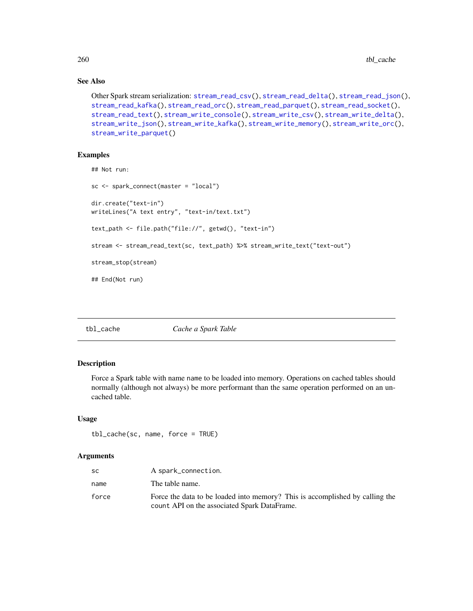### See Also

```
Other Spark stream serialization: stream_read_csv(), stream_read_delta(), stream_read_json(),
stream_read_kafka(), stream_read_orc(), stream_read_parquet(), stream_read_socket(),
stream_read_text(), stream_write_console(), stream_write_csv(), stream_write_delta(),
stream_write_json(), stream_write_kafka(), stream_write_memory(), stream_write_orc(),
stream_write_parquet()
```
#### Examples

```
## Not run:
sc <- spark_connect(master = "local")
dir.create("text-in")
writeLines("A text entry", "text-in/text.txt")
text_path <- file.path("file://", getwd(), "text-in")
stream <- stream_read_text(sc, text_path) %>% stream_write_text("text-out")
stream_stop(stream)
## End(Not run)
```
tbl\_cache *Cache a Spark Table*

### Description

Force a Spark table with name name to be loaded into memory. Operations on cached tables should normally (although not always) be more performant than the same operation performed on an uncached table.

#### Usage

tbl\_cache(sc, name, force = TRUE)

| SC.   | A spark_connection.                                                          |
|-------|------------------------------------------------------------------------------|
| name  | The table name.                                                              |
| force | Force the data to be loaded into memory? This is accomplished by calling the |
|       | count API on the associated Spark DataFrame.                                 |

<span id="page-259-0"></span>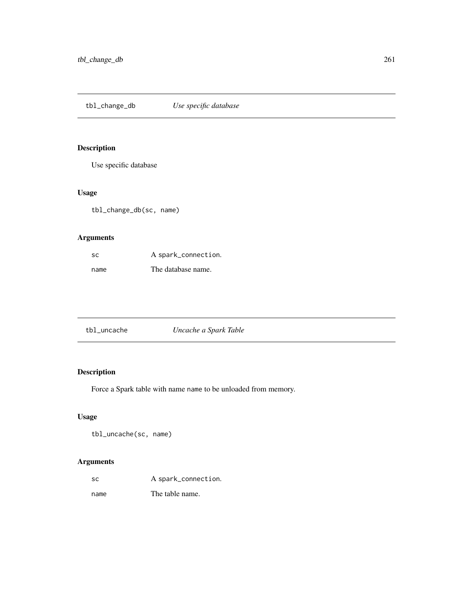<span id="page-260-0"></span>tbl\_change\_db *Use specific database*

# Description

Use specific database

#### Usage

tbl\_change\_db(sc, name)

# Arguments

| -SC  | A spark_connection. |
|------|---------------------|
| name | The database name.  |

| tbl_uncache | Uncache a Spark Table |  |
|-------------|-----------------------|--|
|-------------|-----------------------|--|

# Description

Force a Spark table with name name to be unloaded from memory.

# Usage

tbl\_uncache(sc, name)

| -SC  | A spark_connection. |
|------|---------------------|
| name | The table name.     |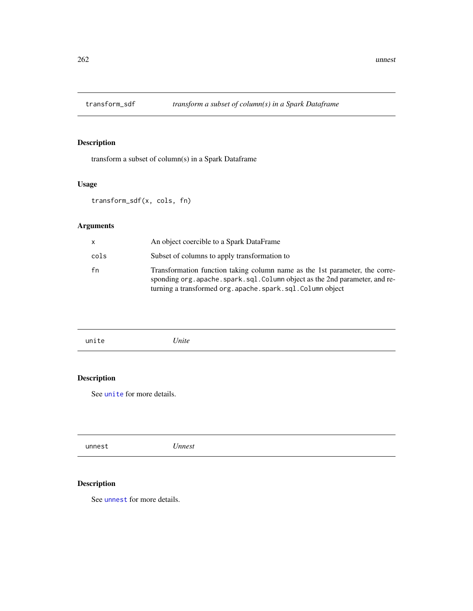<span id="page-261-2"></span>

# Description

transform a subset of column(s) in a Spark Dataframe

# Usage

```
transform_sdf(x, cols, fn)
```
# Arguments

| x    | An object coercible to a Spark DataFrame                                                                                                                                                                                     |
|------|------------------------------------------------------------------------------------------------------------------------------------------------------------------------------------------------------------------------------|
| cols | Subset of columns to apply transformation to                                                                                                                                                                                 |
| fn   | Transformation function taking column name as the 1st parameter, the corre-<br>sponding org. apache. spark. sql. Column object as the 2nd parameter, and re-<br>turning a transformed org. apache. spark. sql. Column object |

<span id="page-261-0"></span>

| τe | <i>Inite</i> |  |  |
|----|--------------|--|--|
|    |              |  |  |

# Description

See [unite](#page-261-0) for more details.

<span id="page-261-1"></span>

|--|--|

# Description

See [unnest](#page-261-1) for more details.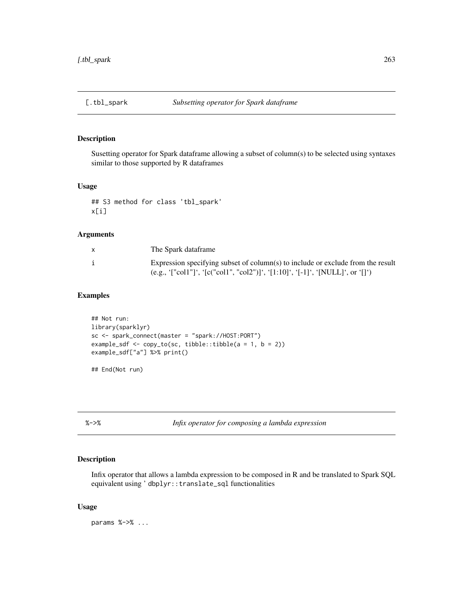<span id="page-262-0"></span>

#### Description

Susetting operator for Spark dataframe allowing a subset of column(s) to be selected using syntaxes similar to those supported by R dataframes

#### Usage

```
## S3 method for class 'tbl_spark'
x[i]
```
#### Arguments

| $\mathsf{x}$ | The Spark dataframe                                                             |
|--------------|---------------------------------------------------------------------------------|
|              | Expression specifying subset of column(s) to include or exclude from the result |
|              | (e.g., '["col1"]', '[c("col1", "col2")]', '[1:10]', '[-1]', '[NULL]', or '[]')  |

#### Examples

```
## Not run:
library(sparklyr)
sc <- spark_connect(master = "spark://HOST:PORT")
example_sdf <- copy_to(sc, tibble::tibble(a = 1, b = 2))
example_sdf["a"] %>% print()
```
## End(Not run)

%->% *Infix operator for composing a lambda expression*

#### Description

Infix operator that allows a lambda expression to be composed in R and be translated to Spark SQL equivalent using ' dbplyr::translate\_sql functionalities

#### Usage

params %->% ...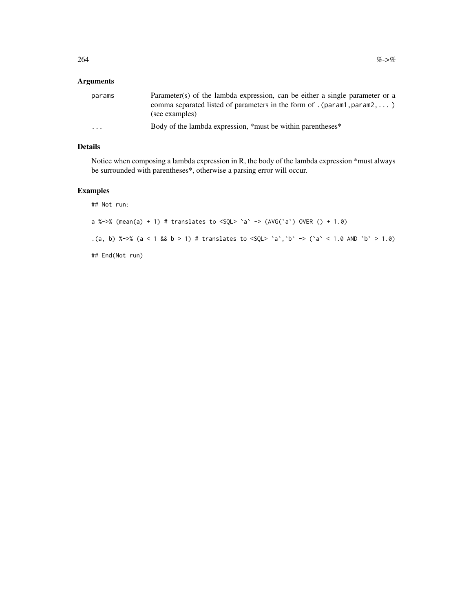## Arguments

| params   | Parameter(s) of the lambda expression, can be either a single parameter or a |
|----------|------------------------------------------------------------------------------|
|          | comma separated listed of parameters in the form of . (param1, param2, )     |
|          | (see examples)                                                               |
| $\cdots$ | Body of the lambda expression, *must be within parentheses *                 |

#### Details

Notice when composing a lambda expression in R, the body of the lambda expression \*must always be surrounded with parentheses\*, otherwise a parsing error will occur.

# Examples

## Not run:

```
a %->% (mean(a) + 1) # translates to <SQL> `a` -> (AVG(`a`) OVER () + 1.0)
```

```
.(a, b) %->% (a < 1 && b > 1) # translates to <SQL> `a`,`b` -> (`a` < 1.0 AND `b` > 1.0)
```
## End(Not run)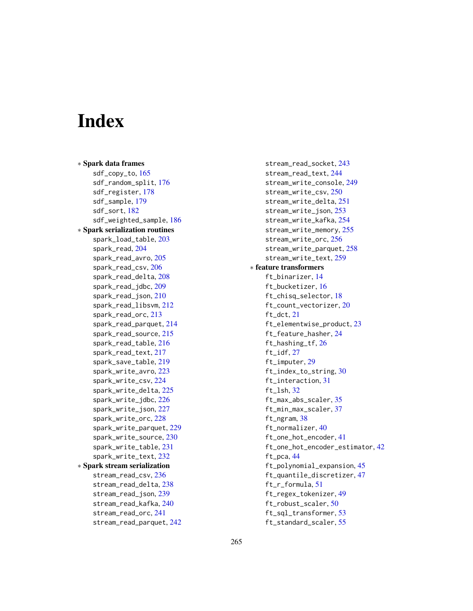# **Index**

∗ Spark data frames sdf\_copy\_to, [165](#page-164-0) sdf\_random\_split, [176](#page-175-0) sdf\_register, [178](#page-177-0) sdf\_sample, [179](#page-178-0) sdf\_sort, [182](#page-181-0) sdf\_weighted\_sample, [186](#page-185-0) ∗ Spark serialization routines spark\_load\_table, [203](#page-202-0) spark\_read, [204](#page-203-0) spark\_read\_avro, [205](#page-204-0) spark\_read\_csv, [206](#page-205-0) spark\_read\_delta, [208](#page-207-0) spark\_read\_jdbc, [209](#page-208-0) spark\_read\_json, [210](#page-209-0) spark\_read\_libsvm, [212](#page-211-0) spark\_read\_orc, [213](#page-212-0) spark\_read\_parquet, [214](#page-213-0) spark\_read\_source, [215](#page-214-0) spark\_read\_table, [216](#page-215-0) spark\_read\_text, [217](#page-216-0) spark\_save\_table, [219](#page-218-0) spark\_write\_avro, [223](#page-222-0) spark\_write\_csv, [224](#page-223-0) spark\_write\_delta, [225](#page-224-0) spark\_write\_jdbc, [226](#page-225-0) spark\_write\_json, [227](#page-226-0) spark\_write\_orc, [228](#page-227-0) spark\_write\_parquet, [229](#page-228-0) spark\_write\_source, [230](#page-229-0) spark\_write\_table, [231](#page-230-0) spark\_write\_text, [232](#page-231-0) ∗ Spark stream serialization stream\_read\_csv, [236](#page-235-1) stream\_read\_delta, [238](#page-237-1) stream\_read\_json, [239](#page-238-1) stream\_read\_kafka, [240](#page-239-1) stream\_read\_orc, [241](#page-240-1) stream\_read\_parquet, [242](#page-241-1)

stream\_read\_socket, [243](#page-242-1) stream\_read\_text, [244](#page-243-1) stream\_write\_console, [249](#page-248-1) stream\_write\_csv, [250](#page-249-1) stream\_write\_delta, [251](#page-250-1) stream\_write\_json, [253](#page-252-1) stream\_write\_kafka, [254](#page-253-1) stream\_write\_memory, [255](#page-254-1) stream\_write\_orc, [256](#page-255-1) stream\_write\_parquet, [258](#page-257-1) stream\_write\_text, [259](#page-258-1) ∗ feature transformers ft binarizer, [14](#page-13-0) ft\_bucketizer, [16](#page-15-0) ft\_chisq\_selector, [18](#page-17-0) ft\_count\_vectorizer, [20](#page-19-0) ft\_dct, [21](#page-20-0) ft\_elementwise\_product, [23](#page-22-0) ft\_feature\_hasher, [24](#page-23-0) ft\_hashing\_tf, [26](#page-25-0) ft\_idf, [27](#page-26-0) ft\_imputer, [29](#page-28-0) ft\_index\_to\_string, [30](#page-29-0) ft\_interaction, [31](#page-30-0) ft\_lsh, [32](#page-31-0) ft\_max\_abs\_scaler, [35](#page-34-0) ft\_min\_max\_scaler, [37](#page-36-0) ft\_ngram, [38](#page-37-0) ft\_normalizer, [40](#page-39-0) ft\_one\_hot\_encoder, [41](#page-40-0) ft\_one\_hot\_encoder\_estimator, [42](#page-41-0) ft\_pca, [44](#page-43-0) ft\_polynomial\_expansion, [45](#page-44-0) ft\_quantile\_discretizer, [47](#page-46-0) ft\_r\_formula, [51](#page-50-0) ft\_regex\_tokenizer, [49](#page-48-0) ft\_robust\_scaler, [50](#page-49-0) ft\_sql\_transformer, [53](#page-52-0) ft\_standard\_scaler, [55](#page-54-0)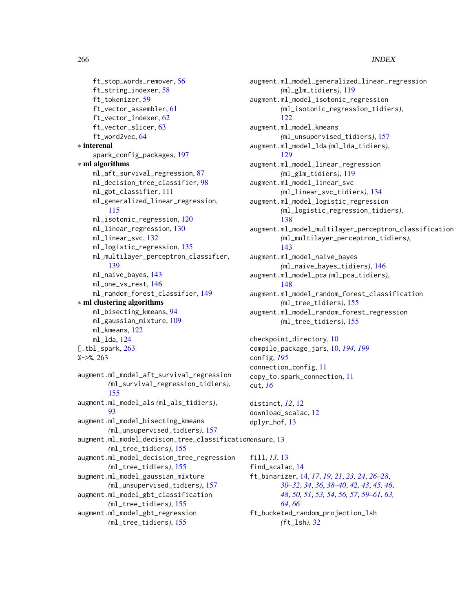#### 266 **INDEX**

```
ft_stop_words_remover, 56
    ft_string_indexer, 58
    ft_tokenizer, 59
    ft_vector_assembler, 61
    ft_vector_indexer, 62
    ft_vector_slicer, 63
    ft_word2vec, 64
∗ interenal
    spark_config_packages, 197
∗ ml algorithms
    ml_aft_survival_regression, 87
    ml_decision_tree_classifier, 98
    ml_gbt_classifier, 111
    ml_generalized_linear_regression,
        115
    ml_isotonic_regression, 120
    ml_linear_regression, 130
    ml_linear_svc, 132
    ml_logistic_regression, 135
    ml_multilayer_perceptron_classifier,
        139
    ml_naive_bayes, 143
    ml_one_vs_rest, 146
    ml_random_forest_classifier, 149
∗ ml clustering algorithms
    ml_bisecting_kmeans, 94
    ml_gaussian_mixture, 109
    ml_kmeans, 122
    ml_lda, 124
263]
263augment.ml_model_aft_survival_regression
        (ml_survival_regression_tidiers),
        155
augment.ml_model_als (ml_als_tidiers),
        93
```

```
augment.ml_model_bisecting_kmeans
        (ml_unsupervised_tidiers), 157
augment.ml_model_decision_tree_classification
ensure, 13
```
*(*ml\_tree\_tidiers*)*, [155](#page-154-0) augment.ml\_model\_decision\_tree\_regression *(*ml\_tree\_tidiers*)*, [155](#page-154-0) augment.ml\_model\_gaussian\_mixture *(*ml\_unsupervised\_tidiers*)*, [157](#page-156-0) augment.ml\_model\_gbt\_classification *(*ml\_tree\_tidiers*)*, [155](#page-154-0) augment.ml\_model\_gbt\_regression

*(*ml\_tree\_tidiers*)*, [155](#page-154-0)

augment.ml\_model\_generalized\_linear\_regression *(*ml\_glm\_tidiers*)*, [119](#page-118-0) augment.ml\_model\_isotonic\_regression *(*ml\_isotonic\_regression\_tidiers*)*, [122](#page-121-0) augment.ml\_model\_kmeans *(*ml\_unsupervised\_tidiers*)*, [157](#page-156-0) augment.ml\_model\_lda *(*ml\_lda\_tidiers*)*, [129](#page-128-0) augment.ml\_model\_linear\_regression *(*ml\_glm\_tidiers*)*, [119](#page-118-0) augment.ml\_model\_linear\_svc *(*ml\_linear\_svc\_tidiers*)*, [134](#page-133-0) augment.ml\_model\_logistic\_regression *(*ml\_logistic\_regression\_tidiers*)*, [138](#page-137-0) augment.ml\_model\_multilayer\_perceptron\_classification *(*ml\_multilayer\_perceptron\_tidiers*)*, [143](#page-142-0) augment.ml\_model\_naive\_bayes *(*ml\_naive\_bayes\_tidiers*)*, [146](#page-145-0) augment.ml\_model\_pca *(*ml\_pca\_tidiers*)*, [148](#page-147-0) augment.ml\_model\_random\_forest\_classification *(*ml\_tree\_tidiers*)*, [155](#page-154-0) augment.ml\_model\_random\_forest\_regression *(*ml\_tree\_tidiers*)*, [155](#page-154-0)

checkpoint\_directory, [10](#page-9-0) compile\_package\_jars, [10,](#page-9-0) *[194](#page-193-0)*, *[199](#page-198-0)* config, *[195](#page-194-0)* connection\_config, [11](#page-10-0) copy\_to.spark\_connection, [11](#page-10-0) cut, *[16](#page-15-0)*

distinct, *[12](#page-11-0)*, [12](#page-11-0) download\_scalac, [12](#page-11-0) dplyr\_hof, [13](#page-12-0)

fill, *[13](#page-12-0)*, [13](#page-12-0) find\_scalac, [14](#page-13-0) ft\_binarizer, [14,](#page-13-0) *[17](#page-16-0)*, *[19](#page-18-0)*, *[21](#page-20-0)*, *[23,](#page-22-0) [24](#page-23-0)*, *[26](#page-25-0)[–28](#page-27-0)*, *[30](#page-29-0)[–32](#page-31-0)*, *[34](#page-33-0)*, *[36](#page-35-0)*, *[38](#page-37-0)[–40](#page-39-0)*, *[42,](#page-41-0) [43](#page-42-0)*, *[45,](#page-44-0) [46](#page-45-0)*, *[48](#page-47-0)*, *[50,](#page-49-0) [51](#page-50-0)*, *[53,](#page-52-0) [54](#page-53-0)*, *[56,](#page-55-0) [57](#page-56-0)*, *[59](#page-58-0)[–61](#page-60-0)*, *[63,](#page-62-0) [64](#page-63-0)*, *[66](#page-65-0)* ft\_bucketed\_random\_projection\_lsh *(*ft\_lsh*)*, [32](#page-31-0)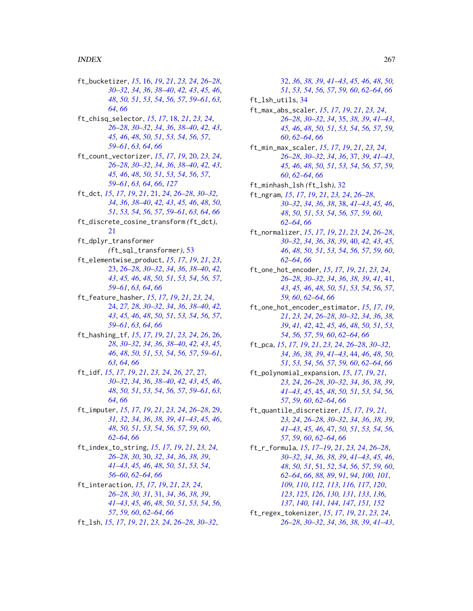ft\_bucketizer, *[15](#page-14-0)*, [16,](#page-15-0) *[19](#page-18-0)*, *[21](#page-20-0)*, *[23,](#page-22-0) [24](#page-23-0)*, *[26–](#page-25-0)[28](#page-27-0)*, *[30](#page-29-0)[–32](#page-31-0)*, *[34](#page-33-0)*, *[36](#page-35-0)*, *[38–](#page-37-0)[40](#page-39-0)*, *[42,](#page-41-0) [43](#page-42-0)*, *[45,](#page-44-0) [46](#page-45-0)*, *[48](#page-47-0)*, *[50,](#page-49-0) [51](#page-50-0)*, *[53,](#page-52-0) [54](#page-53-0)*, *[56,](#page-55-0) [57](#page-56-0)*, *[59–](#page-58-0)[61](#page-60-0)*, *[63,](#page-62-0) [64](#page-63-0)*, *[66](#page-65-0)* ft\_chisq\_selector, *[15](#page-14-0)*, *[17](#page-16-0)*, [18,](#page-17-0) *[21](#page-20-0)*, *[23,](#page-22-0) [24](#page-23-0)*, *[26](#page-25-0)[–28](#page-27-0)*, *[30](#page-29-0)[–32](#page-31-0)*, *[34](#page-33-0)*, *[36](#page-35-0)*, *[38–](#page-37-0)[40](#page-39-0)*, *[42,](#page-41-0) [43](#page-42-0)*, *[45,](#page-44-0) [46](#page-45-0)*, *[48](#page-47-0)*, *[50,](#page-49-0) [51](#page-50-0)*, *[53,](#page-52-0) [54](#page-53-0)*, *[56,](#page-55-0) [57](#page-56-0)*, *[59](#page-58-0)[–61](#page-60-0)*, *[63,](#page-62-0) [64](#page-63-0)*, *[66](#page-65-0)* ft\_count\_vectorizer, *[15](#page-14-0)*, *[17](#page-16-0)*, *[19](#page-18-0)*, [20,](#page-19-0) *[23,](#page-22-0) [24](#page-23-0)*, *[26](#page-25-0)[–28](#page-27-0)*, *[30](#page-29-0)[–32](#page-31-0)*, *[34](#page-33-0)*, *[36](#page-35-0)*, *[38–](#page-37-0)[40](#page-39-0)*, *[42,](#page-41-0) [43](#page-42-0)*, *[45,](#page-44-0) [46](#page-45-0)*, *[48](#page-47-0)*, *[50,](#page-49-0) [51](#page-50-0)*, *[53,](#page-52-0) [54](#page-53-0)*, *[56,](#page-55-0) [57](#page-56-0)*, *[59](#page-58-0)[–61](#page-60-0)*, *[63,](#page-62-0) [64](#page-63-0)*, *[66](#page-65-0)*, *[127](#page-126-0)* ft\_dct, *[15](#page-14-0)*, *[17](#page-16-0)*, *[19](#page-18-0)*, *[21](#page-20-0)*, [21,](#page-20-0) *[24](#page-23-0)*, *[26–](#page-25-0)[28](#page-27-0)*, *[30–](#page-29-0)[32](#page-31-0)*, *[34](#page-33-0)*, *[36](#page-35-0)*, *[38](#page-37-0)[–40](#page-39-0)*, *[42,](#page-41-0) [43](#page-42-0)*, *[45,](#page-44-0) [46](#page-45-0)*, *[48](#page-47-0)*, *[50,](#page-49-0) [51](#page-50-0)*, *[53,](#page-52-0) [54](#page-53-0)*, *[56,](#page-55-0) [57](#page-56-0)*, *[59–](#page-58-0)[61](#page-60-0)*, *[63,](#page-62-0) [64](#page-63-0)*, *[66](#page-65-0)* ft\_discrete\_cosine\_transform *(*ft\_dct*)*, [21](#page-20-0) ft\_dplyr\_transformer *(*ft\_sql\_transformer*)*, [53](#page-52-0) ft\_elementwise\_product, *[15](#page-14-0)*, *[17](#page-16-0)*, *[19](#page-18-0)*, *[21](#page-20-0)*, *[23](#page-22-0)*, [23,](#page-22-0) *[26](#page-25-0)[–28](#page-27-0)*, *[30–](#page-29-0)[32](#page-31-0)*, *[34](#page-33-0)*, *[36](#page-35-0)*, *[38–](#page-37-0)[40](#page-39-0)*, *[42,](#page-41-0) [43](#page-42-0)*, *[45,](#page-44-0) [46](#page-45-0)*, *[48](#page-47-0)*, *[50,](#page-49-0) [51](#page-50-0)*, *[53,](#page-52-0) [54](#page-53-0)*, *[56,](#page-55-0) [57](#page-56-0)*, *[59](#page-58-0)[–61](#page-60-0)*, *[63,](#page-62-0) [64](#page-63-0)*, *[66](#page-65-0)* ft\_feature\_hasher, *[15](#page-14-0)*, *[17](#page-16-0)*, *[19](#page-18-0)*, *[21](#page-20-0)*, *[23,](#page-22-0) [24](#page-23-0)*, [24,](#page-23-0) *[27,](#page-26-0) [28](#page-27-0)*, *[30–](#page-29-0)[32](#page-31-0)*, *[34](#page-33-0)*, *[36](#page-35-0)*, *[38–](#page-37-0)[40](#page-39-0)*, *[42,](#page-41-0) [43](#page-42-0)*, *[45,](#page-44-0) [46](#page-45-0)*, *[48](#page-47-0)*, *[50,](#page-49-0) [51](#page-50-0)*, *[53,](#page-52-0) [54](#page-53-0)*, *[56,](#page-55-0) [57](#page-56-0)*, *[59](#page-58-0)[–61](#page-60-0)*, *[63,](#page-62-0) [64](#page-63-0)*, *[66](#page-65-0)* ft\_hashing\_tf, *[15](#page-14-0)*, *[17](#page-16-0)*, *[19](#page-18-0)*, *[21](#page-20-0)*, *[23,](#page-22-0) [24](#page-23-0)*, *[26](#page-25-0)*, [26,](#page-25-0) *[28](#page-27-0)*, *[30](#page-29-0)[–32](#page-31-0)*, *[34](#page-33-0)*, *[36](#page-35-0)*, *[38–](#page-37-0)[40](#page-39-0)*, *[42,](#page-41-0) [43](#page-42-0)*, *[45,](#page-44-0) [46](#page-45-0)*, *[48](#page-47-0)*, *[50,](#page-49-0) [51](#page-50-0)*, *[53,](#page-52-0) [54](#page-53-0)*, *[56,](#page-55-0) [57](#page-56-0)*, *[59–](#page-58-0)[61](#page-60-0)*, *[63,](#page-62-0) [64](#page-63-0)*, *[66](#page-65-0)* ft\_idf, *[15](#page-14-0)*, *[17](#page-16-0)*, *[19](#page-18-0)*, *[21](#page-20-0)*, *[23,](#page-22-0) [24](#page-23-0)*, *[26,](#page-25-0) [27](#page-26-0)*, [27,](#page-26-0) *[30](#page-29-0)[–32](#page-31-0)*, *[34](#page-33-0)*, *[36](#page-35-0)*, *[38–](#page-37-0)[40](#page-39-0)*, *[42,](#page-41-0) [43](#page-42-0)*, *[45,](#page-44-0) [46](#page-45-0)*, *[48](#page-47-0)*, *[50,](#page-49-0) [51](#page-50-0)*, *[53,](#page-52-0) [54](#page-53-0)*, *[56,](#page-55-0) [57](#page-56-0)*, *[59–](#page-58-0)[61](#page-60-0)*, *[63,](#page-62-0) [64](#page-63-0)*, *[66](#page-65-0)* ft\_imputer, *[15](#page-14-0)*, *[17](#page-16-0)*, *[19](#page-18-0)*, *[21](#page-20-0)*, *[23,](#page-22-0) [24](#page-23-0)*, *[26–](#page-25-0)[28](#page-27-0)*, [29,](#page-28-0) *[31,](#page-30-0) [32](#page-31-0)*, *[34](#page-33-0)*, *[36](#page-35-0)*, *[38,](#page-37-0) [39](#page-38-0)*, *[41–](#page-40-0)[43](#page-42-0)*, *[45,](#page-44-0) [46](#page-45-0)*, *[48](#page-47-0)*, *[50,](#page-49-0) [51](#page-50-0)*, *[53,](#page-52-0) [54](#page-53-0)*, *[56,](#page-55-0) [57](#page-56-0)*, *[59,](#page-58-0) [60](#page-59-0)*, *[62](#page-61-0)[–64](#page-63-0)*, *[66](#page-65-0)* ft\_index\_to\_string, *[15](#page-14-0)*, *[17](#page-16-0)*, *[19](#page-18-0)*, *[21](#page-20-0)*, *[23,](#page-22-0) [24](#page-23-0)*, *[26](#page-25-0)[–28](#page-27-0)*, *[30](#page-29-0)*, [30,](#page-29-0) *[32](#page-31-0)*, *[34](#page-33-0)*, *[36](#page-35-0)*, *[38,](#page-37-0) [39](#page-38-0)*, *[41](#page-40-0)[–43](#page-42-0)*, *[45,](#page-44-0) [46](#page-45-0)*, *[48](#page-47-0)*, *[50,](#page-49-0) [51](#page-50-0)*, *[53,](#page-52-0) [54](#page-53-0)*, *[56](#page-55-0)[–60](#page-59-0)*, *[62](#page-61-0)[–64](#page-63-0)*, *[66](#page-65-0)* ft\_interaction, *[15](#page-14-0)*, *[17](#page-16-0)*, *[19](#page-18-0)*, *[21](#page-20-0)*, *[23,](#page-22-0) [24](#page-23-0)*, *[26](#page-25-0)[–28](#page-27-0)*, *[30,](#page-29-0) [31](#page-30-0)*, [31,](#page-30-0) *[34](#page-33-0)*, *[36](#page-35-0)*, *[38,](#page-37-0) [39](#page-38-0)*, *[41](#page-40-0)[–43](#page-42-0)*, *[45,](#page-44-0) [46](#page-45-0)*, *[48](#page-47-0)*, *[50,](#page-49-0) [51](#page-50-0)*, *[53,](#page-52-0) [54](#page-53-0)*, *[56,](#page-55-0) [57](#page-56-0)*, *[59,](#page-58-0) [60](#page-59-0)*, *[62–](#page-61-0)[64](#page-63-0)*, *[66](#page-65-0)* ft\_lsh, *[15](#page-14-0)*, *[17](#page-16-0)*, *[19](#page-18-0)*, *[21](#page-20-0)*, *[23,](#page-22-0) [24](#page-23-0)*, *[26–](#page-25-0)[28](#page-27-0)*, *[30–](#page-29-0)[32](#page-31-0)*,

[32,](#page-31-0) *[36](#page-35-0)*, *[38,](#page-37-0) [39](#page-38-0)*, *[41](#page-40-0)[–43](#page-42-0)*, *[45,](#page-44-0) [46](#page-45-0)*, *[48](#page-47-0)*, *[50,](#page-49-0) [51](#page-50-0)*, *[53,](#page-52-0) [54](#page-53-0)*, *[56,](#page-55-0) [57](#page-56-0)*, *[59,](#page-58-0) [60](#page-59-0)*, *[62](#page-61-0)[–64](#page-63-0)*, *[66](#page-65-0)* ft\_lsh\_utils, [34](#page-33-0) ft\_max\_abs\_scaler, *[15](#page-14-0)*, *[17](#page-16-0)*, *[19](#page-18-0)*, *[21](#page-20-0)*, *[23,](#page-22-0) [24](#page-23-0)*, *[26](#page-25-0)[–28](#page-27-0)*, *[30](#page-29-0)[–32](#page-31-0)*, *[34](#page-33-0)*, [35,](#page-34-0) *[38,](#page-37-0) [39](#page-38-0)*, *[41](#page-40-0)[–43](#page-42-0)*, *[45,](#page-44-0) [46](#page-45-0)*, *[48](#page-47-0)*, *[50,](#page-49-0) [51](#page-50-0)*, *[53,](#page-52-0) [54](#page-53-0)*, *[56,](#page-55-0) [57](#page-56-0)*, *[59,](#page-58-0) [60](#page-59-0)*, *[62](#page-61-0)[–64](#page-63-0)*, *[66](#page-65-0)* ft\_min\_max\_scaler, *[15](#page-14-0)*, *[17](#page-16-0)*, *[19](#page-18-0)*, *[21](#page-20-0)*, *[23,](#page-22-0) [24](#page-23-0)*, *[26](#page-25-0)[–28](#page-27-0)*, *[30](#page-29-0)[–32](#page-31-0)*, *[34](#page-33-0)*, *[36](#page-35-0)*, [37,](#page-36-0) *[39](#page-38-0)*, *[41](#page-40-0)[–43](#page-42-0)*, *[45,](#page-44-0) [46](#page-45-0)*, *[48](#page-47-0)*, *[50,](#page-49-0) [51](#page-50-0)*, *[53,](#page-52-0) [54](#page-53-0)*, *[56,](#page-55-0) [57](#page-56-0)*, *[59,](#page-58-0) [60](#page-59-0)*, *[62](#page-61-0)[–64](#page-63-0)*, *[66](#page-65-0)* ft\_minhash\_lsh *(*ft\_lsh*)*, [32](#page-31-0) ft\_ngram, *[15](#page-14-0)*, *[17](#page-16-0)*, *[19](#page-18-0)*, *[21](#page-20-0)*, *[23,](#page-22-0) [24](#page-23-0)*, *[26](#page-25-0)[–28](#page-27-0)*, *[30](#page-29-0)[–32](#page-31-0)*, *[34](#page-33-0)*, *[36](#page-35-0)*, *[38](#page-37-0)*, [38,](#page-37-0) *[41](#page-40-0)[–43](#page-42-0)*, *[45,](#page-44-0) [46](#page-45-0)*, *[48](#page-47-0)*, *[50,](#page-49-0) [51](#page-50-0)*, *[53,](#page-52-0) [54](#page-53-0)*, *[56,](#page-55-0) [57](#page-56-0)*, *[59,](#page-58-0) [60](#page-59-0)*, *[62](#page-61-0)[–64](#page-63-0)*, *[66](#page-65-0)* ft\_normalizer, *[15](#page-14-0)*, *[17](#page-16-0)*, *[19](#page-18-0)*, *[21](#page-20-0)*, *[23,](#page-22-0) [24](#page-23-0)*, *[26](#page-25-0)[–28](#page-27-0)*, *[30](#page-29-0)[–32](#page-31-0)*, *[34](#page-33-0)*, *[36](#page-35-0)*, *[38,](#page-37-0) [39](#page-38-0)*, [40,](#page-39-0) *[42,](#page-41-0) [43](#page-42-0)*, *[45,](#page-44-0) [46](#page-45-0)*, *[48](#page-47-0)*, *[50,](#page-49-0) [51](#page-50-0)*, *[53,](#page-52-0) [54](#page-53-0)*, *[56,](#page-55-0) [57](#page-56-0)*, *[59,](#page-58-0) [60](#page-59-0)*, *[62](#page-61-0)[–64](#page-63-0)*, *[66](#page-65-0)* ft\_one\_hot\_encoder, *[15](#page-14-0)*, *[17](#page-16-0)*, *[19](#page-18-0)*, *[21](#page-20-0)*, *[23,](#page-22-0) [24](#page-23-0)*, *[26](#page-25-0)[–28](#page-27-0)*, *[30](#page-29-0)[–32](#page-31-0)*, *[34](#page-33-0)*, *[36](#page-35-0)*, *[38,](#page-37-0) [39](#page-38-0)*, *[41](#page-40-0)*, [41,](#page-40-0) *[43](#page-42-0)*, *[45,](#page-44-0) [46](#page-45-0)*, *[48](#page-47-0)*, *[50,](#page-49-0) [51](#page-50-0)*, *[53,](#page-52-0) [54](#page-53-0)*, *[56,](#page-55-0) [57](#page-56-0)*, *[59,](#page-58-0) [60](#page-59-0)*, *[62](#page-61-0)[–64](#page-63-0)*, *[66](#page-65-0)* ft\_one\_hot\_encoder\_estimator, *[15](#page-14-0)*, *[17](#page-16-0)*, *[19](#page-18-0)*, *[21](#page-20-0)*, *[23,](#page-22-0) [24](#page-23-0)*, *[26](#page-25-0)[–28](#page-27-0)*, *[30](#page-29-0)[–32](#page-31-0)*, *[34](#page-33-0)*, *[36](#page-35-0)*, *[38,](#page-37-0) [39](#page-38-0)*, *[41,](#page-40-0) [42](#page-41-0)*, [42,](#page-41-0) *[45,](#page-44-0) [46](#page-45-0)*, *[48](#page-47-0)*, *[50,](#page-49-0) [51](#page-50-0)*, *[53,](#page-52-0) [54](#page-53-0)*, *[56,](#page-55-0) [57](#page-56-0)*, *[59,](#page-58-0) [60](#page-59-0)*, *[62](#page-61-0)[–64](#page-63-0)*, *[66](#page-65-0)* ft\_pca, *[15](#page-14-0)*, *[17](#page-16-0)*, *[19](#page-18-0)*, *[21](#page-20-0)*, *[23,](#page-22-0) [24](#page-23-0)*, *[26](#page-25-0)[–28](#page-27-0)*, *[30](#page-29-0)[–32](#page-31-0)*, *[34](#page-33-0)*, *[36](#page-35-0)*, *[38,](#page-37-0) [39](#page-38-0)*, *[41](#page-40-0)[–43](#page-42-0)*, [44,](#page-43-0) *[46](#page-45-0)*, *[48](#page-47-0)*, *[50,](#page-49-0) [51](#page-50-0)*, *[53,](#page-52-0) [54](#page-53-0)*, *[56,](#page-55-0) [57](#page-56-0)*, *[59,](#page-58-0) [60](#page-59-0)*, *[62](#page-61-0)[–64](#page-63-0)*, *[66](#page-65-0)* ft\_polynomial\_expansion, *[15](#page-14-0)*, *[17](#page-16-0)*, *[19](#page-18-0)*, *[21](#page-20-0)*, *[23,](#page-22-0) [24](#page-23-0)*, *[26](#page-25-0)[–28](#page-27-0)*, *[30](#page-29-0)[–32](#page-31-0)*, *[34](#page-33-0)*, *[36](#page-35-0)*, *[38,](#page-37-0) [39](#page-38-0)*, *[41](#page-40-0)[–43](#page-42-0)*, *[45](#page-44-0)*, [45,](#page-44-0) *[48](#page-47-0)*, *[50,](#page-49-0) [51](#page-50-0)*, *[53,](#page-52-0) [54](#page-53-0)*, *[56,](#page-55-0) [57](#page-56-0)*, *[59,](#page-58-0) [60](#page-59-0)*, *[62](#page-61-0)[–64](#page-63-0)*, *[66](#page-65-0)* ft\_quantile\_discretizer, *[15](#page-14-0)*, *[17](#page-16-0)*, *[19](#page-18-0)*, *[21](#page-20-0)*, *[23,](#page-22-0) [24](#page-23-0)*, *[26](#page-25-0)[–28](#page-27-0)*, *[30](#page-29-0)[–32](#page-31-0)*, *[34](#page-33-0)*, *[36](#page-35-0)*, *[38,](#page-37-0) [39](#page-38-0)*, *[41](#page-40-0)[–43](#page-42-0)*, *[45,](#page-44-0) [46](#page-45-0)*, [47,](#page-46-0) *[50,](#page-49-0) [51](#page-50-0)*, *[53,](#page-52-0) [54](#page-53-0)*, *[56,](#page-55-0) [57](#page-56-0)*, *[59,](#page-58-0) [60](#page-59-0)*, *[62](#page-61-0)[–64](#page-63-0)*, *[66](#page-65-0)* ft\_r\_formula, *[15](#page-14-0)*, *[17](#page-16-0)[–19](#page-18-0)*, *[21](#page-20-0)*, *[23,](#page-22-0) [24](#page-23-0)*, *[26](#page-25-0)[–28](#page-27-0)*, *[30](#page-29-0)[–32](#page-31-0)*, *[34](#page-33-0)*, *[36](#page-35-0)*, *[38,](#page-37-0) [39](#page-38-0)*, *[41](#page-40-0)[–43](#page-42-0)*, *[45,](#page-44-0) [46](#page-45-0)*, *[48](#page-47-0)*, *[50,](#page-49-0) [51](#page-50-0)*, [51,](#page-50-0) *[52](#page-51-0)*, *[54](#page-53-0)*, *[56,](#page-55-0) [57](#page-56-0)*, *[59,](#page-58-0) [60](#page-59-0)*, *[62](#page-61-0)[–64](#page-63-0)*, *[66](#page-65-0)*, *[88,](#page-87-0) [89](#page-88-0)*, *[91](#page-90-0)*, *[94](#page-93-0)*, *[100,](#page-99-0) [101](#page-100-0)*, *[109,](#page-108-0) [110](#page-109-0)*, *[112,](#page-111-0) [113](#page-112-0)*, *[116,](#page-115-0) [117](#page-116-0)*, *[120](#page-119-0)*, *[123](#page-122-0)*, *[125,](#page-124-0) [126](#page-125-0)*, *[130,](#page-129-0) [131](#page-130-0)*, *[133](#page-132-0)*, *[136,](#page-135-0) [137](#page-136-0)*, *[140,](#page-139-0) [141](#page-140-0)*, *[144](#page-143-0)*, *[147](#page-146-0)*, *[151,](#page-150-0) [152](#page-151-0)* ft\_regex\_tokenizer, *[15](#page-14-0)*, *[17](#page-16-0)*, *[19](#page-18-0)*, *[21](#page-20-0)*, *[23,](#page-22-0) [24](#page-23-0)*, *[26](#page-25-0)[–28](#page-27-0)*, *[30](#page-29-0)[–32](#page-31-0)*, *[34](#page-33-0)*, *[36](#page-35-0)*, *[38,](#page-37-0) [39](#page-38-0)*, *[41](#page-40-0)[–43](#page-42-0)*,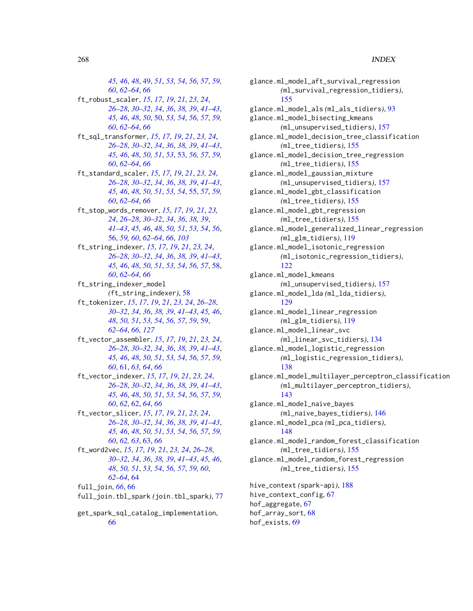*[45,](#page-44-0) [46](#page-45-0)*, *[48](#page-47-0)*, [49,](#page-48-0) *[51](#page-50-0)*, *[53,](#page-52-0) [54](#page-53-0)*, *[56,](#page-55-0) [57](#page-56-0)*, *[59,](#page-58-0) [60](#page-59-0)*, *[62](#page-61-0)[–64](#page-63-0)*, *[66](#page-65-0)* ft\_robust\_scaler, *[15](#page-14-0)*, *[17](#page-16-0)*, *[19](#page-18-0)*, *[21](#page-20-0)*, *[23,](#page-22-0) [24](#page-23-0)*, *[26](#page-25-0)[–28](#page-27-0)*, *[30](#page-29-0)[–32](#page-31-0)*, *[34](#page-33-0)*, *[36](#page-35-0)*, *[38,](#page-37-0) [39](#page-38-0)*, *[41–](#page-40-0)[43](#page-42-0)*, *[45,](#page-44-0) [46](#page-45-0)*, *[48](#page-47-0)*, *[50](#page-49-0)*, [50,](#page-49-0) *[53,](#page-52-0) [54](#page-53-0)*, *[56,](#page-55-0) [57](#page-56-0)*, *[59,](#page-58-0) [60](#page-59-0)*, *[62](#page-61-0)[–64](#page-63-0)*, *[66](#page-65-0)* ft\_sql\_transformer, *[15](#page-14-0)*, *[17](#page-16-0)*, *[19](#page-18-0)*, *[21](#page-20-0)*, *[23,](#page-22-0) [24](#page-23-0)*, *[26](#page-25-0)[–28](#page-27-0)*, *[30](#page-29-0)[–32](#page-31-0)*, *[34](#page-33-0)*, *[36](#page-35-0)*, *[38,](#page-37-0) [39](#page-38-0)*, *[41–](#page-40-0)[43](#page-42-0)*, *[45,](#page-44-0) [46](#page-45-0)*, *[48](#page-47-0)*, *[50,](#page-49-0) [51](#page-50-0)*, *[53](#page-52-0)*, [53,](#page-52-0) *[56,](#page-55-0) [57](#page-56-0)*, *[59,](#page-58-0) [60](#page-59-0)*, *[62](#page-61-0)[–64](#page-63-0)*, *[66](#page-65-0)* ft\_standard\_scaler, *[15](#page-14-0)*, *[17](#page-16-0)*, *[19](#page-18-0)*, *[21](#page-20-0)*, *[23,](#page-22-0) [24](#page-23-0)*, *[26](#page-25-0)[–28](#page-27-0)*, *[30](#page-29-0)[–32](#page-31-0)*, *[34](#page-33-0)*, *[36](#page-35-0)*, *[38,](#page-37-0) [39](#page-38-0)*, *[41–](#page-40-0)[43](#page-42-0)*, *[45,](#page-44-0) [46](#page-45-0)*, *[48](#page-47-0)*, *[50,](#page-49-0) [51](#page-50-0)*, *[53,](#page-52-0) [54](#page-53-0)*, [55,](#page-54-0) *[57](#page-56-0)*, *[59,](#page-58-0) [60](#page-59-0)*, *[62](#page-61-0)[–64](#page-63-0)*, *[66](#page-65-0)* ft\_stop\_words\_remover, *[15](#page-14-0)*, *[17](#page-16-0)*, *[19](#page-18-0)*, *[21](#page-20-0)*, *[23,](#page-22-0) [24](#page-23-0)*, *[26](#page-25-0)[–28](#page-27-0)*, *[30–](#page-29-0)[32](#page-31-0)*, *[34](#page-33-0)*, *[36](#page-35-0)*, *[38,](#page-37-0) [39](#page-38-0)*, *[41](#page-40-0)[–43](#page-42-0)*, *[45,](#page-44-0) [46](#page-45-0)*, *[48](#page-47-0)*, *[50,](#page-49-0) [51](#page-50-0)*, *[53,](#page-52-0) [54](#page-53-0)*, *[56](#page-55-0)*, [56,](#page-55-0) *[59,](#page-58-0) [60](#page-59-0)*, *[62–](#page-61-0)[64](#page-63-0)*, *[66](#page-65-0)*, *[103](#page-102-0)* ft\_string\_indexer, *[15](#page-14-0)*, *[17](#page-16-0)*, *[19](#page-18-0)*, *[21](#page-20-0)*, *[23,](#page-22-0) [24](#page-23-0)*, *[26](#page-25-0)[–28](#page-27-0)*, *[30](#page-29-0)[–32](#page-31-0)*, *[34](#page-33-0)*, *[36](#page-35-0)*, *[38,](#page-37-0) [39](#page-38-0)*, *[41–](#page-40-0)[43](#page-42-0)*, *[45,](#page-44-0) [46](#page-45-0)*, *[48](#page-47-0)*, *[50,](#page-49-0) [51](#page-50-0)*, *[53,](#page-52-0) [54](#page-53-0)*, *[56,](#page-55-0) [57](#page-56-0)*, [58,](#page-57-0) *[60](#page-59-0)*, *[62](#page-61-0)[–64](#page-63-0)*, *[66](#page-65-0)* ft\_string\_indexer\_model *(*ft\_string\_indexer*)*, [58](#page-57-0) ft\_tokenizer, *[15](#page-14-0)*, *[17](#page-16-0)*, *[19](#page-18-0)*, *[21](#page-20-0)*, *[23,](#page-22-0) [24](#page-23-0)*, *[26–](#page-25-0)[28](#page-27-0)*, *[30](#page-29-0)[–32](#page-31-0)*, *[34](#page-33-0)*, *[36](#page-35-0)*, *[38,](#page-37-0) [39](#page-38-0)*, *[41–](#page-40-0)[43](#page-42-0)*, *[45,](#page-44-0) [46](#page-45-0)*, *[48](#page-47-0)*, *[50,](#page-49-0) [51](#page-50-0)*, *[53,](#page-52-0) [54](#page-53-0)*, *[56,](#page-55-0) [57](#page-56-0)*, *[59](#page-58-0)*, [59,](#page-58-0) *[62](#page-61-0)[–64](#page-63-0)*, *[66](#page-65-0)*, *[127](#page-126-0)* ft\_vector\_assembler, *[15](#page-14-0)*, *[17](#page-16-0)*, *[19](#page-18-0)*, *[21](#page-20-0)*, *[23,](#page-22-0) [24](#page-23-0)*, *[26](#page-25-0)[–28](#page-27-0)*, *[30](#page-29-0)[–32](#page-31-0)*, *[34](#page-33-0)*, *[36](#page-35-0)*, *[38,](#page-37-0) [39](#page-38-0)*, *[41–](#page-40-0)[43](#page-42-0)*, *[45,](#page-44-0) [46](#page-45-0)*, *[48](#page-47-0)*, *[50,](#page-49-0) [51](#page-50-0)*, *[53,](#page-52-0) [54](#page-53-0)*, *[56,](#page-55-0) [57](#page-56-0)*, *[59,](#page-58-0) [60](#page-59-0)*, [61,](#page-60-0) *[63,](#page-62-0) [64](#page-63-0)*, *[66](#page-65-0)* ft\_vector\_indexer, *[15](#page-14-0)*, *[17](#page-16-0)*, *[19](#page-18-0)*, *[21](#page-20-0)*, *[23,](#page-22-0) [24](#page-23-0)*, *[26](#page-25-0)[–28](#page-27-0)*, *[30](#page-29-0)[–32](#page-31-0)*, *[34](#page-33-0)*, *[36](#page-35-0)*, *[38,](#page-37-0) [39](#page-38-0)*, *[41–](#page-40-0)[43](#page-42-0)*, *[45,](#page-44-0) [46](#page-45-0)*, *[48](#page-47-0)*, *[50,](#page-49-0) [51](#page-50-0)*, *[53,](#page-52-0) [54](#page-53-0)*, *[56,](#page-55-0) [57](#page-56-0)*, *[59,](#page-58-0) [60](#page-59-0)*, *[62](#page-61-0)*, [62,](#page-61-0) *[64](#page-63-0)*, *[66](#page-65-0)* ft\_vector\_slicer, *[15](#page-14-0)*, *[17](#page-16-0)*, *[19](#page-18-0)*, *[21](#page-20-0)*, *[23,](#page-22-0) [24](#page-23-0)*, *[26](#page-25-0)[–28](#page-27-0)*, *[30](#page-29-0)[–32](#page-31-0)*, *[34](#page-33-0)*, *[36](#page-35-0)*, *[38,](#page-37-0) [39](#page-38-0)*, *[41–](#page-40-0)[43](#page-42-0)*, *[45,](#page-44-0) [46](#page-45-0)*, *[48](#page-47-0)*, *[50,](#page-49-0) [51](#page-50-0)*, *[53,](#page-52-0) [54](#page-53-0)*, *[56,](#page-55-0) [57](#page-56-0)*, *[59,](#page-58-0) [60](#page-59-0)*, *[62,](#page-61-0) [63](#page-62-0)*, [63,](#page-62-0) *[66](#page-65-0)* ft\_word2vec, *[15](#page-14-0)*, *[17](#page-16-0)*, *[19](#page-18-0)*, *[21](#page-20-0)*, *[23,](#page-22-0) [24](#page-23-0)*, *[26–](#page-25-0)[28](#page-27-0)*, *[30](#page-29-0)[–32](#page-31-0)*, *[34](#page-33-0)*, *[36](#page-35-0)*, *[38,](#page-37-0) [39](#page-38-0)*, *[41–](#page-40-0)[43](#page-42-0)*, *[45,](#page-44-0) [46](#page-45-0)*, *[48](#page-47-0)*, *[50,](#page-49-0) [51](#page-50-0)*, *[53,](#page-52-0) [54](#page-53-0)*, *[56,](#page-55-0) [57](#page-56-0)*, *[59,](#page-58-0) [60](#page-59-0)*, *[62](#page-61-0)[–64](#page-63-0)*, [64](#page-63-0) full\_join, *[66](#page-65-0)*, [66](#page-65-0) full\_join.tbl\_spark *(*join.tbl\_spark*)*, [77](#page-76-0) get\_spark\_sql\_catalog\_implementation, [66](#page-65-0)

glance.ml\_model\_aft\_survival\_regression *(*ml\_survival\_regression\_tidiers*)*, [155](#page-154-0) glance.ml\_model\_als *(*ml\_als\_tidiers*)*, [93](#page-92-0) glance.ml\_model\_bisecting\_kmeans *(*ml\_unsupervised\_tidiers*)*, [157](#page-156-0) glance.ml\_model\_decision\_tree\_classification *(*ml\_tree\_tidiers*)*, [155](#page-154-0) glance.ml\_model\_decision\_tree\_regression *(*ml\_tree\_tidiers*)*, [155](#page-154-0) glance.ml\_model\_gaussian\_mixture *(*ml\_unsupervised\_tidiers*)*, [157](#page-156-0) glance.ml\_model\_gbt\_classification *(*ml\_tree\_tidiers*)*, [155](#page-154-0) glance.ml\_model\_gbt\_regression *(*ml\_tree\_tidiers*)*, [155](#page-154-0) glance.ml\_model\_generalized\_linear\_regression *(*ml\_glm\_tidiers*)*, [119](#page-118-0) glance.ml\_model\_isotonic\_regression *(*ml\_isotonic\_regression\_tidiers*)*, [122](#page-121-0) glance.ml\_model\_kmeans *(*ml\_unsupervised\_tidiers*)*, [157](#page-156-0) glance.ml\_model\_lda *(*ml\_lda\_tidiers*)*, [129](#page-128-0) glance.ml\_model\_linear\_regression *(*ml\_glm\_tidiers*)*, [119](#page-118-0) glance.ml\_model\_linear\_svc *(*ml\_linear\_svc\_tidiers*)*, [134](#page-133-0) glance.ml\_model\_logistic\_regression *(*ml\_logistic\_regression\_tidiers*)*, [138](#page-137-0) glance.ml\_model\_multilayer\_perceptron\_classification *(*ml\_multilayer\_perceptron\_tidiers*)*, [143](#page-142-0) glance.ml\_model\_naive\_bayes *(*ml\_naive\_bayes\_tidiers*)*, [146](#page-145-0) glance.ml\_model\_pca *(*ml\_pca\_tidiers*)*, [148](#page-147-0) glance.ml\_model\_random\_forest\_classification *(*ml\_tree\_tidiers*)*, [155](#page-154-0) glance.ml\_model\_random\_forest\_regression *(*ml\_tree\_tidiers*)*, [155](#page-154-0) hive\_context *(*spark-api*)*, [188](#page-187-0) hive\_context\_config, [67](#page-66-0) hof\_aggregate, [67](#page-66-0) hof\_array\_sort, [68](#page-67-0) hof\_exists, [69](#page-68-0)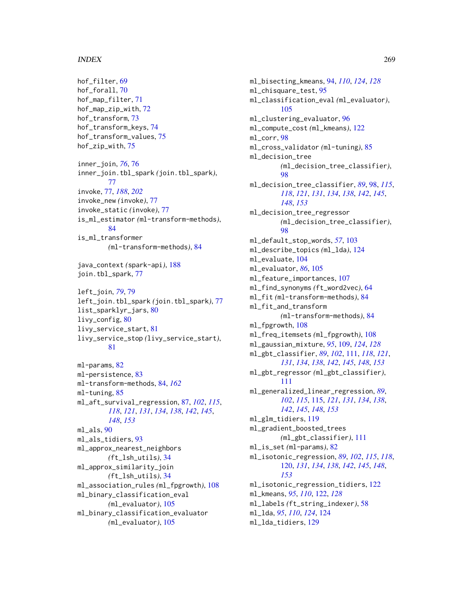#### INDEX  $269$

hof\_filter, [69](#page-68-0) hof\_forall, [70](#page-69-0) hof\_map\_filter, [71](#page-70-0) hof\_map\_zip\_with, [72](#page-71-0) hof\_transform, [73](#page-72-0) hof\_transform\_keys, [74](#page-73-0) hof\_transform\_values, [75](#page-74-0) hof\_zip\_with, [75](#page-74-0) inner\_join, *[76](#page-75-0)*, [76](#page-75-0) inner\_join.tbl\_spark *(*join.tbl\_spark*)*, [77](#page-76-0) invoke, [77,](#page-76-0) *[188](#page-187-0)*, *[202](#page-201-0)* invoke\_new *(*invoke*)*, [77](#page-76-0) invoke\_static *(*invoke*)*, [77](#page-76-0) is\_ml\_estimator *(*ml-transform-methods*)*, [84](#page-83-0) is\_ml\_transformer *(*ml-transform-methods*)*, [84](#page-83-0) java\_context *(*spark-api*)*, [188](#page-187-0) join.tbl\_spark, [77](#page-76-0) left\_join, *[79](#page-78-0)*, [79](#page-78-0) left\_join.tbl\_spark *(*join.tbl\_spark*)*, [77](#page-76-0) list\_sparklyr\_jars, [80](#page-79-0) livy\_config, [80](#page-79-0) livy\_service\_start, [81](#page-80-0) livy\_service\_stop *(*livy\_service\_start*)*, [81](#page-80-0) ml-params, [82](#page-81-0) ml-persistence, [83](#page-82-0) ml-transform-methods, [84,](#page-83-0) *[162](#page-161-0)* ml-tuning, [85](#page-84-0) ml\_aft\_survival\_regression, [87,](#page-86-0) *[102](#page-101-0)*, *[115](#page-114-0)*, *[118](#page-117-0)*, *[121](#page-120-0)*, *[131](#page-130-0)*, *[134](#page-133-0)*, *[138](#page-137-0)*, *[142](#page-141-0)*, *[145](#page-144-0)*, *[148](#page-147-0)*, *[153](#page-152-0)* ml\_als, [90](#page-89-0) ml\_als\_tidiers, [93](#page-92-0) ml\_approx\_nearest\_neighbors *(*ft\_lsh\_utils*)*, [34](#page-33-0) ml\_approx\_similarity\_join *(*ft\_lsh\_utils*)*, [34](#page-33-0) ml\_association\_rules *(*ml\_fpgrowth*)*, [108](#page-107-0) ml\_binary\_classification\_eval *(*ml\_evaluator*)*, [105](#page-104-0) ml\_binary\_classification\_evaluator *(*ml\_evaluator*)*, [105](#page-104-0)

ml\_bisecting\_kmeans, [94,](#page-93-0) *[110](#page-109-0)*, *[124](#page-123-0)*, *[128](#page-127-0)* ml\_chisquare\_test, [95](#page-94-0) ml\_classification\_eval *(*ml\_evaluator*)*, [105](#page-104-0) ml\_clustering\_evaluator, [96](#page-95-0) ml\_compute\_cost *(*ml\_kmeans*)*, [122](#page-121-0) ml\_corr, [98](#page-97-0) ml\_cross\_validator *(*ml-tuning*)*, [85](#page-84-0) ml\_decision\_tree *(*ml\_decision\_tree\_classifier*)*, [98](#page-97-0) ml\_decision\_tree\_classifier, *[89](#page-88-0)*, [98,](#page-97-0) *[115](#page-114-0)*, *[118](#page-117-0)*, *[121](#page-120-0)*, *[131](#page-130-0)*, *[134](#page-133-0)*, *[138](#page-137-0)*, *[142](#page-141-0)*, *[145](#page-144-0)*, *[148](#page-147-0)*, *[153](#page-152-0)* ml\_decision\_tree\_regressor *(*ml\_decision\_tree\_classifier*)*, [98](#page-97-0) ml\_default\_stop\_words, *[57](#page-56-0)*, [103](#page-102-0) ml\_describe\_topics *(*ml\_lda*)*, [124](#page-123-0) ml\_evaluate, [104](#page-103-0) ml\_evaluator, *[86](#page-85-0)*, [105](#page-104-0) ml\_feature\_importances, [107](#page-106-0) ml\_find\_synonyms *(*ft\_word2vec*)*, [64](#page-63-0) ml\_fit *(*ml-transform-methods*)*, [84](#page-83-0) ml\_fit\_and\_transform *(*ml-transform-methods*)*, [84](#page-83-0) ml\_fpgrowth, [108](#page-107-0) ml\_freq\_itemsets *(*ml\_fpgrowth*)*, [108](#page-107-0) ml\_gaussian\_mixture, *[95](#page-94-0)*, [109,](#page-108-0) *[124](#page-123-0)*, *[128](#page-127-0)* ml\_gbt\_classifier, *[89](#page-88-0)*, *[102](#page-101-0)*, [111,](#page-110-0) *[118](#page-117-0)*, *[121](#page-120-0)*, *[131](#page-130-0)*, *[134](#page-133-0)*, *[138](#page-137-0)*, *[142](#page-141-0)*, *[145](#page-144-0)*, *[148](#page-147-0)*, *[153](#page-152-0)* ml\_gbt\_regressor *(*ml\_gbt\_classifier*)*, [111](#page-110-0) ml\_generalized\_linear\_regression, *[89](#page-88-0)*, *[102](#page-101-0)*, *[115](#page-114-0)*, [115,](#page-114-0) *[121](#page-120-0)*, *[131](#page-130-0)*, *[134](#page-133-0)*, *[138](#page-137-0)*, *[142](#page-141-0)*, *[145](#page-144-0)*, *[148](#page-147-0)*, *[153](#page-152-0)* ml\_glm\_tidiers, [119](#page-118-0) ml\_gradient\_boosted\_trees *(*ml\_gbt\_classifier*)*, [111](#page-110-0) ml\_is\_set *(*ml-params*)*, [82](#page-81-0) ml\_isotonic\_regression, *[89](#page-88-0)*, *[102](#page-101-0)*, *[115](#page-114-0)*, *[118](#page-117-0)*, [120,](#page-119-0) *[131](#page-130-0)*, *[134](#page-133-0)*, *[138](#page-137-0)*, *[142](#page-141-0)*, *[145](#page-144-0)*, *[148](#page-147-0)*, *[153](#page-152-0)* ml\_isotonic\_regression\_tidiers, [122](#page-121-0) ml\_kmeans, *[95](#page-94-0)*, *[110](#page-109-0)*, [122,](#page-121-0) *[128](#page-127-0)* ml\_labels *(*ft\_string\_indexer*)*, [58](#page-57-0) ml\_lda, *[95](#page-94-0)*, *[110](#page-109-0)*, *[124](#page-123-0)*, [124](#page-123-0) ml\_lda\_tidiers, [129](#page-128-0)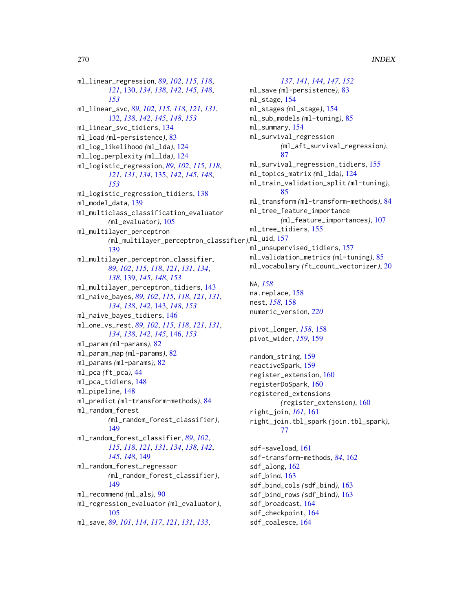ml\_linear\_regression, *[89](#page-88-0)*, *[102](#page-101-0)*, *[115](#page-114-0)*, *[118](#page-117-0)*, *[121](#page-120-0)*, [130,](#page-129-0) *[134](#page-133-0)*, *[138](#page-137-0)*, *[142](#page-141-0)*, *[145](#page-144-0)*, *[148](#page-147-0)*, *[153](#page-152-0)* ml\_linear\_svc, *[89](#page-88-0)*, *[102](#page-101-0)*, *[115](#page-114-0)*, *[118](#page-117-0)*, *[121](#page-120-0)*, *[131](#page-130-0)*, [132,](#page-131-0) *[138](#page-137-0)*, *[142](#page-141-0)*, *[145](#page-144-0)*, *[148](#page-147-0)*, *[153](#page-152-0)* ml\_linear\_svc\_tidiers, [134](#page-133-0) ml\_load *(*ml-persistence*)*, [83](#page-82-0) ml\_log\_likelihood *(*ml\_lda*)*, [124](#page-123-0) ml\_log\_perplexity *(*ml\_lda*)*, [124](#page-123-0) ml\_logistic\_regression, *[89](#page-88-0)*, *[102](#page-101-0)*, *[115](#page-114-0)*, *[118](#page-117-0)*, *[121](#page-120-0)*, *[131](#page-130-0)*, *[134](#page-133-0)*, [135,](#page-134-0) *[142](#page-141-0)*, *[145](#page-144-0)*, *[148](#page-147-0)*, *[153](#page-152-0)* ml\_logistic\_regression\_tidiers, [138](#page-137-0) ml\_model\_data, [139](#page-138-0) ml\_multiclass\_classification\_evaluator *(*ml\_evaluator*)*, [105](#page-104-0) ml\_multilayer\_perceptron *(*ml\_multilayer\_perceptron\_classifier*)*, ml\_uid, [157](#page-156-0) [139](#page-138-0) ml\_multilayer\_perceptron\_classifier, *[89](#page-88-0)*, *[102](#page-101-0)*, *[115](#page-114-0)*, *[118](#page-117-0)*, *[121](#page-120-0)*, *[131](#page-130-0)*, *[134](#page-133-0)*, *[138](#page-137-0)*, [139,](#page-138-0) *[145](#page-144-0)*, *[148](#page-147-0)*, *[153](#page-152-0)* ml\_multilayer\_perceptron\_tidiers, [143](#page-142-0) ml\_naive\_bayes, *[89](#page-88-0)*, *[102](#page-101-0)*, *[115](#page-114-0)*, *[118](#page-117-0)*, *[121](#page-120-0)*, *[131](#page-130-0)*, *[134](#page-133-0)*, *[138](#page-137-0)*, *[142](#page-141-0)*, [143,](#page-142-0) *[148](#page-147-0)*, *[153](#page-152-0)* ml\_naive\_bayes\_tidiers, [146](#page-145-0) ml\_one\_vs\_rest, *[89](#page-88-0)*, *[102](#page-101-0)*, *[115](#page-114-0)*, *[118](#page-117-0)*, *[121](#page-120-0)*, *[131](#page-130-0)*, *[134](#page-133-0)*, *[138](#page-137-0)*, *[142](#page-141-0)*, *[145](#page-144-0)*, [146,](#page-145-0) *[153](#page-152-0)* ml\_param *(*ml-params*)*, [82](#page-81-0) ml\_param\_map *(*ml-params*)*, [82](#page-81-0) ml\_params *(*ml-params*)*, [82](#page-81-0) ml\_pca *(*ft\_pca*)*, [44](#page-43-0) ml\_pca\_tidiers, [148](#page-147-0) ml\_pipeline, [148](#page-147-0) ml\_predict *(*ml-transform-methods*)*, [84](#page-83-0) ml\_random\_forest *(*ml\_random\_forest\_classifier*)*, [149](#page-148-0) ml\_random\_forest\_classifier, *[89](#page-88-0)*, *[102](#page-101-0)*, *[115](#page-114-0)*, *[118](#page-117-0)*, *[121](#page-120-0)*, *[131](#page-130-0)*, *[134](#page-133-0)*, *[138](#page-137-0)*, *[142](#page-141-0)*, *[145](#page-144-0)*, *[148](#page-147-0)*, [149](#page-148-0) ml\_random\_forest\_regressor *(*ml\_random\_forest\_classifier*)*, [149](#page-148-0) ml\_recommend *(*ml\_als*)*, [90](#page-89-0) ml\_regression\_evaluator *(*ml\_evaluator*)*, [105](#page-104-0)

ml\_save, *[89](#page-88-0)*, *[101](#page-100-0)*, *[114](#page-113-0)*, *[117](#page-116-0)*, *[121](#page-120-0)*, *[131](#page-130-0)*, *[133](#page-132-0)*,

*[137](#page-136-0)*, *[141](#page-140-0)*, *[144](#page-143-0)*, *[147](#page-146-0)*, *[152](#page-151-0)* ml\_save *(*ml-persistence*)*, [83](#page-82-0) ml\_stage, [154](#page-153-0) ml\_stages *(*ml\_stage*)*, [154](#page-153-0) ml\_sub\_models *(*ml-tuning*)*, [85](#page-84-0) ml\_summary, [154](#page-153-0) ml\_survival\_regression *(*ml\_aft\_survival\_regression*)*, [87](#page-86-0) ml\_survival\_regression\_tidiers, [155](#page-154-0) ml\_topics\_matrix *(*ml\_lda*)*, [124](#page-123-0) ml\_train\_validation\_split *(*ml-tuning*)*, [85](#page-84-0) ml\_transform *(*ml-transform-methods*)*, [84](#page-83-0) ml\_tree\_feature\_importance *(*ml\_feature\_importances*)*, [107](#page-106-0) ml\_tree\_tidiers, [155](#page-154-0) ml\_unsupervised\_tidiers, [157](#page-156-0) ml\_validation\_metrics *(*ml-tuning*)*, [85](#page-84-0) ml\_vocabulary *(*ft\_count\_vectorizer*)*, [20](#page-19-0) NA, *[158](#page-157-0)* na.replace, [158](#page-157-0) nest, *[158](#page-157-0)*, [158](#page-157-0) numeric\_version, *[220](#page-219-0)* pivot\_longer, *[158](#page-157-0)*, [158](#page-157-0) pivot\_wider, *[159](#page-158-0)*, [159](#page-158-0) random\_string, [159](#page-158-0) reactiveSpark, [159](#page-158-0) register\_extension, [160](#page-159-0) registerDoSpark, [160](#page-159-0) registered\_extensions *(*register\_extension*)*, [160](#page-159-0) right\_join, *[161](#page-160-0)*, [161](#page-160-0) right\_join.tbl\_spark *(*join.tbl\_spark*)*, [77](#page-76-0) sdf-saveload, [161](#page-160-0) sdf-transform-methods, *[84](#page-83-0)*, [162](#page-161-0) sdf\_along, [162](#page-161-0) sdf\_bind, [163](#page-162-0) sdf\_bind\_cols *(*sdf\_bind*)*, [163](#page-162-0) sdf\_bind\_rows *(*sdf\_bind*)*, [163](#page-162-0) sdf\_broadcast, [164](#page-163-0) sdf\_checkpoint, [164](#page-163-0)

sdf\_coalesce, [164](#page-163-0)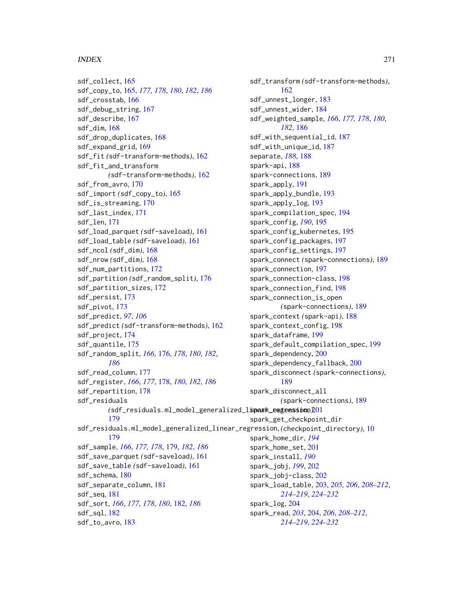#### INDEX  $271$

sdf\_collect, [165](#page-164-0) sdf\_copy\_to, [165,](#page-164-0) *[177,](#page-176-0) [178](#page-177-0)*, *[180](#page-179-0)*, *[182](#page-181-0)*, *[186](#page-185-0)* sdf\_crosstab, [166](#page-165-0) sdf\_debug\_string, [167](#page-166-0) sdf\_describe, [167](#page-166-0) sdf\_dim, [168](#page-167-0) sdf\_drop\_duplicates, [168](#page-167-0) sdf\_expand\_grid, [169](#page-168-0) sdf\_fit *(*sdf-transform-methods*)*, [162](#page-161-0) sdf\_fit\_and\_transform *(*sdf-transform-methods*)*, [162](#page-161-0) sdf\_from\_avro, [170](#page-169-0) sdf\_import *(*sdf\_copy\_to*)*, [165](#page-164-0) sdf\_is\_streaming, [170](#page-169-0) sdf\_last\_index, [171](#page-170-0) sdf\_len, [171](#page-170-0) sdf\_load\_parquet *(*sdf-saveload*)*, [161](#page-160-0) sdf\_load\_table *(*sdf-saveload*)*, [161](#page-160-0) sdf\_ncol *(*sdf\_dim*)*, [168](#page-167-0) sdf\_nrow *(*sdf\_dim*)*, [168](#page-167-0) sdf\_num\_partitions, [172](#page-171-0) sdf\_partition *(*sdf\_random\_split*)*, [176](#page-175-0) sdf\_partition\_sizes, [172](#page-171-0) sdf\_persist, [173](#page-172-0) sdf\_pivot, [173](#page-172-0) sdf\_predict, *[97](#page-96-0)*, *[106](#page-105-0)* sdf\_predict *(*sdf-transform-methods*)*, [162](#page-161-0) sdf\_project, [174](#page-173-0) sdf\_quantile, [175](#page-174-0) sdf\_random\_split, *[166](#page-165-0)*, [176,](#page-175-0) *[178](#page-177-0)*, *[180](#page-179-0)*, *[182](#page-181-0)*, *[186](#page-185-0)* sdf\_read\_column, [177](#page-176-0) sdf\_register, *[166](#page-165-0)*, *[177](#page-176-0)*, [178,](#page-177-0) *[180](#page-179-0)*, *[182](#page-181-0)*, *[186](#page-185-0)* sdf\_repartition, [178](#page-177-0) sdf\_residuals *(*sdf\_residuals.ml\_model\_generalized\_linear\_regression*)*, spark\_extension, [201](#page-200-0) [179](#page-178-0) sdf\_residuals.ml\_model\_generalized\_linear\_regression, *(*checkpoint\_directory*)*, [10](#page-9-0) [179](#page-178-0) sdf\_sample, *[166](#page-165-0)*, *[177,](#page-176-0) [178](#page-177-0)*, [179,](#page-178-0) *[182](#page-181-0)*, *[186](#page-185-0)* sdf\_save\_parquet *(*sdf-saveload*)*, [161](#page-160-0) sdf\_save\_table *(*sdf-saveload*)*, [161](#page-160-0) sdf\_schema, [180](#page-179-0) sdf\_separate\_column, [181](#page-180-0) sdf\_seq, [181](#page-180-0) sdf\_sort, *[166](#page-165-0)*, *[177,](#page-176-0) [178](#page-177-0)*, *[180](#page-179-0)*, [182,](#page-181-0) *[186](#page-185-0)* sdf\_sql, [182](#page-181-0) sdf\_to\_avro, [183](#page-182-0)

sdf\_transform *(*sdf-transform-methods*)*, [162](#page-161-0) sdf\_unnest\_longer, [183](#page-182-0) sdf\_unnest\_wider, [184](#page-183-0) sdf\_weighted\_sample, *[166](#page-165-0)*, *[177,](#page-176-0) [178](#page-177-0)*, *[180](#page-179-0)*, *[182](#page-181-0)*, [186](#page-185-0) sdf\_with\_sequential\_id, [187](#page-186-0) sdf\_with\_unique\_id, [187](#page-186-0) separate, *[188](#page-187-0)*, [188](#page-187-0) spark-api, [188](#page-187-0) spark-connections, [189](#page-188-0) spark\_apply, [191](#page-190-0) spark\_apply\_bundle, [193](#page-192-0) spark\_apply\_log, [193](#page-192-0) spark\_compilation\_spec, [194](#page-193-0) spark\_config, *[190](#page-189-0)*, [195](#page-194-0) spark\_config\_kubernetes, [195](#page-194-0) spark\_config\_packages, [197](#page-196-0) spark\_config\_settings, [197](#page-196-0) spark\_connect *(*spark-connections*)*, [189](#page-188-0) spark\_connection, [197](#page-196-0) spark\_connection-class, [198](#page-197-0) spark\_connection\_find, [198](#page-197-0) spark\_connection\_is\_open *(*spark-connections*)*, [189](#page-188-0) spark\_context *(*spark-api*)*, [188](#page-187-0) spark\_context\_config, [198](#page-197-0) spark\_dataframe, [199](#page-198-0) spark\_default\_compilation\_spec, [199](#page-198-0) spark\_dependency, [200](#page-199-0) spark\_dependency\_fallback, [200](#page-199-0) spark\_disconnect *(*spark-connections*)*, [189](#page-188-0) spark\_disconnect\_all *(*spark-connections*)*, [189](#page-188-0) spark\_get\_checkpoint\_dir spark\_home\_dir, *[194](#page-193-0)* spark\_home\_set, [201](#page-200-0) spark\_install, *[190](#page-189-0)* spark\_jobj, *[199](#page-198-0)*, [202](#page-201-0) spark\_jobj-class, [202](#page-201-0) spark\_load\_table, [203,](#page-202-0) *[205,](#page-204-0) [206](#page-205-0)*, *[208](#page-207-0)[–212](#page-211-0)*, *[214](#page-213-0)[–219](#page-218-0)*, *[224](#page-223-0)[–232](#page-231-0)* spark\_log, [204](#page-203-0)

spark\_read, *[203](#page-202-0)*, [204,](#page-203-0) *[206](#page-205-0)*, *[208](#page-207-0)[–212](#page-211-0)*, *[214](#page-213-0)[–219](#page-218-0)*, *[224](#page-223-0)[–232](#page-231-0)*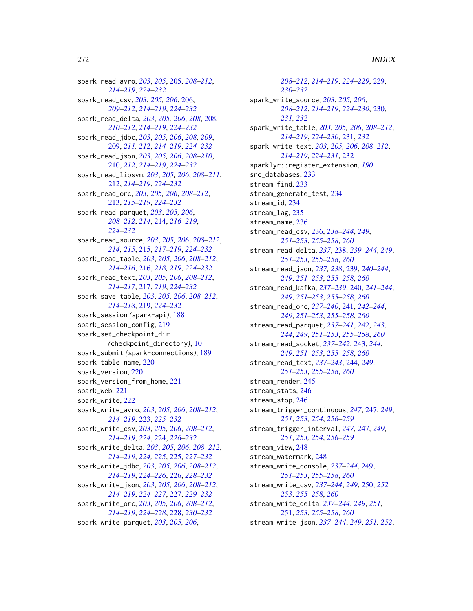spark\_read\_avro, *[203](#page-202-0)*, *[205](#page-204-0)*, [205,](#page-204-0) *[208–](#page-207-0)[212](#page-211-0)*, *[214](#page-213-0)[–219](#page-218-0)*, *[224–](#page-223-0)[232](#page-231-0)* spark\_read\_csv, *[203](#page-202-0)*, *[205,](#page-204-0) [206](#page-205-0)*, [206,](#page-205-0) *[209](#page-208-0)[–212](#page-211-0)*, *[214–](#page-213-0)[219](#page-218-0)*, *[224–](#page-223-0)[232](#page-231-0)* spark\_read\_delta, *[203](#page-202-0)*, *[205,](#page-204-0) [206](#page-205-0)*, *[208](#page-207-0)*, [208,](#page-207-0) *[210](#page-209-0)[–212](#page-211-0)*, *[214–](#page-213-0)[219](#page-218-0)*, *[224–](#page-223-0)[232](#page-231-0)* spark\_read\_jdbc, *[203](#page-202-0)*, *[205,](#page-204-0) [206](#page-205-0)*, *[208,](#page-207-0) [209](#page-208-0)*, [209,](#page-208-0) *[211,](#page-210-0) [212](#page-211-0)*, *[214–](#page-213-0)[219](#page-218-0)*, *[224–](#page-223-0)[232](#page-231-0)* spark\_read\_json, *[203](#page-202-0)*, *[205,](#page-204-0) [206](#page-205-0)*, *[208–](#page-207-0)[210](#page-209-0)*, [210,](#page-209-0) *[212](#page-211-0)*, *[214–](#page-213-0)[219](#page-218-0)*, *[224–](#page-223-0)[232](#page-231-0)* spark\_read\_libsvm, *[203](#page-202-0)*, *[205,](#page-204-0) [206](#page-205-0)*, *[208–](#page-207-0)[211](#page-210-0)*, [212,](#page-211-0) *[214](#page-213-0)[–219](#page-218-0)*, *[224–](#page-223-0)[232](#page-231-0)* spark\_read\_orc, *[203](#page-202-0)*, *[205,](#page-204-0) [206](#page-205-0)*, *[208–](#page-207-0)[212](#page-211-0)*, [213,](#page-212-0) *[215](#page-214-0)[–219](#page-218-0)*, *[224–](#page-223-0)[232](#page-231-0)* spark\_read\_parquet, *[203](#page-202-0)*, *[205,](#page-204-0) [206](#page-205-0)*, *[208](#page-207-0)[–212](#page-211-0)*, *[214](#page-213-0)*, [214,](#page-213-0) *[216–](#page-215-0)[219](#page-218-0)*, *[224](#page-223-0)[–232](#page-231-0)* spark\_read\_source, *[203](#page-202-0)*, *[205,](#page-204-0) [206](#page-205-0)*, *[208–](#page-207-0)[212](#page-211-0)*, *[214,](#page-213-0) [215](#page-214-0)*, [215,](#page-214-0) *[217–](#page-216-0)[219](#page-218-0)*, *[224–](#page-223-0)[232](#page-231-0)* spark\_read\_table, *[203](#page-202-0)*, *[205,](#page-204-0) [206](#page-205-0)*, *[208–](#page-207-0)[212](#page-211-0)*, *[214](#page-213-0)[–216](#page-215-0)*, [216,](#page-215-0) *[218,](#page-217-0) [219](#page-218-0)*, *[224–](#page-223-0)[232](#page-231-0)* spark\_read\_text, *[203](#page-202-0)*, *[205,](#page-204-0) [206](#page-205-0)*, *[208–](#page-207-0)[212](#page-211-0)*, *[214](#page-213-0)[–217](#page-216-0)*, [217,](#page-216-0) *[219](#page-218-0)*, *[224–](#page-223-0)[232](#page-231-0)* spark\_save\_table, *[203](#page-202-0)*, *[205,](#page-204-0) [206](#page-205-0)*, *[208–](#page-207-0)[212](#page-211-0)*, *[214](#page-213-0)[–218](#page-217-0)*, [219,](#page-218-0) *[224–](#page-223-0)[232](#page-231-0)* spark\_session *(*spark-api*)*, [188](#page-187-0) spark\_session\_config, [219](#page-218-0) spark\_set\_checkpoint\_dir *(*checkpoint\_directory*)*, [10](#page-9-0) spark\_submit *(*spark-connections*)*, [189](#page-188-0) spark\_table\_name, [220](#page-219-0) spark\_version, [220](#page-219-0) spark\_version\_from\_home, [221](#page-220-0) spark\_web, [221](#page-220-0) spark\_write, [222](#page-221-0) spark\_write\_avro, *[203](#page-202-0)*, *[205,](#page-204-0) [206](#page-205-0)*, *[208–](#page-207-0)[212](#page-211-0)*, *[214](#page-213-0)[–219](#page-218-0)*, [223,](#page-222-0) *[225–](#page-224-0)[232](#page-231-0)* spark\_write\_csv, *[203](#page-202-0)*, *[205,](#page-204-0) [206](#page-205-0)*, *[208–](#page-207-0)[212](#page-211-0)*, *[214](#page-213-0)[–219](#page-218-0)*, *[224](#page-223-0)*, [224,](#page-223-0) *[226–](#page-225-0)[232](#page-231-0)* spark\_write\_delta, *[203](#page-202-0)*, *[205,](#page-204-0) [206](#page-205-0)*, *[208–](#page-207-0)[212](#page-211-0)*, *[214](#page-213-0)[–219](#page-218-0)*, *[224,](#page-223-0) [225](#page-224-0)*, [225,](#page-224-0) *[227–](#page-226-0)[232](#page-231-0)* spark\_write\_jdbc, *[203](#page-202-0)*, *[205,](#page-204-0) [206](#page-205-0)*, *[208–](#page-207-0)[212](#page-211-0)*, *[214](#page-213-0)[–219](#page-218-0)*, *[224–](#page-223-0)[226](#page-225-0)*, [226,](#page-225-0) *[228–](#page-227-0)[232](#page-231-0)* spark\_write\_json, *[203](#page-202-0)*, *[205,](#page-204-0) [206](#page-205-0)*, *[208–](#page-207-0)[212](#page-211-0)*, *[214](#page-213-0)[–219](#page-218-0)*, *[224–](#page-223-0)[227](#page-226-0)*, [227,](#page-226-0) *[229–](#page-228-0)[232](#page-231-0)* spark\_write\_orc, *[203](#page-202-0)*, *[205,](#page-204-0) [206](#page-205-0)*, *[208–](#page-207-0)[212](#page-211-0)*, *[214](#page-213-0)[–219](#page-218-0)*, *[224–](#page-223-0)[228](#page-227-0)*, [228,](#page-227-0) *[230–](#page-229-0)[232](#page-231-0)* spark\_write\_parquet, *[203](#page-202-0)*, *[205,](#page-204-0) [206](#page-205-0)*,

*[208](#page-207-0)[–212](#page-211-0)*, *[214](#page-213-0)[–219](#page-218-0)*, *[224](#page-223-0)[–229](#page-228-0)*, [229,](#page-228-0) *[230](#page-229-0)[–232](#page-231-0)* spark\_write\_source, *[203](#page-202-0)*, *[205,](#page-204-0) [206](#page-205-0)*, *[208](#page-207-0)[–212](#page-211-0)*, *[214](#page-213-0)[–219](#page-218-0)*, *[224](#page-223-0)[–230](#page-229-0)*, [230,](#page-229-0) *[231,](#page-230-0) [232](#page-231-0)* spark\_write\_table, *[203](#page-202-0)*, *[205,](#page-204-0) [206](#page-205-0)*, *[208](#page-207-0)[–212](#page-211-0)*, *[214](#page-213-0)[–219](#page-218-0)*, *[224](#page-223-0)[–230](#page-229-0)*, [231,](#page-230-0) *[232](#page-231-0)* spark\_write\_text, *[203](#page-202-0)*, *[205,](#page-204-0) [206](#page-205-0)*, *[208](#page-207-0)[–212](#page-211-0)*, *[214](#page-213-0)[–219](#page-218-0)*, *[224](#page-223-0)[–231](#page-230-0)*, [232](#page-231-0) sparklyr::register\_extension, *[190](#page-189-0)* src\_databases, [233](#page-232-0) stream\_find, [233](#page-232-0) stream\_generate\_test, [234](#page-233-0) stream\_id, [234](#page-233-0) stream\_lag, [235](#page-234-0) stream\_name, [236](#page-235-1) stream\_read\_csv, [236,](#page-235-1) *[238](#page-237-1)[–244](#page-243-1)*, *[249](#page-248-1)*, *[251](#page-250-1)[–253](#page-252-1)*, *[255](#page-254-1)[–258](#page-257-1)*, *[260](#page-259-0)* stream\_read\_delta, *[237](#page-236-0)*, [238,](#page-237-1) *[239](#page-238-1)[–244](#page-243-1)*, *[249](#page-248-1)*, *[251](#page-250-1)[–253](#page-252-1)*, *[255](#page-254-1)[–258](#page-257-1)*, *[260](#page-259-0)* stream\_read\_json, *[237,](#page-236-0) [238](#page-237-1)*, [239,](#page-238-1) *[240](#page-239-1)[–244](#page-243-1)*, *[249](#page-248-1)*, *[251](#page-250-1)[–253](#page-252-1)*, *[255](#page-254-1)[–258](#page-257-1)*, *[260](#page-259-0)* stream\_read\_kafka, *[237](#page-236-0)[–239](#page-238-1)*, [240,](#page-239-1) *[241](#page-240-1)[–244](#page-243-1)*, *[249](#page-248-1)*, *[251](#page-250-1)[–253](#page-252-1)*, *[255](#page-254-1)[–258](#page-257-1)*, *[260](#page-259-0)* stream\_read\_orc, *[237](#page-236-0)[–240](#page-239-1)*, [241,](#page-240-1) *[242](#page-241-1)[–244](#page-243-1)*, *[249](#page-248-1)*, *[251](#page-250-1)[–253](#page-252-1)*, *[255](#page-254-1)[–258](#page-257-1)*, *[260](#page-259-0)* stream\_read\_parquet, *[237](#page-236-0)[–241](#page-240-1)*, [242,](#page-241-1) *[243,](#page-242-1) [244](#page-243-1)*, *[249](#page-248-1)*, *[251](#page-250-1)[–253](#page-252-1)*, *[255](#page-254-1)[–258](#page-257-1)*, *[260](#page-259-0)* stream\_read\_socket, *[237](#page-236-0)[–242](#page-241-1)*, [243,](#page-242-1) *[244](#page-243-1)*, *[249](#page-248-1)*, *[251](#page-250-1)[–253](#page-252-1)*, *[255](#page-254-1)[–258](#page-257-1)*, *[260](#page-259-0)* stream\_read\_text, *[237](#page-236-0)[–243](#page-242-1)*, [244,](#page-243-1) *[249](#page-248-1)*, *[251](#page-250-1)[–253](#page-252-1)*, *[255](#page-254-1)[–258](#page-257-1)*, *[260](#page-259-0)* stream\_render, [245](#page-244-0) stream\_stats, [246](#page-245-0) stream\_stop, [246](#page-245-0) stream\_trigger\_continuous, *[247](#page-246-2)*, [247,](#page-246-2) *[249](#page-248-1)*, *[251](#page-250-1)*, *[253,](#page-252-1) [254](#page-253-1)*, *[256](#page-255-1)[–259](#page-258-1)* stream\_trigger\_interval, *[247](#page-246-2)*, [247,](#page-246-2) *[249](#page-248-1)*, *[251](#page-250-1)*, *[253,](#page-252-1) [254](#page-253-1)*, *[256](#page-255-1)[–259](#page-258-1)* stream\_view, [248](#page-247-0) stream\_watermark, [248](#page-247-0) stream\_write\_console, *[237](#page-236-0)[–244](#page-243-1)*, [249,](#page-248-1) *[251](#page-250-1)[–253](#page-252-1)*, *[255](#page-254-1)[–258](#page-257-1)*, *[260](#page-259-0)* stream\_write\_csv, *[237](#page-236-0)[–244](#page-243-1)*, *[249](#page-248-1)*, [250,](#page-249-1) *[252,](#page-251-0) [253](#page-252-1)*, *[255](#page-254-1)[–258](#page-257-1)*, *[260](#page-259-0)* stream\_write\_delta, *[237](#page-236-0)[–244](#page-243-1)*, *[249](#page-248-1)*, *[251](#page-250-1)*, [251,](#page-250-1) *[253](#page-252-1)*, *[255](#page-254-1)[–258](#page-257-1)*, *[260](#page-259-0)* stream\_write\_json, *[237](#page-236-0)[–244](#page-243-1)*, *[249](#page-248-1)*, *[251,](#page-250-1) [252](#page-251-0)*,